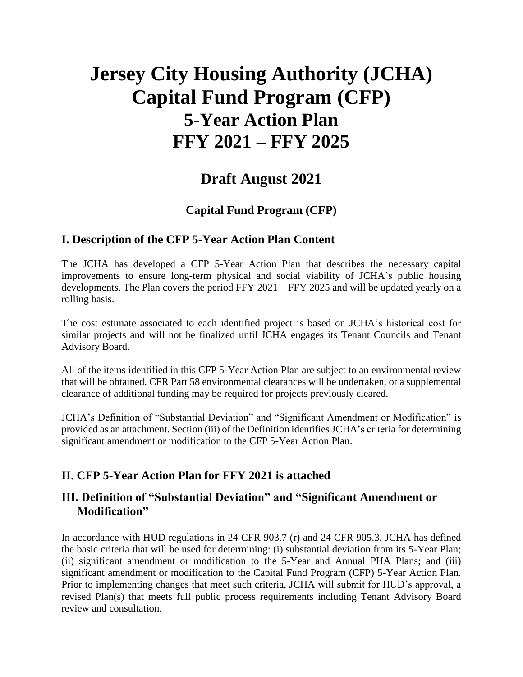# **Jersey City Housing Authority (JCHA) Capital Fund Program (CFP) 5-Year Action Plan FFY 2021 – FFY 2025**

# **Draft August 2021**

# **Capital Fund Program (CFP)**

### **I. Description of the CFP 5-Year Action Plan Content**

The JCHA has developed a CFP 5-Year Action Plan that describes the necessary capital improvements to ensure long-term physical and social viability of JCHA's public housing developments. The Plan covers the period FFY 2021 – FFY 2025 and will be updated yearly on a rolling basis.

The cost estimate associated to each identified project is based on JCHA's historical cost for similar projects and will not be finalized until JCHA engages its Tenant Councils and Tenant Advisory Board.

All of the items identified in this CFP 5-Year Action Plan are subject to an environmental review that will be obtained. CFR Part 58 environmental clearances will be undertaken, or a supplemental clearance of additional funding may be required for projects previously cleared.

JCHA's Definition of "Substantial Deviation" and "Significant Amendment or Modification" is provided as an attachment. Section (iii) of the Definition identifies JCHA's criteria for determining significant amendment or modification to the CFP 5-Year Action Plan.

# **II. CFP 5-Year Action Plan for FFY 2021 is attached**

# **III. Definition of "Substantial Deviation" and "Significant Amendment or Modification"**

In accordance with HUD regulations in 24 CFR 903.7 (r) and 24 CFR 905.3, JCHA has defined the basic criteria that will be used for determining: (i) substantial deviation from its 5-Year Plan; (ii) significant amendment or modification to the 5-Year and Annual PHA Plans; and (iii) significant amendment or modification to the Capital Fund Program (CFP) 5-Year Action Plan. Prior to implementing changes that meet such criteria, JCHA will submit for HUD's approval, a revised Plan(s) that meets full public process requirements including Tenant Advisory Board review and consultation.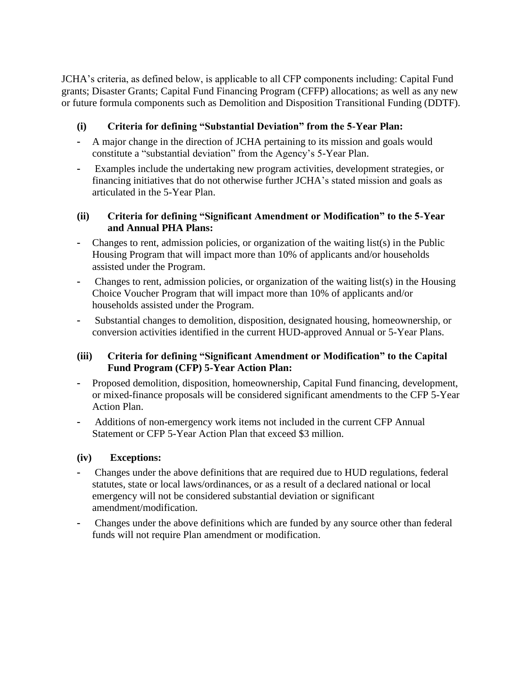JCHA's criteria, as defined below, is applicable to all CFP components including: Capital Fund grants; Disaster Grants; Capital Fund Financing Program (CFFP) allocations; as well as any new or future formula components such as Demolition and Disposition Transitional Funding (DDTF).

#### **(i) Criteria for defining "Substantial Deviation" from the 5-Year Plan:**

- A major change in the direction of JCHA pertaining to its mission and goals would constitute a "substantial deviation" from the Agency's 5-Year Plan.
- Examples include the undertaking new program activities, development strategies, or financing initiatives that do not otherwise further JCHA's stated mission and goals as articulated in the 5-Year Plan.

#### **(ii) Criteria for defining "Significant Amendment or Modification" to the 5-Year and Annual PHA Plans:**

- Changes to rent, admission policies, or organization of the waiting list(s) in the Public Housing Program that will impact more than 10% of applicants and/or households assisted under the Program.
- Changes to rent, admission policies, or organization of the waiting list(s) in the Housing Choice Voucher Program that will impact more than 10% of applicants and/or households assisted under the Program.
- Substantial changes to demolition, disposition, designated housing, homeownership, or conversion activities identified in the current HUD-approved Annual or 5-Year Plans.

#### **(iii) Criteria for defining "Significant Amendment or Modification" to the Capital Fund Program (CFP) 5-Year Action Plan:**

- Proposed demolition, disposition, homeownership, Capital Fund financing, development, or mixed-finance proposals will be considered significant amendments to the CFP 5-Year Action Plan.
- Additions of non-emergency work items not included in the current CFP Annual Statement or CFP 5-Year Action Plan that exceed \$3 million.

#### **(iv) Exceptions:**

- Changes under the above definitions that are required due to HUD regulations, federal statutes, state or local laws/ordinances, or as a result of a declared national or local emergency will not be considered substantial deviation or significant amendment/modification.
- Changes under the above definitions which are funded by any source other than federal funds will not require Plan amendment or modification.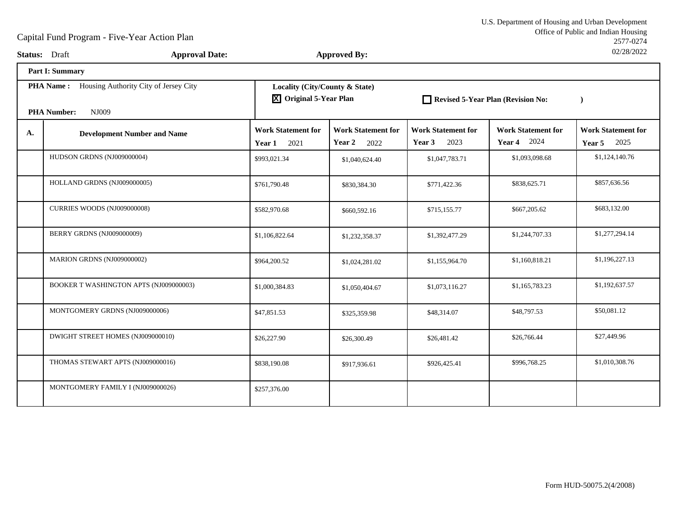Office of Public and Indian Housing<br>2577-0274 U.S. Department of Housing and Urban Development2577-027402/28/2022

| Status: Draft |                                                                                       | <b>Approval Date:</b> |                                                                       | <b>Approved By:</b>                         |                                             |                                                 | 02/28/2022                                      |
|---------------|---------------------------------------------------------------------------------------|-----------------------|-----------------------------------------------------------------------|---------------------------------------------|---------------------------------------------|-------------------------------------------------|-------------------------------------------------|
|               | <b>Part I: Summary</b>                                                                |                       |                                                                       |                                             |                                             |                                                 |                                                 |
|               | <b>PHA Name:</b> Housing Authority City of Jersey City<br><b>PHA Number:</b><br>NJ009 |                       | Locality (City/County & State)<br>$\overline{X}$ Original 5-Year Plan |                                             | Revised 5-Year Plan (Revision No:           |                                                 | $\lambda$                                       |
| A.            | <b>Development Number and Name</b>                                                    |                       | <b>Work Statement for</b><br>2021<br>Year 1                           | <b>Work Statement for</b><br>Year 2<br>2022 | <b>Work Statement for</b><br>2023<br>Year 3 | <b>Work Statement for</b><br><b>Year 4</b> 2024 | <b>Work Statement for</b><br><b>Year 5</b> 2025 |
|               | HUDSON GRDNS (NJ009000004)                                                            |                       | \$993,021.34                                                          | \$1,040,624.40                              | \$1,047,783.71                              | \$1,093,098.68                                  | \$1,124,140.76                                  |
|               | HOLLAND GRDNS (NJ009000005)                                                           |                       | \$761,790.48                                                          | \$830,384.30                                | \$771,422.36                                | \$838,625.71                                    | \$857,636.56                                    |
|               | CURRIES WOODS (NJ009000008)                                                           |                       | \$582,970.68                                                          | \$660,592.16                                | \$715,155.77                                | \$667,205.62                                    | \$683,132.00                                    |
|               | BERRY GRDNS (NJ009000009)                                                             |                       | \$1,106,822.64                                                        | \$1,232,358.37                              | \$1,392,477.29                              | \$1,244,707.33                                  | \$1,277,294.14                                  |
|               | MARION GRDNS (NJ009000002)                                                            |                       | \$964,200.52                                                          | \$1,024,281.02                              | \$1,155,964.70                              | \$1,160,818.21                                  | \$1,196,227.13                                  |
|               | BOOKER T WASHINGTON APTS (NJ009000003)                                                |                       | \$1,000,384.83                                                        | \$1,050,404.67                              | \$1,073,116.27                              | \$1,165,783.23                                  | \$1,192,637.57                                  |
|               | MONTGOMERY GRDNS (NJ009000006)                                                        |                       | \$47,851.53                                                           | \$325,359.98                                | \$48,314.07                                 | \$48,797.53                                     | \$50,081.12                                     |
|               | DWIGHT STREET HOMES (NJ009000010)                                                     |                       | \$26,227.90                                                           | \$26,300.49                                 | \$26,481.42                                 | \$26,766.44                                     | \$27,449.96                                     |
|               | THOMAS STEWART APTS (NJ009000016)                                                     |                       | \$838,190.08                                                          | \$917,936.61                                | \$926,425.41                                | \$996,768.25                                    | \$1,010,308.76                                  |
|               | MONTGOMERY FAMILY I (NJ009000026)                                                     |                       | \$257,376.00                                                          |                                             |                                             |                                                 |                                                 |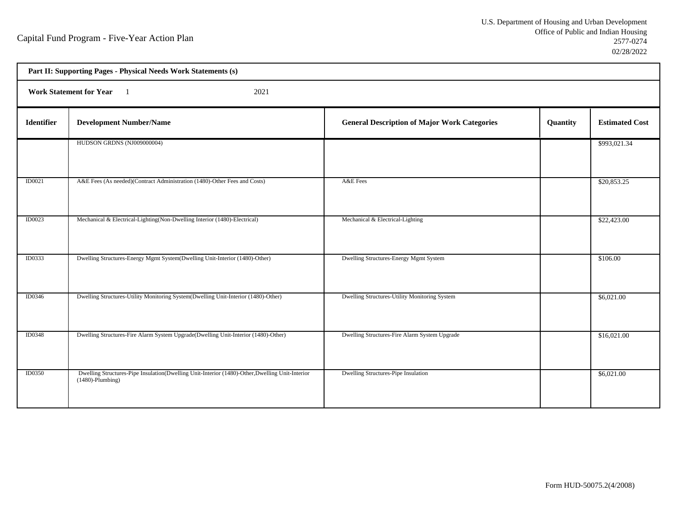h

| Part II: Supporting Pages - Physical Needs Work Statements (s) |                                                                                                                        |                                                     |          |                       |  |  |
|----------------------------------------------------------------|------------------------------------------------------------------------------------------------------------------------|-----------------------------------------------------|----------|-----------------------|--|--|
|                                                                | <b>Work Statement for Year</b><br>2021                                                                                 |                                                     |          |                       |  |  |
| <b>Identifier</b>                                              | <b>Development Number/Name</b>                                                                                         | <b>General Description of Major Work Categories</b> | Quantity | <b>Estimated Cost</b> |  |  |
|                                                                | HUDSON GRDNS (NJ009000004)                                                                                             |                                                     |          | \$993,021.34          |  |  |
| ID0021                                                         | A&E Fees (As needed)(Contract Administration (1480)-Other Fees and Costs)                                              | A&E Fees                                            |          | \$20,853.25           |  |  |
| <b>ID0023</b>                                                  | Mechanical & Electrical-Lighting(Non-Dwelling Interior (1480)-Electrical)                                              | Mechanical & Electrical-Lighting                    |          | \$22,423.00           |  |  |
| ID0333                                                         | Dwelling Structures-Energy Mgmt System(Dwelling Unit-Interior (1480)-Other)                                            | Dwelling Structures-Energy Mgmt System              |          | \$106.00              |  |  |
| ID0346                                                         | Dwelling Structures-Utility Monitoring System(Dwelling Unit-Interior (1480)-Other)                                     | Dwelling Structures-Utility Monitoring System       |          | \$6,021.00            |  |  |
| <b>ID0348</b>                                                  | Dwelling Structures-Fire Alarm System Upgrade(Dwelling Unit-Interior (1480)-Other)                                     | Dwelling Structures-Fire Alarm System Upgrade       |          | \$16,021.00           |  |  |
| <b>ID0350</b>                                                  | Dwelling Structures-Pipe Insulation(Dwelling Unit-Interior (1480)-Other, Dwelling Unit-Interior<br>$(1480)$ -Plumbing) | Dwelling Structures-Pipe Insulation                 |          | \$6,021.00            |  |  |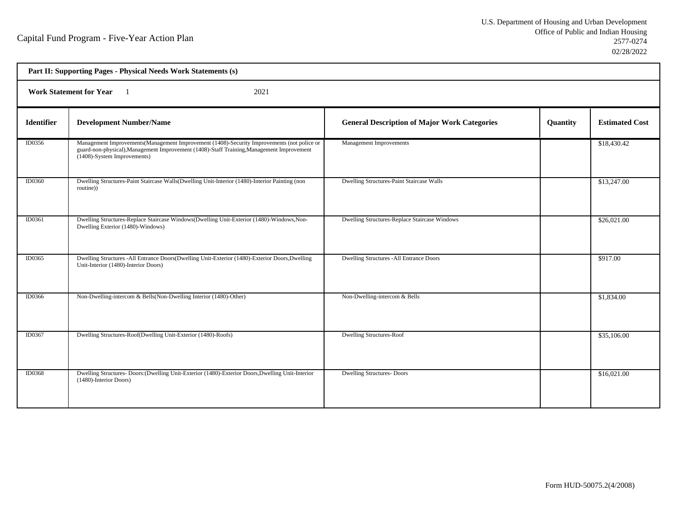|                   | Part II: Supporting Pages - Physical Needs Work Statements (s)                                                                                                                                                          |                                                     |          |                       |  |  |
|-------------------|-------------------------------------------------------------------------------------------------------------------------------------------------------------------------------------------------------------------------|-----------------------------------------------------|----------|-----------------------|--|--|
|                   | <b>Work Statement for Year</b><br>2021<br>$\blacksquare$                                                                                                                                                                |                                                     |          |                       |  |  |
| <b>Identifier</b> | <b>Development Number/Name</b>                                                                                                                                                                                          | <b>General Description of Major Work Categories</b> | Quantity | <b>Estimated Cost</b> |  |  |
| ID0356            | Management Improvements (Management Improvement (1408)-Security Improvements (not police or<br>guard-non-physical), Management Improvement (1408)-Staff Training, Management Improvement<br>(1408)-System Improvements) | <b>Management Improvements</b>                      |          | \$18,430.42           |  |  |
| ID0360            | Dwelling Structures-Paint Staircase Walls(Dwelling Unit-Interior (1480)-Interior Painting (non<br>routine))                                                                                                             | Dwelling Structures-Paint Staircase Walls           |          | \$13,247.00           |  |  |
| ID0361            | Dwelling Structures-Replace Staircase Windows(Dwelling Unit-Exterior (1480)-Windows, Non-<br>Dwelling Exterior (1480)-Windows)                                                                                          | Dwelling Structures-Replace Staircase Windows       |          | \$26,021.00           |  |  |
| ID0365            | Dwelling Structures -All Entrance Doors(Dwelling Unit-Exterior (1480)-Exterior Doors, Dwelling<br>Unit-Interior (1480)-Interior Doors)                                                                                  | <b>Dwelling Structures -All Entrance Doors</b>      |          | \$917.00              |  |  |
| ID0366            | Non-Dwelling-intercom & Bells(Non-Dwelling Interior (1480)-Other)                                                                                                                                                       | Non-Dwelling-intercom & Bells                       |          | \$1,834.00            |  |  |
| ID0367            | Dwelling Structures-Roof(Dwelling Unit-Exterior (1480)-Roofs)                                                                                                                                                           | <b>Dwelling Structures-Roof</b>                     |          | \$35,106.00           |  |  |
| <b>ID0368</b>     | Dwelling Structures- Doors: (Dwelling Unit-Exterior (1480)-Exterior Doors, Dwelling Unit-Interior<br>(1480)-Interior Doors)                                                                                             | <b>Dwelling Structures-Doors</b>                    |          | \$16,021.00           |  |  |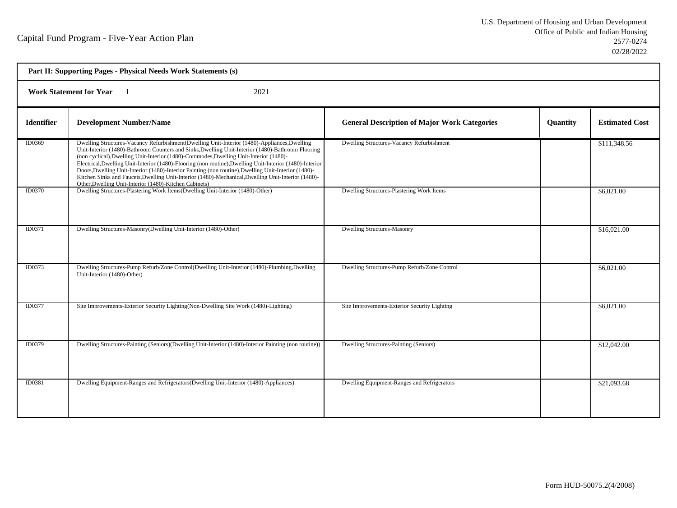| Part II: Supporting Pages - Physical Needs Work Statements (s) |                                                                                                                                                                                                                                                                                                                                                                                                                                                                                                                                                                                                                                                                                  |                                                     |          |                       |  |  |
|----------------------------------------------------------------|----------------------------------------------------------------------------------------------------------------------------------------------------------------------------------------------------------------------------------------------------------------------------------------------------------------------------------------------------------------------------------------------------------------------------------------------------------------------------------------------------------------------------------------------------------------------------------------------------------------------------------------------------------------------------------|-----------------------------------------------------|----------|-----------------------|--|--|
|                                                                | <b>Work Statement for Year</b><br>2021                                                                                                                                                                                                                                                                                                                                                                                                                                                                                                                                                                                                                                           |                                                     |          |                       |  |  |
| <b>Identifier</b>                                              | <b>Development Number/Name</b>                                                                                                                                                                                                                                                                                                                                                                                                                                                                                                                                                                                                                                                   | <b>General Description of Major Work Categories</b> | Quantity | <b>Estimated Cost</b> |  |  |
| ID0369                                                         | Dwelling Structures-Vacancy Refurbishment(Dwelling Unit-Interior (1480)-Appliances, Dwelling<br>Unit-Interior (1480)-Bathroom Counters and Sinks, Dwelling Unit-Interior (1480)-Bathroom Flooring<br>(non cyclical), Dwelling Unit-Interior (1480)-Commodes, Dwelling Unit-Interior (1480)-<br>Electrical, Dwelling Unit-Interior (1480)-Flooring (non routine), Dwelling Unit-Interior (1480)-Interior<br>Doors, Dwelling Unit-Interior (1480)-Interior Painting (non routine), Dwelling Unit-Interior (1480)-<br>Kitchen Sinks and Faucets, Dwelling Unit-Interior (1480)-Mechanical, Dwelling Unit-Interior (1480)-<br>Other, Dwelling Unit-Interior (1480)-Kitchen Cabinets) | Dwelling Structures-Vacancy Refurbishment           |          | \$111,348.56          |  |  |
| ID0370                                                         | Dwelling Structures-Plastering Work Items(Dwelling Unit-Interior (1480)-Other)                                                                                                                                                                                                                                                                                                                                                                                                                                                                                                                                                                                                   | Dwelling Structures-Plastering Work Items           |          | \$6,021.00            |  |  |
| ID0371                                                         | Dwelling Structures-Masonry(Dwelling Unit-Interior (1480)-Other)                                                                                                                                                                                                                                                                                                                                                                                                                                                                                                                                                                                                                 | <b>Dwelling Structures-Masonry</b>                  |          | \$16,021.00           |  |  |
| ID0373                                                         | Dwelling Structures-Pump Refurb/Zone Control(Dwelling Unit-Interior (1480)-Plumbing, Dwelling<br>Unit-Interior (1480)-Other)                                                                                                                                                                                                                                                                                                                                                                                                                                                                                                                                                     | Dwelling Structures-Pump Refurb/Zone Control        |          | \$6,021.00            |  |  |
| ID0377                                                         | Site Improvements-Exterior Security Lighting (Non-Dwelling Site Work (1480)-Lighting)                                                                                                                                                                                                                                                                                                                                                                                                                                                                                                                                                                                            | Site Improvements-Exterior Security Lighting        |          | \$6,021.00            |  |  |
| ID0379                                                         | Dwelling Structures-Painting (Seniors)(Dwelling Unit-Interior (1480)-Interior Painting (non routine))                                                                                                                                                                                                                                                                                                                                                                                                                                                                                                                                                                            | Dwelling Structures-Painting (Seniors)              |          | \$12,042.00           |  |  |
| ID0381                                                         | Dwelling Equipment-Ranges and Refrigerators(Dwelling Unit-Interior (1480)-Appliances)                                                                                                                                                                                                                                                                                                                                                                                                                                                                                                                                                                                            | Dwelling Equipment-Ranges and Refrigerators         |          | \$21,093.68           |  |  |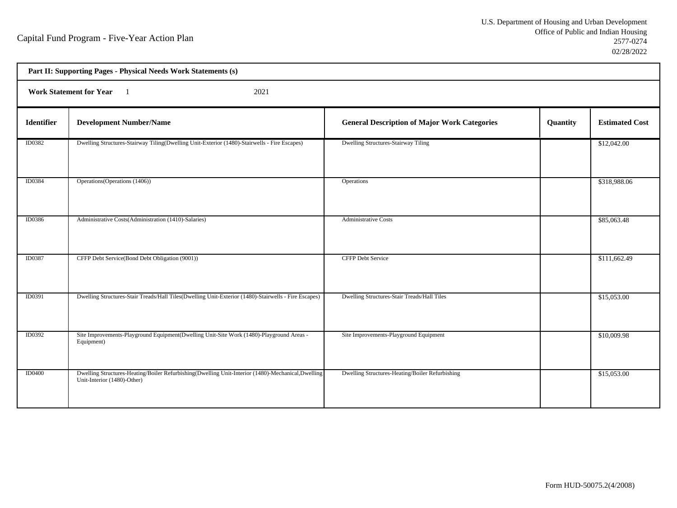h

|               | Part II: Supporting Pages - Physical Needs Work Statements (s)                                                                   |                                                     |          |                       |  |  |
|---------------|----------------------------------------------------------------------------------------------------------------------------------|-----------------------------------------------------|----------|-----------------------|--|--|
|               | <b>Work Statement for Year</b><br>2021                                                                                           |                                                     |          |                       |  |  |
| Identifier    | <b>Development Number/Name</b>                                                                                                   | <b>General Description of Major Work Categories</b> | Quantity | <b>Estimated Cost</b> |  |  |
| ID0382        | Dwelling Structures-Stairway Tiling(Dwelling Unit-Exterior (1480)-Stairwells - Fire Escapes)                                     | Dwelling Structures-Stairway Tiling                 |          | \$12,042.00           |  |  |
| ID0384        | Operations (Operations (1406))                                                                                                   | Operations                                          |          | \$318,988.06          |  |  |
| ID0386        | Administrative Costs(Administration (1410)-Salaries)                                                                             | <b>Administrative Costs</b>                         |          | \$85,063.48           |  |  |
| <b>ID0387</b> | CFFP Debt Service(Bond Debt Obligation (9001))                                                                                   | <b>CFFP Debt Service</b>                            |          | \$111,662.49          |  |  |
| ID0391        | Dwelling Structures-Stair Treads/Hall Tiles(Dwelling Unit-Exterior (1480)-Stairwells - Fire Escapes)                             | Dwelling Structures-Stair Treads/Hall Tiles         |          | \$15,053.00           |  |  |
| ID0392        | Site Improvements-Playground Equipment(Dwelling Unit-Site Work (1480)-Playground Areas -<br>Equipment)                           | Site Improvements-Playground Equipment              |          | \$10,009.98           |  |  |
| <b>ID0400</b> | Dwelling Structures-Heating/Boiler Refurbishing(Dwelling Unit-Interior (1480)-Mechanical,Dwelling<br>Unit-Interior (1480)-Other) | Dwelling Structures-Heating/Boiler Refurbishing     |          | \$15,053.00           |  |  |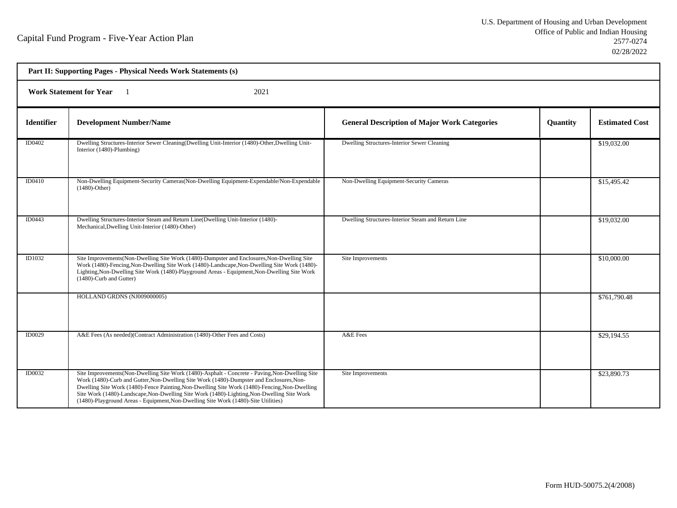| Part II: Supporting Pages - Physical Needs Work Statements (s) |                                                                                                                                                                                                                                                                                                                                                                                                                                                                                  |                                                     |          |                       |  |  |
|----------------------------------------------------------------|----------------------------------------------------------------------------------------------------------------------------------------------------------------------------------------------------------------------------------------------------------------------------------------------------------------------------------------------------------------------------------------------------------------------------------------------------------------------------------|-----------------------------------------------------|----------|-----------------------|--|--|
|                                                                | <b>Work Statement for Year</b><br>2021                                                                                                                                                                                                                                                                                                                                                                                                                                           |                                                     |          |                       |  |  |
| <b>Identifier</b>                                              | <b>Development Number/Name</b>                                                                                                                                                                                                                                                                                                                                                                                                                                                   | <b>General Description of Major Work Categories</b> | Quantity | <b>Estimated Cost</b> |  |  |
| ID0402                                                         | Dwelling Structures-Interior Sewer Cleaning(Dwelling Unit-Interior (1480)-Other, Dwelling Unit-<br>Interior (1480)-Plumbing)                                                                                                                                                                                                                                                                                                                                                     | Dwelling Structures-Interior Sewer Cleaning         |          | \$19,032.00           |  |  |
| <b>ID0410</b>                                                  | Non-Dwelling Equipment-Security Cameras (Non-Dwelling Equipment-Expendable/Non-Expendable<br>$(1480)$ -Other)                                                                                                                                                                                                                                                                                                                                                                    | Non-Dwelling Equipment-Security Cameras             |          | \$15,495.42           |  |  |
| ID0443                                                         | Dwelling Structures-Interior Steam and Return Line(Dwelling Unit-Interior (1480)-<br>Mechanical, Dwelling Unit-Interior (1480)-Other)                                                                                                                                                                                                                                                                                                                                            | Dwelling Structures-Interior Steam and Return Line  |          | \$19,032.00           |  |  |
| ID1032                                                         | Site Improvements (Non-Dwelling Site Work (1480)-Dumpster and Enclosures, Non-Dwelling Site<br>Work (1480)-Fencing, Non-Dwelling Site Work (1480)-Landscape, Non-Dwelling Site Work (1480)-<br>Lighting, Non-Dwelling Site Work (1480)-Playground Areas - Equipment, Non-Dwelling Site Work<br>(1480)-Curb and Gutter)                                                                                                                                                           | Site Improvements                                   |          | \$10,000.00           |  |  |
|                                                                | HOLLAND GRDNS (NJ009000005)                                                                                                                                                                                                                                                                                                                                                                                                                                                      |                                                     |          | \$761,790.48          |  |  |
| <b>ID0029</b>                                                  | A&E Fees (As needed)(Contract Administration (1480)-Other Fees and Costs)                                                                                                                                                                                                                                                                                                                                                                                                        | A&E Fees                                            |          | \$29,194.55           |  |  |
| ID0032                                                         | Site Improvements (Non-Dwelling Site Work (1480)-Asphalt - Concrete - Paving, Non-Dwelling Site<br>Work (1480)-Curb and Gutter, Non-Dwelling Site Work (1480)-Dumpster and Enclosures, Non-<br>Dwelling Site Work (1480)-Fence Painting, Non-Dwelling Site Work (1480)-Fencing, Non-Dwelling<br>Site Work (1480)-Landscape, Non-Dwelling Site Work (1480)-Lighting, Non-Dwelling Site Work<br>(1480)-Playground Areas - Equipment, Non-Dwelling Site Work (1480)-Site Utilities) | Site Improvements                                   |          | \$23,890.73           |  |  |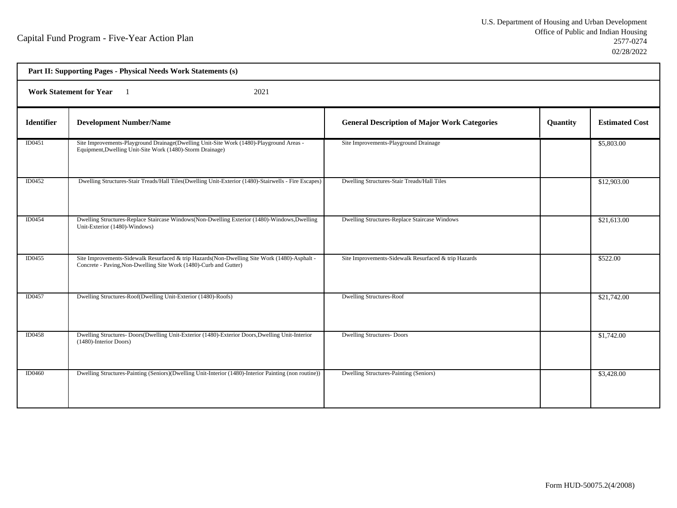| Part II: Supporting Pages - Physical Needs Work Statements (s) |                                                                                                                                                                    |                                                      |          |                       |  |  |
|----------------------------------------------------------------|--------------------------------------------------------------------------------------------------------------------------------------------------------------------|------------------------------------------------------|----------|-----------------------|--|--|
|                                                                | <b>Work Statement for Year</b><br>2021                                                                                                                             |                                                      |          |                       |  |  |
| <b>Identifier</b>                                              | <b>Development Number/Name</b>                                                                                                                                     | <b>General Description of Major Work Categories</b>  | Quantity | <b>Estimated Cost</b> |  |  |
| ID0451                                                         | Site Improvements-Playground Drainage(Dwelling Unit-Site Work (1480)-Playground Areas -<br>Equipment, Dwelling Unit-Site Work (1480)-Storm Drainage)               | Site Improvements-Playground Drainage                |          | \$5,803.00            |  |  |
| ID0452                                                         | Dwelling Structures-Stair Treads/Hall Tiles(Dwelling Unit-Exterior (1480)-Stairwells - Fire Escapes)                                                               | Dwelling Structures-Stair Treads/Hall Tiles          |          | \$12,903.00           |  |  |
| ID0454                                                         | Dwelling Structures-Replace Staircase Windows(Non-Dwelling Exterior (1480)-Windows, Dwelling<br>Unit-Exterior (1480)-Windows)                                      | Dwelling Structures-Replace Staircase Windows        |          | \$21,613.00           |  |  |
| ID0455                                                         | Site Improvements-Sidewalk Resurfaced & trip Hazards (Non-Dwelling Site Work (1480)-Asphalt -<br>Concrete - Paving, Non-Dwelling Site Work (1480)-Curb and Gutter) | Site Improvements-Sidewalk Resurfaced & trip Hazards |          | \$522.00              |  |  |
| ID0457                                                         | Dwelling Structures-Roof(Dwelling Unit-Exterior (1480)-Roofs)                                                                                                      | <b>Dwelling Structures-Roof</b>                      |          | \$21,742.00           |  |  |
| <b>ID0458</b>                                                  | Dwelling Structures- Doors(Dwelling Unit-Exterior (1480)-Exterior Doors, Dwelling Unit-Interior<br>(1480)-Interior Doors)                                          | <b>Dwelling Structures- Doors</b>                    |          | \$1,742.00            |  |  |
| ID0460                                                         | Dwelling Structures-Painting (Seniors)(Dwelling Unit-Interior (1480)-Interior Painting (non routine))                                                              | Dwelling Structures-Painting (Seniors)               |          | \$3,428.00            |  |  |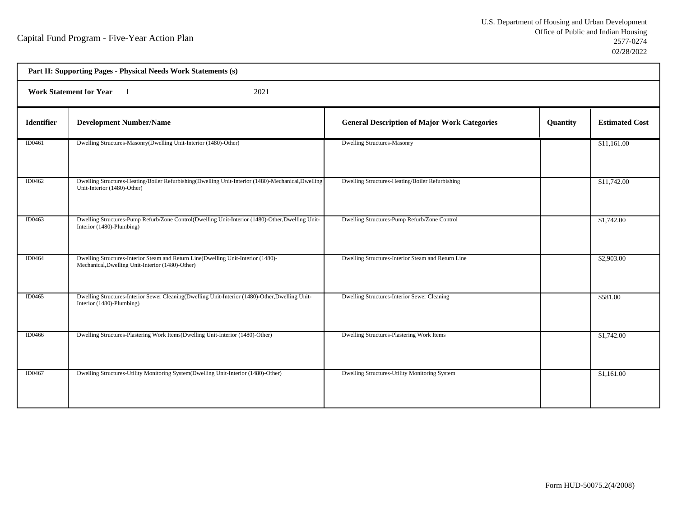| Part II: Supporting Pages - Physical Needs Work Statements (s) |                                                                                                                                       |                                                     |          |                       |  |  |
|----------------------------------------------------------------|---------------------------------------------------------------------------------------------------------------------------------------|-----------------------------------------------------|----------|-----------------------|--|--|
|                                                                | <b>Work Statement for Year</b><br>2021                                                                                                |                                                     |          |                       |  |  |
| <b>Identifier</b>                                              | <b>Development Number/Name</b>                                                                                                        | <b>General Description of Major Work Categories</b> | Quantity | <b>Estimated Cost</b> |  |  |
| ID0461                                                         | Dwelling Structures-Masonry(Dwelling Unit-Interior (1480)-Other)                                                                      | <b>Dwelling Structures-Masonry</b>                  |          | \$11,161.00           |  |  |
| ID0462                                                         | Dwelling Structures-Heating/Boiler Refurbishing(Dwelling Unit-Interior (1480)-Mechanical,Dwelling<br>Unit-Interior (1480)-Other)      | Dwelling Structures-Heating/Boiler Refurbishing     |          | \$11,742.00           |  |  |
| ID0463                                                         | Dwelling Structures-Pump Refurb/Zone Control(Dwelling Unit-Interior (1480)-Other, Dwelling Unit-<br>Interior (1480)-Plumbing)         | Dwelling Structures-Pump Refurb/Zone Control        |          | \$1,742.00            |  |  |
| <b>ID0464</b>                                                  | Dwelling Structures-Interior Steam and Return Line(Dwelling Unit-Interior (1480)-<br>Mechanical, Dwelling Unit-Interior (1480)-Other) | Dwelling Structures-Interior Steam and Return Line  |          | \$2,903.00            |  |  |
| <b>ID0465</b>                                                  | Dwelling Structures-Interior Sewer Cleaning(Dwelling Unit-Interior (1480)-Other, Dwelling Unit-<br>Interior (1480)-Plumbing)          | Dwelling Structures-Interior Sewer Cleaning         |          | \$581.00              |  |  |
| ID0466                                                         | Dwelling Structures-Plastering Work Items(Dwelling Unit-Interior (1480)-Other)                                                        | Dwelling Structures-Plastering Work Items           |          | \$1,742.00            |  |  |
| ID0467                                                         | Dwelling Structures-Utility Monitoring System(Dwelling Unit-Interior (1480)-Other)                                                    | Dwelling Structures-Utility Monitoring System       |          | \$1,161.00            |  |  |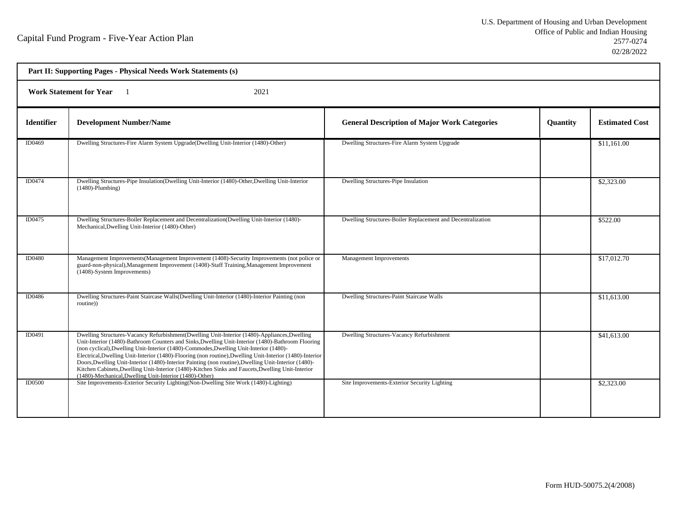| Part II: Supporting Pages - Physical Needs Work Statements (s) |                                                                                                                                                                                                                                                                                                                                                                                                                                                                                                                                                                                                                                                                                 |                                                             |          |                       |  |  |
|----------------------------------------------------------------|---------------------------------------------------------------------------------------------------------------------------------------------------------------------------------------------------------------------------------------------------------------------------------------------------------------------------------------------------------------------------------------------------------------------------------------------------------------------------------------------------------------------------------------------------------------------------------------------------------------------------------------------------------------------------------|-------------------------------------------------------------|----------|-----------------------|--|--|
|                                                                | <b>Work Statement for Year</b><br>2021                                                                                                                                                                                                                                                                                                                                                                                                                                                                                                                                                                                                                                          |                                                             |          |                       |  |  |
| <b>Identifier</b>                                              | <b>Development Number/Name</b>                                                                                                                                                                                                                                                                                                                                                                                                                                                                                                                                                                                                                                                  | <b>General Description of Major Work Categories</b>         | Quantity | <b>Estimated Cost</b> |  |  |
| ID0469                                                         | Dwelling Structures-Fire Alarm System Upgrade(Dwelling Unit-Interior (1480)-Other)                                                                                                                                                                                                                                                                                                                                                                                                                                                                                                                                                                                              | Dwelling Structures-Fire Alarm System Upgrade               |          | \$11,161.00           |  |  |
| ID0474                                                         | Dwelling Structures-Pipe Insulation(Dwelling Unit-Interior (1480)-Other, Dwelling Unit-Interior<br>$(1480)$ -Plumbing)                                                                                                                                                                                                                                                                                                                                                                                                                                                                                                                                                          | Dwelling Structures-Pipe Insulation                         |          | \$2,323.00            |  |  |
| ID0475                                                         | Dwelling Structures-Boiler Replacement and Decentralization(Dwelling Unit-Interior (1480)-<br>Mechanical, Dwelling Unit-Interior (1480)-Other)                                                                                                                                                                                                                                                                                                                                                                                                                                                                                                                                  | Dwelling Structures-Boiler Replacement and Decentralization |          | \$522.00              |  |  |
| ID0480                                                         | Management Improvements (Management Improvement (1408)-Security Improvements (not police or<br>guard-non-physical), Management Improvement (1408)-Staff Training, Management Improvement<br>(1408)-System Improvements)                                                                                                                                                                                                                                                                                                                                                                                                                                                         | <b>Management Improvements</b>                              |          | \$17,012.70           |  |  |
| ID0486                                                         | Dwelling Structures-Paint Staircase Walls(Dwelling Unit-Interior (1480)-Interior Painting (non<br>routine))                                                                                                                                                                                                                                                                                                                                                                                                                                                                                                                                                                     | Dwelling Structures-Paint Staircase Walls                   |          | \$11,613.00           |  |  |
| ID0491                                                         | Dwelling Structures-Vacancy Refurbishment(Dwelling Unit-Interior (1480)-Appliances, Dwelling<br>Unit-Interior (1480)-Bathroom Counters and Sinks, Dwelling Unit-Interior (1480)-Bathroom Flooring<br>(non cyclical), Dwelling Unit-Interior (1480)-Commodes, Dwelling Unit-Interior (1480)-<br>Electrical, Dwelling Unit-Interior (1480)-Flooring (non routine), Dwelling Unit-Interior (1480)-Interior<br>Doors, Dwelling Unit-Interior (1480)-Interior Painting (non routine), Dwelling Unit-Interior (1480)-<br>Kitchen Cabinets, Dwelling Unit-Interior (1480)-Kitchen Sinks and Faucets, Dwelling Unit-Interior<br>(1480)-Mechanical, Dwelling Unit-Interior (1480)-Other) | Dwelling Structures-Vacancy Refurbishment                   |          | \$41,613.00           |  |  |
| <b>ID0500</b>                                                  | Site Improvements-Exterior Security Lighting(Non-Dwelling Site Work (1480)-Lighting)                                                                                                                                                                                                                                                                                                                                                                                                                                                                                                                                                                                            | Site Improvements-Exterior Security Lighting                |          | \$2,323.00            |  |  |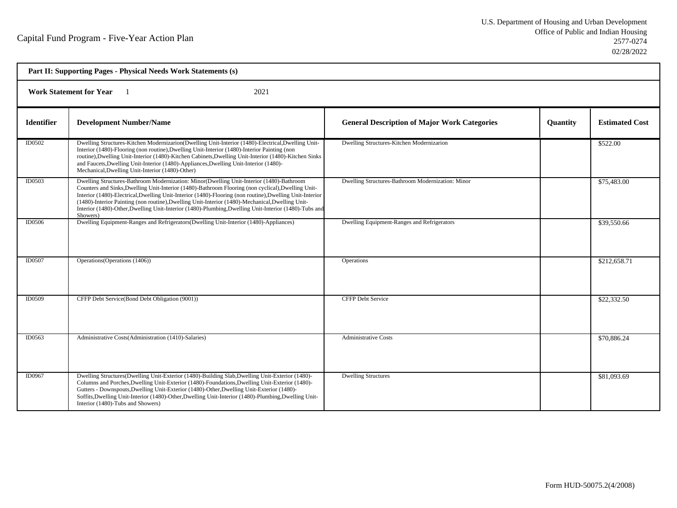| Part II: Supporting Pages - Physical Needs Work Statements (s) |                                                                                                                                                                                                                                                                                                                                                                                                                                                                                                                                     |                                                     |                 |                       |  |  |
|----------------------------------------------------------------|-------------------------------------------------------------------------------------------------------------------------------------------------------------------------------------------------------------------------------------------------------------------------------------------------------------------------------------------------------------------------------------------------------------------------------------------------------------------------------------------------------------------------------------|-----------------------------------------------------|-----------------|-----------------------|--|--|
| <b>Work Statement for Year</b><br>2021                         |                                                                                                                                                                                                                                                                                                                                                                                                                                                                                                                                     |                                                     |                 |                       |  |  |
| <b>Identifier</b>                                              | <b>Development Number/Name</b>                                                                                                                                                                                                                                                                                                                                                                                                                                                                                                      | <b>General Description of Major Work Categories</b> | <b>Quantity</b> | <b>Estimated Cost</b> |  |  |
| ID0502                                                         | Dwelling Structures-Kitchen Modernizarion(Dwelling Unit-Interior (1480)-Electrical, Dwelling Unit-<br>Interior (1480)-Flooring (non routine), Dwelling Unit-Interior (1480)-Interior Painting (non<br>routine), Dwelling Unit-Interior (1480)-Kitchen Cabinets, Dwelling Unit-Interior (1480)-Kitchen Sinks<br>and Faucets, Dwelling Unit-Interior (1480)-Appliances, Dwelling Unit-Interior (1480)-<br>Mechanical, Dwelling Unit-Interior (1480)-Other)                                                                            | Dwelling Structures-Kitchen Modernizarion           |                 | \$522.00              |  |  |
| ID0503                                                         | Dwelling Structures-Bathroom Modernization: Minor(Dwelling Unit-Interior (1480)-Bathroom<br>Counters and Sinks, Dwelling Unit-Interior (1480)-Bathroom Flooring (non cyclical), Dwelling Unit-<br>Interior (1480)-Electrical, Dwelling Unit-Interior (1480)-Flooring (non routine), Dwelling Unit-Interior<br>(1480)-Interior Painting (non routine), Dwelling Unit-Interior (1480)-Mechanical, Dwelling Unit-<br>Interior (1480)-Other, Dwelling Unit-Interior (1480)-Plumbing, Dwelling Unit-Interior (1480)-Tubs and<br>Showers) | Dwelling Structures-Bathroom Modernization: Minor   |                 | \$75,483.00           |  |  |
| ID0506                                                         | Dwelling Equipment-Ranges and Refrigerators (Dwelling Unit-Interior (1480)-Appliances)                                                                                                                                                                                                                                                                                                                                                                                                                                              | Dwelling Equipment-Ranges and Refrigerators         |                 | \$39,550.66           |  |  |
| ID0507                                                         | Operations (Operations (1406))                                                                                                                                                                                                                                                                                                                                                                                                                                                                                                      | <b>Operations</b>                                   |                 | \$212,658.71          |  |  |
| ID0509                                                         | CFFP Debt Service(Bond Debt Obligation (9001))                                                                                                                                                                                                                                                                                                                                                                                                                                                                                      | <b>CFFP Debt Service</b>                            |                 | \$22,332.50           |  |  |
| ID0563                                                         | Administrative Costs(Administration (1410)-Salaries)                                                                                                                                                                                                                                                                                                                                                                                                                                                                                | <b>Administrative Costs</b>                         |                 | \$70,886.24           |  |  |
| ID0967                                                         | Dwelling Structures(Dwelling Unit-Exterior (1480)-Building Slab, Dwelling Unit-Exterior (1480)-<br>Columns and Porches, Dwelling Unit-Exterior (1480)-Foundations, Dwelling Unit-Exterior (1480)-<br>Gutters - Downspouts, Dwelling Unit-Exterior (1480)-Other, Dwelling Unit-Exterior (1480)-<br>Soffits, Dwelling Unit-Interior (1480)-Other, Dwelling Unit-Interior (1480)-Plumbing, Dwelling Unit-<br>Interior (1480)-Tubs and Showers)                                                                                         | <b>Dwelling Structures</b>                          |                 | \$81,093.69           |  |  |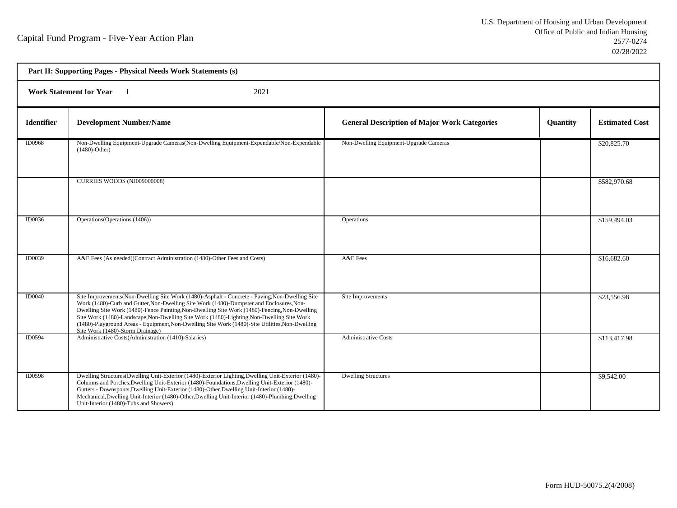| Part II: Supporting Pages - Physical Needs Work Statements (s) |                                                                                                                                                                                                                                                                                                                                                                                                                                                                                                                                  |                                                     |          |                       |  |  |
|----------------------------------------------------------------|----------------------------------------------------------------------------------------------------------------------------------------------------------------------------------------------------------------------------------------------------------------------------------------------------------------------------------------------------------------------------------------------------------------------------------------------------------------------------------------------------------------------------------|-----------------------------------------------------|----------|-----------------------|--|--|
|                                                                | <b>Work Statement for Year</b><br>2021                                                                                                                                                                                                                                                                                                                                                                                                                                                                                           |                                                     |          |                       |  |  |
| <b>Identifier</b>                                              | <b>Development Number/Name</b>                                                                                                                                                                                                                                                                                                                                                                                                                                                                                                   | <b>General Description of Major Work Categories</b> | Quantity | <b>Estimated Cost</b> |  |  |
| ID0968                                                         | Non-Dwelling Equipment-Upgrade Cameras(Non-Dwelling Equipment-Expendable/Non-Expendable<br>$(1480)$ -Other)                                                                                                                                                                                                                                                                                                                                                                                                                      | Non-Dwelling Equipment-Upgrade Cameras              |          | \$20,825.70           |  |  |
|                                                                | CURRIES WOODS (NJ009000008)                                                                                                                                                                                                                                                                                                                                                                                                                                                                                                      |                                                     |          | \$582,970.68          |  |  |
| ID0036                                                         | Operations (Operations (1406))                                                                                                                                                                                                                                                                                                                                                                                                                                                                                                   | Operations                                          |          | \$159,494.03          |  |  |
| <b>ID0039</b>                                                  | A&E Fees (As needed)(Contract Administration (1480)-Other Fees and Costs)                                                                                                                                                                                                                                                                                                                                                                                                                                                        | A&E Fees                                            |          | \$16,682.60           |  |  |
| <b>ID0040</b>                                                  | Site Improvements(Non-Dwelling Site Work (1480)-Asphalt - Concrete - Paving, Non-Dwelling Site<br>Work (1480)-Curb and Gutter, Non-Dwelling Site Work (1480)-Dumpster and Enclosures, Non-<br>Dwelling Site Work (1480)-Fence Painting, Non-Dwelling Site Work (1480)-Fencing, Non-Dwelling<br>Site Work (1480)-Landscape, Non-Dwelling Site Work (1480)-Lighting, Non-Dwelling Site Work<br>(1480)-Playground Areas - Equipment, Non-Dwelling Site Work (1480)-Site Utilities, Non-Dwelling<br>Site Work (1480)-Storm Drainage) | Site Improvements                                   |          | \$23,556.98           |  |  |
| ID0594                                                         | Administrative Costs(Administration (1410)-Salaries)                                                                                                                                                                                                                                                                                                                                                                                                                                                                             | <b>Administrative Costs</b>                         |          | \$113,417.98          |  |  |
| ID0598                                                         | Dwelling Structures(Dwelling Unit-Exterior (1480)-Exterior Lighting, Dwelling Unit-Exterior (1480)-<br>Columns and Porches, Dwelling Unit-Exterior (1480)-Foundations, Dwelling Unit-Exterior (1480)-<br>Gutters - Downspouts, Dwelling Unit-Exterior (1480)-Other, Dwelling Unit-Interior (1480)-<br>Mechanical, Dwelling Unit-Interior (1480)-Other, Dwelling Unit-Interior (1480)-Plumbing, Dwelling<br>Unit-Interior (1480)-Tubs and Showers)                                                                                | <b>Dwelling Structures</b>                          |          | \$9,542.00            |  |  |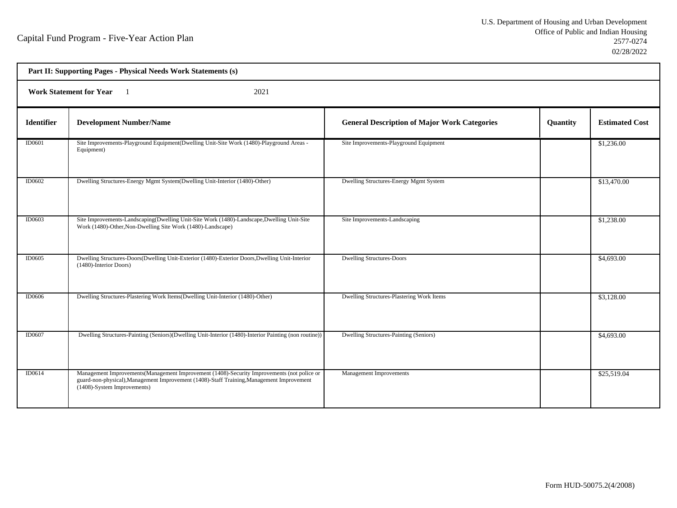| Part II: Supporting Pages - Physical Needs Work Statements (s) |                                                                                                                                                                                                                         |                                                     |          |                       |  |  |
|----------------------------------------------------------------|-------------------------------------------------------------------------------------------------------------------------------------------------------------------------------------------------------------------------|-----------------------------------------------------|----------|-----------------------|--|--|
|                                                                | <b>Work Statement for Year</b><br>2021                                                                                                                                                                                  |                                                     |          |                       |  |  |
| <b>Identifier</b>                                              | <b>Development Number/Name</b>                                                                                                                                                                                          | <b>General Description of Major Work Categories</b> | Quantity | <b>Estimated Cost</b> |  |  |
| ID0601                                                         | Site Improvements-Playground Equipment(Dwelling Unit-Site Work (1480)-Playground Areas -<br>Equipment)                                                                                                                  | Site Improvements-Playground Equipment              |          | \$1,236.00            |  |  |
| <b>ID0602</b>                                                  | Dwelling Structures-Energy Mgmt System(Dwelling Unit-Interior (1480)-Other)                                                                                                                                             | Dwelling Structures-Energy Mgmt System              |          | \$13,470.00           |  |  |
| ID0603                                                         | Site Improvements-Landscaping (Dwelling Unit-Site Work (1480)-Landscape, Dwelling Unit-Site<br>Work (1480)-Other, Non-Dwelling Site Work (1480)-Landscape)                                                              | Site Improvements-Landscaping                       |          | \$1,238.00            |  |  |
| <b>ID0605</b>                                                  | Dwelling Structures-Doors(Dwelling Unit-Exterior (1480)-Exterior Doors, Dwelling Unit-Interior<br>(1480)-Interior Doors)                                                                                                | <b>Dwelling Structures-Doors</b>                    |          | \$4,693.00            |  |  |
| ID0606                                                         | Dwelling Structures-Plastering Work Items(Dwelling Unit-Interior (1480)-Other)                                                                                                                                          | Dwelling Structures-Plastering Work Items           |          | \$3,128.00            |  |  |
| <b>ID0607</b>                                                  | Dwelling Structures-Painting (Seniors)(Dwelling Unit-Interior (1480)-Interior Painting (non routine))                                                                                                                   | Dwelling Structures-Painting (Seniors)              |          | \$4,693.00            |  |  |
| <b>ID0614</b>                                                  | Management Improvements (Management Improvement (1408)-Security Improvements (not police or<br>guard-non-physical), Management Improvement (1408)-Staff Training, Management Improvement<br>(1408)-System Improvements) | Management Improvements                             |          | \$25,519.04           |  |  |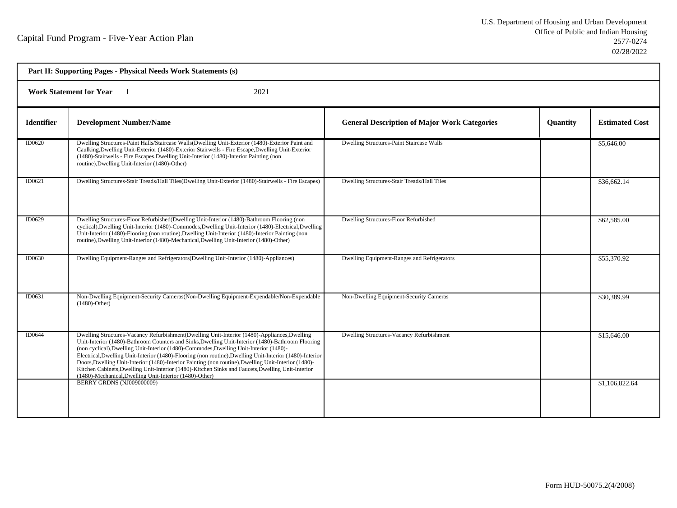| Part II: Supporting Pages - Physical Needs Work Statements (s) |                                                                                                                                                                                                                                                                                                                                                                                                                                                                                                                                                                                                                                                                                 |                                                     |                 |                       |  |
|----------------------------------------------------------------|---------------------------------------------------------------------------------------------------------------------------------------------------------------------------------------------------------------------------------------------------------------------------------------------------------------------------------------------------------------------------------------------------------------------------------------------------------------------------------------------------------------------------------------------------------------------------------------------------------------------------------------------------------------------------------|-----------------------------------------------------|-----------------|-----------------------|--|
| <b>Work Statement for Year</b><br>2021                         |                                                                                                                                                                                                                                                                                                                                                                                                                                                                                                                                                                                                                                                                                 |                                                     |                 |                       |  |
| <b>Identifier</b>                                              | <b>Development Number/Name</b>                                                                                                                                                                                                                                                                                                                                                                                                                                                                                                                                                                                                                                                  | <b>General Description of Major Work Categories</b> | <b>Quantity</b> | <b>Estimated Cost</b> |  |
| <b>ID0620</b>                                                  | Dwelling Structures-Paint Halls/Staircase Walls(Dwelling Unit-Exterior (1480)-Exterior Paint and<br>Caulking, Dwelling Unit-Exterior (1480)-Exterior Stairwells - Fire Escape, Dwelling Unit-Exterior<br>(1480)-Stairwells - Fire Escapes, Dwelling Unit-Interior (1480)-Interior Painting (non<br>routine), Dwelling Unit-Interior (1480)-Other)                                                                                                                                                                                                                                                                                                                               | Dwelling Structures-Paint Staircase Walls           |                 | \$5,646.00            |  |
| ID0621                                                         | Dwelling Structures-Stair Treads/Hall Tiles(Dwelling Unit-Exterior (1480)-Stairwells - Fire Escapes)                                                                                                                                                                                                                                                                                                                                                                                                                                                                                                                                                                            | Dwelling Structures-Stair Treads/Hall Tiles         |                 | \$36,662.14           |  |
| ID0629                                                         | Dwelling Structures-Floor Refurbished(Dwelling Unit-Interior (1480)-Bathroom Flooring (non<br>cyclical), Dwelling Unit-Interior (1480)-Commodes, Dwelling Unit-Interior (1480)-Electrical, Dwelling<br>Unit-Interior (1480)-Flooring (non routine), Dwelling Unit-Interior (1480)-Interior Painting (non<br>routine), Dwelling Unit-Interior (1480)-Mechanical, Dwelling Unit-Interior (1480)-Other)                                                                                                                                                                                                                                                                            | Dwelling Structures-Floor Refurbished               |                 | \$62,585.00           |  |
| ID0630                                                         | Dwelling Equipment-Ranges and Refrigerators (Dwelling Unit-Interior (1480)-Appliances)                                                                                                                                                                                                                                                                                                                                                                                                                                                                                                                                                                                          | Dwelling Equipment-Ranges and Refrigerators         |                 | \$55,370.92           |  |
| ID0631                                                         | Non-Dwelling Equipment-Security Cameras (Non-Dwelling Equipment-Expendable/Non-Expendable<br>$(1480)$ -Other)                                                                                                                                                                                                                                                                                                                                                                                                                                                                                                                                                                   | Non-Dwelling Equipment-Security Cameras             |                 | \$30,389.99           |  |
| ID0644                                                         | Dwelling Structures-Vacancy Refurbishment(Dwelling Unit-Interior (1480)-Appliances, Dwelling<br>Unit-Interior (1480)-Bathroom Counters and Sinks, Dwelling Unit-Interior (1480)-Bathroom Flooring<br>(non cyclical), Dwelling Unit-Interior (1480)-Commodes, Dwelling Unit-Interior (1480)-<br>Electrical, Dwelling Unit-Interior (1480)-Flooring (non routine), Dwelling Unit-Interior (1480)-Interior<br>Doors, Dwelling Unit-Interior (1480)-Interior Painting (non routine), Dwelling Unit-Interior (1480)-<br>Kitchen Cabinets, Dwelling Unit-Interior (1480)-Kitchen Sinks and Faucets, Dwelling Unit-Interior<br>(1480)-Mechanical, Dwelling Unit-Interior (1480)-Other) | Dwelling Structures-Vacancy Refurbishment           |                 | \$15,646.00           |  |
|                                                                | BERRY GRDNS (NJ009000009)                                                                                                                                                                                                                                                                                                                                                                                                                                                                                                                                                                                                                                                       |                                                     |                 | \$1,106,822.64        |  |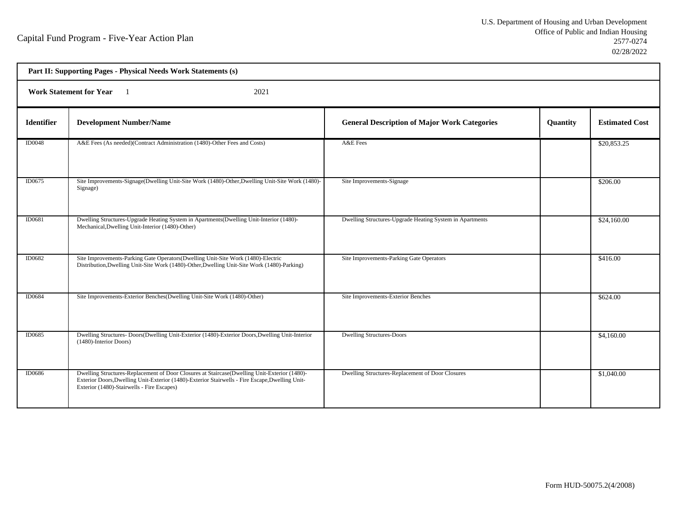| Part II: Supporting Pages - Physical Needs Work Statements (s) |                                                                                                                                                                                                                                               |                                                          |          |                       |  |  |
|----------------------------------------------------------------|-----------------------------------------------------------------------------------------------------------------------------------------------------------------------------------------------------------------------------------------------|----------------------------------------------------------|----------|-----------------------|--|--|
|                                                                | <b>Work Statement for Year</b><br>2021                                                                                                                                                                                                        |                                                          |          |                       |  |  |
| <b>Identifier</b>                                              | <b>Development Number/Name</b>                                                                                                                                                                                                                | <b>General Description of Major Work Categories</b>      | Quantity | <b>Estimated Cost</b> |  |  |
| <b>ID0048</b>                                                  | A&E Fees (As needed)(Contract Administration (1480)-Other Fees and Costs)                                                                                                                                                                     | A&E Fees                                                 |          | \$20,853.25           |  |  |
| ID0675                                                         | Site Improvements-Signage(Dwelling Unit-Site Work (1480)-Other, Dwelling Unit-Site Work (1480)-<br>Signage)                                                                                                                                   | Site Improvements-Signage                                |          | \$206.00              |  |  |
| ID0681                                                         | Dwelling Structures-Upgrade Heating System in Apartments (Dwelling Unit-Interior (1480)-<br>Mechanical, Dwelling Unit-Interior (1480)-Other)                                                                                                  | Dwelling Structures-Upgrade Heating System in Apartments |          | \$24,160.00           |  |  |
| ID0682                                                         | Site Improvements-Parking Gate Operators (Dwelling Unit-Site Work (1480)-Electric<br>Distribution, Dwelling Unit-Site Work (1480)-Other, Dwelling Unit-Site Work (1480)-Parking)                                                              | Site Improvements-Parking Gate Operators                 |          | \$416.00              |  |  |
| ID0684                                                         | Site Improvements-Exterior Benches(Dwelling Unit-Site Work (1480)-Other)                                                                                                                                                                      | Site Improvements-Exterior Benches                       |          | \$624.00              |  |  |
| ID0685                                                         | Dwelling Structures- Doors(Dwelling Unit-Exterior (1480)-Exterior Doors, Dwelling Unit-Interior<br>(1480)-Interior Doors)                                                                                                                     | <b>Dwelling Structures-Doors</b>                         |          | \$4,160.00            |  |  |
| <b>ID0686</b>                                                  | Dwelling Structures-Replacement of Door Closures at Staircase(Dwelling Unit-Exterior (1480)-<br>Exterior Doors, Dwelling Unit-Exterior (1480)-Exterior Stairwells - Fire Escape, Dwelling Unit-<br>Exterior (1480)-Stairwells - Fire Escapes) | Dwelling Structures-Replacement of Door Closures         |          | \$1,040.00            |  |  |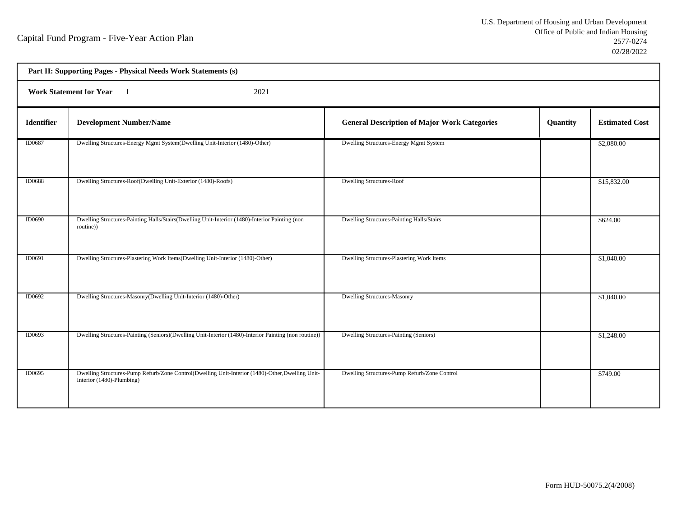|               | Part II: Supporting Pages - Physical Needs Work Statements (s)                                                                |                                                     |          |                       |  |
|---------------|-------------------------------------------------------------------------------------------------------------------------------|-----------------------------------------------------|----------|-----------------------|--|
|               | <b>Work Statement for Year</b><br>2021                                                                                        |                                                     |          |                       |  |
| Identifier    | <b>Development Number/Name</b>                                                                                                | <b>General Description of Major Work Categories</b> | Quantity | <b>Estimated Cost</b> |  |
| ID0687        | Dwelling Structures-Energy Mgmt System(Dwelling Unit-Interior (1480)-Other)                                                   | Dwelling Structures-Energy Mgmt System              |          | \$2,080.00            |  |
| <b>ID0688</b> | Dwelling Structures-Roof(Dwelling Unit-Exterior (1480)-Roofs)                                                                 | <b>Dwelling Structures-Roof</b>                     |          | \$15,832.00           |  |
| <b>ID0690</b> | Dwelling Structures-Painting Halls/Stairs(Dwelling Unit-Interior (1480)-Interior Painting (non<br>routine))                   | Dwelling Structures-Painting Halls/Stairs           |          | \$624.00              |  |
| ID0691        | Dwelling Structures-Plastering Work Items(Dwelling Unit-Interior (1480)-Other)                                                | Dwelling Structures-Plastering Work Items           |          | \$1,040.00            |  |
| ID0692        | Dwelling Structures-Masonry(Dwelling Unit-Interior (1480)-Other)                                                              | <b>Dwelling Structures-Masonry</b>                  |          | \$1,040.00            |  |
| ID0693        | Dwelling Structures-Painting (Seniors)(Dwelling Unit-Interior (1480)-Interior Painting (non routine))                         | Dwelling Structures-Painting (Seniors)              |          | \$1,248.00            |  |
| ID0695        | Dwelling Structures-Pump Refurb/Zone Control(Dwelling Unit-Interior (1480)-Other, Dwelling Unit-<br>Interior (1480)-Plumbing) | Dwelling Structures-Pump Refurb/Zone Control        |          | \$749.00              |  |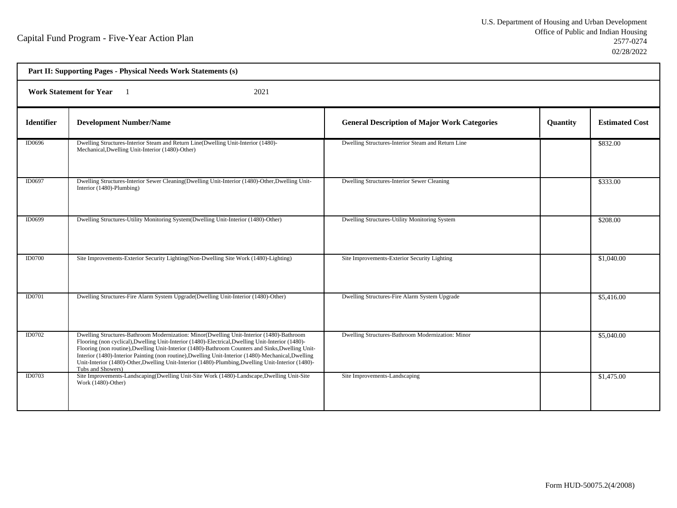| Part II: Supporting Pages - Physical Needs Work Statements (s) |                                                                                                                                                                                                                                                                                                                                                                                                                                                                                                                                      |                                                     |                 |                       |  |  |
|----------------------------------------------------------------|--------------------------------------------------------------------------------------------------------------------------------------------------------------------------------------------------------------------------------------------------------------------------------------------------------------------------------------------------------------------------------------------------------------------------------------------------------------------------------------------------------------------------------------|-----------------------------------------------------|-----------------|-----------------------|--|--|
|                                                                | <b>Work Statement for Year</b><br>2021                                                                                                                                                                                                                                                                                                                                                                                                                                                                                               |                                                     |                 |                       |  |  |
| <b>Identifier</b>                                              | <b>Development Number/Name</b>                                                                                                                                                                                                                                                                                                                                                                                                                                                                                                       | <b>General Description of Major Work Categories</b> | <b>Ouantity</b> | <b>Estimated Cost</b> |  |  |
| ID0696                                                         | Dwelling Structures-Interior Steam and Return Line(Dwelling Unit-Interior (1480)-<br>Mechanical, Dwelling Unit-Interior (1480)-Other)                                                                                                                                                                                                                                                                                                                                                                                                | Dwelling Structures-Interior Steam and Return Line  |                 | \$832.00              |  |  |
| ID0697                                                         | Dwelling Structures-Interior Sewer Cleaning (Dwelling Unit-Interior (1480)-Other, Dwelling Unit-<br>Interior (1480)-Plumbing)                                                                                                                                                                                                                                                                                                                                                                                                        | Dwelling Structures-Interior Sewer Cleaning         |                 | \$333.00              |  |  |
| ID0699                                                         | Dwelling Structures-Utility Monitoring System(Dwelling Unit-Interior (1480)-Other)                                                                                                                                                                                                                                                                                                                                                                                                                                                   | Dwelling Structures-Utility Monitoring System       |                 | \$208.00              |  |  |
| <b>ID0700</b>                                                  | Site Improvements-Exterior Security Lighting(Non-Dwelling Site Work (1480)-Lighting)                                                                                                                                                                                                                                                                                                                                                                                                                                                 | Site Improvements-Exterior Security Lighting        |                 | \$1,040.00            |  |  |
| ID0701                                                         | Dwelling Structures-Fire Alarm System Upgrade(Dwelling Unit-Interior (1480)-Other)                                                                                                                                                                                                                                                                                                                                                                                                                                                   | Dwelling Structures-Fire Alarm System Upgrade       |                 | \$5,416.00            |  |  |
| ID0702                                                         | Dwelling Structures-Bathroom Modernization: Minor(Dwelling Unit-Interior (1480)-Bathroom<br>Flooring (non cyclical), Dwelling Unit-Interior (1480)-Electrical, Dwelling Unit-Interior (1480)-<br>Flooring (non routine), Dwelling Unit-Interior (1480)-Bathroom Counters and Sinks, Dwelling Unit-<br>Interior (1480)-Interior Painting (non routine), Dwelling Unit-Interior (1480)-Mechanical, Dwelling<br>Unit-Interior (1480)-Other, Dwelling Unit-Interior (1480)-Plumbing, Dwelling Unit-Interior (1480)-<br>Tubs and Showers) | Dwelling Structures-Bathroom Modernization: Minor   |                 | \$5,040.00            |  |  |
| ID0703                                                         | Site Improvements-Landscaping (Dwelling Unit-Site Work (1480)-Landscape, Dwelling Unit-Site<br>Work (1480)-Other)                                                                                                                                                                                                                                                                                                                                                                                                                    | Site Improvements-Landscaping                       |                 | \$1,475.00            |  |  |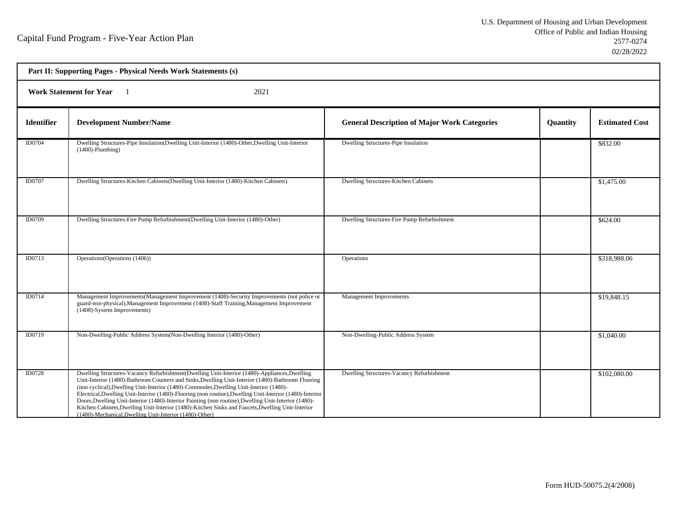h

| Part II: Supporting Pages - Physical Needs Work Statements (s) |                                                                                                                                                                                                                                                                                                                                                                                                                                                                                                                                                                                                                                                                                 |                                                     |          |                       |  |  |
|----------------------------------------------------------------|---------------------------------------------------------------------------------------------------------------------------------------------------------------------------------------------------------------------------------------------------------------------------------------------------------------------------------------------------------------------------------------------------------------------------------------------------------------------------------------------------------------------------------------------------------------------------------------------------------------------------------------------------------------------------------|-----------------------------------------------------|----------|-----------------------|--|--|
|                                                                | <b>Work Statement for Year</b><br>2021                                                                                                                                                                                                                                                                                                                                                                                                                                                                                                                                                                                                                                          |                                                     |          |                       |  |  |
| <b>Identifier</b>                                              | <b>Development Number/Name</b>                                                                                                                                                                                                                                                                                                                                                                                                                                                                                                                                                                                                                                                  | <b>General Description of Major Work Categories</b> | Quantity | <b>Estimated Cost</b> |  |  |
| ID0704                                                         | Dwelling Structures-Pipe Insulation(Dwelling Unit-Interior (1480)-Other, Dwelling Unit-Interior<br>$(1480)$ -Plumbing)                                                                                                                                                                                                                                                                                                                                                                                                                                                                                                                                                          | Dwelling Structures-Pipe Insulation                 |          | \$832.00              |  |  |
| ID0707                                                         | Dwelling Structures-Kitchen Cabinets(Dwelling Unit-Interior (1480)-Kitchen Cabinets)                                                                                                                                                                                                                                                                                                                                                                                                                                                                                                                                                                                            | Dwelling Structures-Kitchen Cabinets                |          | \$1,475.00            |  |  |
| ID0709                                                         | Dwelling Structures-Fire Pump Refurbishment(Dwelling Unit-Interior (1480)-Other)                                                                                                                                                                                                                                                                                                                                                                                                                                                                                                                                                                                                | Dwelling Structures-Fire Pump Refurbishment         |          | \$624.00              |  |  |
| ID0713                                                         | Operations (Operations (1406))                                                                                                                                                                                                                                                                                                                                                                                                                                                                                                                                                                                                                                                  | Operations                                          |          | \$318,988.06          |  |  |
| ID0714                                                         | Management Improvements (Management Improvement (1408)-Security Improvements (not police or<br>guard-non-physical), Management Improvement (1408)-Staff Training, Management Improvement<br>(1408)-System Improvements)                                                                                                                                                                                                                                                                                                                                                                                                                                                         | Management Improvements                             |          | \$19,848.15           |  |  |
| ID0719                                                         | Non-Dwelling-Public Address System(Non-Dwelling Interior (1480)-Other)                                                                                                                                                                                                                                                                                                                                                                                                                                                                                                                                                                                                          | Non-Dwelling-Public Address System                  |          | \$1,040.00            |  |  |
| ID0728                                                         | Dwelling Structures-Vacancy Refurbishment(Dwelling Unit-Interior (1480)-Appliances, Dwelling<br>Unit-Interior (1480)-Bathroom Counters and Sinks, Dwelling Unit-Interior (1480)-Bathroom Flooring<br>(non cyclical), Dwelling Unit-Interior (1480)-Commodes, Dwelling Unit-Interior (1480)-<br>Electrical, Dwelling Unit-Interior (1480)-Flooring (non routine), Dwelling Unit-Interior (1480)-Interior<br>Doors, Dwelling Unit-Interior (1480)-Interior Painting (non routine), Dwelling Unit-Interior (1480)-<br>Kitchen Cabinets, Dwelling Unit-Interior (1480)-Kitchen Sinks and Faucets, Dwelling Unit-Interior<br>(1480)-Mechanical, Dwelling Unit-Interior (1480)-Other) | Dwelling Structures-Vacancy Refurbishment           |          | \$102,080.00          |  |  |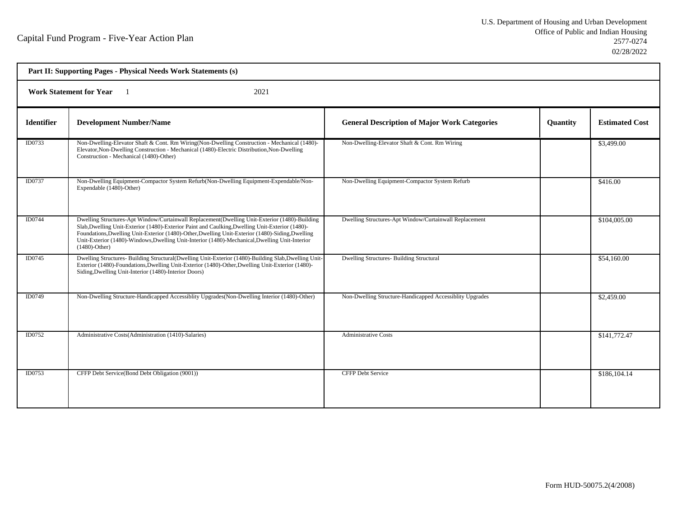| Part II: Supporting Pages - Physical Needs Work Statements (s) |                                                                                                                                                                                                                                                                                                                                                                                                                            |                                                          |          |                       |  |  |
|----------------------------------------------------------------|----------------------------------------------------------------------------------------------------------------------------------------------------------------------------------------------------------------------------------------------------------------------------------------------------------------------------------------------------------------------------------------------------------------------------|----------------------------------------------------------|----------|-----------------------|--|--|
|                                                                | <b>Work Statement for Year</b><br>2021                                                                                                                                                                                                                                                                                                                                                                                     |                                                          |          |                       |  |  |
| <b>Identifier</b>                                              | <b>Development Number/Name</b>                                                                                                                                                                                                                                                                                                                                                                                             | <b>General Description of Major Work Categories</b>      | Quantity | <b>Estimated Cost</b> |  |  |
| ID0733                                                         | Non-Dwelling-Elevator Shaft & Cont. Rm Wiring(Non-Dwelling Construction - Mechanical (1480)-<br>Elevator, Non-Dwelling Construction - Mechanical (1480)-Electric Distribution, Non-Dwelling<br>Construction - Mechanical (1480)-Other)                                                                                                                                                                                     | Non-Dwelling-Elevator Shaft & Cont. Rm Wiring            |          | \$3,499.00            |  |  |
| ID0737                                                         | Non-Dwelling Equipment-Compactor System Refurb(Non-Dwelling Equipment-Expendable/Non-<br>Expendable (1480)-Other)                                                                                                                                                                                                                                                                                                          | Non-Dwelling Equipment-Compactor System Refurb           |          | \$416.00              |  |  |
| ID0744                                                         | Dwelling Structures-Apt Window/Curtainwall Replacement(Dwelling Unit-Exterior (1480)-Building<br>Slab, Dwelling Unit-Exterior (1480)-Exterior Paint and Caulking, Dwelling Unit-Exterior (1480)-<br>Foundations, Dwelling Unit-Exterior (1480)-Other, Dwelling Unit-Exterior (1480)-Siding, Dwelling<br>Unit-Exterior (1480)-Windows, Dwelling Unit-Interior (1480)-Mechanical, Dwelling Unit-Interior<br>$(1480)$ -Other) | Dwelling Structures-Apt Window/Curtainwall Replacement   |          | \$104,005.00          |  |  |
| ID0745                                                         | Dwelling Structures- Building Structural(Dwelling Unit-Exterior (1480)-Building Slab, Dwelling Unit-<br>Exterior (1480)-Foundations, Dwelling Unit-Exterior (1480)-Other, Dwelling Unit-Exterior (1480)-<br>Siding, Dwelling Unit-Interior (1480)-Interior Doors)                                                                                                                                                          | Dwelling Structures- Building Structural                 |          | \$54,160.00           |  |  |
| <b>ID0749</b>                                                  | Non-Dwelling Structure-Handicapped Accessiblity Upgrades (Non-Dwelling Interior (1480)-Other)                                                                                                                                                                                                                                                                                                                              | Non-Dwelling Structure-Handicapped Accessiblity Upgrades |          | \$2,459.00            |  |  |
| ID0752                                                         | Administrative Costs(Administration (1410)-Salaries)                                                                                                                                                                                                                                                                                                                                                                       | <b>Administrative Costs</b>                              |          | \$141,772.47          |  |  |
| ID0753                                                         | CFFP Debt Service(Bond Debt Obligation (9001))                                                                                                                                                                                                                                                                                                                                                                             | <b>CFFP Debt Service</b>                                 |          | \$186,104.14          |  |  |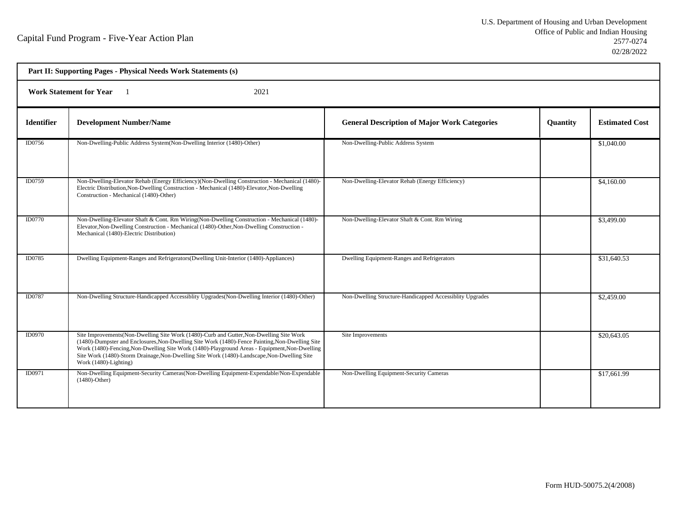| Part II: Supporting Pages - Physical Needs Work Statements (s) |                                                                                                                                                                                                                                                                                                                                                                                                                      |                                                          |          |                       |  |  |
|----------------------------------------------------------------|----------------------------------------------------------------------------------------------------------------------------------------------------------------------------------------------------------------------------------------------------------------------------------------------------------------------------------------------------------------------------------------------------------------------|----------------------------------------------------------|----------|-----------------------|--|--|
|                                                                | <b>Work Statement for Year</b><br>2021                                                                                                                                                                                                                                                                                                                                                                               |                                                          |          |                       |  |  |
| <b>Identifier</b>                                              | <b>Development Number/Name</b>                                                                                                                                                                                                                                                                                                                                                                                       | <b>General Description of Major Work Categories</b>      | Quantity | <b>Estimated Cost</b> |  |  |
| ID0756                                                         | Non-Dwelling-Public Address System(Non-Dwelling Interior (1480)-Other)                                                                                                                                                                                                                                                                                                                                               | Non-Dwelling-Public Address System                       |          | \$1,040.00            |  |  |
| ID0759                                                         | Non-Dwelling-Elevator Rehab (Energy Efficiency)(Non-Dwelling Construction - Mechanical (1480)-<br>Electric Distribution, Non-Dwelling Construction - Mechanical (1480)-Elevator, Non-Dwelling<br>Construction - Mechanical (1480)-Other)                                                                                                                                                                             | Non-Dwelling-Elevator Rehab (Energy Efficiency)          |          | \$4,160.00            |  |  |
| <b>ID0770</b>                                                  | Non-Dwelling-Elevator Shaft & Cont. Rm Wiring(Non-Dwelling Construction - Mechanical (1480)-<br>Elevator, Non-Dwelling Construction - Mechanical (1480)-Other, Non-Dwelling Construction -<br>Mechanical (1480)-Electric Distribution)                                                                                                                                                                               | Non-Dwelling-Elevator Shaft & Cont. Rm Wiring            |          | \$3,499.00            |  |  |
| <b>ID0785</b>                                                  | Dwelling Equipment-Ranges and Refrigerators (Dwelling Unit-Interior (1480)-Appliances)                                                                                                                                                                                                                                                                                                                               | Dwelling Equipment-Ranges and Refrigerators              |          | \$31,640.53           |  |  |
| ID0787                                                         | Non-Dwelling Structure-Handicapped Accessiblity Upgrades (Non-Dwelling Interior (1480)-Other)                                                                                                                                                                                                                                                                                                                        | Non-Dwelling Structure-Handicapped Accessiblity Upgrades |          | \$2,459.00            |  |  |
| ID0970                                                         | Site Improvements (Non-Dwelling Site Work (1480)-Curb and Gutter, Non-Dwelling Site Work<br>(1480)-Dumpster and Enclosures, Non-Dwelling Site Work (1480)-Fence Painting, Non-Dwelling Site<br>Work (1480)-Fencing, Non-Dwelling Site Work (1480)-Playground Areas - Equipment, Non-Dwelling<br>Site Work (1480)-Storm Drainage, Non-Dwelling Site Work (1480)-Landscape, Non-Dwelling Site<br>Work (1480)-Lighting) | Site Improvements                                        |          | \$20,643.05           |  |  |
| ID0971                                                         | Non-Dwelling Equipment-Security Cameras (Non-Dwelling Equipment-Expendable/Non-Expendable<br>$(1480)$ -Other)                                                                                                                                                                                                                                                                                                        | Non-Dwelling Equipment-Security Cameras                  |          | \$17,661.99           |  |  |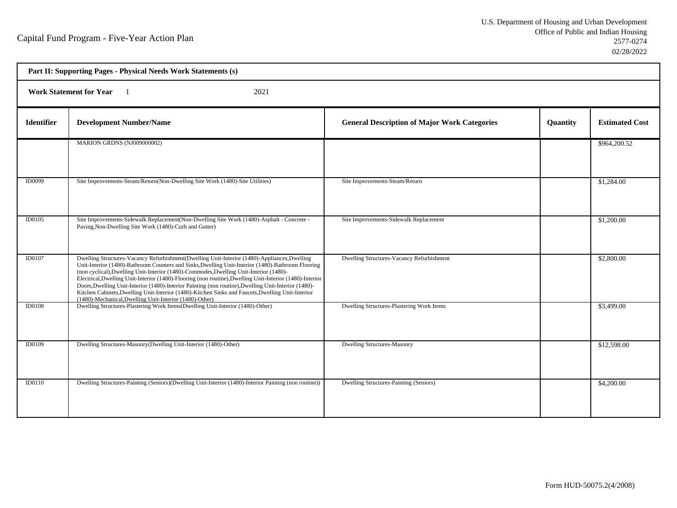h

|                   | Part II: Supporting Pages - Physical Needs Work Statements (s)                                                                                                                                                                                                                                                                                                                                                                                                                                                                                                                                                                                                                  |                                                     |          |                       |  |  |
|-------------------|---------------------------------------------------------------------------------------------------------------------------------------------------------------------------------------------------------------------------------------------------------------------------------------------------------------------------------------------------------------------------------------------------------------------------------------------------------------------------------------------------------------------------------------------------------------------------------------------------------------------------------------------------------------------------------|-----------------------------------------------------|----------|-----------------------|--|--|
|                   | 2021<br><b>Work Statement for Year</b>                                                                                                                                                                                                                                                                                                                                                                                                                                                                                                                                                                                                                                          |                                                     |          |                       |  |  |
| <b>Identifier</b> | <b>Development Number/Name</b>                                                                                                                                                                                                                                                                                                                                                                                                                                                                                                                                                                                                                                                  | <b>General Description of Major Work Categories</b> | Quantity | <b>Estimated Cost</b> |  |  |
|                   | MARION GRDNS (NJ009000002)                                                                                                                                                                                                                                                                                                                                                                                                                                                                                                                                                                                                                                                      |                                                     |          | \$964,200.52          |  |  |
| ID0099            | Site Improvements-Steam/Return(Non-Dwelling Site Work (1480)-Site Utilities)                                                                                                                                                                                                                                                                                                                                                                                                                                                                                                                                                                                                    | Site Improvements-Steam/Return                      |          | \$1,284.00            |  |  |
| ID0105            | Site Improvements-Sidewalk Replacement(Non-Dwelling Site Work (1480)-Asphalt - Concrete -<br>Paving, Non-Dwelling Site Work (1480)-Curb and Gutter)                                                                                                                                                                                                                                                                                                                                                                                                                                                                                                                             | Site Improvements-Sidewalk Replacement              |          | \$1,200.00            |  |  |
| ID0107            | Dwelling Structures-Vacancy Refurbishment(Dwelling Unit-Interior (1480)-Appliances, Dwelling<br>Unit-Interior (1480)-Bathroom Counters and Sinks, Dwelling Unit-Interior (1480)-Bathroom Flooring<br>(non cyclical), Dwelling Unit-Interior (1480)-Commodes, Dwelling Unit-Interior (1480)-<br>Electrical, Dwelling Unit-Interior (1480)-Flooring (non routine), Dwelling Unit-Interior (1480)-Interior<br>Doors, Dwelling Unit-Interior (1480)-Interior Painting (non routine), Dwelling Unit-Interior (1480)-<br>Kitchen Cabinets, Dwelling Unit-Interior (1480)-Kitchen Sinks and Faucets, Dwelling Unit-Interior<br>(1480)-Mechanical, Dwelling Unit-Interior (1480)-Other) | Dwelling Structures-Vacancy Refurbishment           |          | \$2,800.00            |  |  |
| <b>ID0108</b>     | Dwelling Structures-Plastering Work Items(Dwelling Unit-Interior (1480)-Other)                                                                                                                                                                                                                                                                                                                                                                                                                                                                                                                                                                                                  | Dwelling Structures-Plastering Work Items           |          | \$3,499.00            |  |  |
| ID0109            | Dwelling Structures-Masonry(Dwelling Unit-Interior (1480)-Other)                                                                                                                                                                                                                                                                                                                                                                                                                                                                                                                                                                                                                | <b>Dwelling Structures-Masonry</b>                  |          | \$12,598.00           |  |  |
| ID0110            | Dwelling Structures-Painting (Seniors)(Dwelling Unit-Interior (1480)-Interior Painting (non routine))                                                                                                                                                                                                                                                                                                                                                                                                                                                                                                                                                                           | Dwelling Structures-Painting (Seniors)              |          | \$4,200.00            |  |  |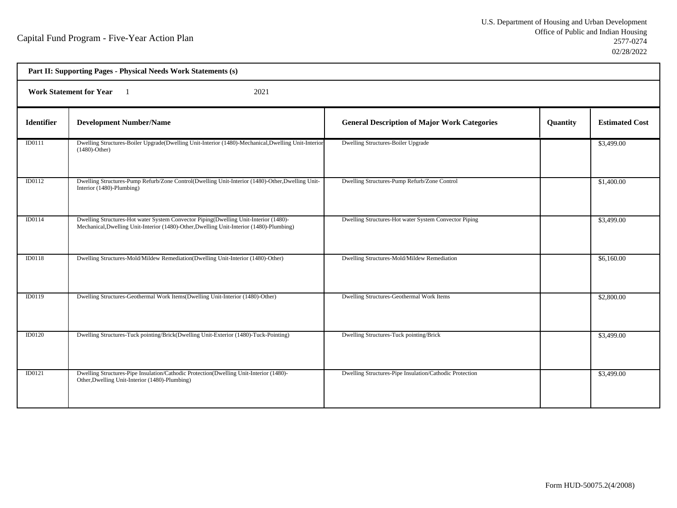| Part II: Supporting Pages - Physical Needs Work Statements (s) |                                                                                                                                                                                  |                                                         |          |                       |  |  |
|----------------------------------------------------------------|----------------------------------------------------------------------------------------------------------------------------------------------------------------------------------|---------------------------------------------------------|----------|-----------------------|--|--|
|                                                                | <b>Work Statement for Year</b><br>2021                                                                                                                                           |                                                         |          |                       |  |  |
| <b>Identifier</b>                                              | <b>Development Number/Name</b>                                                                                                                                                   | <b>General Description of Major Work Categories</b>     | Quantity | <b>Estimated Cost</b> |  |  |
| ID0111                                                         | Dwelling Structures-Boiler Upgrade(Dwelling Unit-Interior (1480)-Mechanical, Dwelling Unit-Interior<br>$(1480)$ -Other)                                                          | Dwelling Structures-Boiler Upgrade                      |          | \$3,499.00            |  |  |
| ID0112                                                         | Dwelling Structures-Pump Refurb/Zone Control(Dwelling Unit-Interior (1480)-Other, Dwelling Unit-<br>Interior (1480)-Plumbing)                                                    | Dwelling Structures-Pump Refurb/Zone Control            |          | \$1,400.00            |  |  |
| <b>ID0114</b>                                                  | Dwelling Structures-Hot water System Convector Piping(Dwelling Unit-Interior (1480)-<br>Mechanical, Dwelling Unit-Interior (1480)-Other, Dwelling Unit-Interior (1480)-Plumbing) | Dwelling Structures-Hot water System Convector Piping   |          | \$3,499.00            |  |  |
| <b>ID0118</b>                                                  | Dwelling Structures-Mold/Mildew Remediation(Dwelling Unit-Interior (1480)-Other)                                                                                                 | Dwelling Structures-Mold/Mildew Remediation             |          | \$6,160.00            |  |  |
| <b>ID0119</b>                                                  | Dwelling Structures-Geothermal Work Items(Dwelling Unit-Interior (1480)-Other)                                                                                                   | Dwelling Structures-Geothermal Work Items               |          | \$2,800.00            |  |  |
| <b>ID0120</b>                                                  | Dwelling Structures-Tuck pointing/Brick(Dwelling Unit-Exterior (1480)-Tuck-Pointing)                                                                                             | Dwelling Structures-Tuck pointing/Brick                 |          | \$3,499.00            |  |  |
| ID0121                                                         | Dwelling Structures-Pipe Insulation/Cathodic Protection(Dwelling Unit-Interior (1480)-<br>Other, Dwelling Unit-Interior (1480)-Plumbing)                                         | Dwelling Structures-Pipe Insulation/Cathodic Protection |          | \$3,499.00            |  |  |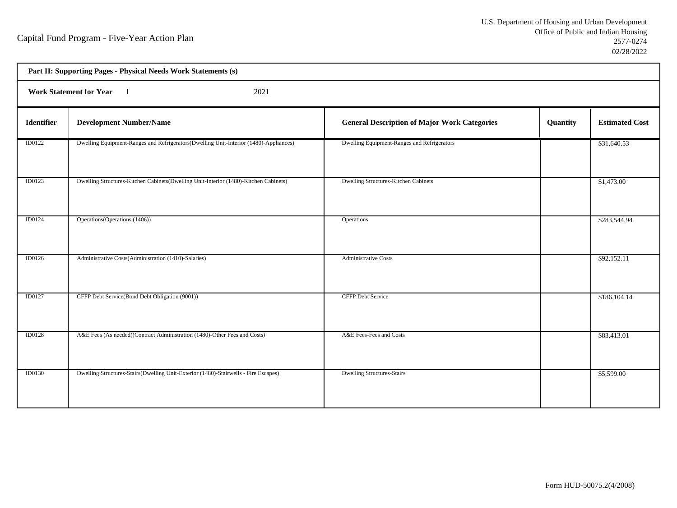| Part II: Supporting Pages - Physical Needs Work Statements (s) |                                                                                       |                                                     |          |                       |  |  |
|----------------------------------------------------------------|---------------------------------------------------------------------------------------|-----------------------------------------------------|----------|-----------------------|--|--|
|                                                                | <b>Work Statement for Year</b><br>2021                                                |                                                     |          |                       |  |  |
| Identifier                                                     | <b>Development Number/Name</b>                                                        | <b>General Description of Major Work Categories</b> | Quantity | <b>Estimated Cost</b> |  |  |
| ID0122                                                         | Dwelling Equipment-Ranges and Refrigerators(Dwelling Unit-Interior (1480)-Appliances) | Dwelling Equipment-Ranges and Refrigerators         |          | \$31,640.53           |  |  |
| ID0123                                                         | Dwelling Structures-Kitchen Cabinets(Dwelling Unit-Interior (1480)-Kitchen Cabinets)  | Dwelling Structures-Kitchen Cabinets                |          | \$1,473.00            |  |  |
| ID0124                                                         | Operations (Operations (1406))                                                        | <b>Operations</b>                                   |          | \$283,544.94          |  |  |
| ID0126                                                         | Administrative Costs(Administration (1410)-Salaries)                                  | <b>Administrative Costs</b>                         |          | \$92,152.11           |  |  |
| ID0127                                                         | CFFP Debt Service(Bond Debt Obligation (9001))                                        | CFFP Debt Service                                   |          | \$186,104.14          |  |  |
| <b>ID0128</b>                                                  | A&E Fees (As needed)(Contract Administration (1480)-Other Fees and Costs)             | A&E Fees-Fees and Costs                             |          | \$83,413.01           |  |  |
| <b>ID0130</b>                                                  | Dwelling Structures-Stairs(Dwelling Unit-Exterior (1480)-Stairwells - Fire Escapes)   | <b>Dwelling Structures-Stairs</b>                   |          | \$5,599.00            |  |  |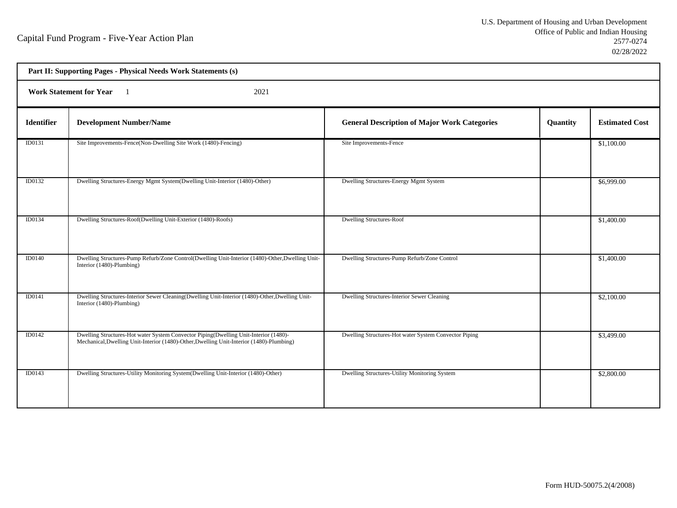| Part II: Supporting Pages - Physical Needs Work Statements (s) |                                                                                                                                                                                  |                                                       |          |                       |  |  |
|----------------------------------------------------------------|----------------------------------------------------------------------------------------------------------------------------------------------------------------------------------|-------------------------------------------------------|----------|-----------------------|--|--|
|                                                                | <b>Work Statement for Year</b><br>2021                                                                                                                                           |                                                       |          |                       |  |  |
| <b>Identifier</b>                                              | <b>Development Number/Name</b>                                                                                                                                                   | <b>General Description of Major Work Categories</b>   | Quantity | <b>Estimated Cost</b> |  |  |
| ID0131                                                         | Site Improvements-Fence(Non-Dwelling Site Work (1480)-Fencing)                                                                                                                   | Site Improvements-Fence                               |          | \$1,100.00            |  |  |
| ID0132                                                         | Dwelling Structures-Energy Mgmt System(Dwelling Unit-Interior (1480)-Other)                                                                                                      | Dwelling Structures-Energy Mgmt System                |          | \$6,999.00            |  |  |
| ID0134                                                         | Dwelling Structures-Roof(Dwelling Unit-Exterior (1480)-Roofs)                                                                                                                    | <b>Dwelling Structures-Roof</b>                       |          | \$1,400.00            |  |  |
| <b>ID0140</b>                                                  | Dwelling Structures-Pump Refurb/Zone Control(Dwelling Unit-Interior (1480)-Other, Dwelling Unit-<br>Interior (1480)-Plumbing)                                                    | Dwelling Structures-Pump Refurb/Zone Control          |          | \$1,400.00            |  |  |
| ID0141                                                         | Dwelling Structures-Interior Sewer Cleaning(Dwelling Unit-Interior (1480)-Other, Dwelling Unit-<br>Interior (1480)-Plumbing)                                                     | Dwelling Structures-Interior Sewer Cleaning           |          | \$2,100.00            |  |  |
| ID0142                                                         | Dwelling Structures-Hot water System Convector Piping(Dwelling Unit-Interior (1480)-<br>Mechanical, Dwelling Unit-Interior (1480)-Other, Dwelling Unit-Interior (1480)-Plumbing) | Dwelling Structures-Hot water System Convector Piping |          | \$3,499.00            |  |  |
| ID0143                                                         | Dwelling Structures-Utility Monitoring System(Dwelling Unit-Interior (1480)-Other)                                                                                               | Dwelling Structures-Utility Monitoring System         |          | \$2,800.00            |  |  |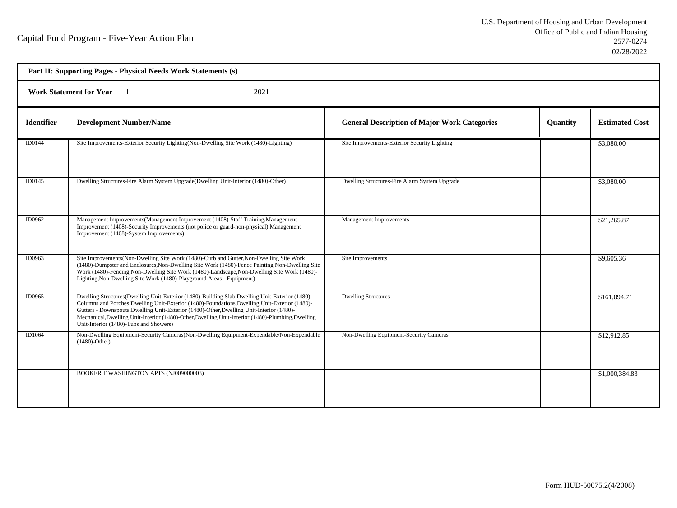| Part II: Supporting Pages - Physical Needs Work Statements (s) |                                                                                                                                                                                                                                                                                                                                                                                                                                              |                                                     |          |                       |  |  |
|----------------------------------------------------------------|----------------------------------------------------------------------------------------------------------------------------------------------------------------------------------------------------------------------------------------------------------------------------------------------------------------------------------------------------------------------------------------------------------------------------------------------|-----------------------------------------------------|----------|-----------------------|--|--|
|                                                                | Work Statement for Year 1<br>2021                                                                                                                                                                                                                                                                                                                                                                                                            |                                                     |          |                       |  |  |
| <b>Identifier</b>                                              | <b>Development Number/Name</b>                                                                                                                                                                                                                                                                                                                                                                                                               | <b>General Description of Major Work Categories</b> | Quantity | <b>Estimated Cost</b> |  |  |
| ID0144                                                         | Site Improvements-Exterior Security Lighting (Non-Dwelling Site Work (1480)-Lighting)                                                                                                                                                                                                                                                                                                                                                        | Site Improvements-Exterior Security Lighting        |          | \$3,080.00            |  |  |
| <b>ID0145</b>                                                  | Dwelling Structures-Fire Alarm System Upgrade(Dwelling Unit-Interior (1480)-Other)                                                                                                                                                                                                                                                                                                                                                           | Dwelling Structures-Fire Alarm System Upgrade       |          | \$3,080.00            |  |  |
| ID0962                                                         | Management Improvements (Management Improvement (1408)-Staff Training, Management<br>Improvement (1408)-Security Improvements (not police or guard-non-physical), Management<br>Improvement (1408)-System Improvements)                                                                                                                                                                                                                      | Management Improvements                             |          | \$21,265.87           |  |  |
| ID0963                                                         | Site Improvements (Non-Dwelling Site Work (1480)-Curb and Gutter, Non-Dwelling Site Work<br>(1480)-Dumpster and Enclosures, Non-Dwelling Site Work (1480)-Fence Painting, Non-Dwelling Site<br>Work (1480)-Fencing, Non-Dwelling Site Work (1480)-Landscape, Non-Dwelling Site Work (1480)-<br>Lighting, Non-Dwelling Site Work (1480)-Playground Areas - Equipment)                                                                         | Site Improvements                                   |          | \$9,605.36            |  |  |
| ID0965                                                         | Dwelling Structures(Dwelling Unit-Exterior (1480)-Building Slab,Dwelling Unit-Exterior (1480)-<br>Columns and Porches, Dwelling Unit-Exterior (1480)-Foundations, Dwelling Unit-Exterior (1480)-<br>Gutters - Downspouts, Dwelling Unit-Exterior (1480)-Other, Dwelling Unit-Interior (1480)-<br>Mechanical, Dwelling Unit-Interior (1480)-Other, Dwelling Unit-Interior (1480)-Plumbing, Dwelling<br>Unit-Interior (1480)-Tubs and Showers) | <b>Dwelling Structures</b>                          |          | \$161,094.71          |  |  |
| ID1064                                                         | Non-Dwelling Equipment-Security Cameras(Non-Dwelling Equipment-Expendable/Non-Expendable<br>$(1480)$ -Other)                                                                                                                                                                                                                                                                                                                                 | Non-Dwelling Equipment-Security Cameras             |          | \$12,912.85           |  |  |
|                                                                | BOOKER T WASHINGTON APTS (NJ009000003)                                                                                                                                                                                                                                                                                                                                                                                                       |                                                     |          | \$1,000,384.83        |  |  |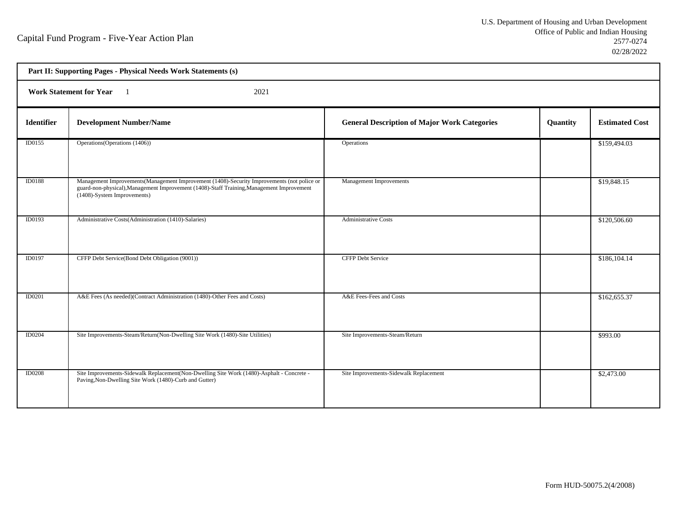| Part II: Supporting Pages - Physical Needs Work Statements (s) |                                                                                                                                                                                                                         |                                                     |          |                       |  |  |
|----------------------------------------------------------------|-------------------------------------------------------------------------------------------------------------------------------------------------------------------------------------------------------------------------|-----------------------------------------------------|----------|-----------------------|--|--|
|                                                                | Work Statement for Year 1<br>2021                                                                                                                                                                                       |                                                     |          |                       |  |  |
| <b>Identifier</b>                                              | <b>Development Number/Name</b>                                                                                                                                                                                          | <b>General Description of Major Work Categories</b> | Quantity | <b>Estimated Cost</b> |  |  |
| ID0155                                                         | Operations (Operations (1406))                                                                                                                                                                                          | Operations                                          |          | \$159,494.03          |  |  |
| <b>ID0188</b>                                                  | Management Improvements (Management Improvement (1408)-Security Improvements (not police or<br>guard-non-physical), Management Improvement (1408)-Staff Training, Management Improvement<br>(1408)-System Improvements) | Management Improvements                             |          | \$19,848.15           |  |  |
| ID0193                                                         | Administrative Costs(Administration (1410)-Salaries)                                                                                                                                                                    | <b>Administrative Costs</b>                         |          | \$120,506.60          |  |  |
| <b>ID0197</b>                                                  | CFFP Debt Service(Bond Debt Obligation (9001))                                                                                                                                                                          | <b>CFFP Debt Service</b>                            |          | \$186,104.14          |  |  |
| <b>ID0201</b>                                                  | A&E Fees (As needed)(Contract Administration (1480)-Other Fees and Costs)                                                                                                                                               | A&E Fees-Fees and Costs                             |          | \$162,655.37          |  |  |
| <b>ID0204</b>                                                  | Site Improvements-Steam/Return(Non-Dwelling Site Work (1480)-Site Utilities)                                                                                                                                            | Site Improvements-Steam/Return                      |          | \$993.00              |  |  |
| <b>ID0208</b>                                                  | Site Improvements-Sidewalk Replacement(Non-Dwelling Site Work (1480)-Asphalt - Concrete -<br>Paving, Non-Dwelling Site Work (1480)-Curb and Gutter)                                                                     | Site Improvements-Sidewalk Replacement              |          | \$2,473.00            |  |  |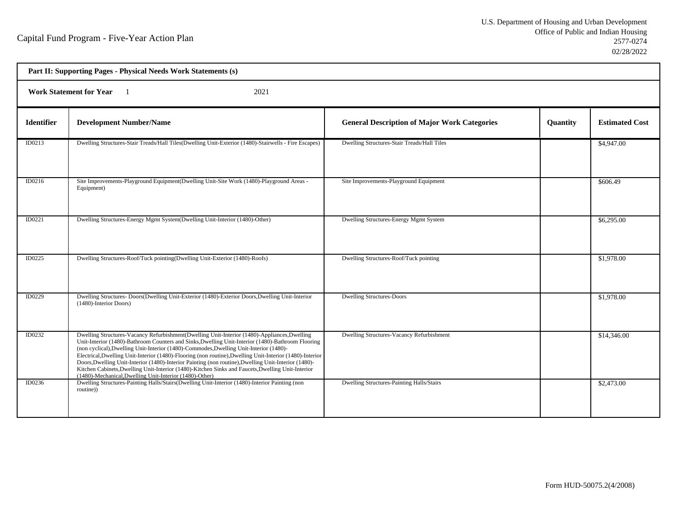| Part II: Supporting Pages - Physical Needs Work Statements (s)     |                                                                                                                                                                                                                                                                                                                                                                                                                                                                                                                                                                                                                                                                                 |                                                     |          |                       |  |
|--------------------------------------------------------------------|---------------------------------------------------------------------------------------------------------------------------------------------------------------------------------------------------------------------------------------------------------------------------------------------------------------------------------------------------------------------------------------------------------------------------------------------------------------------------------------------------------------------------------------------------------------------------------------------------------------------------------------------------------------------------------|-----------------------------------------------------|----------|-----------------------|--|
| <b>Work Statement for Year</b><br>2021<br>$\overline{\phantom{0}}$ |                                                                                                                                                                                                                                                                                                                                                                                                                                                                                                                                                                                                                                                                                 |                                                     |          |                       |  |
| <b>Identifier</b>                                                  | <b>Development Number/Name</b>                                                                                                                                                                                                                                                                                                                                                                                                                                                                                                                                                                                                                                                  | <b>General Description of Major Work Categories</b> | Quantity | <b>Estimated Cost</b> |  |
| ID0213                                                             | Dwelling Structures-Stair Treads/Hall Tiles(Dwelling Unit-Exterior (1480)-Stairwells - Fire Escapes)                                                                                                                                                                                                                                                                                                                                                                                                                                                                                                                                                                            | Dwelling Structures-Stair Treads/Hall Tiles         |          | \$4,947.00            |  |
| ID0216                                                             | Site Improvements-Playground Equipment(Dwelling Unit-Site Work (1480)-Playground Areas -<br>Equipment)                                                                                                                                                                                                                                                                                                                                                                                                                                                                                                                                                                          | Site Improvements-Playground Equipment              |          | \$606.49              |  |
| ID0221                                                             | Dwelling Structures-Energy Mgmt System(Dwelling Unit-Interior (1480)-Other)                                                                                                                                                                                                                                                                                                                                                                                                                                                                                                                                                                                                     | Dwelling Structures-Energy Mgmt System              |          | \$6,295.00            |  |
| <b>ID0225</b>                                                      | Dwelling Structures-Roof/Tuck pointing(Dwelling Unit-Exterior (1480)-Roofs)                                                                                                                                                                                                                                                                                                                                                                                                                                                                                                                                                                                                     | Dwelling Structures-Roof/Tuck pointing              |          | \$1,978.00            |  |
| <b>ID0229</b>                                                      | Dwelling Structures- Doors(Dwelling Unit-Exterior (1480)-Exterior Doors, Dwelling Unit-Interior<br>(1480)-Interior Doors)                                                                                                                                                                                                                                                                                                                                                                                                                                                                                                                                                       | Dwelling Structures-Doors                           |          | \$1,978.00            |  |
| ID0232                                                             | Dwelling Structures-Vacancy Refurbishment(Dwelling Unit-Interior (1480)-Appliances, Dwelling<br>Unit-Interior (1480)-Bathroom Counters and Sinks, Dwelling Unit-Interior (1480)-Bathroom Flooring<br>(non cyclical), Dwelling Unit-Interior (1480)-Commodes, Dwelling Unit-Interior (1480)-<br>Electrical, Dwelling Unit-Interior (1480)-Flooring (non routine), Dwelling Unit-Interior (1480)-Interior<br>Doors, Dwelling Unit-Interior (1480)-Interior Painting (non routine), Dwelling Unit-Interior (1480)-<br>Kitchen Cabinets, Dwelling Unit-Interior (1480)-Kitchen Sinks and Faucets, Dwelling Unit-Interior<br>(1480)-Mechanical, Dwelling Unit-Interior (1480)-Other) | Dwelling Structures-Vacancy Refurbishment           |          | \$14,346.00           |  |
| ID0236                                                             | Dwelling Structures-Painting Halls/Stairs(Dwelling Unit-Interior (1480)-Interior Painting (non<br>routine))                                                                                                                                                                                                                                                                                                                                                                                                                                                                                                                                                                     | Dwelling Structures-Painting Halls/Stairs           |          | \$2,473.00            |  |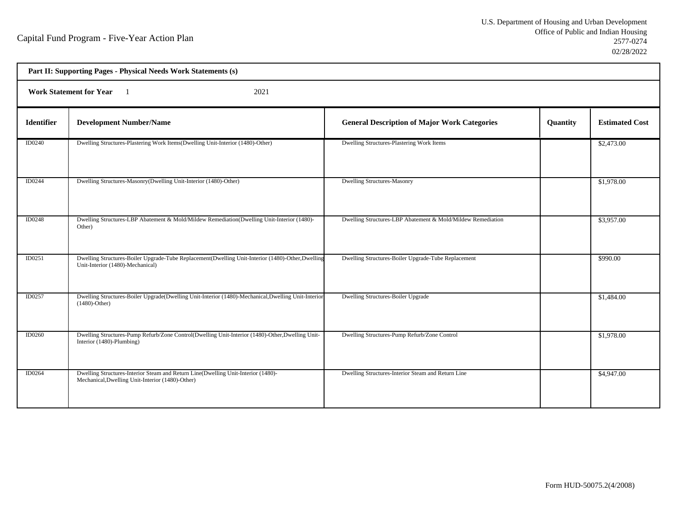| Part II: Supporting Pages - Physical Needs Work Statements (s) |                                                                                                                                       |                                                             |          |                       |  |
|----------------------------------------------------------------|---------------------------------------------------------------------------------------------------------------------------------------|-------------------------------------------------------------|----------|-----------------------|--|
| <b>Work Statement for Year</b><br>2021                         |                                                                                                                                       |                                                             |          |                       |  |
| <b>Identifier</b>                                              | <b>Development Number/Name</b>                                                                                                        | <b>General Description of Major Work Categories</b>         | Quantity | <b>Estimated Cost</b> |  |
| ID0240                                                         | Dwelling Structures-Plastering Work Items(Dwelling Unit-Interior (1480)-Other)                                                        | Dwelling Structures-Plastering Work Items                   |          | \$2,473.00            |  |
| ID0244                                                         | Dwelling Structures-Masonry(Dwelling Unit-Interior (1480)-Other)                                                                      | <b>Dwelling Structures-Masonry</b>                          |          | \$1,978.00            |  |
| <b>ID0248</b>                                                  | Dwelling Structures-LBP Abatement & Mold/Mildew Remediation(Dwelling Unit-Interior (1480)-<br>Other)                                  | Dwelling Structures-LBP Abatement & Mold/Mildew Remediation |          | \$3,957.00            |  |
| ID0251                                                         | Dwelling Structures-Boiler Upgrade-Tube Replacement(Dwelling Unit-Interior (1480)-Other,Dwelling<br>Unit-Interior (1480)-Mechanical)  | Dwelling Structures-Boiler Upgrade-Tube Replacement         |          | \$990.00              |  |
| ID0257                                                         | Dwelling Structures-Boiler Upgrade(Dwelling Unit-Interior (1480)-Mechanical, Dwelling Unit-Interior<br>$(1480)$ -Other)               | Dwelling Structures-Boiler Upgrade                          |          | \$1,484.00            |  |
| <b>ID0260</b>                                                  | Dwelling Structures-Pump Refurb/Zone Control(Dwelling Unit-Interior (1480)-Other, Dwelling Unit-<br>Interior (1480)-Plumbing)         | Dwelling Structures-Pump Refurb/Zone Control                |          | \$1,978.00            |  |
| <b>ID0264</b>                                                  | Dwelling Structures-Interior Steam and Return Line(Dwelling Unit-Interior (1480)-<br>Mechanical, Dwelling Unit-Interior (1480)-Other) | Dwelling Structures-Interior Steam and Return Line          |          | \$4,947.00            |  |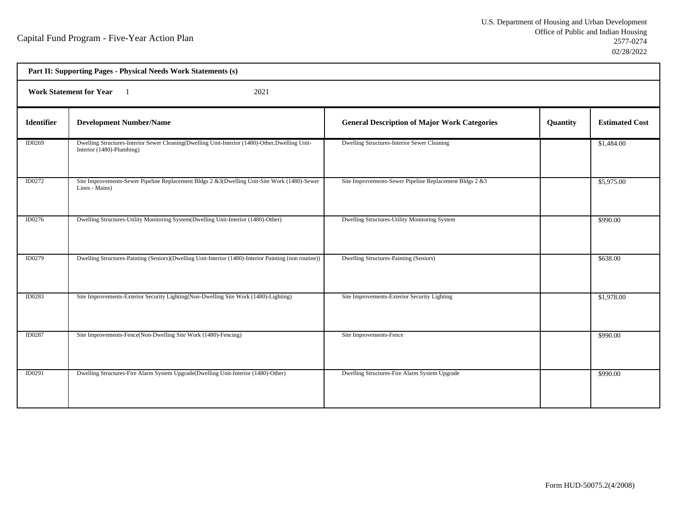| Part II: Supporting Pages - Physical Needs Work Statements (s) |                                                                                                                              |                                                         |          |                       |  |  |
|----------------------------------------------------------------|------------------------------------------------------------------------------------------------------------------------------|---------------------------------------------------------|----------|-----------------------|--|--|
|                                                                | <b>Work Statement for Year</b><br>2021                                                                                       |                                                         |          |                       |  |  |
| <b>Identifier</b>                                              | <b>Development Number/Name</b>                                                                                               | <b>General Description of Major Work Categories</b>     | Quantity | <b>Estimated Cost</b> |  |  |
| ID0269                                                         | Dwelling Structures-Interior Sewer Cleaning(Dwelling Unit-Interior (1480)-Other, Dwelling Unit-<br>Interior (1480)-Plumbing) | Dwelling Structures-Interior Sewer Cleaning             |          | \$1,484.00            |  |  |
| ID0272                                                         | Site Improvements-Sewer Pipeline Replacement Bldgs 2 &3(Dwelling Unit-Site Work (1480)-Sewer<br>Lines - Mains)               | Site Improvements-Sewer Pipeline Replacement Bldgs 2 &3 |          | \$5,975.00            |  |  |
| ID0276                                                         | Dwelling Structures-Utility Monitoring System(Dwelling Unit-Interior (1480)-Other)                                           | Dwelling Structures-Utility Monitoring System           |          | \$990.00              |  |  |
| ID0279                                                         | Dwelling Structures-Painting (Seniors)(Dwelling Unit-Interior (1480)-Interior Painting (non routine))                        | Dwelling Structures-Painting (Seniors)                  |          | \$638.00              |  |  |
| ID0283                                                         | Site Improvements-Exterior Security Lighting(Non-Dwelling Site Work (1480)-Lighting)                                         | Site Improvements-Exterior Security Lighting            |          | \$1,978.00            |  |  |
| ID0287                                                         | Site Improvements-Fence(Non-Dwelling Site Work (1480)-Fencing)                                                               | Site Improvements-Fence                                 |          | $\overline{$990.00}$  |  |  |
| ID0291                                                         | Dwelling Structures-Fire Alarm System Upgrade(Dwelling Unit-Interior (1480)-Other)                                           | Dwelling Structures-Fire Alarm System Upgrade           |          | \$990.00              |  |  |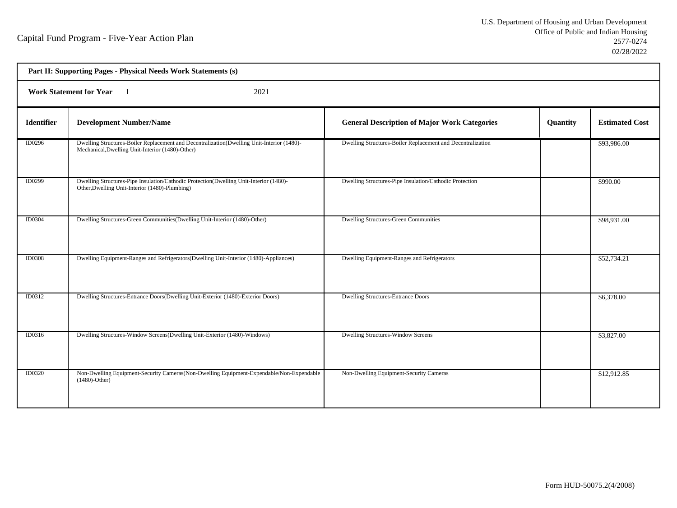| Part II: Supporting Pages - Physical Needs Work Statements (s) |                                                                                                                                                |                                                             |          |                       |  |
|----------------------------------------------------------------|------------------------------------------------------------------------------------------------------------------------------------------------|-------------------------------------------------------------|----------|-----------------------|--|
| <b>Work Statement for Year</b><br>2021                         |                                                                                                                                                |                                                             |          |                       |  |
| <b>Identifier</b>                                              | <b>Development Number/Name</b>                                                                                                                 | <b>General Description of Major Work Categories</b>         | Quantity | <b>Estimated Cost</b> |  |
| ID0296                                                         | Dwelling Structures-Boiler Replacement and Decentralization(Dwelling Unit-Interior (1480)-<br>Mechanical, Dwelling Unit-Interior (1480)-Other) | Dwelling Structures-Boiler Replacement and Decentralization |          | \$93,986.00           |  |
| ID0299                                                         | Dwelling Structures-Pipe Insulation/Cathodic Protection(Dwelling Unit-Interior (1480)-<br>Other, Dwelling Unit-Interior (1480)-Plumbing)       | Dwelling Structures-Pipe Insulation/Cathodic Protection     |          | \$990.00              |  |
| <b>ID0304</b>                                                  | Dwelling Structures-Green Communities (Dwelling Unit-Interior (1480)-Other)                                                                    | <b>Dwelling Structures-Green Communities</b>                |          | \$98,931.00           |  |
| <b>ID0308</b>                                                  | Dwelling Equipment-Ranges and Refrigerators(Dwelling Unit-Interior (1480)-Appliances)                                                          | Dwelling Equipment-Ranges and Refrigerators                 |          | \$52,734.21           |  |
| ID0312                                                         | Dwelling Structures-Entrance Doors(Dwelling Unit-Exterior (1480)-Exterior Doors)                                                               | <b>Dwelling Structures-Entrance Doors</b>                   |          | \$6,378.00            |  |
| ID0316                                                         | Dwelling Structures-Window Screens(Dwelling Unit-Exterior (1480)-Windows)                                                                      | Dwelling Structures-Window Screens                          |          | \$3,827.00            |  |
| <b>ID0320</b>                                                  | Non-Dwelling Equipment-Security Cameras (Non-Dwelling Equipment-Expendable/Non-Expendable<br>$(1480)$ -Other)                                  | Non-Dwelling Equipment-Security Cameras                     |          | \$12,912.85           |  |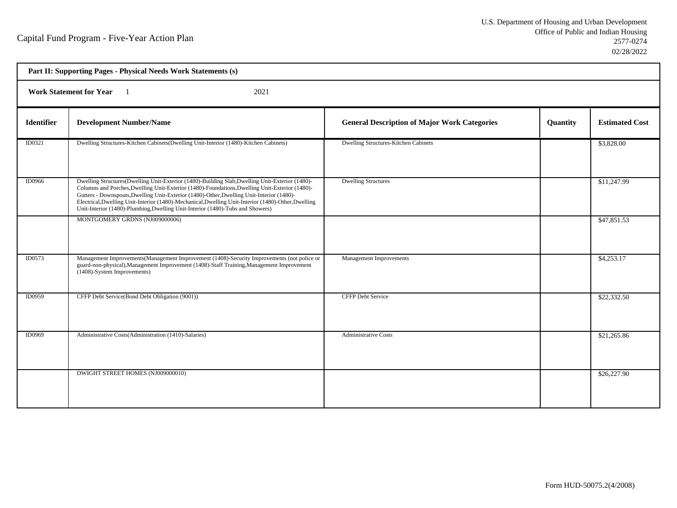| Part II: Supporting Pages - Physical Needs Work Statements (s) |                                                                                                                                                                                                                                                                                                                                                                                                                                                                                         |                                                     |          |                       |  |
|----------------------------------------------------------------|-----------------------------------------------------------------------------------------------------------------------------------------------------------------------------------------------------------------------------------------------------------------------------------------------------------------------------------------------------------------------------------------------------------------------------------------------------------------------------------------|-----------------------------------------------------|----------|-----------------------|--|
| <b>Work Statement for Year</b><br>2021<br>$\blacksquare$       |                                                                                                                                                                                                                                                                                                                                                                                                                                                                                         |                                                     |          |                       |  |
| <b>Identifier</b>                                              | <b>Development Number/Name</b>                                                                                                                                                                                                                                                                                                                                                                                                                                                          | <b>General Description of Major Work Categories</b> | Quantity | <b>Estimated Cost</b> |  |
| ID0321                                                         | Dwelling Structures-Kitchen Cabinets(Dwelling Unit-Interior (1480)-Kitchen Cabinets)                                                                                                                                                                                                                                                                                                                                                                                                    | Dwelling Structures-Kitchen Cabinets                |          | \$3,828.00            |  |
| <b>ID0966</b>                                                  | Dwelling Structures(Dwelling Unit-Exterior (1480)-Building Slab, Dwelling Unit-Exterior (1480)-<br>Columns and Porches, Dwelling Unit-Exterior (1480)-Foundations, Dwelling Unit-Exterior (1480)-<br>Gutters - Downspouts, Dwelling Unit-Exterior (1480)-Other, Dwelling Unit-Interior (1480)-<br>Electrical, Dwelling Unit-Interior (1480)-Mechanical, Dwelling Unit-Interior (1480)-Other, Dwelling<br>Unit-Interior (1480)-Plumbing, Dwelling Unit-Interior (1480)-Tubs and Showers) | <b>Dwelling Structures</b>                          |          | \$11,247.99           |  |
|                                                                | MONTGOMERY GRDNS (NJ009000006)                                                                                                                                                                                                                                                                                                                                                                                                                                                          |                                                     |          | \$47,851.53           |  |
| <b>ID0573</b>                                                  | Management Improvements (Management Improvement (1408)-Security Improvements (not police or<br>guard-non-physical), Management Improvement (1408)-Staff Training, Management Improvement<br>(1408)-System Improvements)                                                                                                                                                                                                                                                                 | <b>Management Improvements</b>                      |          | \$4,253.17            |  |
| ID0959                                                         | CFFP Debt Service(Bond Debt Obligation (9001))                                                                                                                                                                                                                                                                                                                                                                                                                                          | <b>CFFP Debt Service</b>                            |          | \$22,332.50           |  |
| ID0969                                                         | Administrative Costs(Administration (1410)-Salaries)                                                                                                                                                                                                                                                                                                                                                                                                                                    | <b>Administrative Costs</b>                         |          | \$21,265.86           |  |
|                                                                | DWIGHT STREET HOMES (NJ009000010)                                                                                                                                                                                                                                                                                                                                                                                                                                                       |                                                     |          | \$26,227.90           |  |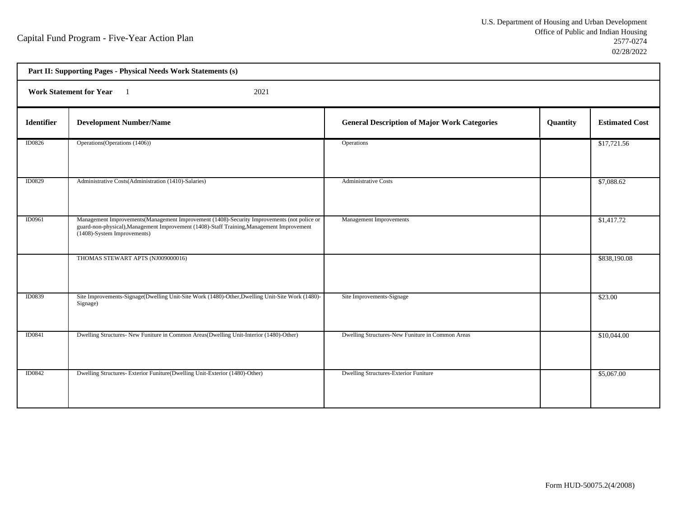h

| Part II: Supporting Pages - Physical Needs Work Statements (s) |                                                                                                                                                                                                                         |                                                     |          |                       |  |  |
|----------------------------------------------------------------|-------------------------------------------------------------------------------------------------------------------------------------------------------------------------------------------------------------------------|-----------------------------------------------------|----------|-----------------------|--|--|
|                                                                | <b>Work Statement for Year</b><br>2021                                                                                                                                                                                  |                                                     |          |                       |  |  |
| <b>Identifier</b>                                              | <b>Development Number/Name</b>                                                                                                                                                                                          | <b>General Description of Major Work Categories</b> | Quantity | <b>Estimated Cost</b> |  |  |
| <b>ID0826</b>                                                  | Operations (Operations (1406))                                                                                                                                                                                          | Operations                                          |          | \$17,721.56           |  |  |
| ID0829                                                         | Administrative Costs(Administration (1410)-Salaries)                                                                                                                                                                    | <b>Administrative Costs</b>                         |          | \$7,088.62            |  |  |
| ID0961                                                         | Management Improvements (Management Improvement (1408)-Security Improvements (not police or<br>guard-non-physical), Management Improvement (1408)-Staff Training, Management Improvement<br>(1408)-System Improvements) | Management Improvements                             |          | \$1,417.72            |  |  |
|                                                                | THOMAS STEWART APTS (NJ009000016)                                                                                                                                                                                       |                                                     |          | \$838,190.08          |  |  |
| ID0839                                                         | Site Improvements-Signage(Dwelling Unit-Site Work (1480)-Other, Dwelling Unit-Site Work (1480)-<br>Signage)                                                                                                             | Site Improvements-Signage                           |          | \$23.00               |  |  |
| ID0841                                                         | Dwelling Structures- New Funiture in Common Areas(Dwelling Unit-Interior (1480)-Other)                                                                                                                                  | Dwelling Structures-New Funiture in Common Areas    |          | \$10,044.00           |  |  |
| <b>ID0842</b>                                                  | Dwelling Structures- Exterior Funiture(Dwelling Unit-Exterior (1480)-Other)                                                                                                                                             | Dwelling Structures-Exterior Funiture               |          | \$5,067.00            |  |  |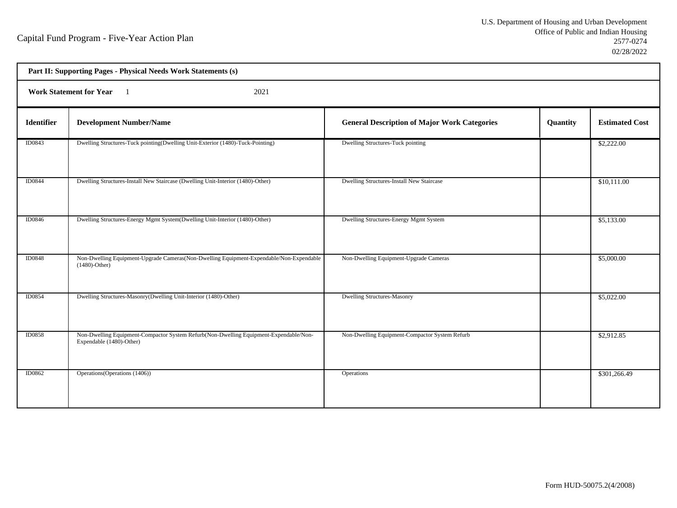| Part II: Supporting Pages - Physical Needs Work Statements (s) |                                                                                                                   |                                                     |          |                       |  |
|----------------------------------------------------------------|-------------------------------------------------------------------------------------------------------------------|-----------------------------------------------------|----------|-----------------------|--|
| <b>Work Statement for Year</b><br>2021                         |                                                                                                                   |                                                     |          |                       |  |
| Identifier                                                     | <b>Development Number/Name</b>                                                                                    | <b>General Description of Major Work Categories</b> | Quantity | <b>Estimated Cost</b> |  |
| ID0843                                                         | Dwelling Structures-Tuck pointing(Dwelling Unit-Exterior (1480)-Tuck-Pointing)                                    | Dwelling Structures-Tuck pointing                   |          | \$2,222.00            |  |
| <b>ID0844</b>                                                  | Dwelling Structures-Install New Staircase (Dwelling Unit-Interior (1480)-Other)                                   | Dwelling Structures-Install New Staircase           |          | \$10,111.00           |  |
| <b>ID0846</b>                                                  | Dwelling Structures-Energy Mgmt System(Dwelling Unit-Interior (1480)-Other)                                       | Dwelling Structures-Energy Mgmt System              |          | \$5,133.00            |  |
| ID0848                                                         | Non-Dwelling Equipment-Upgrade Cameras(Non-Dwelling Equipment-Expendable/Non-Expendable<br>$(1480)$ -Other)       | Non-Dwelling Equipment-Upgrade Cameras              |          | \$5,000.00            |  |
| ID0854                                                         | Dwelling Structures-Masonry(Dwelling Unit-Interior (1480)-Other)                                                  | <b>Dwelling Structures-Masonry</b>                  |          | \$5,022.00            |  |
| <b>ID0858</b>                                                  | Non-Dwelling Equipment-Compactor System Refurb(Non-Dwelling Equipment-Expendable/Non-<br>Expendable (1480)-Other) | Non-Dwelling Equipment-Compactor System Refurb      |          | \$2,912.85            |  |
| <b>ID0862</b>                                                  | Operations (Operations (1406))                                                                                    | Operations                                          |          | \$301,266.49          |  |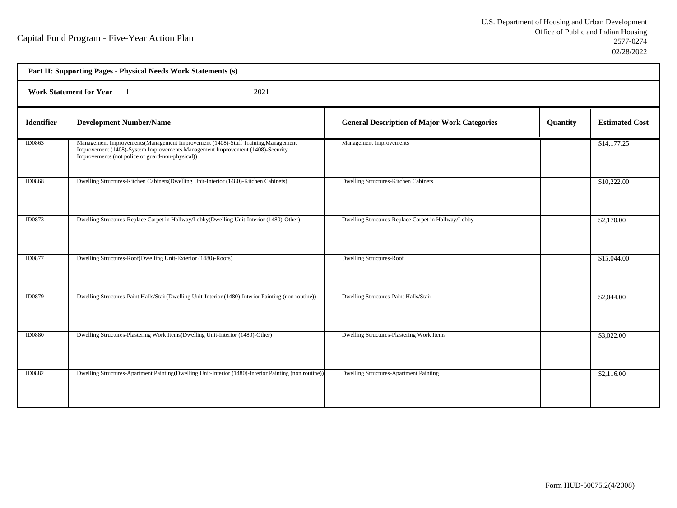| Part II: Supporting Pages - Physical Needs Work Statements (s) |                                                                                                                                                                                                                        |                                                     |                 |                       |  |
|----------------------------------------------------------------|------------------------------------------------------------------------------------------------------------------------------------------------------------------------------------------------------------------------|-----------------------------------------------------|-----------------|-----------------------|--|
| 2021<br><b>Work Statement for Year</b>                         |                                                                                                                                                                                                                        |                                                     |                 |                       |  |
| <b>Identifier</b>                                              | <b>Development Number/Name</b>                                                                                                                                                                                         | <b>General Description of Major Work Categories</b> | <b>Quantity</b> | <b>Estimated Cost</b> |  |
| ID0863                                                         | Management Improvements(Management Improvement (1408)-Staff Training, Management<br>Improvement (1408)-System Improvements, Management Improvement (1408)-Security<br>Improvements (not police or guard-non-physical)) | Management Improvements                             |                 | \$14,177.25           |  |
| <b>ID0868</b>                                                  | Dwelling Structures-Kitchen Cabinets(Dwelling Unit-Interior (1480)-Kitchen Cabinets)                                                                                                                                   | Dwelling Structures-Kitchen Cabinets                |                 | \$10,222.00           |  |
| ID0873                                                         | Dwelling Structures-Replace Carpet in Hallway/Lobby(Dwelling Unit-Interior (1480)-Other)                                                                                                                               | Dwelling Structures-Replace Carpet in Hallway/Lobby |                 | \$2,170.00            |  |
| <b>ID0877</b>                                                  | Dwelling Structures-Roof(Dwelling Unit-Exterior (1480)-Roofs)                                                                                                                                                          | <b>Dwelling Structures-Roof</b>                     |                 | \$15,044.00           |  |
| ID0879                                                         | Dwelling Structures-Paint Halls/Stair(Dwelling Unit-Interior (1480)-Interior Painting (non routine))                                                                                                                   | Dwelling Structures-Paint Halls/Stair               |                 | \$2,044.00            |  |
| <b>ID0880</b>                                                  | Dwelling Structures-Plastering Work Items(Dwelling Unit-Interior (1480)-Other)                                                                                                                                         | Dwelling Structures-Plastering Work Items           |                 | \$3,022.00            |  |
| ID0882                                                         | Dwelling Structures-Apartment Painting (Dwelling Unit-Interior (1480)-Interior Painting (non routine))                                                                                                                 | <b>Dwelling Structures-Apartment Painting</b>       |                 | \$2,116.00            |  |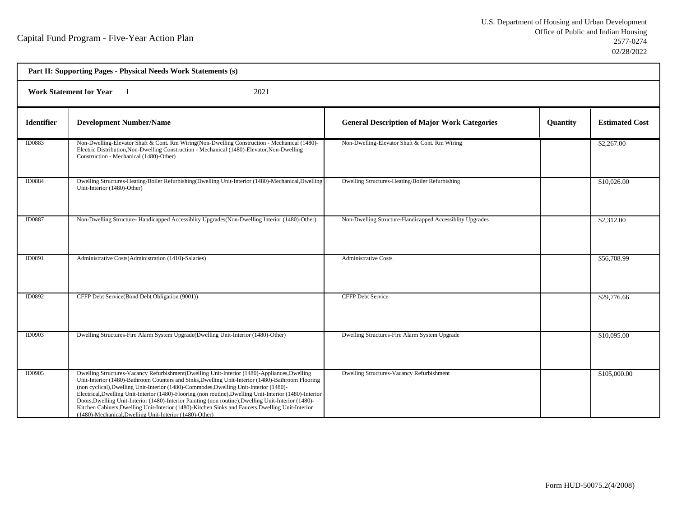| Part II: Supporting Pages - Physical Needs Work Statements (s) |                                                                                                                                                                                                                                                                                                                                                                                                                                                                                                                                                                                                                                                                                 |                                                          |          |                       |  |
|----------------------------------------------------------------|---------------------------------------------------------------------------------------------------------------------------------------------------------------------------------------------------------------------------------------------------------------------------------------------------------------------------------------------------------------------------------------------------------------------------------------------------------------------------------------------------------------------------------------------------------------------------------------------------------------------------------------------------------------------------------|----------------------------------------------------------|----------|-----------------------|--|
| <b>Work Statement for Year</b><br>2021                         |                                                                                                                                                                                                                                                                                                                                                                                                                                                                                                                                                                                                                                                                                 |                                                          |          |                       |  |
| <b>Identifier</b>                                              | <b>Development Number/Name</b>                                                                                                                                                                                                                                                                                                                                                                                                                                                                                                                                                                                                                                                  | <b>General Description of Major Work Categories</b>      | Quantity | <b>Estimated Cost</b> |  |
| ID0883                                                         | Non-Dwelling-Elevator Shaft & Cont. Rm Wiring(Non-Dwelling Construction - Mechanical (1480)-<br>Electric Distribution, Non-Dwelling Construction - Mechanical (1480)-Elevator, Non-Dwelling<br>Construction - Mechanical (1480)-Other)                                                                                                                                                                                                                                                                                                                                                                                                                                          | Non-Dwelling-Elevator Shaft & Cont. Rm Wiring            |          | \$2,267.00            |  |
| ID0884                                                         | Dwelling Structures-Heating/Boiler Refurbishing(Dwelling Unit-Interior (1480)-Mechanical,Dwelling<br>Unit-Interior (1480)-Other)                                                                                                                                                                                                                                                                                                                                                                                                                                                                                                                                                | Dwelling Structures-Heating/Boiler Refurbishing          |          | \$10,026.00           |  |
| ID0887                                                         | Non-Dwelling Structure-Handicapped Accessiblity Upgrades (Non-Dwelling Interior (1480)-Other)                                                                                                                                                                                                                                                                                                                                                                                                                                                                                                                                                                                   | Non-Dwelling Structure-Handicapped Accessiblity Upgrades |          | \$2,312.00            |  |
| ID0891                                                         | Administrative Costs(Administration (1410)-Salaries)                                                                                                                                                                                                                                                                                                                                                                                                                                                                                                                                                                                                                            | <b>Administrative Costs</b>                              |          | \$56,708.99           |  |
| ID0892                                                         | CFFP Debt Service(Bond Debt Obligation (9001))                                                                                                                                                                                                                                                                                                                                                                                                                                                                                                                                                                                                                                  | <b>CFFP Debt Service</b>                                 |          | \$29,776.66           |  |
| ID0903                                                         | Dwelling Structures-Fire Alarm System Upgrade(Dwelling Unit-Interior (1480)-Other)                                                                                                                                                                                                                                                                                                                                                                                                                                                                                                                                                                                              | Dwelling Structures-Fire Alarm System Upgrade            |          | \$10,095.00           |  |
| ID0905                                                         | Dwelling Structures-Vacancy Refurbishment(Dwelling Unit-Interior (1480)-Appliances, Dwelling<br>Unit-Interior (1480)-Bathroom Counters and Sinks, Dwelling Unit-Interior (1480)-Bathroom Flooring<br>(non cyclical), Dwelling Unit-Interior (1480)-Commodes, Dwelling Unit-Interior (1480)-<br>Electrical, Dwelling Unit-Interior (1480)-Flooring (non routine), Dwelling Unit-Interior (1480)-Interior<br>Doors, Dwelling Unit-Interior (1480)-Interior Painting (non routine), Dwelling Unit-Interior (1480)-<br>Kitchen Cabinets, Dwelling Unit-Interior (1480)-Kitchen Sinks and Faucets, Dwelling Unit-Interior<br>(1480)-Mechanical, Dwelling Unit-Interior (1480)-Other) | Dwelling Structures-Vacancy Refurbishment                |          | \$105,000.00          |  |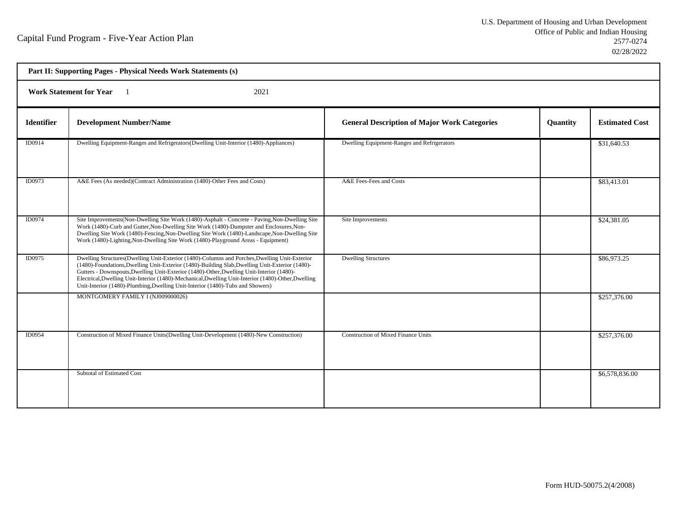h

|                   | Part II: Supporting Pages - Physical Needs Work Statements (s)                                                                                                                                                                                                                                                                                                                                                                                                                         |                                                     |          |                       |  |
|-------------------|----------------------------------------------------------------------------------------------------------------------------------------------------------------------------------------------------------------------------------------------------------------------------------------------------------------------------------------------------------------------------------------------------------------------------------------------------------------------------------------|-----------------------------------------------------|----------|-----------------------|--|
|                   | <b>Work Statement for Year</b><br>2021                                                                                                                                                                                                                                                                                                                                                                                                                                                 |                                                     |          |                       |  |
| <b>Identifier</b> | <b>Development Number/Name</b>                                                                                                                                                                                                                                                                                                                                                                                                                                                         | <b>General Description of Major Work Categories</b> | Quantity | <b>Estimated Cost</b> |  |
| ID0914            | Dwelling Equipment-Ranges and Refrigerators (Dwelling Unit-Interior (1480)-Appliances)                                                                                                                                                                                                                                                                                                                                                                                                 | Dwelling Equipment-Ranges and Refrigerators         |          | \$31,640.53           |  |
| ID0973            | A&E Fees (As needed)(Contract Administration (1480)-Other Fees and Costs)                                                                                                                                                                                                                                                                                                                                                                                                              | A&E Fees-Fees and Costs                             |          | \$83,413.01           |  |
| ID0974            | Site Improvements (Non-Dwelling Site Work (1480)-Asphalt - Concrete - Paving, Non-Dwelling Site<br>Work (1480)-Curb and Gutter, Non-Dwelling Site Work (1480)-Dumpster and Enclosures, Non-<br>Dwelling Site Work (1480)-Fencing, Non-Dwelling Site Work (1480)-Landscape, Non-Dwelling Site<br>Work (1480)-Lighting, Non-Dwelling Site Work (1480)-Playground Areas - Equipment)                                                                                                      | Site Improvements                                   |          | \$24,381.05           |  |
| ID0975            | Dwelling Structures(Dwelling Unit-Exterior (1480)-Columns and Porches, Dwelling Unit-Exterior<br>(1480)-Foundations, Dwelling Unit-Exterior (1480)-Building Slab, Dwelling Unit-Exterior (1480)-<br>Gutters - Downspouts, Dwelling Unit-Exterior (1480)-Other, Dwelling Unit-Interior (1480)-<br>Electrical, Dwelling Unit-Interior (1480)-Mechanical, Dwelling Unit-Interior (1480)-Other, Dwelling<br>Unit-Interior (1480)-Plumbing, Dwelling Unit-Interior (1480)-Tubs and Showers) | <b>Dwelling Structures</b>                          |          | \$86,973.25           |  |
|                   | MONTGOMERY FAMILY I (NJ009000026)                                                                                                                                                                                                                                                                                                                                                                                                                                                      |                                                     |          | \$257,376.00          |  |
| ID0954            | Construction of Mixed Finance Units(Dwelling Unit-Development (1480)-New Construction)                                                                                                                                                                                                                                                                                                                                                                                                 | <b>Construction of Mixed Finance Units</b>          |          | \$257,376.00          |  |
|                   | Subtotal of Estimated Cost                                                                                                                                                                                                                                                                                                                                                                                                                                                             |                                                     |          | \$6,578,836.00        |  |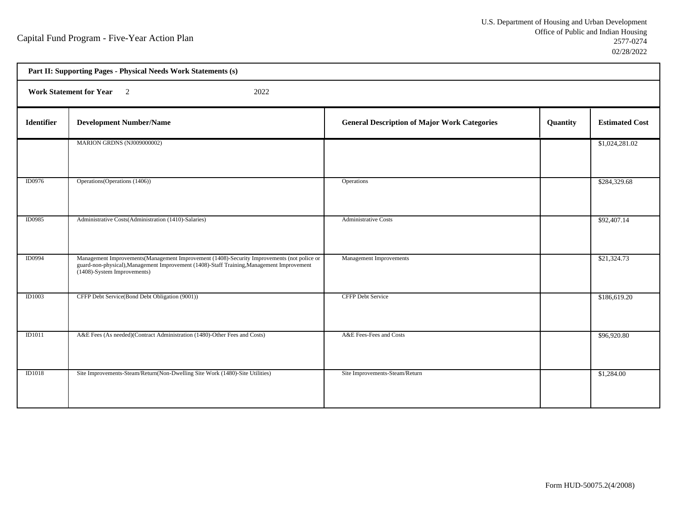|                   | Part II: Supporting Pages - Physical Needs Work Statements (s)                                                                                                                                                         |                                                     |          |                       |  |
|-------------------|------------------------------------------------------------------------------------------------------------------------------------------------------------------------------------------------------------------------|-----------------------------------------------------|----------|-----------------------|--|
|                   | Work Statement for Year 2<br>2022                                                                                                                                                                                      |                                                     |          |                       |  |
| <b>Identifier</b> | <b>Development Number/Name</b>                                                                                                                                                                                         | <b>General Description of Major Work Categories</b> | Quantity | <b>Estimated Cost</b> |  |
|                   | MARION GRDNS (NJ009000002)                                                                                                                                                                                             |                                                     |          | \$1,024,281.02        |  |
| ID0976            | Operations (Operations (1406))                                                                                                                                                                                         | Operations                                          |          | \$284,329.68          |  |
| <b>ID0985</b>     | Administrative Costs(Administration (1410)-Salaries)                                                                                                                                                                   | <b>Administrative Costs</b>                         |          | \$92,407.14           |  |
| <b>ID0994</b>     | Management Improvements(Management Improvement (1408)-Security Improvements (not police or<br>guard-non-physical), Management Improvement (1408)-Staff Training, Management Improvement<br>(1408)-System Improvements) | Management Improvements                             |          | \$21,324.73           |  |
| ID1003            | CFFP Debt Service(Bond Debt Obligation (9001))                                                                                                                                                                         | <b>CFFP Debt Service</b>                            |          | \$186,619.20          |  |
| ID1011            | A&E Fees (As needed)(Contract Administration (1480)-Other Fees and Costs)                                                                                                                                              | A&E Fees-Fees and Costs                             |          | \$96,920.80           |  |
| <b>ID1018</b>     | Site Improvements-Steam/Return(Non-Dwelling Site Work (1480)-Site Utilities)                                                                                                                                           | Site Improvements-Steam/Return                      |          | \$1,284.00            |  |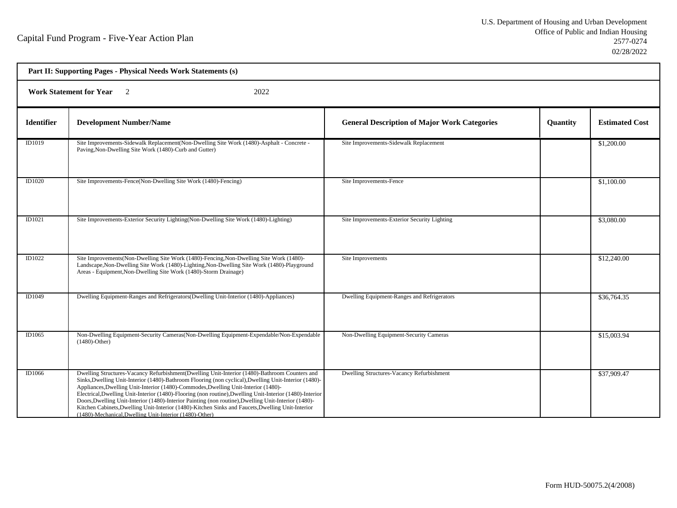| Part II: Supporting Pages - Physical Needs Work Statements (s) |                                                                                                                                                                                                                                                                                                                                                                                                                                                                                                                                                                                                                                                                                  |                                                     |          |                       |  |
|----------------------------------------------------------------|----------------------------------------------------------------------------------------------------------------------------------------------------------------------------------------------------------------------------------------------------------------------------------------------------------------------------------------------------------------------------------------------------------------------------------------------------------------------------------------------------------------------------------------------------------------------------------------------------------------------------------------------------------------------------------|-----------------------------------------------------|----------|-----------------------|--|
|                                                                | <b>Work Statement for Year</b><br>2022                                                                                                                                                                                                                                                                                                                                                                                                                                                                                                                                                                                                                                           |                                                     |          |                       |  |
| <b>Identifier</b>                                              | <b>Development Number/Name</b>                                                                                                                                                                                                                                                                                                                                                                                                                                                                                                                                                                                                                                                   | <b>General Description of Major Work Categories</b> | Quantity | <b>Estimated Cost</b> |  |
| ID1019                                                         | Site Improvements-Sidewalk Replacement(Non-Dwelling Site Work (1480)-Asphalt - Concrete -<br>Paving, Non-Dwelling Site Work (1480)-Curb and Gutter)                                                                                                                                                                                                                                                                                                                                                                                                                                                                                                                              | Site Improvements-Sidewalk Replacement              |          | \$1,200.00            |  |
| ID1020                                                         | Site Improvements-Fence(Non-Dwelling Site Work (1480)-Fencing)                                                                                                                                                                                                                                                                                                                                                                                                                                                                                                                                                                                                                   | Site Improvements-Fence                             |          | \$1,100.00            |  |
| ID1021                                                         | Site Improvements-Exterior Security Lighting(Non-Dwelling Site Work (1480)-Lighting)                                                                                                                                                                                                                                                                                                                                                                                                                                                                                                                                                                                             | Site Improvements-Exterior Security Lighting        |          | \$3,080.00            |  |
| ID1022                                                         | Site Improvements (Non-Dwelling Site Work (1480)-Fencing, Non-Dwelling Site Work (1480)-<br>Landscape, Non-Dwelling Site Work (1480)-Lighting, Non-Dwelling Site Work (1480)-Playground<br>Areas - Equipment, Non-Dwelling Site Work (1480)-Storm Drainage)                                                                                                                                                                                                                                                                                                                                                                                                                      | Site Improvements                                   |          | \$12,240.00           |  |
| ID1049                                                         | Dwelling Equipment-Ranges and Refrigerators (Dwelling Unit-Interior (1480)-Appliances)                                                                                                                                                                                                                                                                                                                                                                                                                                                                                                                                                                                           | Dwelling Equipment-Ranges and Refrigerators         |          | \$36,764.35           |  |
| ID1065                                                         | Non-Dwelling Equipment-Security Cameras (Non-Dwelling Equipment-Expendable/Non-Expendable<br>$(1480)$ -Other)                                                                                                                                                                                                                                                                                                                                                                                                                                                                                                                                                                    | Non-Dwelling Equipment-Security Cameras             |          | \$15,003.94           |  |
| ID1066                                                         | Dwelling Structures-Vacancy Refurbishment(Dwelling Unit-Interior (1480)-Bathroom Counters and<br>Sinks, Dwelling Unit-Interior (1480)-Bathroom Flooring (non cyclical), Dwelling Unit-Interior (1480)-<br>Appliances, Dwelling Unit-Interior (1480)-Commodes, Dwelling Unit-Interior (1480)-<br>Electrical, Dwelling Unit-Interior (1480)-Flooring (non routine), Dwelling Unit-Interior (1480)-Interior<br>Doors, Dwelling Unit-Interior (1480)-Interior Painting (non routine), Dwelling Unit-Interior (1480)-<br>Kitchen Cabinets, Dwelling Unit-Interior (1480)-Kitchen Sinks and Faucets, Dwelling Unit-Interior<br>(1480)-Mechanical, Dwelling Unit-Interior (1480)-Other) | Dwelling Structures-Vacancy Refurbishment           |          | \$37,909.47           |  |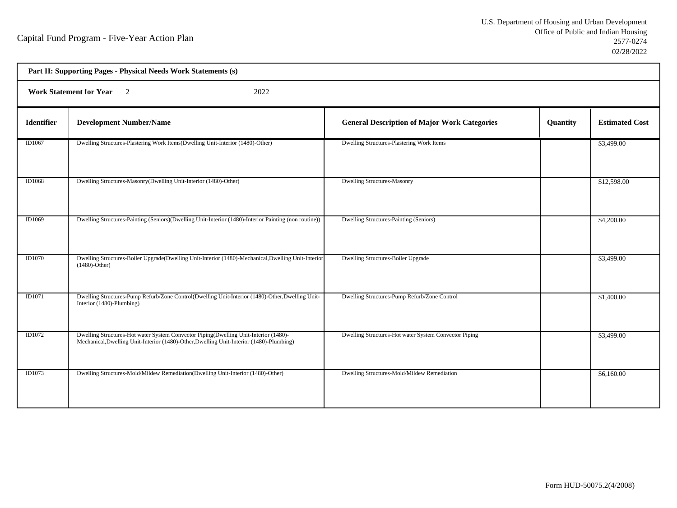|               | Part II: Supporting Pages - Physical Needs Work Statements (s)                                                                                                                   |                                                       |          |                       |  |
|---------------|----------------------------------------------------------------------------------------------------------------------------------------------------------------------------------|-------------------------------------------------------|----------|-----------------------|--|
|               | <b>Work Statement for Year</b><br>2022<br>$\overline{2}$                                                                                                                         |                                                       |          |                       |  |
| Identifier    | <b>Development Number/Name</b>                                                                                                                                                   | <b>General Description of Major Work Categories</b>   | Quantity | <b>Estimated Cost</b> |  |
| ID1067        | Dwelling Structures-Plastering Work Items(Dwelling Unit-Interior (1480)-Other)                                                                                                   | Dwelling Structures-Plastering Work Items             |          | \$3,499.00            |  |
| <b>ID1068</b> | Dwelling Structures-Masonry(Dwelling Unit-Interior (1480)-Other)                                                                                                                 | <b>Dwelling Structures-Masonry</b>                    |          | \$12,598.00           |  |
| ID1069        | Dwelling Structures-Painting (Seniors)(Dwelling Unit-Interior (1480)-Interior Painting (non routine))                                                                            | Dwelling Structures-Painting (Seniors)                |          | \$4,200.00            |  |
| <b>ID1070</b> | Dwelling Structures-Boiler Upgrade(Dwelling Unit-Interior (1480)-Mechanical, Dwelling Unit-Interior<br>$(1480)$ -Other)                                                          | Dwelling Structures-Boiler Upgrade                    |          | \$3,499.00            |  |
| ID1071        | Dwelling Structures-Pump Refurb/Zone Control(Dwelling Unit-Interior (1480)-Other, Dwelling Unit-<br>Interior (1480)-Plumbing)                                                    | Dwelling Structures-Pump Refurb/Zone Control          |          | \$1,400.00            |  |
| ID1072        | Dwelling Structures-Hot water System Convector Piping(Dwelling Unit-Interior (1480)-<br>Mechanical, Dwelling Unit-Interior (1480)-Other, Dwelling Unit-Interior (1480)-Plumbing) | Dwelling Structures-Hot water System Convector Piping |          | \$3,499.00            |  |
| <b>ID1073</b> | Dwelling Structures-Mold/Mildew Remediation(Dwelling Unit-Interior (1480)-Other)                                                                                                 | Dwelling Structures-Mold/Mildew Remediation           |          | \$6,160.00            |  |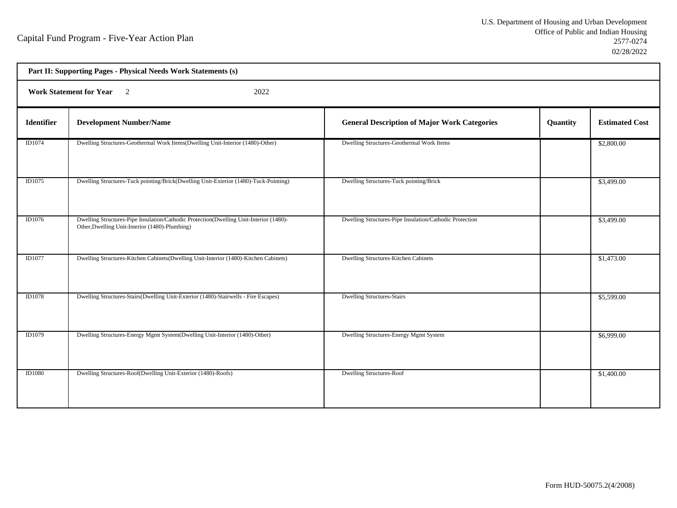| Part II: Supporting Pages - Physical Needs Work Statements (s) |                                                                                                                                          |                                                         |          |                       |  |
|----------------------------------------------------------------|------------------------------------------------------------------------------------------------------------------------------------------|---------------------------------------------------------|----------|-----------------------|--|
|                                                                | <b>Work Statement for Year</b><br>$\overline{2}$<br>2022                                                                                 |                                                         |          |                       |  |
| <b>Identifier</b>                                              | <b>Development Number/Name</b>                                                                                                           | <b>General Description of Major Work Categories</b>     | Quantity | <b>Estimated Cost</b> |  |
| ID1074                                                         | Dwelling Structures-Geothermal Work Items(Dwelling Unit-Interior (1480)-Other)                                                           | Dwelling Structures-Geothermal Work Items               |          | \$2,800.00            |  |
| ID1075                                                         | Dwelling Structures-Tuck pointing/Brick(Dwelling Unit-Exterior (1480)-Tuck-Pointing)                                                     | Dwelling Structures-Tuck pointing/Brick                 |          | \$3,499.00            |  |
| ID1076                                                         | Dwelling Structures-Pipe Insulation/Cathodic Protection(Dwelling Unit-Interior (1480)-<br>Other, Dwelling Unit-Interior (1480)-Plumbing) | Dwelling Structures-Pipe Insulation/Cathodic Protection |          | \$3,499.00            |  |
| <b>ID1077</b>                                                  | Dwelling Structures-Kitchen Cabinets (Dwelling Unit-Interior (1480)-Kitchen Cabinets)                                                    | Dwelling Structures-Kitchen Cabinets                    |          | \$1,473.00            |  |
| <b>ID1078</b>                                                  | Dwelling Structures-Stairs(Dwelling Unit-Exterior (1480)-Stairwells - Fire Escapes)                                                      | <b>Dwelling Structures-Stairs</b>                       |          | \$5,599.00            |  |
| ID1079                                                         | Dwelling Structures-Energy Mgmt System(Dwelling Unit-Interior (1480)-Other)                                                              | Dwelling Structures-Energy Mgmt System                  |          | \$6,999.00            |  |
| <b>ID1080</b>                                                  | Dwelling Structures-Roof(Dwelling Unit-Exterior (1480)-Roofs)                                                                            | <b>Dwelling Structures-Roof</b>                         |          | \$1,400.00            |  |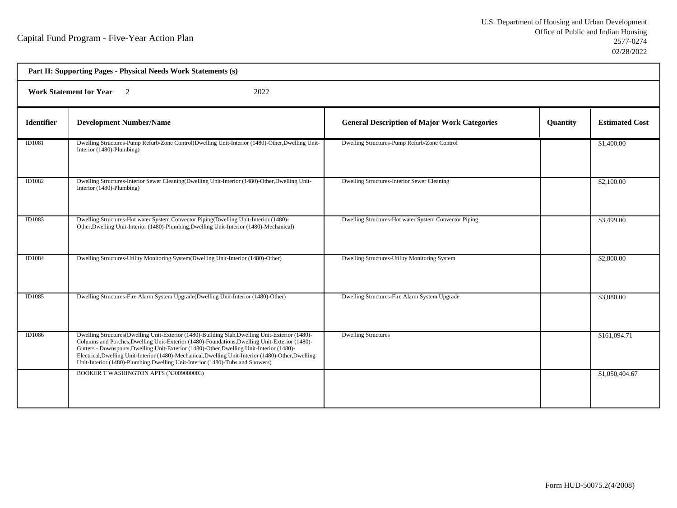h

|                   | Part II: Supporting Pages - Physical Needs Work Statements (s)                                                                                                                                                                                                                                                                                                                                                                                                                           |                                                       |          |                       |  |
|-------------------|------------------------------------------------------------------------------------------------------------------------------------------------------------------------------------------------------------------------------------------------------------------------------------------------------------------------------------------------------------------------------------------------------------------------------------------------------------------------------------------|-------------------------------------------------------|----------|-----------------------|--|
|                   | <b>Work Statement for Year</b><br>2022                                                                                                                                                                                                                                                                                                                                                                                                                                                   |                                                       |          |                       |  |
| <b>Identifier</b> | <b>Development Number/Name</b>                                                                                                                                                                                                                                                                                                                                                                                                                                                           | <b>General Description of Major Work Categories</b>   | Quantity | <b>Estimated Cost</b> |  |
| ID1081            | Dwelling Structures-Pump Refurb/Zone Control(Dwelling Unit-Interior (1480)-Other, Dwelling Unit-<br>Interior (1480)-Plumbing)                                                                                                                                                                                                                                                                                                                                                            | Dwelling Structures-Pump Refurb/Zone Control          |          | \$1,400.00            |  |
| ID1082            | Dwelling Structures-Interior Sewer Cleaning(Dwelling Unit-Interior (1480)-Other, Dwelling Unit-<br>Interior (1480)-Plumbing)                                                                                                                                                                                                                                                                                                                                                             | Dwelling Structures-Interior Sewer Cleaning           |          | \$2,100.00            |  |
| ID1083            | Dwelling Structures-Hot water System Convector Piping(Dwelling Unit-Interior (1480)-<br>Other, Dwelling Unit-Interior (1480)-Plumbing, Dwelling Unit-Interior (1480)-Mechanical)                                                                                                                                                                                                                                                                                                         | Dwelling Structures-Hot water System Convector Piping |          | \$3,499.00            |  |
| <b>ID1084</b>     | Dwelling Structures-Utility Monitoring System(Dwelling Unit-Interior (1480)-Other)                                                                                                                                                                                                                                                                                                                                                                                                       | Dwelling Structures-Utility Monitoring System         |          | \$2,800.00            |  |
| ID1085            | Dwelling Structures-Fire Alarm System Upgrade(Dwelling Unit-Interior (1480)-Other)                                                                                                                                                                                                                                                                                                                                                                                                       | Dwelling Structures-Fire Alarm System Upgrade         |          | \$3,080.00            |  |
| ID1086            | Dwelling Structures (Dwelling Unit-Exterior (1480)-Building Slab, Dwelling Unit-Exterior (1480)-<br>Columns and Porches, Dwelling Unit-Exterior (1480)-Foundations, Dwelling Unit-Exterior (1480)-<br>Gutters - Downspouts, Dwelling Unit-Exterior (1480)-Other, Dwelling Unit-Interior (1480)-<br>Electrical, Dwelling Unit-Interior (1480)-Mechanical, Dwelling Unit-Interior (1480)-Other, Dwelling<br>Unit-Interior (1480)-Plumbing, Dwelling Unit-Interior (1480)-Tubs and Showers) | <b>Dwelling Structures</b>                            |          | \$161,094.71          |  |
|                   | BOOKER T WASHINGTON APTS (NJ009000003)                                                                                                                                                                                                                                                                                                                                                                                                                                                   |                                                       |          | \$1,050,404.67        |  |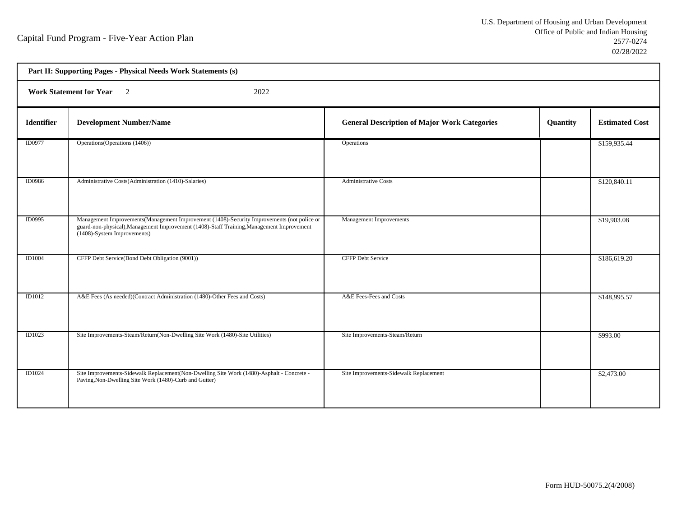h

|                   | Part II: Supporting Pages - Physical Needs Work Statements (s)                                                                                                                                                          |                                                     |          |                       |  |
|-------------------|-------------------------------------------------------------------------------------------------------------------------------------------------------------------------------------------------------------------------|-----------------------------------------------------|----------|-----------------------|--|
|                   | Work Statement for Year 2<br>2022                                                                                                                                                                                       |                                                     |          |                       |  |
| <b>Identifier</b> | <b>Development Number/Name</b>                                                                                                                                                                                          | <b>General Description of Major Work Categories</b> | Quantity | <b>Estimated Cost</b> |  |
| ID0977            | Operations (Operations (1406))                                                                                                                                                                                          | Operations                                          |          | \$159,935.44          |  |
| <b>ID0986</b>     | Administrative Costs(Administration (1410)-Salaries)                                                                                                                                                                    | <b>Administrative Costs</b>                         |          | \$120,840.11          |  |
| <b>ID0995</b>     | Management Improvements (Management Improvement (1408)-Security Improvements (not police or<br>guard-non-physical), Management Improvement (1408)-Staff Training, Management Improvement<br>(1408)-System Improvements) | Management Improvements                             |          | \$19,903.08           |  |
| <b>ID1004</b>     | CFFP Debt Service(Bond Debt Obligation (9001))                                                                                                                                                                          | <b>CFFP Debt Service</b>                            |          | \$186,619.20          |  |
| <b>ID1012</b>     | A&E Fees (As needed)(Contract Administration (1480)-Other Fees and Costs)                                                                                                                                               | A&E Fees-Fees and Costs                             |          | \$148,995.57          |  |
| ID1023            | Site Improvements-Steam/Return(Non-Dwelling Site Work (1480)-Site Utilities)                                                                                                                                            | Site Improvements-Steam/Return                      |          | \$993.00              |  |
| ID1024            | Site Improvements-Sidewalk Replacement(Non-Dwelling Site Work (1480)-Asphalt - Concrete -<br>Paving, Non-Dwelling Site Work (1480)-Curb and Gutter)                                                                     | Site Improvements-Sidewalk Replacement              |          | \$2,473.00            |  |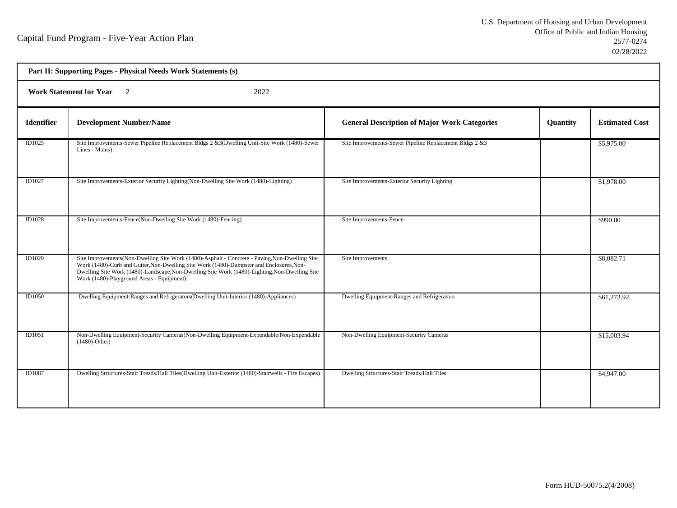| Part II: Supporting Pages - Physical Needs Work Statements (s) |                                                                                                                                                                                                                                                                                                                                            |                                                         |                 |                       |  |
|----------------------------------------------------------------|--------------------------------------------------------------------------------------------------------------------------------------------------------------------------------------------------------------------------------------------------------------------------------------------------------------------------------------------|---------------------------------------------------------|-----------------|-----------------------|--|
|                                                                | <b>Work Statement for Year</b><br>2022<br>$\overline{2}$                                                                                                                                                                                                                                                                                   |                                                         |                 |                       |  |
| <b>Identifier</b>                                              | <b>Development Number/Name</b>                                                                                                                                                                                                                                                                                                             | <b>General Description of Major Work Categories</b>     | <b>Quantity</b> | <b>Estimated Cost</b> |  |
| ID1025                                                         | Site Improvements-Sewer Pipeline Replacement Bldgs 2 &3(Dwelling Unit-Site Work (1480)-Sewer<br>Lines - Mains)                                                                                                                                                                                                                             | Site Improvements-Sewer Pipeline Replacement Bldgs 2 &3 |                 | \$5,975.00            |  |
| ID1027                                                         | Site Improvements-Exterior Security Lighting (Non-Dwelling Site Work (1480)-Lighting)                                                                                                                                                                                                                                                      | Site Improvements-Exterior Security Lighting            |                 | \$1,978.00            |  |
| ID1028                                                         | Site Improvements-Fence(Non-Dwelling Site Work (1480)-Fencing)                                                                                                                                                                                                                                                                             | Site Improvements-Fence                                 |                 | \$990.00              |  |
| ID1029                                                         | Site Improvements (Non-Dwelling Site Work (1480)-Asphalt - Concrete - Paving, Non-Dwelling Site<br>Work (1480)-Curb and Gutter, Non-Dwelling Site Work (1480)-Dumpster and Enclosures, Non-<br>Dwelling Site Work (1480)-Landscape, Non-Dwelling Site Work (1480)-Lighting, Non-Dwelling Site<br>Work (1480)-Playground Areas - Equipment) | Site Improvements                                       |                 | \$8,082.71            |  |
| <b>ID1050</b>                                                  | Dwelling Equipment-Ranges and Refrigerators (Dwelling Unit-Interior (1480)-Appliances)                                                                                                                                                                                                                                                     | Dwelling Equipment-Ranges and Refrigerators             |                 | \$61,273.92           |  |
| ID1051                                                         | Non-Dwelling Equipment-Security Cameras (Non-Dwelling Equipment-Expendable/Non-Expendable<br>$(1480)$ -Other)                                                                                                                                                                                                                              | Non-Dwelling Equipment-Security Cameras                 |                 | \$15,003.94           |  |
| ID1087                                                         | Dwelling Structures-Stair Treads/Hall Tiles(Dwelling Unit-Exterior (1480)-Stairwells - Fire Escapes)                                                                                                                                                                                                                                       | Dwelling Structures-Stair Treads/Hall Tiles             |                 | \$4,947.00            |  |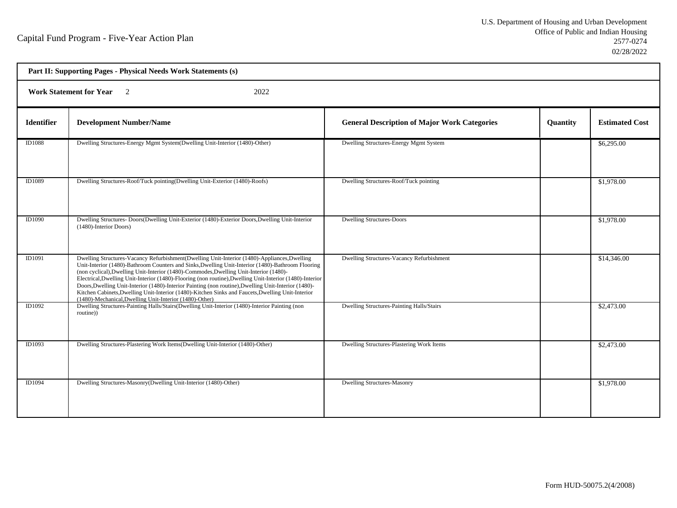| Part II: Supporting Pages - Physical Needs Work Statements (s) |                                                                                                                                                                                                                                                                                                                                                                                                                                                                                                                                                                                                                                                                                 |                                                     |                 |                       |  |
|----------------------------------------------------------------|---------------------------------------------------------------------------------------------------------------------------------------------------------------------------------------------------------------------------------------------------------------------------------------------------------------------------------------------------------------------------------------------------------------------------------------------------------------------------------------------------------------------------------------------------------------------------------------------------------------------------------------------------------------------------------|-----------------------------------------------------|-----------------|-----------------------|--|
|                                                                | Work Statement for Year 2<br>2022                                                                                                                                                                                                                                                                                                                                                                                                                                                                                                                                                                                                                                               |                                                     |                 |                       |  |
| <b>Identifier</b>                                              | <b>Development Number/Name</b>                                                                                                                                                                                                                                                                                                                                                                                                                                                                                                                                                                                                                                                  | <b>General Description of Major Work Categories</b> | <b>Quantity</b> | <b>Estimated Cost</b> |  |
| ID1088                                                         | Dwelling Structures-Energy Mgmt System(Dwelling Unit-Interior (1480)-Other)                                                                                                                                                                                                                                                                                                                                                                                                                                                                                                                                                                                                     | Dwelling Structures-Energy Mgmt System              |                 | \$6,295.00            |  |
| ID1089                                                         | Dwelling Structures-Roof/Tuck pointing(Dwelling Unit-Exterior (1480)-Roofs)                                                                                                                                                                                                                                                                                                                                                                                                                                                                                                                                                                                                     | Dwelling Structures-Roof/Tuck pointing              |                 | \$1,978.00            |  |
| ID1090                                                         | Dwelling Structures- Doors (Dwelling Unit-Exterior (1480)-Exterior Doors, Dwelling Unit-Interior<br>(1480)-Interior Doors)                                                                                                                                                                                                                                                                                                                                                                                                                                                                                                                                                      | <b>Dwelling Structures-Doors</b>                    |                 | \$1,978.00            |  |
| ID1091                                                         | Dwelling Structures-Vacancy Refurbishment(Dwelling Unit-Interior (1480)-Appliances, Dwelling<br>Unit-Interior (1480)-Bathroom Counters and Sinks, Dwelling Unit-Interior (1480)-Bathroom Flooring<br>(non cyclical), Dwelling Unit-Interior (1480)-Commodes, Dwelling Unit-Interior (1480)-<br>Electrical, Dwelling Unit-Interior (1480)-Flooring (non routine), Dwelling Unit-Interior (1480)-Interior<br>Doors, Dwelling Unit-Interior (1480)-Interior Painting (non routine), Dwelling Unit-Interior (1480)-<br>Kitchen Cabinets, Dwelling Unit-Interior (1480)-Kitchen Sinks and Faucets, Dwelling Unit-Interior<br>(1480)-Mechanical, Dwelling Unit-Interior (1480)-Other) | Dwelling Structures-Vacancy Refurbishment           |                 | \$14,346.00           |  |
| ID1092                                                         | Dwelling Structures-Painting Halls/Stairs(Dwelling Unit-Interior (1480)-Interior Painting (non<br>routine))                                                                                                                                                                                                                                                                                                                                                                                                                                                                                                                                                                     | Dwelling Structures-Painting Halls/Stairs           |                 | \$2,473.00            |  |
| ID1093                                                         | Dwelling Structures-Plastering Work Items(Dwelling Unit-Interior (1480)-Other)                                                                                                                                                                                                                                                                                                                                                                                                                                                                                                                                                                                                  | Dwelling Structures-Plastering Work Items           |                 | \$2,473.00            |  |
| ID1094                                                         | Dwelling Structures-Masonry(Dwelling Unit-Interior (1480)-Other)                                                                                                                                                                                                                                                                                                                                                                                                                                                                                                                                                                                                                | <b>Dwelling Structures-Masonry</b>                  |                 | \$1,978.00            |  |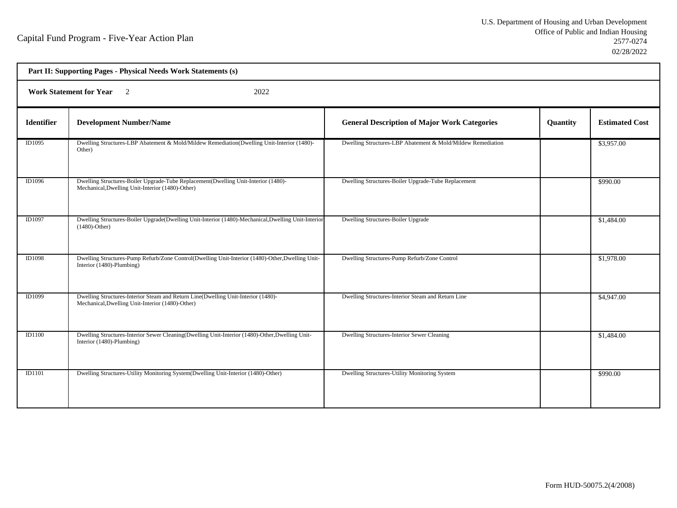| Part II: Supporting Pages - Physical Needs Work Statements (s) |                                                                                                                                        |                                                             |          |                       |  |
|----------------------------------------------------------------|----------------------------------------------------------------------------------------------------------------------------------------|-------------------------------------------------------------|----------|-----------------------|--|
|                                                                | Work Statement for Year 2<br>2022                                                                                                      |                                                             |          |                       |  |
| <b>Identifier</b>                                              | <b>Development Number/Name</b>                                                                                                         | <b>General Description of Major Work Categories</b>         | Quantity | <b>Estimated Cost</b> |  |
| ID1095                                                         | Dwelling Structures-LBP Abatement & Mold/Mildew Remediation(Dwelling Unit-Interior (1480)-<br>Other)                                   | Dwelling Structures-LBP Abatement & Mold/Mildew Remediation |          | \$3,957.00            |  |
| ID1096                                                         | Dwelling Structures-Boiler Upgrade-Tube Replacement(Dwelling Unit-Interior (1480)-<br>Mechanical, Dwelling Unit-Interior (1480)-Other) | Dwelling Structures-Boiler Upgrade-Tube Replacement         |          | \$990.00              |  |
| ID1097                                                         | Dwelling Structures-Boiler Upgrade(Dwelling Unit-Interior (1480)-Mechanical, Dwelling Unit-Interior<br>$(1480)$ -Other)                | Dwelling Structures-Boiler Upgrade                          |          | \$1,484.00            |  |
| <b>ID1098</b>                                                  | Dwelling Structures-Pump Refurb/Zone Control(Dwelling Unit-Interior (1480)-Other, Dwelling Unit-<br>Interior (1480)-Plumbing)          | Dwelling Structures-Pump Refurb/Zone Control                |          | \$1,978.00            |  |
| ID1099                                                         | Dwelling Structures-Interior Steam and Return Line(Dwelling Unit-Interior (1480)-<br>Mechanical, Dwelling Unit-Interior (1480)-Other)  | Dwelling Structures-Interior Steam and Return Line          |          | \$4,947.00            |  |
| <b>ID1100</b>                                                  | Dwelling Structures-Interior Sewer Cleaning(Dwelling Unit-Interior (1480)-Other, Dwelling Unit-<br>Interior (1480)-Plumbing)           | Dwelling Structures-Interior Sewer Cleaning                 |          | \$1,484.00            |  |
| ID1101                                                         | Dwelling Structures-Utility Monitoring System(Dwelling Unit-Interior (1480)-Other)                                                     | Dwelling Structures-Utility Monitoring System               |          | \$990.00              |  |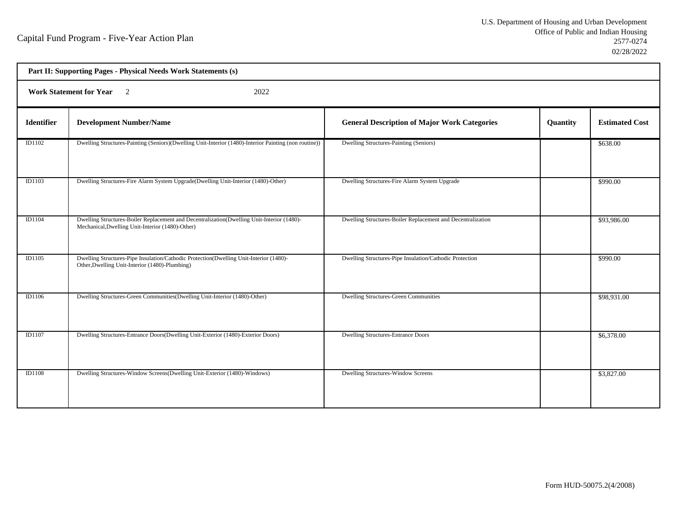|                   | Part II: Supporting Pages - Physical Needs Work Statements (s)                                                                                 |                                                             |          |                       |  |
|-------------------|------------------------------------------------------------------------------------------------------------------------------------------------|-------------------------------------------------------------|----------|-----------------------|--|
|                   | <b>Work Statement for Year</b><br>2022<br>$\overline{2}$                                                                                       |                                                             |          |                       |  |
| <b>Identifier</b> | <b>Development Number/Name</b>                                                                                                                 | <b>General Description of Major Work Categories</b>         | Quantity | <b>Estimated Cost</b> |  |
| ID1102            | Dwelling Structures-Painting (Seniors)(Dwelling Unit-Interior (1480)-Interior Painting (non routine))                                          | Dwelling Structures-Painting (Seniors)                      |          | \$638.00              |  |
| <b>ID1103</b>     | Dwelling Structures-Fire Alarm System Upgrade(Dwelling Unit-Interior (1480)-Other)                                                             | Dwelling Structures-Fire Alarm System Upgrade               |          | \$990.00              |  |
| <b>ID1104</b>     | Dwelling Structures-Boiler Replacement and Decentralization(Dwelling Unit-Interior (1480)-<br>Mechanical, Dwelling Unit-Interior (1480)-Other) | Dwelling Structures-Boiler Replacement and Decentralization |          | \$93,986.00           |  |
| ID1105            | Dwelling Structures-Pipe Insulation/Cathodic Protection(Dwelling Unit-Interior (1480)-<br>Other, Dwelling Unit-Interior (1480)-Plumbing)       | Dwelling Structures-Pipe Insulation/Cathodic Protection     |          | \$990.00              |  |
| ID1106            | Dwelling Structures-Green Communities (Dwelling Unit-Interior (1480)-Other)                                                                    | <b>Dwelling Structures-Green Communities</b>                |          | \$98,931.00           |  |
| ID1107            | Dwelling Structures-Entrance Doors(Dwelling Unit-Exterior (1480)-Exterior Doors)                                                               | <b>Dwelling Structures-Entrance Doors</b>                   |          | \$6,378.00            |  |
| <b>ID1108</b>     | Dwelling Structures-Window Screens(Dwelling Unit-Exterior (1480)-Windows)                                                                      | Dwelling Structures-Window Screens                          |          | \$3,827.00            |  |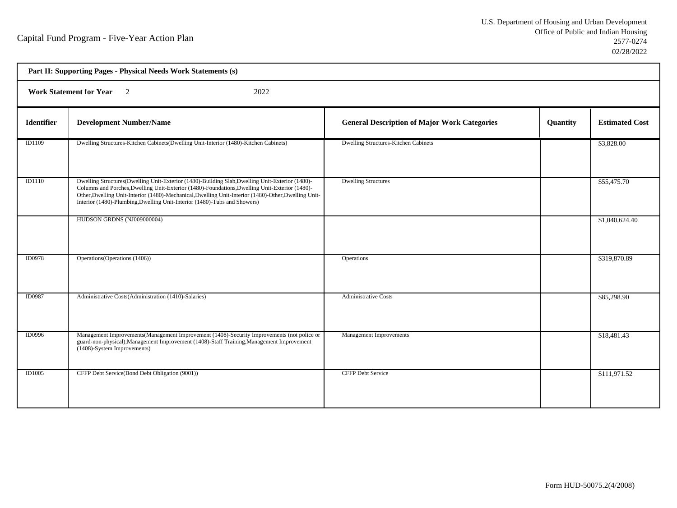|                   | Part II: Supporting Pages - Physical Needs Work Statements (s)                                                                                                                                                                                                                                                                                                                         |                                                     |                 |                       |  |
|-------------------|----------------------------------------------------------------------------------------------------------------------------------------------------------------------------------------------------------------------------------------------------------------------------------------------------------------------------------------------------------------------------------------|-----------------------------------------------------|-----------------|-----------------------|--|
|                   | <b>Work Statement for Year</b><br>$\overline{2}$<br>2022                                                                                                                                                                                                                                                                                                                               |                                                     |                 |                       |  |
| <b>Identifier</b> | <b>Development Number/Name</b>                                                                                                                                                                                                                                                                                                                                                         | <b>General Description of Major Work Categories</b> | <b>Quantity</b> | <b>Estimated Cost</b> |  |
| ID1109            | Dwelling Structures-Kitchen Cabinets(Dwelling Unit-Interior (1480)-Kitchen Cabinets)                                                                                                                                                                                                                                                                                                   | Dwelling Structures-Kitchen Cabinets                |                 | \$3,828.00            |  |
| <b>ID1110</b>     | Dwelling Structures(Dwelling Unit-Exterior (1480)-Building Slab, Dwelling Unit-Exterior (1480)-<br>Columns and Porches, Dwelling Unit-Exterior (1480)-Foundations, Dwelling Unit-Exterior (1480)-<br>Other, Dwelling Unit-Interior (1480)-Mechanical, Dwelling Unit-Interior (1480)-Other, Dwelling Unit-<br>Interior (1480)-Plumbing, Dwelling Unit-Interior (1480)-Tubs and Showers) | <b>Dwelling Structures</b>                          |                 | \$55,475.70           |  |
|                   | HUDSON GRDNS (NJ009000004)                                                                                                                                                                                                                                                                                                                                                             |                                                     |                 | \$1,040,624.40        |  |
| <b>ID0978</b>     | Operations (Operations (1406))                                                                                                                                                                                                                                                                                                                                                         | Operations                                          |                 | \$319,870.89          |  |
| <b>ID0987</b>     | Administrative Costs(Administration (1410)-Salaries)                                                                                                                                                                                                                                                                                                                                   | <b>Administrative Costs</b>                         |                 | \$85,298.90           |  |
| ID0996            | Management Improvements (Management Improvement (1408)-Security Improvements (not police or<br>guard-non-physical), Management Improvement (1408)-Staff Training, Management Improvement<br>(1408)-System Improvements)                                                                                                                                                                | Management Improvements                             |                 | \$18,481.43           |  |
| ID1005            | CFFP Debt Service(Bond Debt Obligation (9001))                                                                                                                                                                                                                                                                                                                                         | <b>CFFP Debt Service</b>                            |                 | \$111,971.52          |  |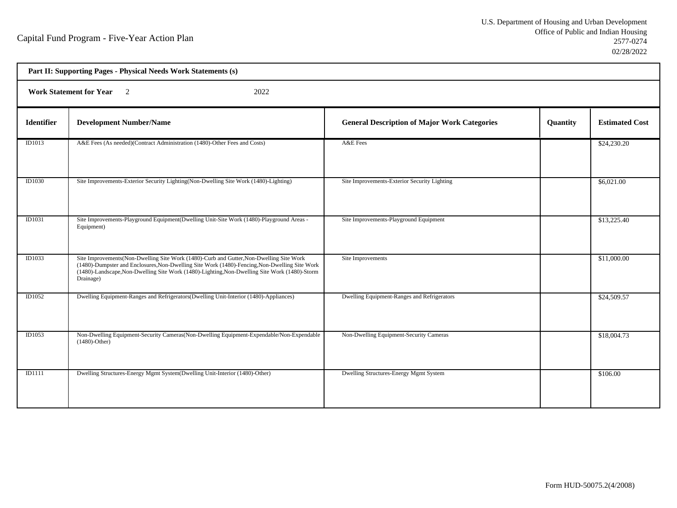| Part II: Supporting Pages - Physical Needs Work Statements (s) |                                                                                                                                                                                                                                                                                                         |                                                     |          |                       |  |  |
|----------------------------------------------------------------|---------------------------------------------------------------------------------------------------------------------------------------------------------------------------------------------------------------------------------------------------------------------------------------------------------|-----------------------------------------------------|----------|-----------------------|--|--|
|                                                                | <b>Work Statement for Year</b><br>2022<br>$\overline{2}$                                                                                                                                                                                                                                                |                                                     |          |                       |  |  |
| <b>Identifier</b>                                              | <b>Development Number/Name</b>                                                                                                                                                                                                                                                                          | <b>General Description of Major Work Categories</b> | Quantity | <b>Estimated Cost</b> |  |  |
| ID1013                                                         | A&E Fees (As needed)(Contract Administration (1480)-Other Fees and Costs)                                                                                                                                                                                                                               | A&E Fees                                            |          | \$24,230.20           |  |  |
| ID1030                                                         | Site Improvements-Exterior Security Lighting(Non-Dwelling Site Work (1480)-Lighting)                                                                                                                                                                                                                    | Site Improvements-Exterior Security Lighting        |          | \$6,021.00            |  |  |
| ID1031                                                         | Site Improvements-Playground Equipment (Dwelling Unit-Site Work (1480)-Playground Areas -<br>Equipment)                                                                                                                                                                                                 | Site Improvements-Playground Equipment              |          | \$13,225.40           |  |  |
| ID1033                                                         | Site Improvements (Non-Dwelling Site Work (1480)-Curb and Gutter, Non-Dwelling Site Work<br>(1480)-Dumpster and Enclosures, Non-Dwelling Site Work (1480)-Fencing, Non-Dwelling Site Work<br>(1480)-Landscape, Non-Dwelling Site Work (1480)-Lighting, Non-Dwelling Site Work (1480)-Storm<br>Drainage) | Site Improvements                                   |          | \$11,000.00           |  |  |
| ID1052                                                         | Dwelling Equipment-Ranges and Refrigerators (Dwelling Unit-Interior (1480)-Appliances)                                                                                                                                                                                                                  | Dwelling Equipment-Ranges and Refrigerators         |          | \$24,509.57           |  |  |
| ID1053                                                         | Non-Dwelling Equipment-Security Cameras (Non-Dwelling Equipment-Expendable/Non-Expendable<br>$(1480)$ -Other)                                                                                                                                                                                           | Non-Dwelling Equipment-Security Cameras             |          | \$18,004.73           |  |  |
| ID1111                                                         | Dwelling Structures-Energy Mgmt System(Dwelling Unit-Interior (1480)-Other)                                                                                                                                                                                                                             | Dwelling Structures-Energy Mgmt System              |          | \$106.00              |  |  |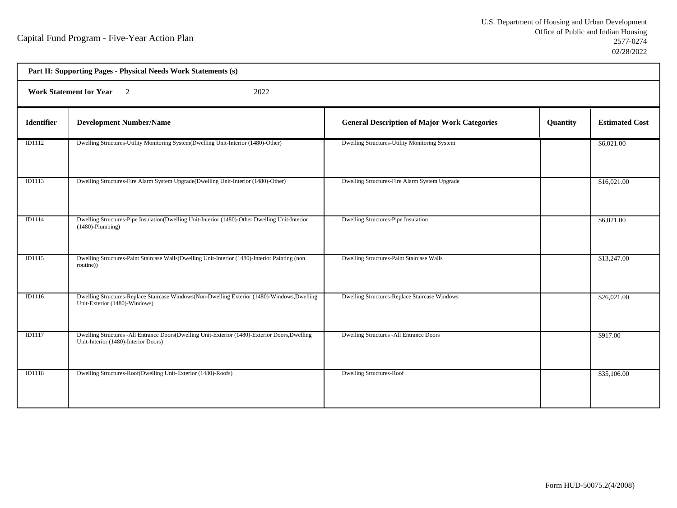| Part II: Supporting Pages - Physical Needs Work Statements (s) |                                                                                                                                        |                                                     |          |                       |  |  |
|----------------------------------------------------------------|----------------------------------------------------------------------------------------------------------------------------------------|-----------------------------------------------------|----------|-----------------------|--|--|
|                                                                | <b>Work Statement for Year</b><br>$\overline{2}$<br>2022                                                                               |                                                     |          |                       |  |  |
| <b>Identifier</b>                                              | <b>Development Number/Name</b>                                                                                                         | <b>General Description of Major Work Categories</b> | Quantity | <b>Estimated Cost</b> |  |  |
| ID1112                                                         | Dwelling Structures-Utility Monitoring System(Dwelling Unit-Interior (1480)-Other)                                                     | Dwelling Structures-Utility Monitoring System       |          | \$6,021.00            |  |  |
| <b>ID1113</b>                                                  | Dwelling Structures-Fire Alarm System Upgrade(Dwelling Unit-Interior (1480)-Other)                                                     | Dwelling Structures-Fire Alarm System Upgrade       |          | \$16,021.00           |  |  |
| ID1114                                                         | Dwelling Structures-Pipe Insulation(Dwelling Unit-Interior (1480)-Other, Dwelling Unit-Interior<br>$(1480)$ -Plumbing)                 | Dwelling Structures-Pipe Insulation                 |          | \$6,021.00            |  |  |
| <b>ID1115</b>                                                  | Dwelling Structures-Paint Staircase Walls(Dwelling Unit-Interior (1480)-Interior Painting (non<br>routine))                            | Dwelling Structures-Paint Staircase Walls           |          | \$13,247.00           |  |  |
| <b>ID1116</b>                                                  | Dwelling Structures-Replace Staircase Windows(Non-Dwelling Exterior (1480)-Windows, Dwelling<br>Unit-Exterior (1480)-Windows)          | Dwelling Structures-Replace Staircase Windows       |          | \$26,021.00           |  |  |
| ID1117                                                         | Dwelling Structures -All Entrance Doors(Dwelling Unit-Exterior (1480)-Exterior Doors, Dwelling<br>Unit-Interior (1480)-Interior Doors) | Dwelling Structures -All Entrance Doors             |          | \$917.00              |  |  |
| <b>ID1118</b>                                                  | Dwelling Structures-Roof(Dwelling Unit-Exterior (1480)-Roofs)                                                                          | <b>Dwelling Structures-Roof</b>                     |          | \$35,106.00           |  |  |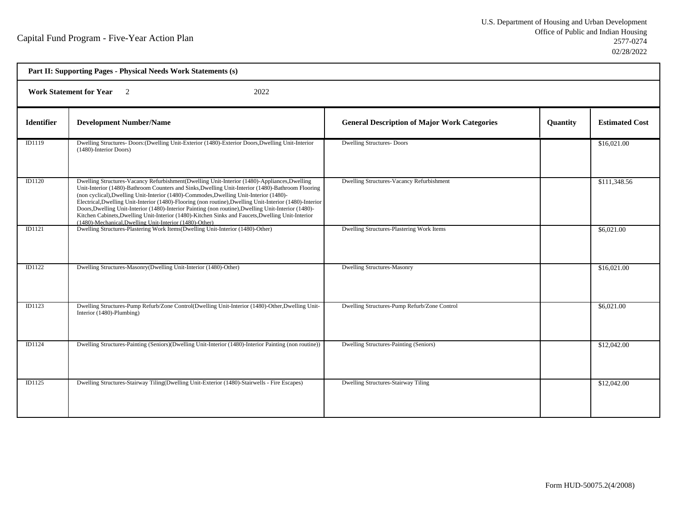| Part II: Supporting Pages - Physical Needs Work Statements (s) |                                                                                                                                                                                                                                                                                                                                                                                                                                                                                                                                                                                                                                                                                 |                                                     |          |                       |  |  |
|----------------------------------------------------------------|---------------------------------------------------------------------------------------------------------------------------------------------------------------------------------------------------------------------------------------------------------------------------------------------------------------------------------------------------------------------------------------------------------------------------------------------------------------------------------------------------------------------------------------------------------------------------------------------------------------------------------------------------------------------------------|-----------------------------------------------------|----------|-----------------------|--|--|
|                                                                | Work Statement for Year 2<br>2022                                                                                                                                                                                                                                                                                                                                                                                                                                                                                                                                                                                                                                               |                                                     |          |                       |  |  |
| <b>Identifier</b>                                              | <b>Development Number/Name</b>                                                                                                                                                                                                                                                                                                                                                                                                                                                                                                                                                                                                                                                  | <b>General Description of Major Work Categories</b> | Quantity | <b>Estimated Cost</b> |  |  |
| ID1119                                                         | Dwelling Structures- Doors: (Dwelling Unit-Exterior (1480)-Exterior Doors, Dwelling Unit-Interior<br>(1480)-Interior Doors)                                                                                                                                                                                                                                                                                                                                                                                                                                                                                                                                                     | <b>Dwelling Structures-Doors</b>                    |          | \$16,021.00           |  |  |
| <b>ID1120</b>                                                  | Dwelling Structures-Vacancy Refurbishment(Dwelling Unit-Interior (1480)-Appliances, Dwelling<br>Unit-Interior (1480)-Bathroom Counters and Sinks, Dwelling Unit-Interior (1480)-Bathroom Flooring<br>(non cyclical), Dwelling Unit-Interior (1480)-Commodes, Dwelling Unit-Interior (1480)-<br>Electrical, Dwelling Unit-Interior (1480)-Flooring (non routine), Dwelling Unit-Interior (1480)-Interior<br>Doors, Dwelling Unit-Interior (1480)-Interior Painting (non routine), Dwelling Unit-Interior (1480)-<br>Kitchen Cabinets, Dwelling Unit-Interior (1480)-Kitchen Sinks and Faucets, Dwelling Unit-Interior<br>(1480)-Mechanical, Dwelling Unit-Interior (1480)-Other) | Dwelling Structures-Vacancy Refurbishment           |          | \$111,348.56          |  |  |
| ID1121                                                         | Dwelling Structures-Plastering Work Items(Dwelling Unit-Interior (1480)-Other)                                                                                                                                                                                                                                                                                                                                                                                                                                                                                                                                                                                                  | Dwelling Structures-Plastering Work Items           |          | \$6,021.00            |  |  |
| <b>ID1122</b>                                                  | Dwelling Structures-Masonry(Dwelling Unit-Interior (1480)-Other)                                                                                                                                                                                                                                                                                                                                                                                                                                                                                                                                                                                                                | <b>Dwelling Structures-Masonry</b>                  |          | \$16,021.00           |  |  |
| ID1123                                                         | Dwelling Structures-Pump Refurb/Zone Control(Dwelling Unit-Interior (1480)-Other, Dwelling Unit-<br>Interior (1480)-Plumbing)                                                                                                                                                                                                                                                                                                                                                                                                                                                                                                                                                   | Dwelling Structures-Pump Refurb/Zone Control        |          | \$6,021.00            |  |  |
| ID1124                                                         | Dwelling Structures-Painting (Seniors)(Dwelling Unit-Interior (1480)-Interior Painting (non routine))                                                                                                                                                                                                                                                                                                                                                                                                                                                                                                                                                                           | Dwelling Structures-Painting (Seniors)              |          | \$12,042.00           |  |  |
| <b>ID1125</b>                                                  | Dwelling Structures-Stairway Tiling(Dwelling Unit-Exterior (1480)-Stairwells - Fire Escapes)                                                                                                                                                                                                                                                                                                                                                                                                                                                                                                                                                                                    | <b>Dwelling Structures-Stairway Tiling</b>          |          | \$12,042.00           |  |  |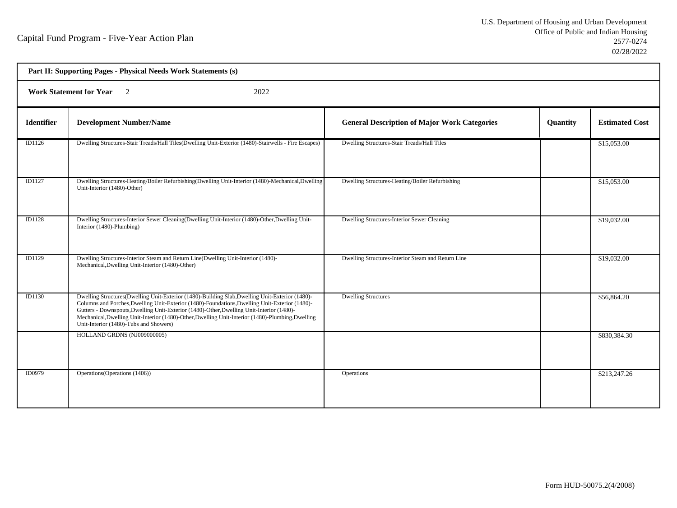h

| Part II: Supporting Pages - Physical Needs Work Statements (s) |                                                                                                                                                                                                                                                                                                                                                                                                                                               |                                                     |          |                       |  |  |
|----------------------------------------------------------------|-----------------------------------------------------------------------------------------------------------------------------------------------------------------------------------------------------------------------------------------------------------------------------------------------------------------------------------------------------------------------------------------------------------------------------------------------|-----------------------------------------------------|----------|-----------------------|--|--|
|                                                                | Work Statement for Year 2<br>2022                                                                                                                                                                                                                                                                                                                                                                                                             |                                                     |          |                       |  |  |
| <b>Identifier</b>                                              | <b>Development Number/Name</b>                                                                                                                                                                                                                                                                                                                                                                                                                | <b>General Description of Major Work Categories</b> | Quantity | <b>Estimated Cost</b> |  |  |
| ID1126                                                         | Dwelling Structures-Stair Treads/Hall Tiles(Dwelling Unit-Exterior (1480)-Stairwells - Fire Escapes)                                                                                                                                                                                                                                                                                                                                          | Dwelling Structures-Stair Treads/Hall Tiles         |          | \$15,053.00           |  |  |
| ID1127                                                         | Dwelling Structures-Heating/Boiler Refurbishing(Dwelling Unit-Interior (1480)-Mechanical,Dwelling<br>Unit-Interior (1480)-Other)                                                                                                                                                                                                                                                                                                              | Dwelling Structures-Heating/Boiler Refurbishing     |          | \$15,053.00           |  |  |
| <b>ID1128</b>                                                  | Dwelling Structures-Interior Sewer Cleaning(Dwelling Unit-Interior (1480)-Other, Dwelling Unit-<br>Interior (1480)-Plumbing)                                                                                                                                                                                                                                                                                                                  | Dwelling Structures-Interior Sewer Cleaning         |          | \$19,032.00           |  |  |
| ID1129                                                         | Dwelling Structures-Interior Steam and Return Line(Dwelling Unit-Interior (1480)-<br>Mechanical, Dwelling Unit-Interior (1480)-Other)                                                                                                                                                                                                                                                                                                         | Dwelling Structures-Interior Steam and Return Line  |          | \$19,032.00           |  |  |
| <b>ID1130</b>                                                  | Dwelling Structures(Dwelling Unit-Exterior (1480)-Building Slab, Dwelling Unit-Exterior (1480)-<br>Columns and Porches, Dwelling Unit-Exterior (1480)-Foundations, Dwelling Unit-Exterior (1480)-<br>Gutters - Downspouts, Dwelling Unit-Exterior (1480)-Other, Dwelling Unit-Interior (1480)-<br>Mechanical, Dwelling Unit-Interior (1480)-Other, Dwelling Unit-Interior (1480)-Plumbing, Dwelling<br>Unit-Interior (1480)-Tubs and Showers) | <b>Dwelling Structures</b>                          |          | \$56,864.20           |  |  |
|                                                                | HOLLAND GRDNS (NJ009000005)                                                                                                                                                                                                                                                                                                                                                                                                                   |                                                     |          | \$830,384.30          |  |  |
| ID0979                                                         | Operations (Operations (1406))                                                                                                                                                                                                                                                                                                                                                                                                                | <b>Operations</b>                                   |          | \$213,247.26          |  |  |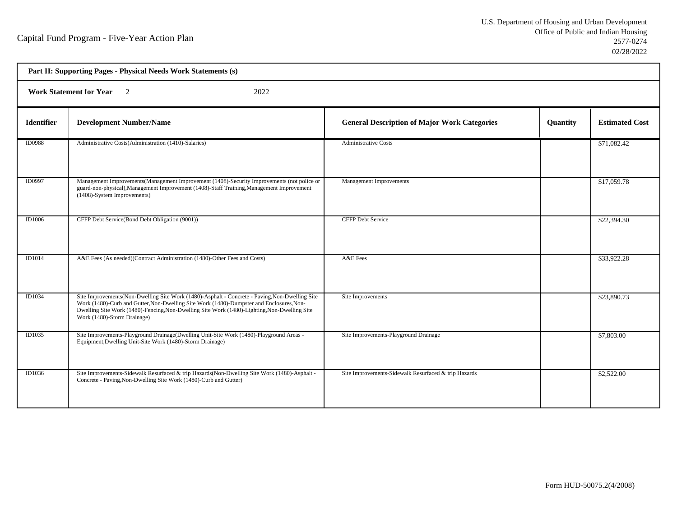| Part II: Supporting Pages - Physical Needs Work Statements (s) |                                                                                                                                                                                                                                                                                                                            |                                                      |          |                       |  |  |
|----------------------------------------------------------------|----------------------------------------------------------------------------------------------------------------------------------------------------------------------------------------------------------------------------------------------------------------------------------------------------------------------------|------------------------------------------------------|----------|-----------------------|--|--|
|                                                                | <b>Work Statement for Year</b><br>2022<br>$\overline{2}$                                                                                                                                                                                                                                                                   |                                                      |          |                       |  |  |
| <b>Identifier</b>                                              | <b>Development Number/Name</b>                                                                                                                                                                                                                                                                                             | <b>General Description of Major Work Categories</b>  | Quantity | <b>Estimated Cost</b> |  |  |
| <b>ID0988</b>                                                  | Administrative Costs(Administration (1410)-Salaries)                                                                                                                                                                                                                                                                       | <b>Administrative Costs</b>                          |          | \$71,082.42           |  |  |
| ID0997                                                         | Management Improvements (Management Improvement (1408)-Security Improvements (not police or<br>guard-non-physical), Management Improvement (1408)-Staff Training, Management Improvement<br>(1408)-System Improvements)                                                                                                    | <b>Management Improvements</b>                       |          | \$17,059.78           |  |  |
| ID1006                                                         | CFFP Debt Service(Bond Debt Obligation (9001))                                                                                                                                                                                                                                                                             | <b>CFFP Debt Service</b>                             |          | \$22,394.30           |  |  |
| <b>ID1014</b>                                                  | A&E Fees (As needed)(Contract Administration (1480)-Other Fees and Costs)                                                                                                                                                                                                                                                  | A&E Fees                                             |          | \$33,922.28           |  |  |
| ID1034                                                         | Site Improvements (Non-Dwelling Site Work (1480)-Asphalt - Concrete - Paving, Non-Dwelling Site<br>Work (1480)-Curb and Gutter, Non-Dwelling Site Work (1480)-Dumpster and Enclosures, Non-<br>Dwelling Site Work (1480)-Fencing, Non-Dwelling Site Work (1480)-Lighting, Non-Dwelling Site<br>Work (1480)-Storm Drainage) | Site Improvements                                    |          | \$23,890.73           |  |  |
| ID1035                                                         | Site Improvements-Playground Drainage(Dwelling Unit-Site Work (1480)-Playground Areas -<br>Equipment, Dwelling Unit-Site Work (1480)-Storm Drainage)                                                                                                                                                                       | Site Improvements-Playground Drainage                |          | \$7,803.00            |  |  |
| ID1036                                                         | Site Improvements-Sidewalk Resurfaced & trip Hazards (Non-Dwelling Site Work (1480)-Asphalt -<br>Concrete - Paving, Non-Dwelling Site Work (1480)-Curb and Gutter)                                                                                                                                                         | Site Improvements-Sidewalk Resurfaced & trip Hazards |          | \$2,522.00            |  |  |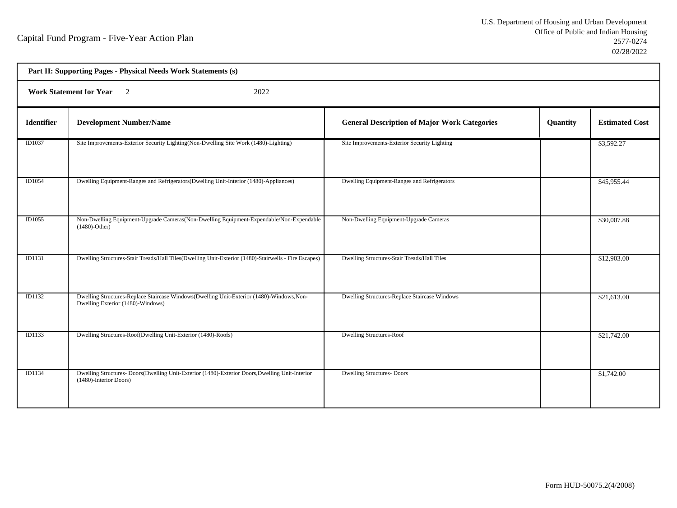| Part II: Supporting Pages - Physical Needs Work Statements (s) |                                                                                                                                |                                                     |          |                       |  |  |
|----------------------------------------------------------------|--------------------------------------------------------------------------------------------------------------------------------|-----------------------------------------------------|----------|-----------------------|--|--|
|                                                                | <b>Work Statement for Year</b><br>2022<br>$\overline{2}$                                                                       |                                                     |          |                       |  |  |
| <b>Identifier</b>                                              | <b>Development Number/Name</b>                                                                                                 | <b>General Description of Major Work Categories</b> | Quantity | <b>Estimated Cost</b> |  |  |
| ID1037                                                         | Site Improvements-Exterior Security Lighting(Non-Dwelling Site Work (1480)-Lighting)                                           | Site Improvements-Exterior Security Lighting        |          | \$3,592.27            |  |  |
| ID1054                                                         | Dwelling Equipment-Ranges and Refrigerators(Dwelling Unit-Interior (1480)-Appliances)                                          | Dwelling Equipment-Ranges and Refrigerators         |          | \$45,955.44           |  |  |
| ID1055                                                         | Non-Dwelling Equipment-Upgrade Cameras(Non-Dwelling Equipment-Expendable/Non-Expendable<br>$(1480)$ -Other)                    | Non-Dwelling Equipment-Upgrade Cameras              |          | \$30,007.88           |  |  |
| ID1131                                                         | Dwelling Structures-Stair Treads/Hall Tiles(Dwelling Unit-Exterior (1480)-Stairwells - Fire Escapes)                           | Dwelling Structures-Stair Treads/Hall Tiles         |          | \$12,903.00           |  |  |
| ID1132                                                         | Dwelling Structures-Replace Staircase Windows(Dwelling Unit-Exterior (1480)-Windows, Non-<br>Dwelling Exterior (1480)-Windows) | Dwelling Structures-Replace Staircase Windows       |          | \$21,613.00           |  |  |
| <b>ID1133</b>                                                  | Dwelling Structures-Roof(Dwelling Unit-Exterior (1480)-Roofs)                                                                  | <b>Dwelling Structures-Roof</b>                     |          | \$21,742.00           |  |  |
| ID1134                                                         | Dwelling Structures-Doors(Dwelling Unit-Exterior (1480)-Exterior Doors, Dwelling Unit-Interior<br>(1480)-Interior Doors)       | <b>Dwelling Structures- Doors</b>                   |          | \$1,742.00            |  |  |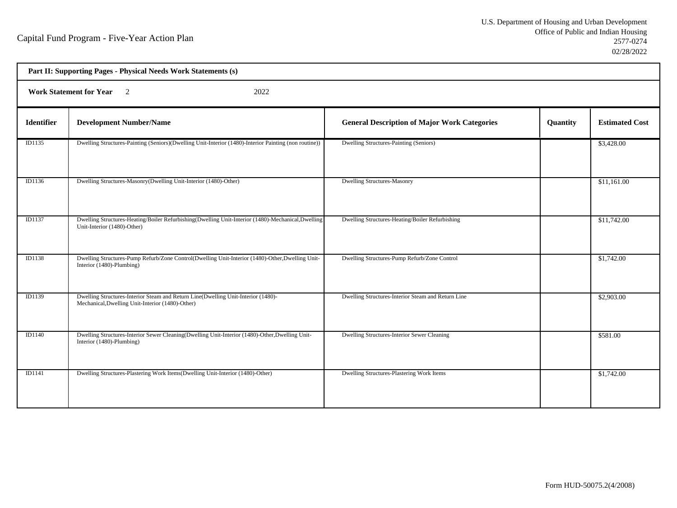h

| Part II: Supporting Pages - Physical Needs Work Statements (s) |                                                                                                                                       |                                                     |          |                       |  |  |
|----------------------------------------------------------------|---------------------------------------------------------------------------------------------------------------------------------------|-----------------------------------------------------|----------|-----------------------|--|--|
|                                                                | Work Statement for Year 2<br>2022                                                                                                     |                                                     |          |                       |  |  |
| <b>Identifier</b>                                              | <b>Development Number/Name</b>                                                                                                        | <b>General Description of Major Work Categories</b> | Quantity | <b>Estimated Cost</b> |  |  |
| ID1135                                                         | Dwelling Structures-Painting (Seniors)(Dwelling Unit-Interior (1480)-Interior Painting (non routine))                                 | Dwelling Structures-Painting (Seniors)              |          | \$3,428.00            |  |  |
| ID1136                                                         | Dwelling Structures-Masonry(Dwelling Unit-Interior (1480)-Other)                                                                      | <b>Dwelling Structures-Masonry</b>                  |          | \$11,161.00           |  |  |
| <b>ID1137</b>                                                  | Dwelling Structures-Heating/Boiler Refurbishing(Dwelling Unit-Interior (1480)-Mechanical,Dwelling<br>Unit-Interior (1480)-Other)      | Dwelling Structures-Heating/Boiler Refurbishing     |          | \$11,742.00           |  |  |
| <b>ID1138</b>                                                  | Dwelling Structures-Pump Refurb/Zone Control(Dwelling Unit-Interior (1480)-Other, Dwelling Unit-<br>Interior (1480)-Plumbing)         | Dwelling Structures-Pump Refurb/Zone Control        |          | \$1,742.00            |  |  |
| ID1139                                                         | Dwelling Structures-Interior Steam and Return Line(Dwelling Unit-Interior (1480)-<br>Mechanical, Dwelling Unit-Interior (1480)-Other) | Dwelling Structures-Interior Steam and Return Line  |          | \$2,903.00            |  |  |
| ID1140                                                         | Dwelling Structures-Interior Sewer Cleaning(Dwelling Unit-Interior (1480)-Other, Dwelling Unit-<br>Interior (1480)-Plumbing)          | Dwelling Structures-Interior Sewer Cleaning         |          | \$581.00              |  |  |
| <b>ID1141</b>                                                  | Dwelling Structures-Plastering Work Items(Dwelling Unit-Interior (1480)-Other)                                                        | Dwelling Structures-Plastering Work Items           |          | \$1,742.00            |  |  |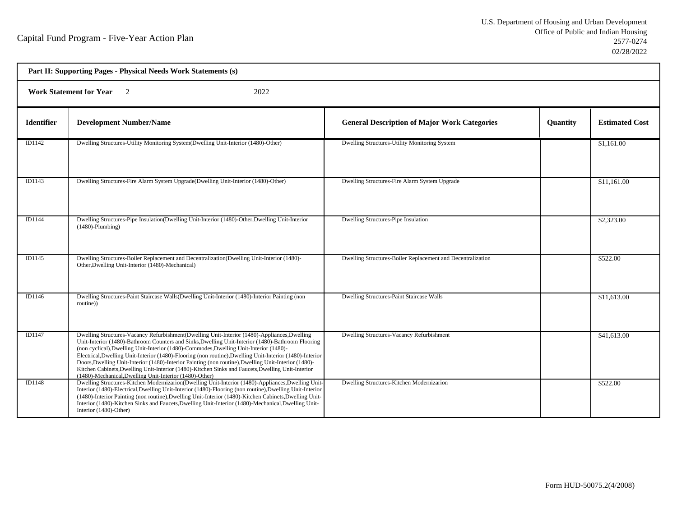| Part II: Supporting Pages - Physical Needs Work Statements (s) |                                                                                                                                                                                                                                                                                                                                                                                                                                                                                                                                                                                                                                                                                  |                                                             |                 |                       |  |
|----------------------------------------------------------------|----------------------------------------------------------------------------------------------------------------------------------------------------------------------------------------------------------------------------------------------------------------------------------------------------------------------------------------------------------------------------------------------------------------------------------------------------------------------------------------------------------------------------------------------------------------------------------------------------------------------------------------------------------------------------------|-------------------------------------------------------------|-----------------|-----------------------|--|
| <b>Work Statement for Year</b><br>$\overline{2}$<br>2022       |                                                                                                                                                                                                                                                                                                                                                                                                                                                                                                                                                                                                                                                                                  |                                                             |                 |                       |  |
| <b>Identifier</b>                                              | <b>Development Number/Name</b>                                                                                                                                                                                                                                                                                                                                                                                                                                                                                                                                                                                                                                                   | <b>General Description of Major Work Categories</b>         | <b>Quantity</b> | <b>Estimated Cost</b> |  |
| ID1142                                                         | Dwelling Structures-Utility Monitoring System(Dwelling Unit-Interior (1480)-Other)                                                                                                                                                                                                                                                                                                                                                                                                                                                                                                                                                                                               | Dwelling Structures-Utility Monitoring System               |                 | \$1,161.00            |  |
| ID1143                                                         | Dwelling Structures-Fire Alarm System Upgrade(Dwelling Unit-Interior (1480)-Other)                                                                                                                                                                                                                                                                                                                                                                                                                                                                                                                                                                                               | Dwelling Structures-Fire Alarm System Upgrade               |                 | \$11,161.00           |  |
| ID1144                                                         | Dwelling Structures-Pipe Insulation(Dwelling Unit-Interior (1480)-Other, Dwelling Unit-Interior<br>$(1480)$ -Plumbing)                                                                                                                                                                                                                                                                                                                                                                                                                                                                                                                                                           | Dwelling Structures-Pipe Insulation                         |                 | \$2,323.00            |  |
| ID1145                                                         | Dwelling Structures-Boiler Replacement and Decentralization(Dwelling Unit-Interior (1480)-<br>Other, Dwelling Unit-Interior (1480)-Mechanical)                                                                                                                                                                                                                                                                                                                                                                                                                                                                                                                                   | Dwelling Structures-Boiler Replacement and Decentralization |                 | \$522.00              |  |
| ID1146                                                         | Dwelling Structures-Paint Staircase Walls(Dwelling Unit-Interior (1480)-Interior Painting (non<br>routine))                                                                                                                                                                                                                                                                                                                                                                                                                                                                                                                                                                      | <b>Dwelling Structures-Paint Staircase Walls</b>            |                 | \$11,613.00           |  |
| ID1147                                                         | Dwelling Structures-Vacancy Refurbishment (Dwelling Unit-Interior (1480)-Appliances, Dwelling<br>Unit-Interior (1480)-Bathroom Counters and Sinks, Dwelling Unit-Interior (1480)-Bathroom Flooring<br>(non cyclical), Dwelling Unit-Interior (1480)-Commodes, Dwelling Unit-Interior (1480)-<br>Electrical, Dwelling Unit-Interior (1480)-Flooring (non routine), Dwelling Unit-Interior (1480)-Interior<br>Doors, Dwelling Unit-Interior (1480)-Interior Painting (non routine), Dwelling Unit-Interior (1480)-<br>Kitchen Cabinets, Dwelling Unit-Interior (1480)-Kitchen Sinks and Faucets, Dwelling Unit-Interior<br>(1480)-Mechanical, Dwelling Unit-Interior (1480)-Other) | Dwelling Structures-Vacancy Refurbishment                   |                 | \$41,613.00           |  |
| ID1148                                                         | Dwelling Structures-Kitchen Modernizarion(Dwelling Unit-Interior (1480)-Appliances, Dwelling Unit-<br>Interior (1480)-Electrical, Dwelling Unit-Interior (1480)-Flooring (non routine), Dwelling Unit-Interior<br>(1480)-Interior Painting (non routine), Dwelling Unit-Interior (1480)-Kitchen Cabinets, Dwelling Unit-<br>Interior (1480)-Kitchen Sinks and Faucets, Dwelling Unit-Interior (1480)-Mechanical, Dwelling Unit-<br>Interior (1480)-Other)                                                                                                                                                                                                                        | Dwelling Structures-Kitchen Modernizarion                   |                 | \$522.00              |  |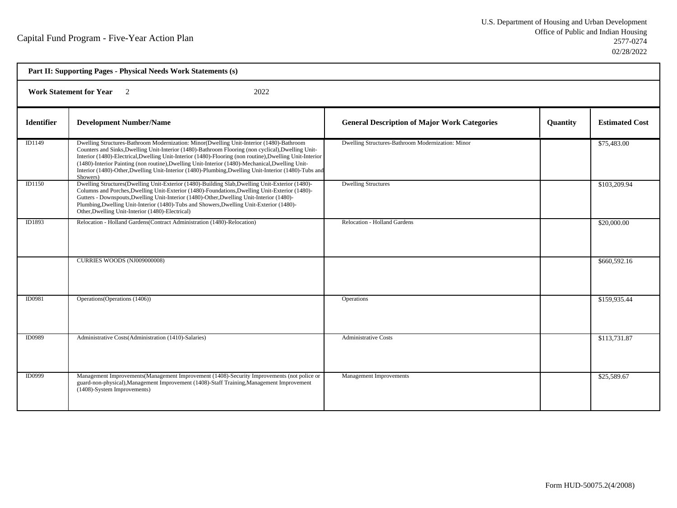| Part II: Supporting Pages - Physical Needs Work Statements (s) |                                                                                                                                                                                                                                                                                                                                                                                                                                                                                                                                     |                                                     |          |                       |  |  |
|----------------------------------------------------------------|-------------------------------------------------------------------------------------------------------------------------------------------------------------------------------------------------------------------------------------------------------------------------------------------------------------------------------------------------------------------------------------------------------------------------------------------------------------------------------------------------------------------------------------|-----------------------------------------------------|----------|-----------------------|--|--|
|                                                                | <b>Work Statement for Year</b> 2<br>2022                                                                                                                                                                                                                                                                                                                                                                                                                                                                                            |                                                     |          |                       |  |  |
| <b>Identifier</b>                                              | <b>Development Number/Name</b>                                                                                                                                                                                                                                                                                                                                                                                                                                                                                                      | <b>General Description of Major Work Categories</b> | Quantity | <b>Estimated Cost</b> |  |  |
| ID1149                                                         | Dwelling Structures-Bathroom Modernization: Minor(Dwelling Unit-Interior (1480)-Bathroom<br>Counters and Sinks, Dwelling Unit-Interior (1480)-Bathroom Flooring (non cyclical), Dwelling Unit-<br>Interior (1480)-Electrical, Dwelling Unit-Interior (1480)-Flooring (non routine), Dwelling Unit-Interior<br>(1480)-Interior Painting (non routine), Dwelling Unit-Interior (1480)-Mechanical, Dwelling Unit-<br>Interior (1480)-Other, Dwelling Unit-Interior (1480)-Plumbing, Dwelling Unit-Interior (1480)-Tubs and<br>Showers) | Dwelling Structures-Bathroom Modernization: Minor   |          | \$75,483.00           |  |  |
| <b>ID1150</b>                                                  | Dwelling Structures(Dwelling Unit-Exterior (1480)-Building Slab,Dwelling Unit-Exterior (1480)-<br>Columns and Porches, Dwelling Unit-Exterior (1480)-Foundations, Dwelling Unit-Exterior (1480)-<br>Gutters - Downspouts, Dwelling Unit-Interior (1480)-Other, Dwelling Unit-Interior (1480)-<br>Plumbing, Dwelling Unit-Interior (1480)-Tubs and Showers, Dwelling Unit-Exterior (1480)-<br>Other, Dwelling Unit-Interior (1480)-Electrical)                                                                                       | <b>Dwelling Structures</b>                          |          | \$103,209.94          |  |  |
| ID1893                                                         | Relocation - Holland Gardens (Contract Administration (1480)-Relocation)                                                                                                                                                                                                                                                                                                                                                                                                                                                            | Relocation - Holland Gardens                        |          | \$20,000.00           |  |  |
|                                                                | <b>CURRIES WOODS (NJ009000008)</b>                                                                                                                                                                                                                                                                                                                                                                                                                                                                                                  |                                                     |          | \$660,592.16          |  |  |
| ID0981                                                         | Operations (Operations (1406))                                                                                                                                                                                                                                                                                                                                                                                                                                                                                                      | Operations                                          |          | \$159,935.44          |  |  |
| ID0989                                                         | Administrative Costs(Administration (1410)-Salaries)                                                                                                                                                                                                                                                                                                                                                                                                                                                                                | <b>Administrative Costs</b>                         |          | \$113,731.87          |  |  |
| <b>ID0999</b>                                                  | Management Improvements (Management Improvement (1408)-Security Improvements (not police or<br>guard-non-physical), Management Improvement (1408)-Staff Training, Management Improvement<br>(1408)-System Improvements)                                                                                                                                                                                                                                                                                                             | <b>Management Improvements</b>                      |          | \$25,589.67           |  |  |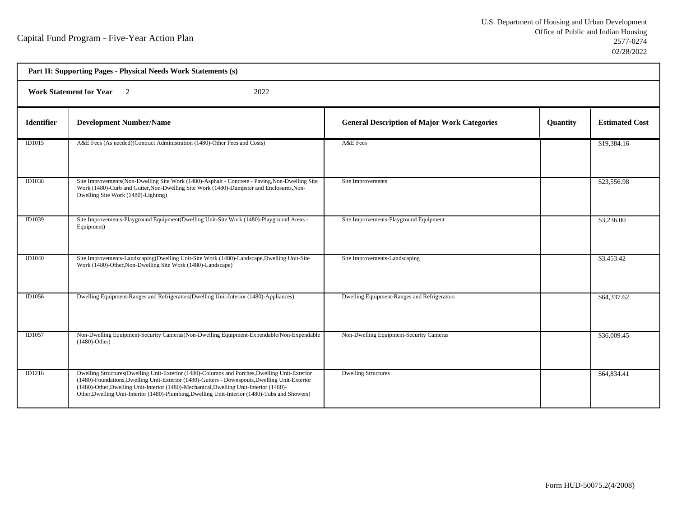| Part II: Supporting Pages - Physical Needs Work Statements (s) |                                                                                                                                                                                                                                                                                                                                                                                             |                                                     |                 |                       |  |  |
|----------------------------------------------------------------|---------------------------------------------------------------------------------------------------------------------------------------------------------------------------------------------------------------------------------------------------------------------------------------------------------------------------------------------------------------------------------------------|-----------------------------------------------------|-----------------|-----------------------|--|--|
|                                                                | <b>Work Statement for Year</b> 2<br>2022                                                                                                                                                                                                                                                                                                                                                    |                                                     |                 |                       |  |  |
| <b>Identifier</b>                                              | <b>Development Number/Name</b>                                                                                                                                                                                                                                                                                                                                                              | <b>General Description of Major Work Categories</b> | <b>Quantity</b> | <b>Estimated Cost</b> |  |  |
| <b>ID1015</b>                                                  | A&E Fees (As needed)(Contract Administration (1480)-Other Fees and Costs)                                                                                                                                                                                                                                                                                                                   | A&E Fees                                            |                 | \$19,384.16           |  |  |
| ID1038                                                         | Site Improvements(Non-Dwelling Site Work (1480)-Asphalt - Concrete - Paving, Non-Dwelling Site<br>Work (1480)-Curb and Gutter, Non-Dwelling Site Work (1480)-Dumpster and Enclosures, Non-<br>Dwelling Site Work (1480)-Lighting)                                                                                                                                                           | Site Improvements                                   |                 | \$23,556.98           |  |  |
| ID1039                                                         | Site Improvements-Playground Equipment(Dwelling Unit-Site Work (1480)-Playground Areas -<br>Equipment)                                                                                                                                                                                                                                                                                      | Site Improvements-Playground Equipment              |                 | \$3,236.00            |  |  |
| <b>ID1040</b>                                                  | Site Improvements-Landscaping(Dwelling Unit-Site Work (1480)-Landscape, Dwelling Unit-Site<br>Work (1480)-Other, Non-Dwelling Site Work (1480)-Landscape)                                                                                                                                                                                                                                   | Site Improvements-Landscaping                       |                 | \$3,453.42            |  |  |
| ID1056                                                         | Dwelling Equipment-Ranges and Refrigerators (Dwelling Unit-Interior (1480)-Appliances)                                                                                                                                                                                                                                                                                                      | Dwelling Equipment-Ranges and Refrigerators         |                 | \$64,337.62           |  |  |
| ID1057                                                         | Non-Dwelling Equipment-Security Cameras(Non-Dwelling Equipment-Expendable/Non-Expendable<br>$(1480)$ -Other)                                                                                                                                                                                                                                                                                | Non-Dwelling Equipment-Security Cameras             |                 | \$36,009.45           |  |  |
| ID1216                                                         | Dwelling Structures(Dwelling Unit-Exterior (1480)-Columns and Porches, Dwelling Unit-Exterior<br>(1480)-Foundations, Dwelling Unit-Exterior (1480)-Gutters - Downspouts, Dwelling Unit-Exterior<br>(1480)-Other, Dwelling Unit-Interior (1480)-Mechanical, Dwelling Unit-Interior (1480)-<br>Other, Dwelling Unit-Interior (1480)-Plumbing, Dwelling Unit-Interior (1480)-Tubs and Showers) | <b>Dwelling Structures</b>                          |                 | \$64,834.41           |  |  |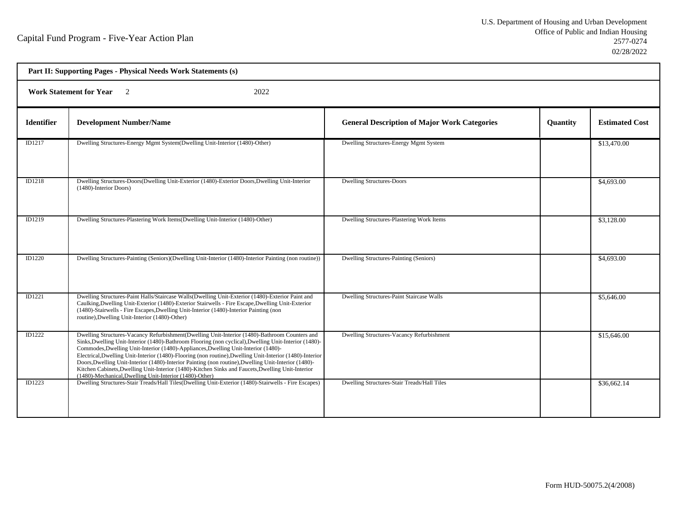| Part II: Supporting Pages - Physical Needs Work Statements (s) |                                                                                                                                                                                                                                                                                                                                                                                                                                                                                                                                                                                                                                                                                  |                                                     |                 |                       |  |  |
|----------------------------------------------------------------|----------------------------------------------------------------------------------------------------------------------------------------------------------------------------------------------------------------------------------------------------------------------------------------------------------------------------------------------------------------------------------------------------------------------------------------------------------------------------------------------------------------------------------------------------------------------------------------------------------------------------------------------------------------------------------|-----------------------------------------------------|-----------------|-----------------------|--|--|
|                                                                | <b>Work Statement for Year</b><br>$\overline{2}$<br>2022                                                                                                                                                                                                                                                                                                                                                                                                                                                                                                                                                                                                                         |                                                     |                 |                       |  |  |
| <b>Identifier</b>                                              | <b>Development Number/Name</b>                                                                                                                                                                                                                                                                                                                                                                                                                                                                                                                                                                                                                                                   | <b>General Description of Major Work Categories</b> | <b>Quantity</b> | <b>Estimated Cost</b> |  |  |
| ID1217                                                         | Dwelling Structures-Energy Mgmt System(Dwelling Unit-Interior (1480)-Other)                                                                                                                                                                                                                                                                                                                                                                                                                                                                                                                                                                                                      | Dwelling Structures-Energy Mgmt System              |                 | \$13,470.00           |  |  |
| ID1218                                                         | Dwelling Structures-Doors(Dwelling Unit-Exterior (1480)-Exterior Doors, Dwelling Unit-Interior<br>(1480)-Interior Doors)                                                                                                                                                                                                                                                                                                                                                                                                                                                                                                                                                         | <b>Dwelling Structures-Doors</b>                    |                 | \$4,693.00            |  |  |
| ID1219                                                         | Dwelling Structures-Plastering Work Items(Dwelling Unit-Interior (1480)-Other)                                                                                                                                                                                                                                                                                                                                                                                                                                                                                                                                                                                                   | Dwelling Structures-Plastering Work Items           |                 | \$3,128.00            |  |  |
| <b>ID1220</b>                                                  | Dwelling Structures-Painting (Seniors)(Dwelling Unit-Interior (1480)-Interior Painting (non routine))                                                                                                                                                                                                                                                                                                                                                                                                                                                                                                                                                                            | Dwelling Structures-Painting (Seniors)              |                 | \$4,693.00            |  |  |
| ID1221                                                         | Dwelling Structures-Paint Halls/Staircase Walls(Dwelling Unit-Exterior (1480)-Exterior Paint and<br>Caulking, Dwelling Unit-Exterior (1480)-Exterior Stairwells - Fire Escape, Dwelling Unit-Exterior<br>(1480)-Stairwells - Fire Escapes, Dwelling Unit-Interior (1480)-Interior Painting (non<br>routine), Dwelling Unit-Interior (1480)-Other)                                                                                                                                                                                                                                                                                                                                | <b>Dwelling Structures-Paint Staircase Walls</b>    |                 | \$5,646.00            |  |  |
| <b>ID1222</b>                                                  | Dwelling Structures-Vacancy Refurbishment(Dwelling Unit-Interior (1480)-Bathroom Counters and<br>Sinks, Dwelling Unit-Interior (1480)-Bathroom Flooring (non cyclical), Dwelling Unit-Interior (1480)-<br>Commodes, Dwelling Unit-Interior (1480)-Appliances, Dwelling Unit-Interior (1480)-<br>Electrical, Dwelling Unit-Interior (1480)-Flooring (non routine), Dwelling Unit-Interior (1480)-Interior<br>Doors, Dwelling Unit-Interior (1480)-Interior Painting (non routine), Dwelling Unit-Interior (1480)-<br>Kitchen Cabinets, Dwelling Unit-Interior (1480)-Kitchen Sinks and Faucets, Dwelling Unit-Interior<br>(1480)-Mechanical, Dwelling Unit-Interior (1480)-Other) | Dwelling Structures-Vacancy Refurbishment           |                 | \$15,646.00           |  |  |
| ID1223                                                         | Dwelling Structures-Stair Treads/Hall Tiles(Dwelling Unit-Exterior (1480)-Stairwells - Fire Escapes)                                                                                                                                                                                                                                                                                                                                                                                                                                                                                                                                                                             | Dwelling Structures-Stair Treads/Hall Tiles         |                 | \$36,662.14           |  |  |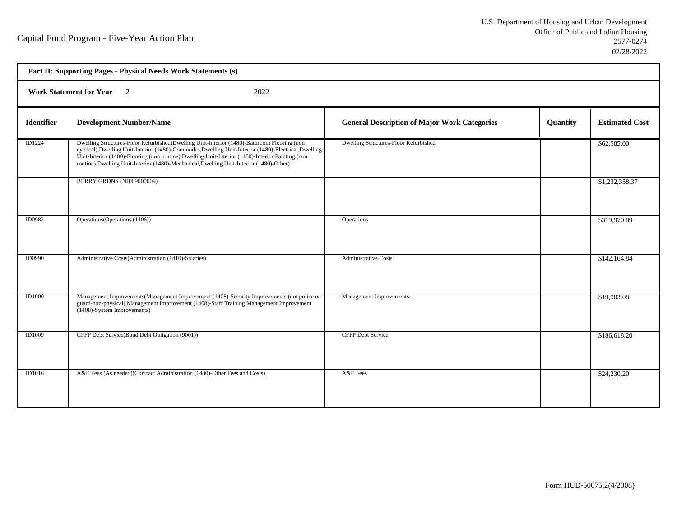| Part II: Supporting Pages - Physical Needs Work Statements (s) |                                                                                                                                                                                                                                                                                                                                                                                                      |                                                     |          |                       |  |  |
|----------------------------------------------------------------|------------------------------------------------------------------------------------------------------------------------------------------------------------------------------------------------------------------------------------------------------------------------------------------------------------------------------------------------------------------------------------------------------|-----------------------------------------------------|----------|-----------------------|--|--|
|                                                                | <b>Work Statement for Year</b> 2<br>2022                                                                                                                                                                                                                                                                                                                                                             |                                                     |          |                       |  |  |
| <b>Identifier</b>                                              | <b>Development Number/Name</b>                                                                                                                                                                                                                                                                                                                                                                       | <b>General Description of Major Work Categories</b> | Quantity | <b>Estimated Cost</b> |  |  |
| ID1224                                                         | Dwelling Structures-Floor Refurbished(Dwelling Unit-Interior (1480)-Bathroom Flooring (non<br>cyclical), Dwelling Unit-Interior (1480)-Commodes, Dwelling Unit-Interior (1480)-Electrical, Dwelling<br>Unit-Interior (1480)-Flooring (non routine), Dwelling Unit-Interior (1480)-Interior Painting (non<br>routine), Dwelling Unit-Interior (1480)-Mechanical, Dwelling Unit-Interior (1480)-Other) | Dwelling Structures-Floor Refurbished               |          | \$62,585.00           |  |  |
|                                                                | BERRY GRDNS (NJ009000009)                                                                                                                                                                                                                                                                                                                                                                            |                                                     |          | \$1,232,358.37        |  |  |
| ID0982                                                         | Operations (Operations (1406))                                                                                                                                                                                                                                                                                                                                                                       | Operations                                          |          | \$319,970.89          |  |  |
| <b>ID0990</b>                                                  | Administrative Costs(Administration (1410)-Salaries)                                                                                                                                                                                                                                                                                                                                                 | <b>Administrative Costs</b>                         |          | \$142,164.84          |  |  |
| <b>ID1000</b>                                                  | Management Improvements (Management Improvement (1408)-Security Improvements (not police or<br>guard-non-physical), Management Improvement (1408)-Staff Training, Management Improvement<br>(1408)-System Improvements)                                                                                                                                                                              | Management Improvements                             |          | \$19,903.08           |  |  |
| ID1009                                                         | CFFP Debt Service(Bond Debt Obligation (9001))                                                                                                                                                                                                                                                                                                                                                       | <b>CFFP Debt Service</b>                            |          | \$186,618.20          |  |  |
| ID1016                                                         | A&E Fees (As needed)(Contract Administration (1480)-Other Fees and Costs)                                                                                                                                                                                                                                                                                                                            | A&E Fees                                            |          | \$24,230.20           |  |  |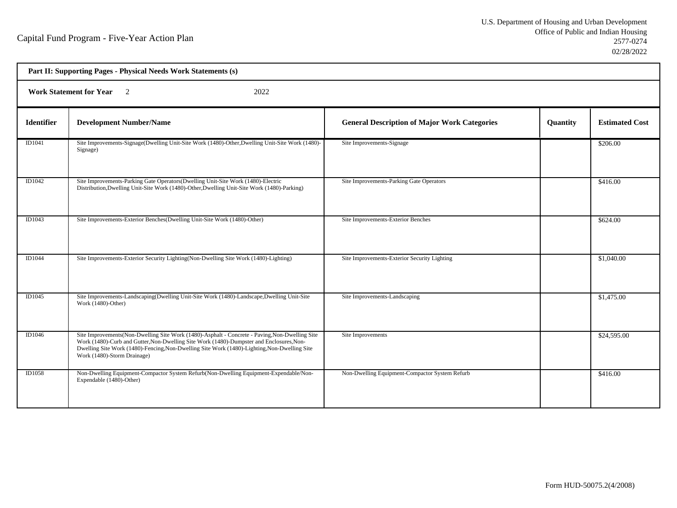| Part II: Supporting Pages - Physical Needs Work Statements (s) |                                                                                                                                                                                                                                                                                                                            |                                                     |                 |                       |  |
|----------------------------------------------------------------|----------------------------------------------------------------------------------------------------------------------------------------------------------------------------------------------------------------------------------------------------------------------------------------------------------------------------|-----------------------------------------------------|-----------------|-----------------------|--|
|                                                                | <b>Work Statement for Year</b><br>2022<br>$\overline{2}$                                                                                                                                                                                                                                                                   |                                                     |                 |                       |  |
| <b>Identifier</b>                                              | <b>Development Number/Name</b>                                                                                                                                                                                                                                                                                             | <b>General Description of Major Work Categories</b> | <b>Quantity</b> | <b>Estimated Cost</b> |  |
| ID1041                                                         | Site Improvements-Signage(Dwelling Unit-Site Work (1480)-Other, Dwelling Unit-Site Work (1480)-<br>Signage)                                                                                                                                                                                                                | Site Improvements-Signage                           |                 | \$206.00              |  |
| ID1042                                                         | Site Improvements-Parking Gate Operators (Dwelling Unit-Site Work (1480)-Electric<br>Distribution, Dwelling Unit-Site Work (1480)-Other, Dwelling Unit-Site Work (1480)-Parking)                                                                                                                                           | Site Improvements-Parking Gate Operators            |                 | \$416.00              |  |
| ID1043                                                         | Site Improvements-Exterior Benches(Dwelling Unit-Site Work (1480)-Other)                                                                                                                                                                                                                                                   | Site Improvements-Exterior Benches                  |                 | \$624.00              |  |
| <b>ID1044</b>                                                  | Site Improvements-Exterior Security Lighting (Non-Dwelling Site Work (1480)-Lighting)                                                                                                                                                                                                                                      | Site Improvements-Exterior Security Lighting        |                 | \$1,040.00            |  |
| ID1045                                                         | Site Improvements-Landscaping (Dwelling Unit-Site Work (1480)-Landscape, Dwelling Unit-Site<br>Work (1480)-Other)                                                                                                                                                                                                          | Site Improvements-Landscaping                       |                 | \$1,475.00            |  |
| ID1046                                                         | Site Improvements (Non-Dwelling Site Work (1480)-Asphalt - Concrete - Paving, Non-Dwelling Site<br>Work (1480)-Curb and Gutter, Non-Dwelling Site Work (1480)-Dumpster and Enclosures, Non-<br>Dwelling Site Work (1480)-Fencing, Non-Dwelling Site Work (1480)-Lighting, Non-Dwelling Site<br>Work (1480)-Storm Drainage) | Site Improvements                                   |                 | \$24,595.00           |  |
| ID1058                                                         | Non-Dwelling Equipment-Compactor System Refurb(Non-Dwelling Equipment-Expendable/Non-<br>Expendable (1480)-Other)                                                                                                                                                                                                          | Non-Dwelling Equipment-Compactor System Refurb      |                 | \$416.00              |  |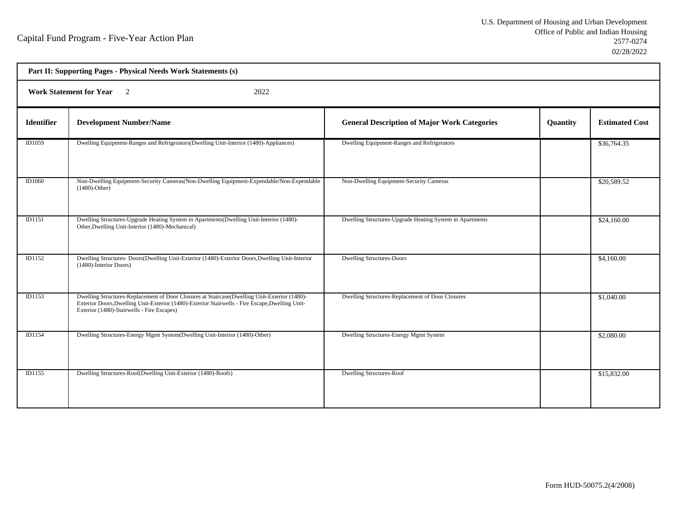| Part II: Supporting Pages - Physical Needs Work Statements (s) |                                                                                                                                                                                                                                               |                                                          |          |                       |  |
|----------------------------------------------------------------|-----------------------------------------------------------------------------------------------------------------------------------------------------------------------------------------------------------------------------------------------|----------------------------------------------------------|----------|-----------------------|--|
|                                                                | <b>Work Statement for Year</b><br>2022<br>$\overline{2}$                                                                                                                                                                                      |                                                          |          |                       |  |
| <b>Identifier</b>                                              | <b>Development Number/Name</b>                                                                                                                                                                                                                | <b>General Description of Major Work Categories</b>      | Quantity | <b>Estimated Cost</b> |  |
| ID1059                                                         | Dwelling Equipment-Ranges and Refrigerators (Dwelling Unit-Interior (1480)-Appliances)                                                                                                                                                        | Dwelling Equipment-Ranges and Refrigerators              |          | \$36,764.35           |  |
| ID1060                                                         | Non-Dwelling Equipment-Security Cameras (Non-Dwelling Equipment-Expendable/Non-Expendable<br>$(1480)$ -Other)                                                                                                                                 | Non-Dwelling Equipment-Security Cameras                  |          | \$20,589.52           |  |
| ID1151                                                         | Dwelling Structures-Upgrade Heating System in Apartments (Dwelling Unit-Interior (1480)-<br>Other, Dwelling Unit-Interior (1480)-Mechanical)                                                                                                  | Dwelling Structures-Upgrade Heating System in Apartments |          | \$24,160.00           |  |
| <b>ID1152</b>                                                  | Dwelling Structures- Doors(Dwelling Unit-Exterior (1480)-Exterior Doors, Dwelling Unit-Interior<br>(1480)-Interior Doors)                                                                                                                     | <b>Dwelling Structures-Doors</b>                         |          | \$4,160.00            |  |
| <b>ID1153</b>                                                  | Dwelling Structures-Replacement of Door Closures at Staircase(Dwelling Unit-Exterior (1480)-<br>Exterior Doors, Dwelling Unit-Exterior (1480)-Exterior Stairwells - Fire Escape, Dwelling Unit-<br>Exterior (1480)-Stairwells - Fire Escapes) | Dwelling Structures-Replacement of Door Closures         |          | \$1,040.00            |  |
| ID1154                                                         | Dwelling Structures-Energy Mgmt System(Dwelling Unit-Interior (1480)-Other)                                                                                                                                                                   | Dwelling Structures-Energy Mgmt System                   |          | \$2,080.00            |  |
| <b>ID1155</b>                                                  | Dwelling Structures-Roof(Dwelling Unit-Exterior (1480)-Roofs)                                                                                                                                                                                 | <b>Dwelling Structures-Roof</b>                          |          | \$15,832.00           |  |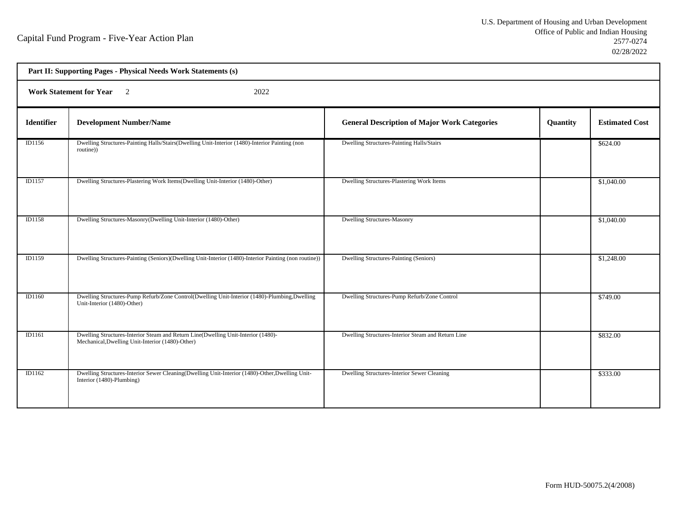|                   | Part II: Supporting Pages - Physical Needs Work Statements (s)                                                                        |                                                     |          |                       |  |
|-------------------|---------------------------------------------------------------------------------------------------------------------------------------|-----------------------------------------------------|----------|-----------------------|--|
|                   | <b>Work Statement for Year</b><br>2022<br>$\overline{2}$                                                                              |                                                     |          |                       |  |
| <b>Identifier</b> | <b>Development Number/Name</b>                                                                                                        | <b>General Description of Major Work Categories</b> | Quantity | <b>Estimated Cost</b> |  |
| ID1156            | Dwelling Structures-Painting Halls/Stairs(Dwelling Unit-Interior (1480)-Interior Painting (non<br>routine))                           | Dwelling Structures-Painting Halls/Stairs           |          | \$624.00              |  |
| ID1157            | Dwelling Structures-Plastering Work Items(Dwelling Unit-Interior (1480)-Other)                                                        | Dwelling Structures-Plastering Work Items           |          | \$1,040.00            |  |
| ID1158            | Dwelling Structures-Masonry(Dwelling Unit-Interior (1480)-Other)                                                                      | <b>Dwelling Structures-Masonry</b>                  |          | \$1,040.00            |  |
| ID1159            | Dwelling Structures-Painting (Seniors)(Dwelling Unit-Interior (1480)-Interior Painting (non routine))                                 | Dwelling Structures-Painting (Seniors)              |          | \$1,248.00            |  |
| ID1160            | Dwelling Structures-Pump Refurb/Zone Control(Dwelling Unit-Interior (1480)-Plumbing, Dwelling<br>Unit-Interior (1480)-Other)          | Dwelling Structures-Pump Refurb/Zone Control        |          | \$749.00              |  |
| ID1161            | Dwelling Structures-Interior Steam and Return Line(Dwelling Unit-Interior (1480)-<br>Mechanical, Dwelling Unit-Interior (1480)-Other) | Dwelling Structures-Interior Steam and Return Line  |          | \$832.00              |  |
| ID1162            | Dwelling Structures-Interior Sewer Cleaning(Dwelling Unit-Interior (1480)-Other, Dwelling Unit-<br>Interior (1480)-Plumbing)          | Dwelling Structures-Interior Sewer Cleaning         |          | \$333.00              |  |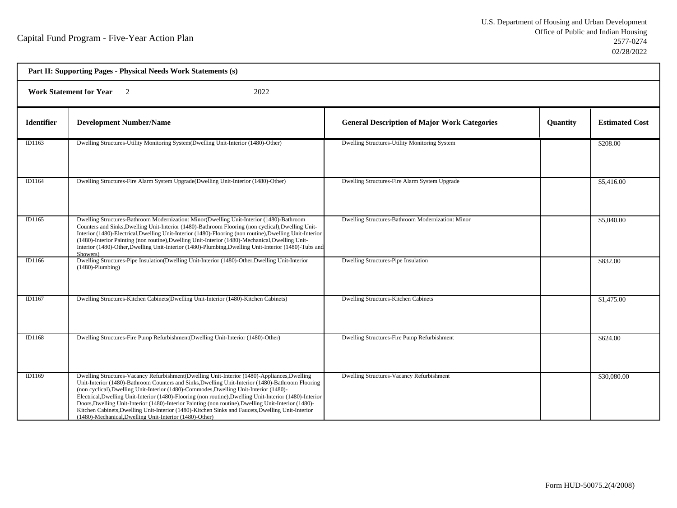| Part II: Supporting Pages - Physical Needs Work Statements (s) |                                                                                                                                                                                                                                                                                                                                                                                                                                                                                                                                                                                                                                                                                  |                                                     |                 |                       |  |
|----------------------------------------------------------------|----------------------------------------------------------------------------------------------------------------------------------------------------------------------------------------------------------------------------------------------------------------------------------------------------------------------------------------------------------------------------------------------------------------------------------------------------------------------------------------------------------------------------------------------------------------------------------------------------------------------------------------------------------------------------------|-----------------------------------------------------|-----------------|-----------------------|--|
|                                                                | <b>Work Statement for Year</b><br>$\overline{2}$<br>2022                                                                                                                                                                                                                                                                                                                                                                                                                                                                                                                                                                                                                         |                                                     |                 |                       |  |
| <b>Identifier</b>                                              | <b>Development Number/Name</b>                                                                                                                                                                                                                                                                                                                                                                                                                                                                                                                                                                                                                                                   | <b>General Description of Major Work Categories</b> | <b>Quantity</b> | <b>Estimated Cost</b> |  |
| ID1163                                                         | Dwelling Structures-Utility Monitoring System(Dwelling Unit-Interior (1480)-Other)                                                                                                                                                                                                                                                                                                                                                                                                                                                                                                                                                                                               | Dwelling Structures-Utility Monitoring System       |                 | \$208.00              |  |
| ID1164                                                         | Dwelling Structures-Fire Alarm System Upgrade(Dwelling Unit-Interior (1480)-Other)                                                                                                                                                                                                                                                                                                                                                                                                                                                                                                                                                                                               | Dwelling Structures-Fire Alarm System Upgrade       |                 | \$5,416.00            |  |
| ID1165                                                         | Dwelling Structures-Bathroom Modernization: Minor(Dwelling Unit-Interior (1480)-Bathroom<br>Counters and Sinks, Dwelling Unit-Interior (1480)-Bathroom Flooring (non cyclical), Dwelling Unit-<br>Interior (1480)-Electrical, Dwelling Unit-Interior (1480)-Flooring (non routine), Dwelling Unit-Interior<br>(1480)-Interior Painting (non routine), Dwelling Unit-Interior (1480)-Mechanical, Dwelling Unit-<br>Interior (1480)-Other, Dwelling Unit-Interior (1480)-Plumbing, Dwelling Unit-Interior (1480)-Tubs and<br>Showers)                                                                                                                                              | Dwelling Structures-Bathroom Modernization: Minor   |                 | \$5,040.00            |  |
| ID1166                                                         | Dwelling Structures-Pipe Insulation(Dwelling Unit-Interior (1480)-Other, Dwelling Unit-Interior<br>$(1480)$ -Plumbing)                                                                                                                                                                                                                                                                                                                                                                                                                                                                                                                                                           | Dwelling Structures-Pipe Insulation                 |                 | \$832.00              |  |
| ID1167                                                         | Dwelling Structures-Kitchen Cabinets(Dwelling Unit-Interior (1480)-Kitchen Cabinets)                                                                                                                                                                                                                                                                                                                                                                                                                                                                                                                                                                                             | Dwelling Structures-Kitchen Cabinets                |                 | \$1,475.00            |  |
| ID1168                                                         | Dwelling Structures-Fire Pump Refurbishment(Dwelling Unit-Interior (1480)-Other)                                                                                                                                                                                                                                                                                                                                                                                                                                                                                                                                                                                                 | Dwelling Structures-Fire Pump Refurbishment         |                 | \$624.00              |  |
| ID1169                                                         | Dwelling Structures-Vacancy Refurbishment (Dwelling Unit-Interior (1480)-Appliances, Dwelling<br>Unit-Interior (1480)-Bathroom Counters and Sinks, Dwelling Unit-Interior (1480)-Bathroom Flooring<br>(non cyclical), Dwelling Unit-Interior (1480)-Commodes, Dwelling Unit-Interior (1480)-<br>Electrical, Dwelling Unit-Interior (1480)-Flooring (non routine), Dwelling Unit-Interior (1480)-Interior<br>Doors, Dwelling Unit-Interior (1480)-Interior Painting (non routine), Dwelling Unit-Interior (1480)-<br>Kitchen Cabinets, Dwelling Unit-Interior (1480)-Kitchen Sinks and Faucets, Dwelling Unit-Interior<br>(1480)-Mechanical, Dwelling Unit-Interior (1480)-Other) | Dwelling Structures-Vacancy Refurbishment           |                 | \$30,080.00           |  |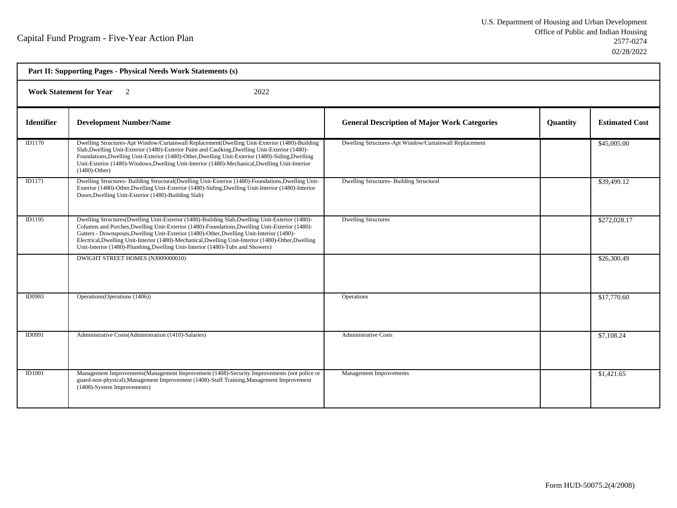| Part II: Supporting Pages - Physical Needs Work Statements (s) |                                                                                                                                                                                                                                                                                                                                                                                                                                                                                         |                                                        |                 |                       |  |
|----------------------------------------------------------------|-----------------------------------------------------------------------------------------------------------------------------------------------------------------------------------------------------------------------------------------------------------------------------------------------------------------------------------------------------------------------------------------------------------------------------------------------------------------------------------------|--------------------------------------------------------|-----------------|-----------------------|--|
|                                                                | <b>Work Statement for Year</b> 2<br>2022                                                                                                                                                                                                                                                                                                                                                                                                                                                |                                                        |                 |                       |  |
| <b>Identifier</b>                                              | <b>Development Number/Name</b>                                                                                                                                                                                                                                                                                                                                                                                                                                                          | <b>General Description of Major Work Categories</b>    | <b>Quantity</b> | <b>Estimated Cost</b> |  |
| ID1170                                                         | Dwelling Structures-Apt Window/Curtainwall Replacement(Dwelling Unit-Exterior (1480)-Building<br>Slab, Dwelling Unit-Exterior (1480)-Exterior Paint and Caulking, Dwelling Unit-Exterior (1480)-<br>Foundations, Dwelling Unit-Exterior (1480)-Other, Dwelling Unit-Exterior (1480)-Siding, Dwelling<br>Unit-Exterior (1480)-Windows, Dwelling Unit-Interior (1480)-Mechanical, Dwelling Unit-Interior<br>$(1480)$ -Other)                                                              | Dwelling Structures-Apt Window/Curtainwall Replacement |                 | \$45,005.00           |  |
| ID1171                                                         | Dwelling Structures- Building Structural(Dwelling Unit-Exterior (1480)-Foundations, Dwelling Unit-<br>Exterior (1480)-Other, Dwelling Unit-Exterior (1480)-Siding, Dwelling Unit-Interior (1480)-Interior<br>Doors, Dwelling Unit-Exterior (1480)-Building Slab)                                                                                                                                                                                                                        | <b>Dwelling Structures- Building Structural</b>        |                 | \$39,499.12           |  |
| ID1195                                                         | Dwelling Structures(Dwelling Unit-Exterior (1480)-Building Slab, Dwelling Unit-Exterior (1480)-<br>Columns and Porches, Dwelling Unit-Exterior (1480)-Foundations, Dwelling Unit-Exterior (1480)-<br>Gutters - Downspouts, Dwelling Unit-Exterior (1480)-Other, Dwelling Unit-Interior (1480)-<br>Electrical, Dwelling Unit-Interior (1480)-Mechanical, Dwelling Unit-Interior (1480)-Other, Dwelling<br>Unit-Interior (1480)-Plumbing, Dwelling Unit-Interior (1480)-Tubs and Showers) | <b>Dwelling Structures</b>                             |                 | \$272,028.17          |  |
|                                                                | DWIGHT STREET HOMES (NJ009000010)                                                                                                                                                                                                                                                                                                                                                                                                                                                       |                                                        |                 | \$26,300.49           |  |
| ID0983                                                         | Operations (Operations (1406))                                                                                                                                                                                                                                                                                                                                                                                                                                                          | Operations                                             |                 | \$17,770.60           |  |
| ID0991                                                         | Administrative Costs(Administration (1410)-Salaries)                                                                                                                                                                                                                                                                                                                                                                                                                                    | <b>Administrative Costs</b>                            |                 | \$7,108.24            |  |
| <b>ID1001</b>                                                  | Management Improvements (Management Improvement (1408)-Security Improvements (not police or<br>guard-non-physical), Management Improvement (1408)-Staff Training, Management Improvement<br>(1408)-System Improvements)                                                                                                                                                                                                                                                                 | Management Improvements                                |                 | \$1,421.65            |  |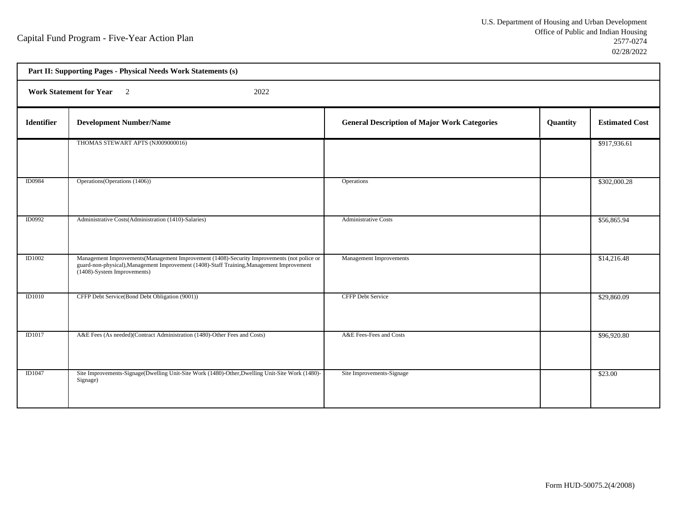| Part II: Supporting Pages - Physical Needs Work Statements (s) |                                                                                                                                                                                                                         |                                                     |          |                       |  |
|----------------------------------------------------------------|-------------------------------------------------------------------------------------------------------------------------------------------------------------------------------------------------------------------------|-----------------------------------------------------|----------|-----------------------|--|
|                                                                | Work Statement for Year 2<br>2022                                                                                                                                                                                       |                                                     |          |                       |  |
| <b>Identifier</b>                                              | <b>Development Number/Name</b>                                                                                                                                                                                          | <b>General Description of Major Work Categories</b> | Quantity | <b>Estimated Cost</b> |  |
|                                                                | THOMAS STEWART APTS (NJ009000016)                                                                                                                                                                                       |                                                     |          | \$917,936.61          |  |
| ID0984                                                         | Operations (Operations (1406))                                                                                                                                                                                          | Operations                                          |          | \$302,000.28          |  |
| ID0992                                                         | Administrative Costs(Administration (1410)-Salaries)                                                                                                                                                                    | <b>Administrative Costs</b>                         |          | \$56,865.94           |  |
| ID1002                                                         | Management Improvements (Management Improvement (1408)-Security Improvements (not police or<br>guard-non-physical), Management Improvement (1408)-Staff Training, Management Improvement<br>(1408)-System Improvements) | Management Improvements                             |          | \$14,216.48           |  |
| <b>ID1010</b>                                                  | CFFP Debt Service(Bond Debt Obligation (9001))                                                                                                                                                                          | <b>CFFP Debt Service</b>                            |          | \$29,860.09           |  |
| ID1017                                                         | A&E Fees (As needed)(Contract Administration (1480)-Other Fees and Costs)                                                                                                                                               | A&E Fees-Fees and Costs                             |          | \$96,920.80           |  |
| <b>ID1047</b>                                                  | Site Improvements-Signage(Dwelling Unit-Site Work (1480)-Other, Dwelling Unit-Site Work (1480)-<br>Signage)                                                                                                             | Site Improvements-Signage                           |          | \$23.00               |  |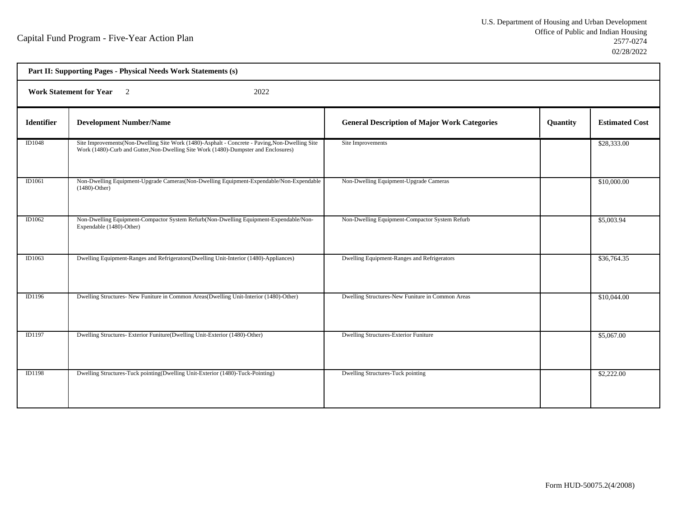| Part II: Supporting Pages - Physical Needs Work Statements (s) |                                                                                                                                                                                       |                                                     |          |                       |  |
|----------------------------------------------------------------|---------------------------------------------------------------------------------------------------------------------------------------------------------------------------------------|-----------------------------------------------------|----------|-----------------------|--|
|                                                                | <b>Work Statement for Year</b> 2<br>2022                                                                                                                                              |                                                     |          |                       |  |
| <b>Identifier</b>                                              | <b>Development Number/Name</b>                                                                                                                                                        | <b>General Description of Major Work Categories</b> | Quantity | <b>Estimated Cost</b> |  |
| ID1048                                                         | Site Improvements(Non-Dwelling Site Work (1480)-Asphalt - Concrete - Paving, Non-Dwelling Site<br>Work (1480)-Curb and Gutter, Non-Dwelling Site Work (1480)-Dumpster and Enclosures) | Site Improvements                                   |          | \$28,333.00           |  |
| ID1061                                                         | Non-Dwelling Equipment-Upgrade Cameras(Non-Dwelling Equipment-Expendable/Non-Expendable<br>$(1480)$ -Other)                                                                           | Non-Dwelling Equipment-Upgrade Cameras              |          | \$10,000.00           |  |
| ID1062                                                         | Non-Dwelling Equipment-Compactor System Refurb(Non-Dwelling Equipment-Expendable/Non-<br>Expendable (1480)-Other)                                                                     | Non-Dwelling Equipment-Compactor System Refurb      |          | \$5,003.94            |  |
| ID1063                                                         | Dwelling Equipment-Ranges and Refrigerators (Dwelling Unit-Interior (1480)-Appliances)                                                                                                | Dwelling Equipment-Ranges and Refrigerators         |          | \$36,764.35           |  |
| ID1196                                                         | Dwelling Structures- New Funiture in Common Areas(Dwelling Unit-Interior (1480)-Other)                                                                                                | Dwelling Structures-New Funiture in Common Areas    |          | \$10,044.00           |  |
| ID1197                                                         | Dwelling Structures-Exterior Funiture(Dwelling Unit-Exterior (1480)-Other)                                                                                                            | <b>Dwelling Structures-Exterior Funiture</b>        |          | \$5,067.00            |  |
| ID1198                                                         | Dwelling Structures-Tuck pointing(Dwelling Unit-Exterior (1480)-Tuck-Pointing)                                                                                                        | <b>Dwelling Structures-Tuck pointing</b>            |          | \$2,222.00            |  |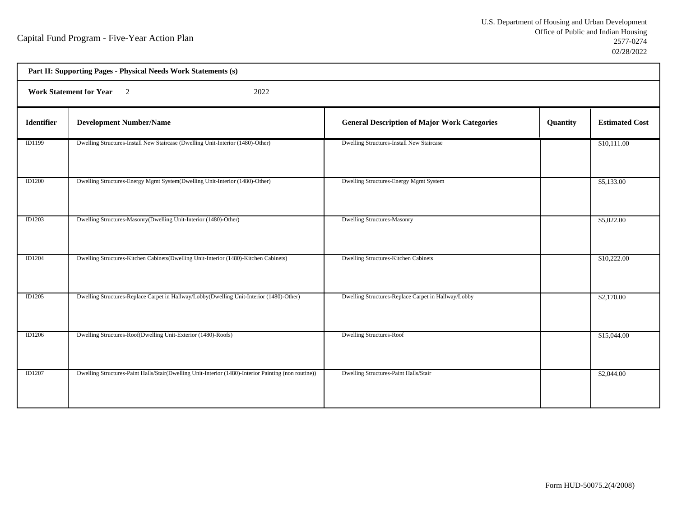| Part II: Supporting Pages - Physical Needs Work Statements (s) |                                                                                                      |                                                     |          |                       |  |
|----------------------------------------------------------------|------------------------------------------------------------------------------------------------------|-----------------------------------------------------|----------|-----------------------|--|
|                                                                | <b>Work Statement for Year</b><br>$\overline{2}$<br>2022                                             |                                                     |          |                       |  |
| Identifier                                                     | <b>Development Number/Name</b>                                                                       | <b>General Description of Major Work Categories</b> | Quantity | <b>Estimated Cost</b> |  |
| ID1199                                                         | Dwelling Structures-Install New Staircase (Dwelling Unit-Interior (1480)-Other)                      | Dwelling Structures-Install New Staircase           |          | \$10,111.00           |  |
| <b>ID1200</b>                                                  | Dwelling Structures-Energy Mgmt System(Dwelling Unit-Interior (1480)-Other)                          | Dwelling Structures-Energy Mgmt System              |          | \$5,133.00            |  |
| ID1203                                                         | Dwelling Structures-Masonry(Dwelling Unit-Interior (1480)-Other)                                     | <b>Dwelling Structures-Masonry</b>                  |          | \$5,022.00            |  |
| ID1204                                                         | Dwelling Structures-Kitchen Cabinets(Dwelling Unit-Interior (1480)-Kitchen Cabinets)                 | Dwelling Structures-Kitchen Cabinets                |          | \$10,222.00           |  |
| ID1205                                                         | Dwelling Structures-Replace Carpet in Hallway/Lobby(Dwelling Unit-Interior (1480)-Other)             | Dwelling Structures-Replace Carpet in Hallway/Lobby |          | \$2,170.00            |  |
| ID1206                                                         | Dwelling Structures-Roof(Dwelling Unit-Exterior (1480)-Roofs)                                        | <b>Dwelling Structures-Roof</b>                     |          | \$15,044.00           |  |
| <b>ID1207</b>                                                  | Dwelling Structures-Paint Halls/Stair(Dwelling Unit-Interior (1480)-Interior Painting (non routine)) | Dwelling Structures-Paint Halls/Stair               |          | \$2,044.00            |  |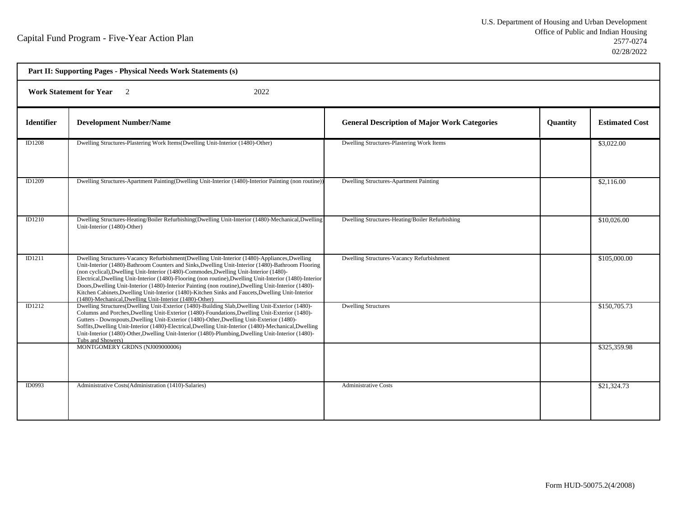| Part II: Supporting Pages - Physical Needs Work Statements (s) |                                                                                                                                                                                                                                                                                                                                                                                                                                                                                                                                                                                                                                                                                 |                                                     |          |                       |  |
|----------------------------------------------------------------|---------------------------------------------------------------------------------------------------------------------------------------------------------------------------------------------------------------------------------------------------------------------------------------------------------------------------------------------------------------------------------------------------------------------------------------------------------------------------------------------------------------------------------------------------------------------------------------------------------------------------------------------------------------------------------|-----------------------------------------------------|----------|-----------------------|--|
|                                                                | <b>Work Statement for Year</b><br>2022<br>$\overline{2}$                                                                                                                                                                                                                                                                                                                                                                                                                                                                                                                                                                                                                        |                                                     |          |                       |  |
| <b>Identifier</b>                                              | <b>Development Number/Name</b>                                                                                                                                                                                                                                                                                                                                                                                                                                                                                                                                                                                                                                                  | <b>General Description of Major Work Categories</b> | Quantity | <b>Estimated Cost</b> |  |
| ID1208                                                         | Dwelling Structures-Plastering Work Items(Dwelling Unit-Interior (1480)-Other)                                                                                                                                                                                                                                                                                                                                                                                                                                                                                                                                                                                                  | Dwelling Structures-Plastering Work Items           |          | \$3,022.00            |  |
| <b>ID1209</b>                                                  | Dwelling Structures-Apartment Painting(Dwelling Unit-Interior (1480)-Interior Painting (non routine))                                                                                                                                                                                                                                                                                                                                                                                                                                                                                                                                                                           | Dwelling Structures-Apartment Painting              |          | \$2,116.00            |  |
| ID1210                                                         | Dwelling Structures-Heating/Boiler Refurbishing(Dwelling Unit-Interior (1480)-Mechanical,Dwelling<br>Unit-Interior (1480)-Other)                                                                                                                                                                                                                                                                                                                                                                                                                                                                                                                                                | Dwelling Structures-Heating/Boiler Refurbishing     |          | \$10,026.00           |  |
| ID1211                                                         | Dwelling Structures-Vacancy Refurbishment(Dwelling Unit-Interior (1480)-Appliances, Dwelling<br>Unit-Interior (1480)-Bathroom Counters and Sinks, Dwelling Unit-Interior (1480)-Bathroom Flooring<br>(non cyclical), Dwelling Unit-Interior (1480)-Commodes, Dwelling Unit-Interior (1480)-<br>Electrical, Dwelling Unit-Interior (1480)-Flooring (non routine), Dwelling Unit-Interior (1480)-Interior<br>Doors, Dwelling Unit-Interior (1480)-Interior Painting (non routine), Dwelling Unit-Interior (1480)-<br>Kitchen Cabinets, Dwelling Unit-Interior (1480)-Kitchen Sinks and Faucets, Dwelling Unit-Interior<br>(1480)-Mechanical, Dwelling Unit-Interior (1480)-Other) | Dwelling Structures-Vacancy Refurbishment           |          | \$105,000.00          |  |
| ID1212                                                         | Dwelling Structures(Dwelling Unit-Exterior (1480)-Building Slab,Dwelling Unit-Exterior (1480)-<br>Columns and Porches, Dwelling Unit-Exterior (1480)-Foundations, Dwelling Unit-Exterior (1480)-<br>Gutters - Downspouts, Dwelling Unit-Exterior (1480)-Other, Dwelling Unit-Exterior (1480)-<br>Soffits, Dwelling Unit-Interior (1480)-Electrical, Dwelling Unit-Interior (1480)-Mechanical, Dwelling<br>Unit-Interior (1480)-Other, Dwelling Unit-Interior (1480)-Plumbing, Dwelling Unit-Interior (1480)-<br>Tubs and Showers)                                                                                                                                               | <b>Dwelling Structures</b>                          |          | \$150,705.73          |  |
|                                                                | MONTGOMERY GRDNS (NJ009000006)                                                                                                                                                                                                                                                                                                                                                                                                                                                                                                                                                                                                                                                  |                                                     |          | \$325,359.98          |  |
| ID0993                                                         | Administrative Costs(Administration (1410)-Salaries)                                                                                                                                                                                                                                                                                                                                                                                                                                                                                                                                                                                                                            | <b>Administrative Costs</b>                         |          | \$21,324.73           |  |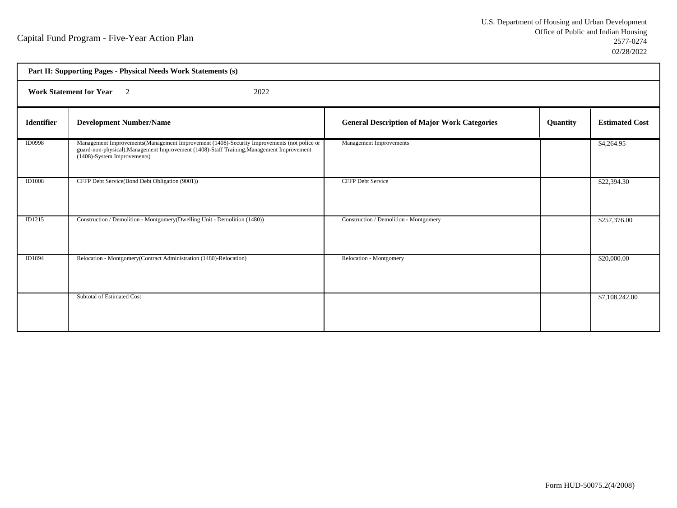| Part II: Supporting Pages - Physical Needs Work Statements (s) |                                                                                                                                                                                                                         |                                                     |                 |                       |
|----------------------------------------------------------------|-------------------------------------------------------------------------------------------------------------------------------------------------------------------------------------------------------------------------|-----------------------------------------------------|-----------------|-----------------------|
| <b>Work Statement for Year</b> 2<br>2022                       |                                                                                                                                                                                                                         |                                                     |                 |                       |
| <b>Identifier</b>                                              | <b>Development Number/Name</b>                                                                                                                                                                                          | <b>General Description of Major Work Categories</b> | <b>Quantity</b> | <b>Estimated Cost</b> |
| <b>ID0998</b>                                                  | Management Improvements (Management Improvement (1408)-Security Improvements (not police or<br>guard-non-physical), Management Improvement (1408)-Staff Training, Management Improvement<br>(1408)-System Improvements) | Management Improvements                             |                 | \$4,264.95            |
| <b>ID1008</b>                                                  | CFFP Debt Service(Bond Debt Obligation (9001))                                                                                                                                                                          | <b>CFFP Debt Service</b>                            |                 | \$22,394.30           |
| ID1215                                                         | Construction / Demolition - Montgomery (Dwelling Unit - Demolition (1480))                                                                                                                                              | Construction / Demolition - Montgomery              |                 | \$257,376.00          |
| ID1894                                                         | Relocation - Montgomery(Contract Administration (1480)-Relocation)                                                                                                                                                      | Relocation - Montgomery                             |                 | \$20,000.00           |
|                                                                | <b>Subtotal of Estimated Cost</b>                                                                                                                                                                                       |                                                     |                 | \$7,108,242.00        |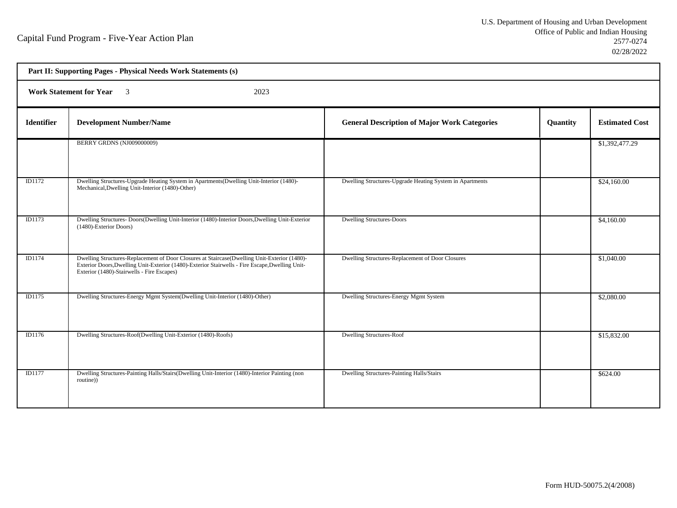| Part II: Supporting Pages - Physical Needs Work Statements (s) |                                                                                                                                                                                                                                               |                                                          |          |                       |  |
|----------------------------------------------------------------|-----------------------------------------------------------------------------------------------------------------------------------------------------------------------------------------------------------------------------------------------|----------------------------------------------------------|----------|-----------------------|--|
|                                                                | Work Statement for Year 3<br>2023                                                                                                                                                                                                             |                                                          |          |                       |  |
| <b>Identifier</b>                                              | <b>Development Number/Name</b>                                                                                                                                                                                                                | <b>General Description of Major Work Categories</b>      | Quantity | <b>Estimated Cost</b> |  |
|                                                                | BERRY GRDNS (NJ009000009)                                                                                                                                                                                                                     |                                                          |          | \$1,392,477.29        |  |
| ID1172                                                         | Dwelling Structures-Upgrade Heating System in Apartments (Dwelling Unit-Interior (1480)-<br>Mechanical, Dwelling Unit-Interior (1480)-Other)                                                                                                  | Dwelling Structures-Upgrade Heating System in Apartments |          | \$24,160.00           |  |
| ID1173                                                         | Dwelling Structures- Doors(Dwelling Unit-Interior (1480)-Interior Doors, Dwelling Unit-Exterior<br>(1480)-Exterior Doors)                                                                                                                     | <b>Dwelling Structures-Doors</b>                         |          | \$4,160.00            |  |
| <b>ID1174</b>                                                  | Dwelling Structures-Replacement of Door Closures at Staircase(Dwelling Unit-Exterior (1480)-<br>Exterior Doors, Dwelling Unit-Exterior (1480)-Exterior Stairwells - Fire Escape, Dwelling Unit-<br>Exterior (1480)-Stairwells - Fire Escapes) | Dwelling Structures-Replacement of Door Closures         |          | \$1,040.00            |  |
| <b>ID1175</b>                                                  | Dwelling Structures-Energy Mgmt System(Dwelling Unit-Interior (1480)-Other)                                                                                                                                                                   | Dwelling Structures-Energy Mgmt System                   |          | \$2,080.00            |  |
| ID1176                                                         | Dwelling Structures-Roof(Dwelling Unit-Exterior (1480)-Roofs)                                                                                                                                                                                 | <b>Dwelling Structures-Roof</b>                          |          | \$15,832.00           |  |
| <b>ID1177</b>                                                  | Dwelling Structures-Painting Halls/Stairs(Dwelling Unit-Interior (1480)-Interior Painting (non<br>routine))                                                                                                                                   | Dwelling Structures-Painting Halls/Stairs                |          | \$624.00              |  |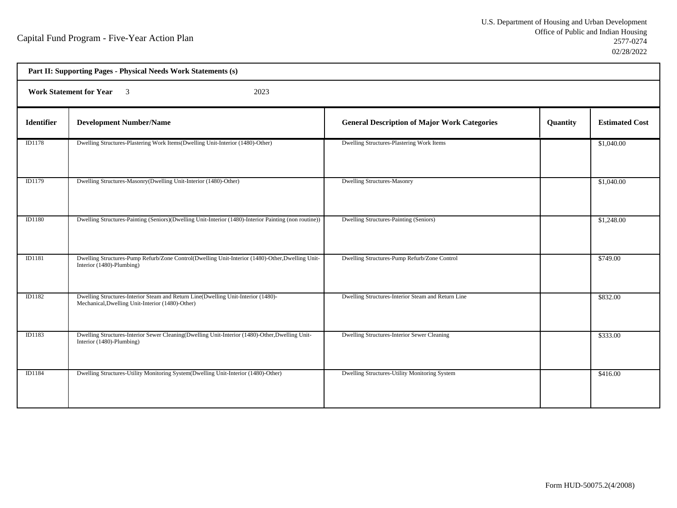| Part II: Supporting Pages - Physical Needs Work Statements (s) |                                                                                                                                       |                                                     |          |                       |  |
|----------------------------------------------------------------|---------------------------------------------------------------------------------------------------------------------------------------|-----------------------------------------------------|----------|-----------------------|--|
|                                                                | <b>Work Statement for Year</b><br>$\overline{\mathbf{3}}$<br>2023                                                                     |                                                     |          |                       |  |
| Identifier                                                     | <b>Development Number/Name</b>                                                                                                        | <b>General Description of Major Work Categories</b> | Quantity | <b>Estimated Cost</b> |  |
| ID1178                                                         | Dwelling Structures-Plastering Work Items(Dwelling Unit-Interior (1480)-Other)                                                        | Dwelling Structures-Plastering Work Items           |          | \$1,040.00            |  |
| ID1179                                                         | Dwelling Structures-Masonry(Dwelling Unit-Interior (1480)-Other)                                                                      | <b>Dwelling Structures-Masonry</b>                  |          | \$1,040.00            |  |
| <b>ID1180</b>                                                  | Dwelling Structures-Painting (Seniors)(Dwelling Unit-Interior (1480)-Interior Painting (non routine))                                 | Dwelling Structures-Painting (Seniors)              |          | \$1,248.00            |  |
| ID1181                                                         | Dwelling Structures-Pump Refurb/Zone Control(Dwelling Unit-Interior (1480)-Other, Dwelling Unit-<br>Interior (1480)-Plumbing)         | Dwelling Structures-Pump Refurb/Zone Control        |          | \$749.00              |  |
| ID1182                                                         | Dwelling Structures-Interior Steam and Return Line(Dwelling Unit-Interior (1480)-<br>Mechanical, Dwelling Unit-Interior (1480)-Other) | Dwelling Structures-Interior Steam and Return Line  |          | \$832.00              |  |
| ID1183                                                         | Dwelling Structures-Interior Sewer Cleaning(Dwelling Unit-Interior (1480)-Other, Dwelling Unit-<br>Interior (1480)-Plumbing)          | Dwelling Structures-Interior Sewer Cleaning         |          | \$333.00              |  |
| <b>ID1184</b>                                                  | Dwelling Structures-Utility Monitoring System(Dwelling Unit-Interior (1480)-Other)                                                    | Dwelling Structures-Utility Monitoring System       |          | \$416.00              |  |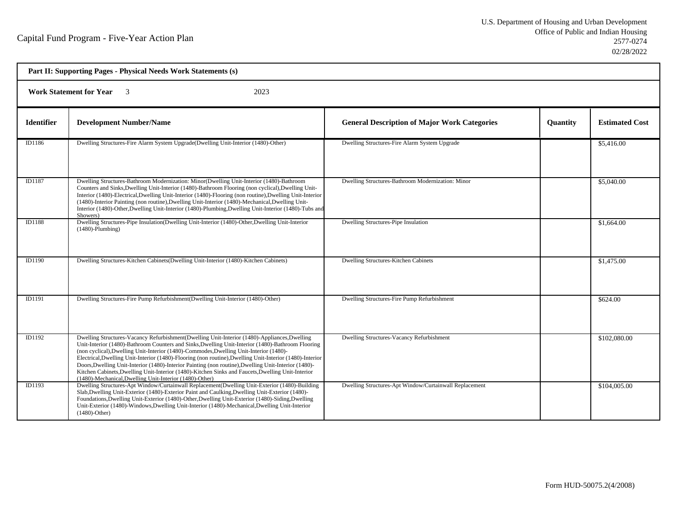| Part II: Supporting Pages - Physical Needs Work Statements (s) |                                                                                                                                                                                                                                                                                                                                                                                                                                                                                                                                                                                                                                                                                 |                                                        |                 |                       |  |  |
|----------------------------------------------------------------|---------------------------------------------------------------------------------------------------------------------------------------------------------------------------------------------------------------------------------------------------------------------------------------------------------------------------------------------------------------------------------------------------------------------------------------------------------------------------------------------------------------------------------------------------------------------------------------------------------------------------------------------------------------------------------|--------------------------------------------------------|-----------------|-----------------------|--|--|
|                                                                | 2023<br><b>Work Statement for Year</b>                                                                                                                                                                                                                                                                                                                                                                                                                                                                                                                                                                                                                                          |                                                        |                 |                       |  |  |
| <b>Identifier</b>                                              | <b>Development Number/Name</b>                                                                                                                                                                                                                                                                                                                                                                                                                                                                                                                                                                                                                                                  | <b>General Description of Major Work Categories</b>    | <b>Quantity</b> | <b>Estimated Cost</b> |  |  |
| ID1186                                                         | Dwelling Structures-Fire Alarm System Upgrade(Dwelling Unit-Interior (1480)-Other)                                                                                                                                                                                                                                                                                                                                                                                                                                                                                                                                                                                              | Dwelling Structures-Fire Alarm System Upgrade          |                 | \$5,416.00            |  |  |
| ID1187                                                         | Dwelling Structures-Bathroom Modernization: Minor(Dwelling Unit-Interior (1480)-Bathroom<br>Counters and Sinks, Dwelling Unit-Interior (1480)-Bathroom Flooring (non cyclical), Dwelling Unit-<br>Interior (1480)-Electrical, Dwelling Unit-Interior (1480)-Flooring (non routine), Dwelling Unit-Interior<br>(1480)-Interior Painting (non routine), Dwelling Unit-Interior (1480)-Mechanical, Dwelling Unit-<br>Interior (1480)-Other, Dwelling Unit-Interior (1480)-Plumbing, Dwelling Unit-Interior (1480)-Tubs and<br>Showers)                                                                                                                                             | Dwelling Structures-Bathroom Modernization: Minor      |                 | \$5,040.00            |  |  |
| ID1188                                                         | Dwelling Structures-Pipe Insulation(Dwelling Unit-Interior (1480)-Other, Dwelling Unit-Interior<br>$(1480)$ -Plumbing)                                                                                                                                                                                                                                                                                                                                                                                                                                                                                                                                                          | Dwelling Structures-Pipe Insulation                    |                 | \$1,664.00            |  |  |
| ID1190                                                         | Dwelling Structures-Kitchen Cabinets(Dwelling Unit-Interior (1480)-Kitchen Cabinets)                                                                                                                                                                                                                                                                                                                                                                                                                                                                                                                                                                                            | Dwelling Structures-Kitchen Cabinets                   |                 | \$1,475.00            |  |  |
| ID1191                                                         | Dwelling Structures-Fire Pump Refurbishment(Dwelling Unit-Interior (1480)-Other)                                                                                                                                                                                                                                                                                                                                                                                                                                                                                                                                                                                                | Dwelling Structures-Fire Pump Refurbishment            |                 | \$624.00              |  |  |
| ID1192                                                         | Dwelling Structures-Vacancy Refurbishment(Dwelling Unit-Interior (1480)-Appliances, Dwelling<br>Unit-Interior (1480)-Bathroom Counters and Sinks, Dwelling Unit-Interior (1480)-Bathroom Flooring<br>(non cyclical), Dwelling Unit-Interior (1480)-Commodes, Dwelling Unit-Interior (1480)-<br>Electrical, Dwelling Unit-Interior (1480)-Flooring (non routine), Dwelling Unit-Interior (1480)-Interior<br>Doors, Dwelling Unit-Interior (1480)-Interior Painting (non routine), Dwelling Unit-Interior (1480)-<br>Kitchen Cabinets, Dwelling Unit-Interior (1480)-Kitchen Sinks and Faucets, Dwelling Unit-Interior<br>(1480)-Mechanical, Dwelling Unit-Interior (1480)-Other) | Dwelling Structures-Vacancy Refurbishment              |                 | \$102,080.00          |  |  |
| ID1193                                                         | Dwelling Structures-Apt Window/Curtainwall Replacement(Dwelling Unit-Exterior (1480)-Building<br>Slab, Dwelling Unit-Exterior (1480)-Exterior Paint and Caulking, Dwelling Unit-Exterior (1480)-<br>Foundations, Dwelling Unit-Exterior (1480)-Other, Dwelling Unit-Exterior (1480)-Siding, Dwelling<br>Unit-Exterior (1480)-Windows, Dwelling Unit-Interior (1480)-Mechanical, Dwelling Unit-Interior<br>$(1480)$ -Other)                                                                                                                                                                                                                                                      | Dwelling Structures-Apt Window/Curtainwall Replacement |                 | \$104,005.00          |  |  |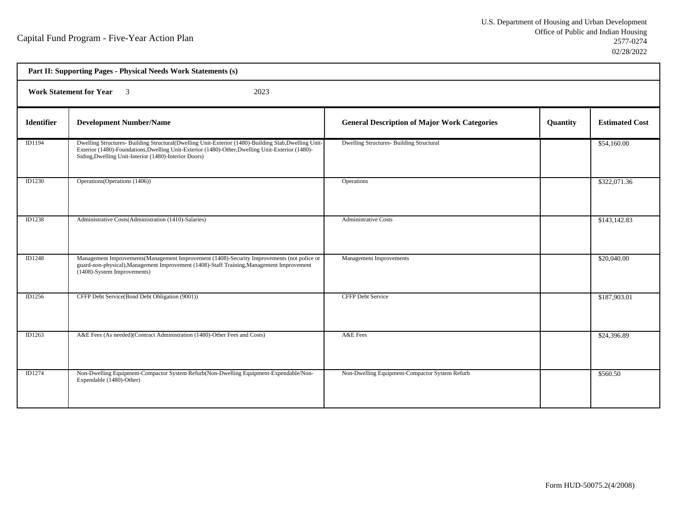| Part II: Supporting Pages - Physical Needs Work Statements (s) |                                                                                                                                                                                                                                                                   |                                                     |          |                       |  |  |
|----------------------------------------------------------------|-------------------------------------------------------------------------------------------------------------------------------------------------------------------------------------------------------------------------------------------------------------------|-----------------------------------------------------|----------|-----------------------|--|--|
|                                                                | <b>Work Statement for Year</b> 3<br>2023                                                                                                                                                                                                                          |                                                     |          |                       |  |  |
| <b>Identifier</b>                                              | <b>Development Number/Name</b>                                                                                                                                                                                                                                    | <b>General Description of Major Work Categories</b> | Quantity | <b>Estimated Cost</b> |  |  |
| ID1194                                                         | Dwelling Structures- Building Structural(Dwelling Unit-Exterior (1480)-Building Slab, Dwelling Unit-<br>Exterior (1480)-Foundations, Dwelling Unit-Exterior (1480)-Other, Dwelling Unit-Exterior (1480)-<br>Siding, Dwelling Unit-Interior (1480)-Interior Doors) | <b>Dwelling Structures- Building Structural</b>     |          | \$54,160.00           |  |  |
| ID1230                                                         | Operations (Operations (1406))                                                                                                                                                                                                                                    | Operations                                          |          | \$322,071.36          |  |  |
| <b>ID1238</b>                                                  | Administrative Costs(Administration (1410)-Salaries)                                                                                                                                                                                                              | <b>Administrative Costs</b>                         |          | \$143,142.83          |  |  |
| <b>ID1248</b>                                                  | Management Improvements (Management Improvement (1408)-Security Improvements (not police or<br>guard-non-physical), Management Improvement (1408)-Staff Training, Management Improvement<br>(1408)-System Improvements)                                           | <b>Management Improvements</b>                      |          | \$20,040.00           |  |  |
| ID1256                                                         | CFFP Debt Service(Bond Debt Obligation (9001))                                                                                                                                                                                                                    | <b>CFFP Debt Service</b>                            |          | \$187,903.01          |  |  |
| ID1263                                                         | A&E Fees (As needed)(Contract Administration (1480)-Other Fees and Costs)                                                                                                                                                                                         | A&E Fees                                            |          | \$24,396.89           |  |  |
| ID1274                                                         | Non-Dwelling Equipment-Compactor System Refurb(Non-Dwelling Equipment-Expendable/Non-<br>Expendable (1480)-Other)                                                                                                                                                 | Non-Dwelling Equipment-Compactor System Refurb      |          | \$560.50              |  |  |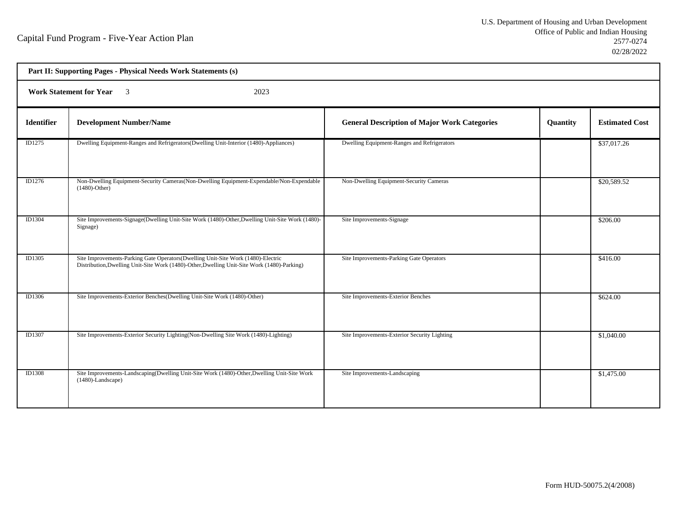| Part II: Supporting Pages - Physical Needs Work Statements (s) |                                                                                                                                                                                  |                                                     |          |                       |  |  |
|----------------------------------------------------------------|----------------------------------------------------------------------------------------------------------------------------------------------------------------------------------|-----------------------------------------------------|----------|-----------------------|--|--|
|                                                                | <b>Work Statement for Year</b><br>2023<br>$\overline{\mathbf{3}}$                                                                                                                |                                                     |          |                       |  |  |
| <b>Identifier</b>                                              | <b>Development Number/Name</b>                                                                                                                                                   | <b>General Description of Major Work Categories</b> | Quantity | <b>Estimated Cost</b> |  |  |
| ID1275                                                         | Dwelling Equipment-Ranges and Refrigerators (Dwelling Unit-Interior (1480)-Appliances)                                                                                           | Dwelling Equipment-Ranges and Refrigerators         |          | \$37,017.26           |  |  |
| ID1276                                                         | Non-Dwelling Equipment-Security Cameras (Non-Dwelling Equipment-Expendable/Non-Expendable<br>$(1480)$ -Other)                                                                    | Non-Dwelling Equipment-Security Cameras             |          | \$20,589.52           |  |  |
| ID1304                                                         | Site Improvements-Signage(Dwelling Unit-Site Work (1480)-Other, Dwelling Unit-Site Work (1480)-<br>Signage)                                                                      | Site Improvements-Signage                           |          | \$206.00              |  |  |
| <b>ID1305</b>                                                  | Site Improvements-Parking Gate Operators (Dwelling Unit-Site Work (1480)-Electric<br>Distribution, Dwelling Unit-Site Work (1480)-Other, Dwelling Unit-Site Work (1480)-Parking) | Site Improvements-Parking Gate Operators            |          | \$416.00              |  |  |
| ID1306                                                         | Site Improvements-Exterior Benches(Dwelling Unit-Site Work (1480)-Other)                                                                                                         | Site Improvements-Exterior Benches                  |          | \$624.00              |  |  |
| ID1307                                                         | Site Improvements-Exterior Security Lighting (Non-Dwelling Site Work (1480)-Lighting)                                                                                            | Site Improvements-Exterior Security Lighting        |          | \$1,040.00            |  |  |
| <b>ID1308</b>                                                  | Site Improvements-Landscaping(Dwelling Unit-Site Work (1480)-Other, Dwelling Unit-Site Work<br>$(1480)$ -Landscape)                                                              | Site Improvements-Landscaping                       |          | \$1,475.00            |  |  |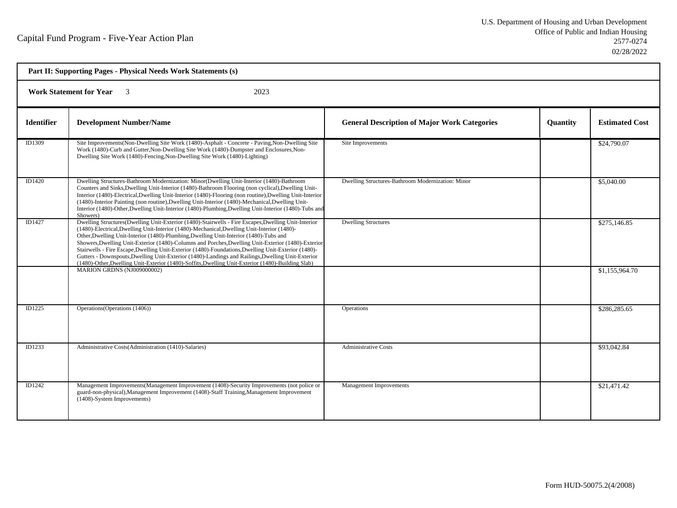| Part II: Supporting Pages - Physical Needs Work Statements (s) |                                                                                                                                                                                                                                                                                                                                                                                                                                                                                                                                                                                                                                                                                                                    |                                                     |          |                       |  |
|----------------------------------------------------------------|--------------------------------------------------------------------------------------------------------------------------------------------------------------------------------------------------------------------------------------------------------------------------------------------------------------------------------------------------------------------------------------------------------------------------------------------------------------------------------------------------------------------------------------------------------------------------------------------------------------------------------------------------------------------------------------------------------------------|-----------------------------------------------------|----------|-----------------------|--|
| <b>Work Statement for Year</b><br>2023                         |                                                                                                                                                                                                                                                                                                                                                                                                                                                                                                                                                                                                                                                                                                                    |                                                     |          |                       |  |
| <b>Identifier</b>                                              | <b>Development Number/Name</b>                                                                                                                                                                                                                                                                                                                                                                                                                                                                                                                                                                                                                                                                                     | <b>General Description of Major Work Categories</b> | Quantity | <b>Estimated Cost</b> |  |
| ID1309                                                         | Site Improvements(Non-Dwelling Site Work (1480)-Asphalt - Concrete - Paving, Non-Dwelling Site<br>Work (1480)-Curb and Gutter, Non-Dwelling Site Work (1480)-Dumpster and Enclosures, Non-<br>Dwelling Site Work (1480)-Fencing, Non-Dwelling Site Work (1480)-Lighting)                                                                                                                                                                                                                                                                                                                                                                                                                                           | Site Improvements                                   |          | \$24,790.07           |  |
| ID1420                                                         | Dwelling Structures-Bathroom Modernization: Minor(Dwelling Unit-Interior (1480)-Bathroom<br>Counters and Sinks, Dwelling Unit-Interior (1480)-Bathroom Flooring (non cyclical), Dwelling Unit-<br>Interior (1480)-Electrical, Dwelling Unit-Interior (1480)-Flooring (non routine), Dwelling Unit-Interior<br>(1480)-Interior Painting (non routine), Dwelling Unit-Interior (1480)-Mechanical, Dwelling Unit-<br>Interior (1480)-Other, Dwelling Unit-Interior (1480)-Plumbing, Dwelling Unit-Interior (1480)-Tubs and<br>Showers)                                                                                                                                                                                | Dwelling Structures-Bathroom Modernization: Minor   |          | \$5,040.00            |  |
| ID1427                                                         | Dwelling Structures(Dwelling Unit-Exterior (1480)-Stairwells - Fire Escapes, Dwelling Unit-Interior<br>(1480)-Electrical, Dwelling Unit-Interior (1480)-Mechanical, Dwelling Unit-Interior (1480)-<br>Other, Dwelling Unit-Interior (1480)-Plumbing, Dwelling Unit-Interior (1480)-Tubs and<br>Showers, Dwelling Unit-Exterior (1480)-Columns and Porches, Dwelling Unit-Exterior (1480)-Exterior<br>Stairwells - Fire Escape, Dwelling Unit-Exterior (1480)-Foundations, Dwelling Unit-Exterior (1480)-<br>Gutters - Downspouts, Dwelling Unit-Exterior (1480)-Landings and Railings, Dwelling Unit-Exterior<br>(1480)-Other, Dwelling Unit-Exterior (1480)-Soffits, Dwelling Unit-Exterior (1480)-Building Slab) | <b>Dwelling Structures</b>                          |          | \$275,146.85          |  |
|                                                                | MARION GRDNS (NJ009000002)                                                                                                                                                                                                                                                                                                                                                                                                                                                                                                                                                                                                                                                                                         |                                                     |          | \$1,155,964.70        |  |
| ID1225                                                         | Operations (Operations (1406))                                                                                                                                                                                                                                                                                                                                                                                                                                                                                                                                                                                                                                                                                     | Operations                                          |          | \$286,285.65          |  |
| ID1233                                                         | Administrative Costs(Administration (1410)-Salaries)                                                                                                                                                                                                                                                                                                                                                                                                                                                                                                                                                                                                                                                               | <b>Administrative Costs</b>                         |          | \$93,042.84           |  |
| ID1242                                                         | Management Improvements (Management Improvement (1408)-Security Improvements (not police or<br>guard-non-physical), Management Improvement (1408)-Staff Training, Management Improvement<br>(1408)-System Improvements)                                                                                                                                                                                                                                                                                                                                                                                                                                                                                            | <b>Management Improvements</b>                      |          | \$21,471.42           |  |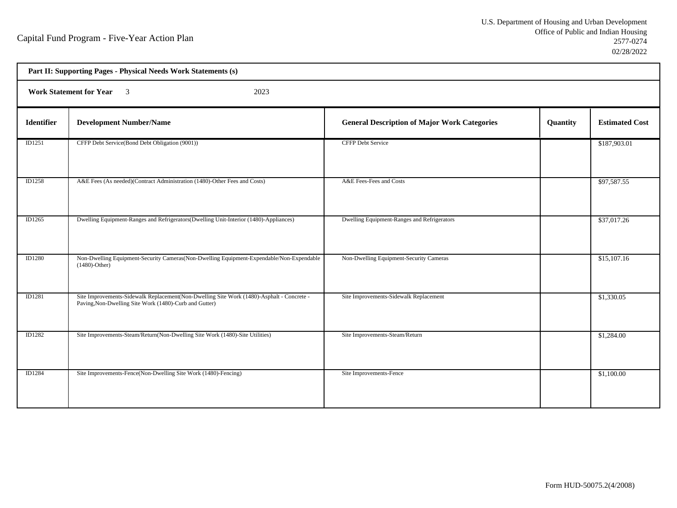h

| Part II: Supporting Pages - Physical Needs Work Statements (s) |                                                                                                                                                     |                                                     |          |                       |  |  |
|----------------------------------------------------------------|-----------------------------------------------------------------------------------------------------------------------------------------------------|-----------------------------------------------------|----------|-----------------------|--|--|
|                                                                | Work Statement for Year 3<br>2023                                                                                                                   |                                                     |          |                       |  |  |
| <b>Identifier</b>                                              | <b>Development Number/Name</b>                                                                                                                      | <b>General Description of Major Work Categories</b> | Quantity | <b>Estimated Cost</b> |  |  |
| ID1251                                                         | CFFP Debt Service(Bond Debt Obligation (9001))                                                                                                      | <b>CFFP Debt Service</b>                            |          | \$187,903.01          |  |  |
| ID1258                                                         | A&E Fees (As needed)(Contract Administration (1480)-Other Fees and Costs)                                                                           | A&E Fees-Fees and Costs                             |          | \$97,587.55           |  |  |
| ID1265                                                         | Dwelling Equipment-Ranges and Refrigerators(Dwelling Unit-Interior (1480)-Appliances)                                                               | Dwelling Equipment-Ranges and Refrigerators         |          | \$37,017.26           |  |  |
| ID1280                                                         | Non-Dwelling Equipment-Security Cameras(Non-Dwelling Equipment-Expendable/Non-Expendable<br>$(1480)$ -Other)                                        | Non-Dwelling Equipment-Security Cameras             |          | \$15,107.16           |  |  |
| ID1281                                                         | Site Improvements-Sidewalk Replacement(Non-Dwelling Site Work (1480)-Asphalt - Concrete -<br>Paving, Non-Dwelling Site Work (1480)-Curb and Gutter) | Site Improvements-Sidewalk Replacement              |          | \$1,330.05            |  |  |
| ID1282                                                         | Site Improvements-Steam/Return(Non-Dwelling Site Work (1480)-Site Utilities)                                                                        | Site Improvements-Steam/Return                      |          | \$1,284.00            |  |  |
| ID1284                                                         | Site Improvements-Fence(Non-Dwelling Site Work (1480)-Fencing)                                                                                      | Site Improvements-Fence                             |          | \$1,100.00            |  |  |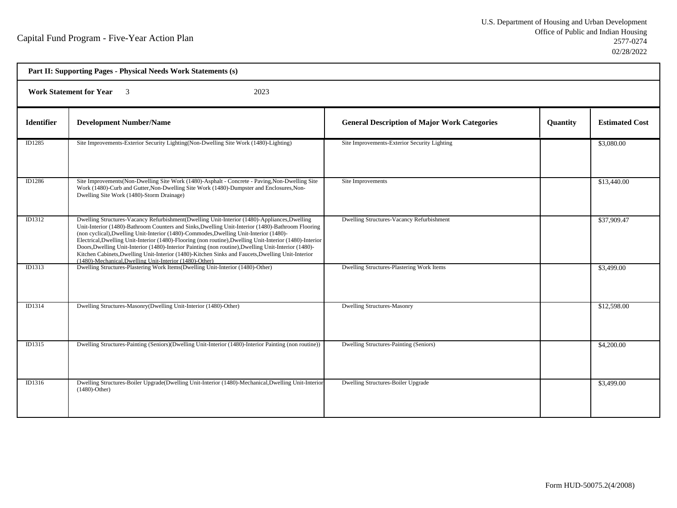| Part II: Supporting Pages - Physical Needs Work Statements (s) |                                                                                                                                                                                                                                                                                                                                                                                                                                                                                                                                                                                                                                                                                 |                                                     |                 |                       |  |
|----------------------------------------------------------------|---------------------------------------------------------------------------------------------------------------------------------------------------------------------------------------------------------------------------------------------------------------------------------------------------------------------------------------------------------------------------------------------------------------------------------------------------------------------------------------------------------------------------------------------------------------------------------------------------------------------------------------------------------------------------------|-----------------------------------------------------|-----------------|-----------------------|--|
| <b>Work Statement for Year</b> 3<br>2023                       |                                                                                                                                                                                                                                                                                                                                                                                                                                                                                                                                                                                                                                                                                 |                                                     |                 |                       |  |
| <b>Identifier</b>                                              | <b>Development Number/Name</b>                                                                                                                                                                                                                                                                                                                                                                                                                                                                                                                                                                                                                                                  | <b>General Description of Major Work Categories</b> | <b>Quantity</b> | <b>Estimated Cost</b> |  |
| ID1285                                                         | Site Improvements-Exterior Security Lighting(Non-Dwelling Site Work (1480)-Lighting)                                                                                                                                                                                                                                                                                                                                                                                                                                                                                                                                                                                            | Site Improvements-Exterior Security Lighting        |                 | \$3,080.00            |  |
| ID1286                                                         | Site Improvements (Non-Dwelling Site Work (1480)-Asphalt - Concrete - Paving, Non-Dwelling Site<br>Work (1480)-Curb and Gutter, Non-Dwelling Site Work (1480)-Dumpster and Enclosures, Non-<br>Dwelling Site Work (1480)-Storm Drainage)                                                                                                                                                                                                                                                                                                                                                                                                                                        | Site Improvements                                   |                 | \$13,440.00           |  |
| ID1312                                                         | Dwelling Structures-Vacancy Refurbishment(Dwelling Unit-Interior (1480)-Appliances, Dwelling<br>Unit-Interior (1480)-Bathroom Counters and Sinks, Dwelling Unit-Interior (1480)-Bathroom Flooring<br>(non cyclical), Dwelling Unit-Interior (1480)-Commodes, Dwelling Unit-Interior (1480)-<br>Electrical, Dwelling Unit-Interior (1480)-Flooring (non routine), Dwelling Unit-Interior (1480)-Interior<br>Doors, Dwelling Unit-Interior (1480)-Interior Painting (non routine), Dwelling Unit-Interior (1480)-<br>Kitchen Cabinets, Dwelling Unit-Interior (1480)-Kitchen Sinks and Faucets, Dwelling Unit-Interior<br>(1480)-Mechanical, Dwelling Unit-Interior (1480)-Other) | Dwelling Structures-Vacancy Refurbishment           |                 | \$37,909.47           |  |
| ID1313                                                         | Dwelling Structures-Plastering Work Items(Dwelling Unit-Interior (1480)-Other)                                                                                                                                                                                                                                                                                                                                                                                                                                                                                                                                                                                                  | Dwelling Structures-Plastering Work Items           |                 | \$3,499.00            |  |
| ID1314                                                         | Dwelling Structures-Masonry(Dwelling Unit-Interior (1480)-Other)                                                                                                                                                                                                                                                                                                                                                                                                                                                                                                                                                                                                                | <b>Dwelling Structures-Masonry</b>                  |                 | \$12,598.00           |  |
| ID1315                                                         | Dwelling Structures-Painting (Seniors)(Dwelling Unit-Interior (1480)-Interior Painting (non routine))                                                                                                                                                                                                                                                                                                                                                                                                                                                                                                                                                                           | Dwelling Structures-Painting (Seniors)              |                 | \$4,200.00            |  |
| ID1316                                                         | Dwelling Structures-Boiler Upgrade(Dwelling Unit-Interior (1480)-Mechanical,Dwelling Unit-Interior<br>$(1480)$ -Other)                                                                                                                                                                                                                                                                                                                                                                                                                                                                                                                                                          | Dwelling Structures-Boiler Upgrade                  |                 | \$3,499.00            |  |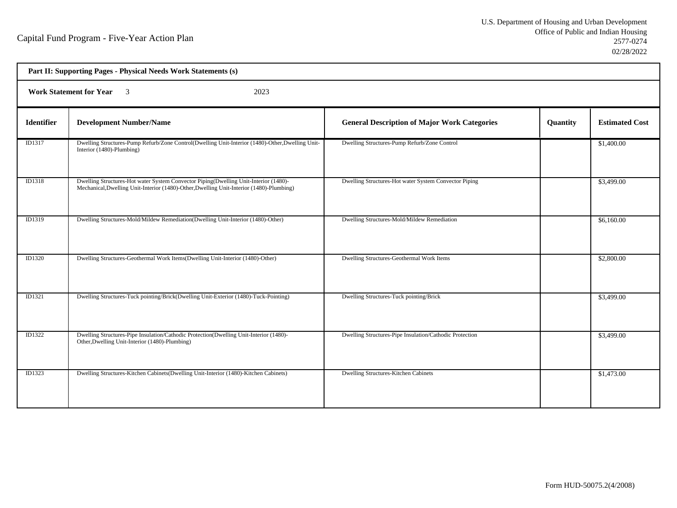|                   | Part II: Supporting Pages - Physical Needs Work Statements (s)                                                                                                                   |                                                         |          |                       |  |  |
|-------------------|----------------------------------------------------------------------------------------------------------------------------------------------------------------------------------|---------------------------------------------------------|----------|-----------------------|--|--|
|                   | Work Statement for Year 3<br>2023                                                                                                                                                |                                                         |          |                       |  |  |
| <b>Identifier</b> | <b>Development Number/Name</b>                                                                                                                                                   | <b>General Description of Major Work Categories</b>     | Quantity | <b>Estimated Cost</b> |  |  |
| ID1317            | Dwelling Structures-Pump Refurb/Zone Control(Dwelling Unit-Interior (1480)-Other, Dwelling Unit-<br>Interior (1480)-Plumbing)                                                    | Dwelling Structures-Pump Refurb/Zone Control            |          | \$1,400.00            |  |  |
| ID1318            | Dwelling Structures-Hot water System Convector Piping(Dwelling Unit-Interior (1480)-<br>Mechanical, Dwelling Unit-Interior (1480)-Other, Dwelling Unit-Interior (1480)-Plumbing) | Dwelling Structures-Hot water System Convector Piping   |          | \$3,499.00            |  |  |
| ID1319            | Dwelling Structures-Mold/Mildew Remediation(Dwelling Unit-Interior (1480)-Other)                                                                                                 | Dwelling Structures-Mold/Mildew Remediation             |          | \$6,160.00            |  |  |
| ID1320            | Dwelling Structures-Geothermal Work Items(Dwelling Unit-Interior (1480)-Other)                                                                                                   | Dwelling Structures-Geothermal Work Items               |          | \$2,800.00            |  |  |
| ID1321            | Dwelling Structures-Tuck pointing/Brick(Dwelling Unit-Exterior (1480)-Tuck-Pointing)                                                                                             | Dwelling Structures-Tuck pointing/Brick                 |          | \$3,499.00            |  |  |
| ID1322            | Dwelling Structures-Pipe Insulation/Cathodic Protection(Dwelling Unit-Interior (1480)-<br>Other, Dwelling Unit-Interior (1480)-Plumbing)                                         | Dwelling Structures-Pipe Insulation/Cathodic Protection |          | \$3,499.00            |  |  |
| ID1323            | Dwelling Structures-Kitchen Cabinets (Dwelling Unit-Interior (1480)-Kitchen Cabinets)                                                                                            | Dwelling Structures-Kitchen Cabinets                    |          | \$1,473.00            |  |  |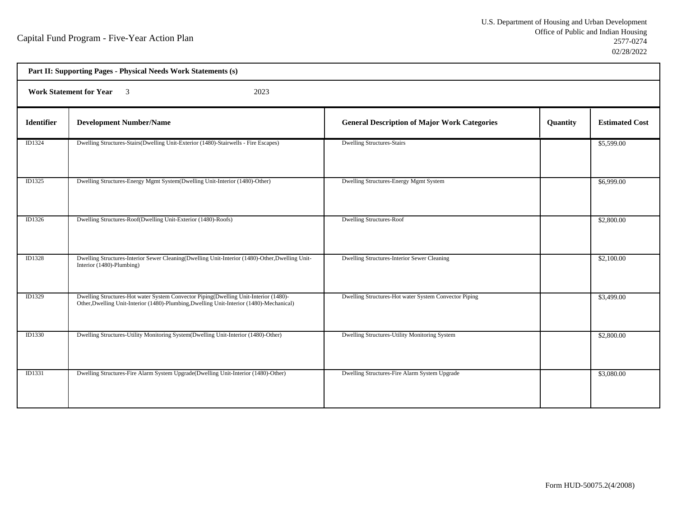| Part II: Supporting Pages - Physical Needs Work Statements (s) |                                                                                                                                                                                  |                                                       |          |                       |  |  |
|----------------------------------------------------------------|----------------------------------------------------------------------------------------------------------------------------------------------------------------------------------|-------------------------------------------------------|----------|-----------------------|--|--|
|                                                                | <b>Work Statement for Year</b><br>$\overline{\mathbf{3}}$<br>2023                                                                                                                |                                                       |          |                       |  |  |
| Identifier                                                     | <b>Development Number/Name</b>                                                                                                                                                   | <b>General Description of Major Work Categories</b>   | Quantity | <b>Estimated Cost</b> |  |  |
| ID1324                                                         | Dwelling Structures-Stairs(Dwelling Unit-Exterior (1480)-Stairwells - Fire Escapes)                                                                                              | <b>Dwelling Structures-Stairs</b>                     |          | \$5,599.00            |  |  |
| ID1325                                                         | Dwelling Structures-Energy Mgmt System(Dwelling Unit-Interior (1480)-Other)                                                                                                      | Dwelling Structures-Energy Mgmt System                |          | \$6,999.00            |  |  |
| ID1326                                                         | Dwelling Structures-Roof(Dwelling Unit-Exterior (1480)-Roofs)                                                                                                                    | <b>Dwelling Structures-Roof</b>                       |          | \$2,800.00            |  |  |
| ID1328                                                         | Dwelling Structures-Interior Sewer Cleaning(Dwelling Unit-Interior (1480)-Other, Dwelling Unit-<br>Interior (1480)-Plumbing)                                                     | Dwelling Structures-Interior Sewer Cleaning           |          | \$2,100.00            |  |  |
| ID1329                                                         | Dwelling Structures-Hot water System Convector Piping(Dwelling Unit-Interior (1480)-<br>Other, Dwelling Unit-Interior (1480)-Plumbing, Dwelling Unit-Interior (1480)-Mechanical) | Dwelling Structures-Hot water System Convector Piping |          | \$3,499.00            |  |  |
| ID1330                                                         | Dwelling Structures-Utility Monitoring System(Dwelling Unit-Interior (1480)-Other)                                                                                               | Dwelling Structures-Utility Monitoring System         |          | \$2,800.00            |  |  |
| ID1331                                                         | Dwelling Structures-Fire Alarm System Upgrade(Dwelling Unit-Interior (1480)-Other)                                                                                               | Dwelling Structures-Fire Alarm System Upgrade         |          | \$3,080.00            |  |  |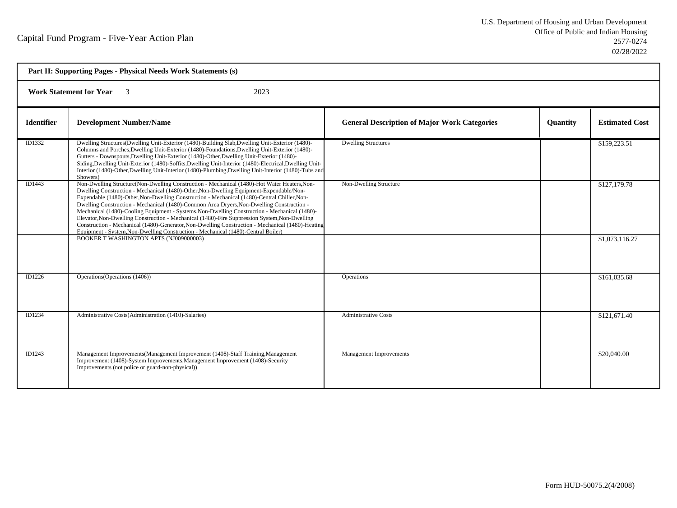| Part II: Supporting Pages - Physical Needs Work Statements (s) |                                                                                                                                                                                                                                                                                                                                                                                                                                                                                                                                                                                                                                                                                                                                                                                  |                                                     |                 |                       |
|----------------------------------------------------------------|----------------------------------------------------------------------------------------------------------------------------------------------------------------------------------------------------------------------------------------------------------------------------------------------------------------------------------------------------------------------------------------------------------------------------------------------------------------------------------------------------------------------------------------------------------------------------------------------------------------------------------------------------------------------------------------------------------------------------------------------------------------------------------|-----------------------------------------------------|-----------------|-----------------------|
| <b>Work Statement for Year</b> 3<br>2023                       |                                                                                                                                                                                                                                                                                                                                                                                                                                                                                                                                                                                                                                                                                                                                                                                  |                                                     |                 |                       |
| <b>Identifier</b>                                              | <b>Development Number/Name</b>                                                                                                                                                                                                                                                                                                                                                                                                                                                                                                                                                                                                                                                                                                                                                   | <b>General Description of Major Work Categories</b> | <b>Quantity</b> | <b>Estimated Cost</b> |
| ID1332                                                         | Dwelling Structures(Dwelling Unit-Exterior (1480)-Building Slab, Dwelling Unit-Exterior (1480)-<br>Columns and Porches, Dwelling Unit-Exterior (1480)-Foundations, Dwelling Unit-Exterior (1480)-<br>Gutters - Downspouts, Dwelling Unit-Exterior (1480)-Other, Dwelling Unit-Exterior (1480)-<br>Siding, Dwelling Unit-Exterior (1480)-Soffits, Dwelling Unit-Interior (1480)-Electrical, Dwelling Unit-<br>Interior (1480)-Other, Dwelling Unit-Interior (1480)-Plumbing, Dwelling Unit-Interior (1480)-Tubs and<br>Showers)                                                                                                                                                                                                                                                   | <b>Dwelling Structures</b>                          |                 | \$159,223.51          |
| ID1443                                                         | Non-Dwelling Structure(Non-Dwelling Construction - Mechanical (1480)-Hot Water Heaters, Non-<br>Dwelling Construction - Mechanical (1480)-Other, Non-Dwelling Equipment-Expendable/Non-<br>Expendable (1480)-Other, Non-Dwelling Construction - Mechanical (1480)-Central Chiller, Non-<br>Dwelling Construction - Mechanical (1480)-Common Area Dryers, Non-Dwelling Construction -<br>Mechanical (1480)-Cooling Equipment - Systems, Non-Dwelling Construction - Mechanical (1480)-<br>Elevator, Non-Dwelling Construction - Mechanical (1480)-Fire Suppression System, Non-Dwelling<br>Construction - Mechanical (1480)-Generator, Non-Dwelling Construction - Mechanical (1480)-Heating<br>Equipment - System, Non-Dwelling Construction - Mechanical (1480)-Central Boiler) | Non-Dwelling Structure                              |                 | \$127,179.78          |
|                                                                | BOOKER T WASHINGTON APTS (NJ009000003)                                                                                                                                                                                                                                                                                                                                                                                                                                                                                                                                                                                                                                                                                                                                           |                                                     |                 | \$1,073,116.27        |
| ID1226                                                         | Operations (Operations (1406))                                                                                                                                                                                                                                                                                                                                                                                                                                                                                                                                                                                                                                                                                                                                                   | <b>Operations</b>                                   |                 | \$161,035.68          |
| ID1234                                                         | Administrative Costs(Administration (1410)-Salaries)                                                                                                                                                                                                                                                                                                                                                                                                                                                                                                                                                                                                                                                                                                                             | <b>Administrative Costs</b>                         |                 | \$121,671.40          |
| ID1243                                                         | Management Improvements(Management Improvement (1408)-Staff Training, Management<br>Improvement (1408)-System Improvements, Management Improvement (1408)-Security<br>Improvements (not police or guard-non-physical))                                                                                                                                                                                                                                                                                                                                                                                                                                                                                                                                                           | <b>Management Improvements</b>                      |                 | \$20,040.00           |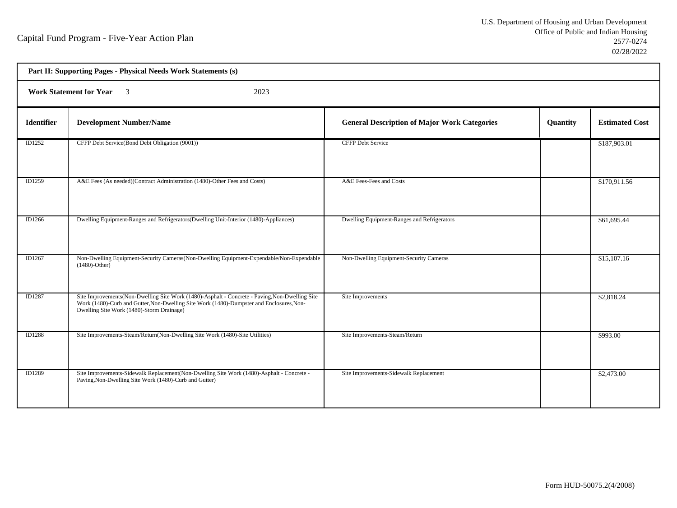h

| Part II: Supporting Pages - Physical Needs Work Statements (s) |                                                                                                                                                                                                                                         |                                                     |          |                       |  |  |
|----------------------------------------------------------------|-----------------------------------------------------------------------------------------------------------------------------------------------------------------------------------------------------------------------------------------|-----------------------------------------------------|----------|-----------------------|--|--|
|                                                                | <b>Work Statement for Year</b> 3<br>2023                                                                                                                                                                                                |                                                     |          |                       |  |  |
| <b>Identifier</b>                                              | <b>Development Number/Name</b>                                                                                                                                                                                                          | <b>General Description of Major Work Categories</b> | Quantity | <b>Estimated Cost</b> |  |  |
| ID1252                                                         | CFFP Debt Service(Bond Debt Obligation (9001))                                                                                                                                                                                          | <b>CFFP Debt Service</b>                            |          | \$187,903.01          |  |  |
| ID1259                                                         | A&E Fees (As needed)(Contract Administration (1480)-Other Fees and Costs)                                                                                                                                                               | A&E Fees-Fees and Costs                             |          | \$170,911.56          |  |  |
| ID1266                                                         | Dwelling Equipment-Ranges and Refrigerators (Dwelling Unit-Interior (1480)-Appliances)                                                                                                                                                  | Dwelling Equipment-Ranges and Refrigerators         |          | \$61,695.44           |  |  |
| ID1267                                                         | Non-Dwelling Equipment-Security Cameras (Non-Dwelling Equipment-Expendable/Non-Expendable<br>$(1480)$ -Other)                                                                                                                           | Non-Dwelling Equipment-Security Cameras             |          | \$15,107.16           |  |  |
| ID1287                                                         | Site Improvements(Non-Dwelling Site Work (1480)-Asphalt - Concrete - Paving, Non-Dwelling Site<br>Work (1480)-Curb and Gutter, Non-Dwelling Site Work (1480)-Dumpster and Enclosures, Non-<br>Dwelling Site Work (1480)-Storm Drainage) | Site Improvements                                   |          | \$2,818.24            |  |  |
| ID1288                                                         | Site Improvements-Steam/Return(Non-Dwelling Site Work (1480)-Site Utilities)                                                                                                                                                            | Site Improvements-Steam/Return                      |          | \$993.00              |  |  |
| <b>ID1289</b>                                                  | Site Improvements-Sidewalk Replacement(Non-Dwelling Site Work (1480)-Asphalt - Concrete -<br>Paving, Non-Dwelling Site Work (1480)-Curb and Gutter)                                                                                     | Site Improvements-Sidewalk Replacement              |          | \$2,473.00            |  |  |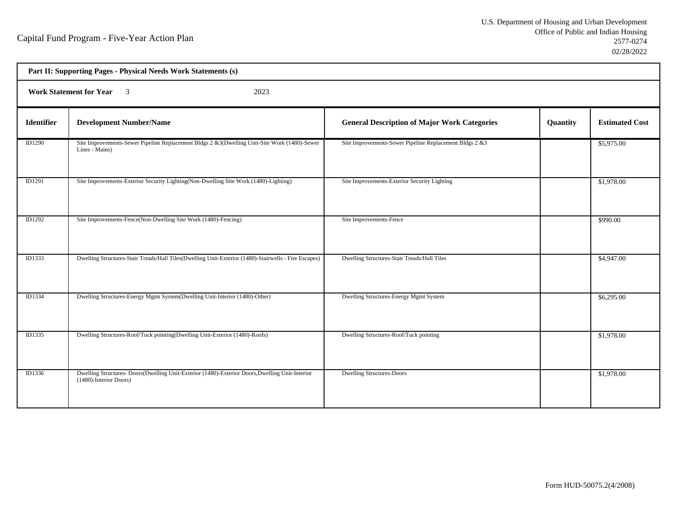| Part II: Supporting Pages - Physical Needs Work Statements (s) |                                                                                                                          |                                                         |          |                       |  |  |
|----------------------------------------------------------------|--------------------------------------------------------------------------------------------------------------------------|---------------------------------------------------------|----------|-----------------------|--|--|
|                                                                | <b>Work Statement for Year</b> 3<br>2023                                                                                 |                                                         |          |                       |  |  |
| Identifier                                                     | <b>Development Number/Name</b>                                                                                           | <b>General Description of Major Work Categories</b>     | Quantity | <b>Estimated Cost</b> |  |  |
| ID1290                                                         | Site Improvements-Sewer Pipeline Replacement Bldgs 2 &3(Dwelling Unit-Site Work (1480)-Sewer<br>Lines - Mains)           | Site Improvements-Sewer Pipeline Replacement Bldgs 2 &3 |          | \$5,975.00            |  |  |
| ID1291                                                         | Site Improvements-Exterior Security Lighting (Non-Dwelling Site Work (1480)-Lighting)                                    | Site Improvements-Exterior Security Lighting            |          | \$1,978.00            |  |  |
| <b>ID1292</b>                                                  | Site Improvements-Fence(Non-Dwelling Site Work (1480)-Fencing)                                                           | Site Improvements-Fence                                 |          | \$990.00              |  |  |
| <b>ID1333</b>                                                  | Dwelling Structures-Stair Treads/Hall Tiles(Dwelling Unit-Exterior (1480)-Stairwells - Fire Escapes)                     | Dwelling Structures-Stair Treads/Hall Tiles             |          | \$4,947.00            |  |  |
| ID1334                                                         | Dwelling Structures-Energy Mgmt System(Dwelling Unit-Interior (1480)-Other)                                              | Dwelling Structures-Energy Mgmt System                  |          | \$6,295.00            |  |  |
| ID1335                                                         | Dwelling Structures-Roof/Tuck pointing(Dwelling Unit-Exterior (1480)-Roofs)                                              | Dwelling Structures-Roof/Tuck pointing                  |          | \$1,978.00            |  |  |
| ID1336                                                         | Dwelling Structures-Doors(Dwelling Unit-Exterior (1480)-Exterior Doors, Dwelling Unit-Interior<br>(1480)-Interior Doors) | <b>Dwelling Structures-Doors</b>                        |          | \$1,978.00            |  |  |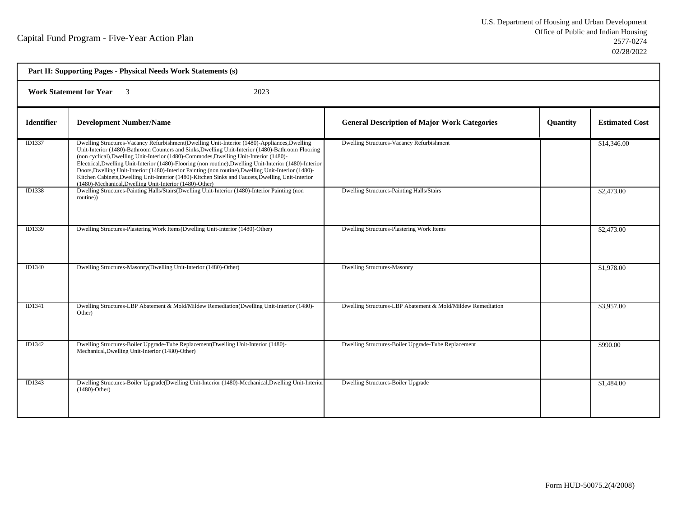| Part II: Supporting Pages - Physical Needs Work Statements (s) |                                                                                                                                                                                                                                                                                                                                                                                                                                                                                                                                                                                                                                                                                 |                                                             |          |                       |  |  |
|----------------------------------------------------------------|---------------------------------------------------------------------------------------------------------------------------------------------------------------------------------------------------------------------------------------------------------------------------------------------------------------------------------------------------------------------------------------------------------------------------------------------------------------------------------------------------------------------------------------------------------------------------------------------------------------------------------------------------------------------------------|-------------------------------------------------------------|----------|-----------------------|--|--|
|                                                                | <b>Work Statement for Year</b> 3<br>2023                                                                                                                                                                                                                                                                                                                                                                                                                                                                                                                                                                                                                                        |                                                             |          |                       |  |  |
| <b>Identifier</b>                                              | <b>Development Number/Name</b>                                                                                                                                                                                                                                                                                                                                                                                                                                                                                                                                                                                                                                                  | <b>General Description of Major Work Categories</b>         | Quantity | <b>Estimated Cost</b> |  |  |
| ID1337                                                         | Dwelling Structures-Vacancy Refurbishment(Dwelling Unit-Interior (1480)-Appliances, Dwelling<br>Unit-Interior (1480)-Bathroom Counters and Sinks, Dwelling Unit-Interior (1480)-Bathroom Flooring<br>(non cyclical), Dwelling Unit-Interior (1480)-Commodes, Dwelling Unit-Interior (1480)-<br>Electrical, Dwelling Unit-Interior (1480)-Flooring (non routine), Dwelling Unit-Interior (1480)-Interior<br>Doors, Dwelling Unit-Interior (1480)-Interior Painting (non routine), Dwelling Unit-Interior (1480)-<br>Kitchen Cabinets, Dwelling Unit-Interior (1480)-Kitchen Sinks and Faucets, Dwelling Unit-Interior<br>(1480)-Mechanical, Dwelling Unit-Interior (1480)-Other) | Dwelling Structures-Vacancy Refurbishment                   |          | \$14,346.00           |  |  |
| ID1338                                                         | Dwelling Structures-Painting Halls/Stairs(Dwelling Unit-Interior (1480)-Interior Painting (non<br>routine)                                                                                                                                                                                                                                                                                                                                                                                                                                                                                                                                                                      | Dwelling Structures-Painting Halls/Stairs                   |          | \$2,473.00            |  |  |
| ID1339                                                         | Dwelling Structures-Plastering Work Items(Dwelling Unit-Interior (1480)-Other)                                                                                                                                                                                                                                                                                                                                                                                                                                                                                                                                                                                                  | Dwelling Structures-Plastering Work Items                   |          | \$2,473.00            |  |  |
| <b>ID1340</b>                                                  | Dwelling Structures-Masonry(Dwelling Unit-Interior (1480)-Other)                                                                                                                                                                                                                                                                                                                                                                                                                                                                                                                                                                                                                | <b>Dwelling Structures-Masonry</b>                          |          | \$1,978.00            |  |  |
| ID1341                                                         | Dwelling Structures-LBP Abatement & Mold/Mildew Remediation(Dwelling Unit-Interior (1480)-<br>Other)                                                                                                                                                                                                                                                                                                                                                                                                                                                                                                                                                                            | Dwelling Structures-LBP Abatement & Mold/Mildew Remediation |          | \$3,957.00            |  |  |
| ID1342                                                         | Dwelling Structures-Boiler Upgrade-Tube Replacement(Dwelling Unit-Interior (1480)-<br>Mechanical, Dwelling Unit-Interior (1480)-Other)                                                                                                                                                                                                                                                                                                                                                                                                                                                                                                                                          | Dwelling Structures-Boiler Upgrade-Tube Replacement         |          | \$990.00              |  |  |
| ID1343                                                         | Dwelling Structures-Boiler Upgrade(Dwelling Unit-Interior (1480)-Mechanical,Dwelling Unit-Interior<br>$(1480)$ -Other)                                                                                                                                                                                                                                                                                                                                                                                                                                                                                                                                                          | Dwelling Structures-Boiler Upgrade                          |          | \$1,484.00            |  |  |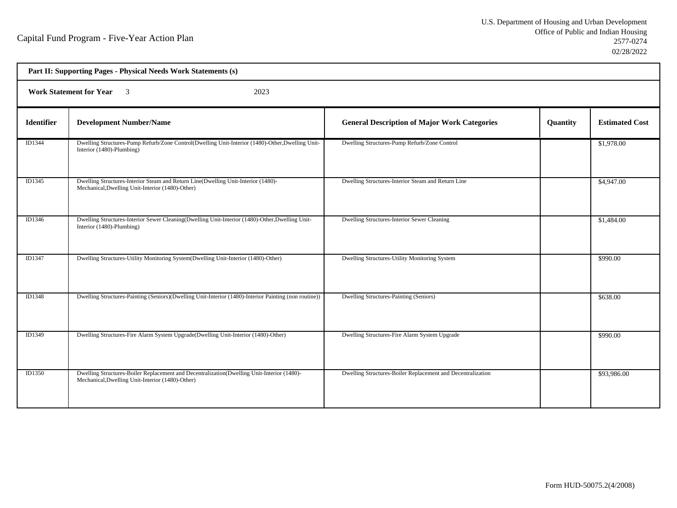|                   | Part II: Supporting Pages - Physical Needs Work Statements (s)                                                                                 |                                                             |          |                       |  |
|-------------------|------------------------------------------------------------------------------------------------------------------------------------------------|-------------------------------------------------------------|----------|-----------------------|--|
|                   | <b>Work Statement for Year</b><br>2023<br>$\overline{3}$                                                                                       |                                                             |          |                       |  |
| <b>Identifier</b> | <b>Development Number/Name</b>                                                                                                                 | <b>General Description of Major Work Categories</b>         | Quantity | <b>Estimated Cost</b> |  |
| ID1344            | Dwelling Structures-Pump Refurb/Zone Control(Dwelling Unit-Interior (1480)-Other, Dwelling Unit-<br>Interior (1480)-Plumbing)                  | Dwelling Structures-Pump Refurb/Zone Control                |          | \$1,978.00            |  |
| ID1345            | Dwelling Structures-Interior Steam and Return Line(Dwelling Unit-Interior (1480)-<br>Mechanical, Dwelling Unit-Interior (1480)-Other)          | Dwelling Structures-Interior Steam and Return Line          |          | \$4,947.00            |  |
| ID1346            | Dwelling Structures-Interior Sewer Cleaning (Dwelling Unit-Interior (1480)-Other, Dwelling Unit-<br>Interior (1480)-Plumbing)                  | Dwelling Structures-Interior Sewer Cleaning                 |          | \$1,484.00            |  |
| ID1347            | Dwelling Structures-Utility Monitoring System(Dwelling Unit-Interior (1480)-Other)                                                             | Dwelling Structures-Utility Monitoring System               |          | \$990.00              |  |
| <b>ID1348</b>     | Dwelling Structures-Painting (Seniors)(Dwelling Unit-Interior (1480)-Interior Painting (non routine))                                          | Dwelling Structures-Painting (Seniors)                      |          | \$638.00              |  |
| ID1349            | Dwelling Structures-Fire Alarm System Upgrade(Dwelling Unit-Interior (1480)-Other)                                                             | Dwelling Structures-Fire Alarm System Upgrade               |          | \$990.00              |  |
| <b>ID1350</b>     | Dwelling Structures-Boiler Replacement and Decentralization(Dwelling Unit-Interior (1480)-<br>Mechanical, Dwelling Unit-Interior (1480)-Other) | Dwelling Structures-Boiler Replacement and Decentralization |          | \$93,986.00           |  |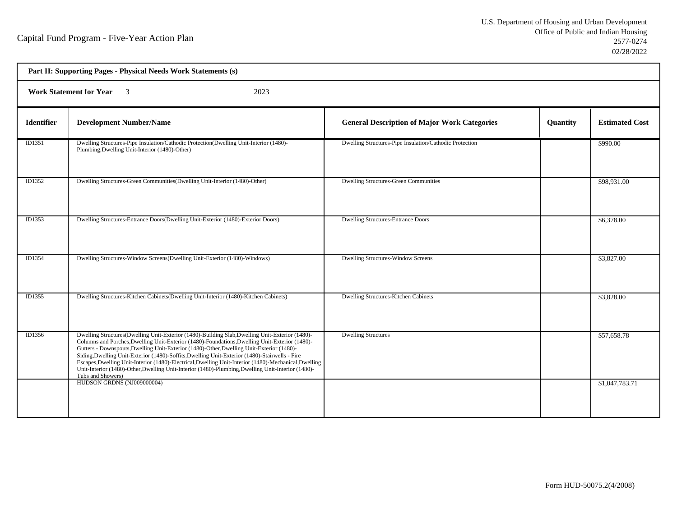| Part II: Supporting Pages - Physical Needs Work Statements (s) |                                                                                                                                                                                                                                                                                                                                                                                                                                                                                                                                                                                                                                       |                                                         |          |                         |  |  |
|----------------------------------------------------------------|---------------------------------------------------------------------------------------------------------------------------------------------------------------------------------------------------------------------------------------------------------------------------------------------------------------------------------------------------------------------------------------------------------------------------------------------------------------------------------------------------------------------------------------------------------------------------------------------------------------------------------------|---------------------------------------------------------|----------|-------------------------|--|--|
|                                                                | Work Statement for Year 3<br>2023                                                                                                                                                                                                                                                                                                                                                                                                                                                                                                                                                                                                     |                                                         |          |                         |  |  |
| <b>Identifier</b>                                              | <b>Development Number/Name</b>                                                                                                                                                                                                                                                                                                                                                                                                                                                                                                                                                                                                        | <b>General Description of Major Work Categories</b>     | Quantity | <b>Estimated Cost</b>   |  |  |
| ID1351                                                         | Dwelling Structures-Pipe Insulation/Cathodic Protection(Dwelling Unit-Interior (1480)-<br>Plumbing, Dwelling Unit-Interior (1480)-Other)                                                                                                                                                                                                                                                                                                                                                                                                                                                                                              | Dwelling Structures-Pipe Insulation/Cathodic Protection |          | \$990.00                |  |  |
| ID1352                                                         | Dwelling Structures-Green Communities (Dwelling Unit-Interior (1480)-Other)                                                                                                                                                                                                                                                                                                                                                                                                                                                                                                                                                           | <b>Dwelling Structures-Green Communities</b>            |          | \$98,931.00             |  |  |
| ID1353                                                         | Dwelling Structures-Entrance Doors(Dwelling Unit-Exterior (1480)-Exterior Doors)                                                                                                                                                                                                                                                                                                                                                                                                                                                                                                                                                      | <b>Dwelling Structures-Entrance Doors</b>               |          | \$6,378.00              |  |  |
| ID1354                                                         | Dwelling Structures-Window Screens(Dwelling Unit-Exterior (1480)-Windows)                                                                                                                                                                                                                                                                                                                                                                                                                                                                                                                                                             | Dwelling Structures-Window Screens                      |          | \$3,827.00              |  |  |
| ID1355                                                         | Dwelling Structures-Kitchen Cabinets(Dwelling Unit-Interior (1480)-Kitchen Cabinets)                                                                                                                                                                                                                                                                                                                                                                                                                                                                                                                                                  | Dwelling Structures-Kitchen Cabinets                    |          | \$3,828.00              |  |  |
| ID1356                                                         | Dwelling Structures (Dwelling Unit-Exterior (1480)-Building Slab, Dwelling Unit-Exterior (1480)-<br>Columns and Porches, Dwelling Unit-Exterior (1480)-Foundations, Dwelling Unit-Exterior (1480)-<br>Gutters - Downspouts, Dwelling Unit-Exterior (1480)-Other, Dwelling Unit-Exterior (1480)-<br>Siding, Dwelling Unit-Exterior (1480)-Soffits, Dwelling Unit-Exterior (1480)-Stairwells - Fire<br>Escapes, Dwelling Unit-Interior (1480)-Electrical, Dwelling Unit-Interior (1480)-Mechanical, Dwelling<br>Unit-Interior (1480)-Other, Dwelling Unit-Interior (1480)-Plumbing, Dwelling Unit-Interior (1480)-<br>Tubs and Showers) | <b>Dwelling Structures</b>                              |          | $\overline{$}57,658.78$ |  |  |
|                                                                | HUDSON GRDNS (NJ009000004)                                                                                                                                                                                                                                                                                                                                                                                                                                                                                                                                                                                                            |                                                         |          | \$1,047,783.71          |  |  |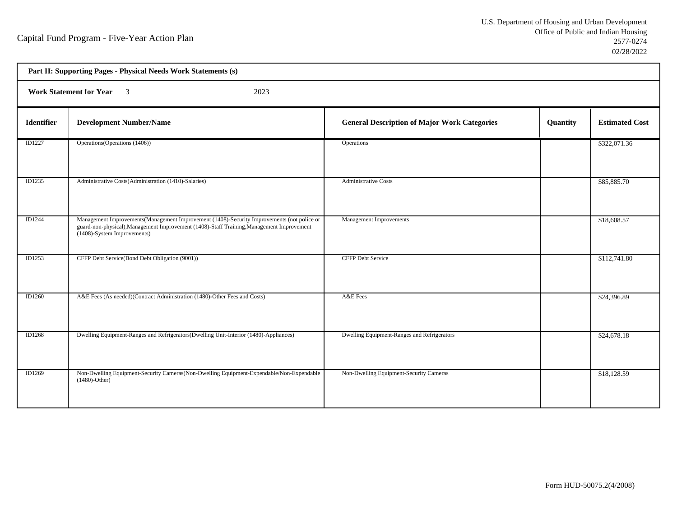h

| Part II: Supporting Pages - Physical Needs Work Statements (s) |                                                                                                                                                                                                                         |                                                     |          |                       |  |
|----------------------------------------------------------------|-------------------------------------------------------------------------------------------------------------------------------------------------------------------------------------------------------------------------|-----------------------------------------------------|----------|-----------------------|--|
|                                                                | Work Statement for Year 3<br>2023                                                                                                                                                                                       |                                                     |          |                       |  |
| <b>Identifier</b>                                              | <b>Development Number/Name</b>                                                                                                                                                                                          | <b>General Description of Major Work Categories</b> | Quantity | <b>Estimated Cost</b> |  |
| <b>ID1227</b>                                                  | Operations (Operations (1406))                                                                                                                                                                                          | Operations                                          |          | \$322,071.36          |  |
| ID1235                                                         | Administrative Costs(Administration (1410)-Salaries)                                                                                                                                                                    | <b>Administrative Costs</b>                         |          | \$85,885.70           |  |
| ID1244                                                         | Management Improvements (Management Improvement (1408)-Security Improvements (not police or<br>guard-non-physical), Management Improvement (1408)-Staff Training, Management Improvement<br>(1408)-System Improvements) | Management Improvements                             |          | \$18,608.57           |  |
| ID1253                                                         | CFFP Debt Service(Bond Debt Obligation (9001))                                                                                                                                                                          | <b>CFFP Debt Service</b>                            |          | \$112,741.80          |  |
| <b>ID1260</b>                                                  | A&E Fees (As needed)(Contract Administration (1480)-Other Fees and Costs)                                                                                                                                               | A&E Fees                                            |          | \$24,396.89           |  |
| ID1268                                                         | Dwelling Equipment-Ranges and Refrigerators(Dwelling Unit-Interior (1480)-Appliances)                                                                                                                                   | Dwelling Equipment-Ranges and Refrigerators         |          | \$24,678.18           |  |
| ID1269                                                         | Non-Dwelling Equipment-Security Cameras (Non-Dwelling Equipment-Expendable/Non-Expendable<br>$(1480)$ -Other)                                                                                                           | Non-Dwelling Equipment-Security Cameras             |          | \$18,128.59           |  |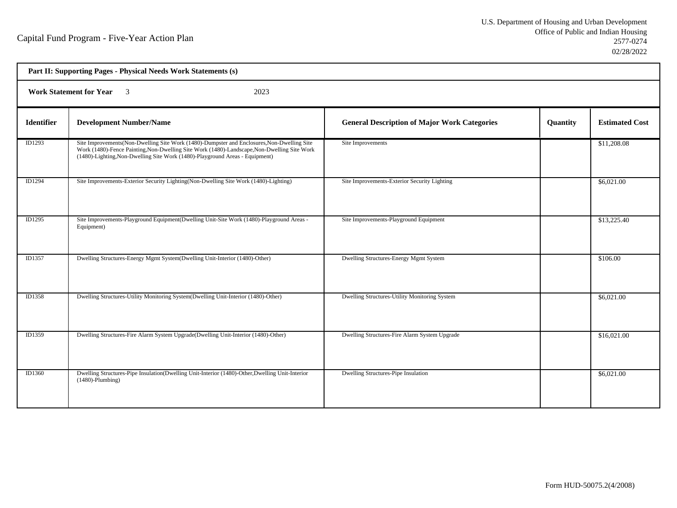| Part II: Supporting Pages - Physical Needs Work Statements (s) |                                                                                                                                                                                                                                                                            |                                                     |          |                       |  |
|----------------------------------------------------------------|----------------------------------------------------------------------------------------------------------------------------------------------------------------------------------------------------------------------------------------------------------------------------|-----------------------------------------------------|----------|-----------------------|--|
|                                                                | <b>Work Statement for Year</b> 3<br>2023                                                                                                                                                                                                                                   |                                                     |          |                       |  |
| <b>Identifier</b>                                              | <b>Development Number/Name</b>                                                                                                                                                                                                                                             | <b>General Description of Major Work Categories</b> | Quantity | <b>Estimated Cost</b> |  |
| ID1293                                                         | Site Improvements (Non-Dwelling Site Work (1480)-Dumpster and Enclosures, Non-Dwelling Site<br>Work (1480)-Fence Painting, Non-Dwelling Site Work (1480)-Landscape, Non-Dwelling Site Work<br>(1480)-Lighting, Non-Dwelling Site Work (1480)-Playground Areas - Equipment) | Site Improvements                                   |          | \$11,208.08           |  |
| ID1294                                                         | Site Improvements-Exterior Security Lighting(Non-Dwelling Site Work (1480)-Lighting)                                                                                                                                                                                       | Site Improvements-Exterior Security Lighting        |          | \$6,021.00            |  |
| ID1295                                                         | Site Improvements-Playground Equipment(Dwelling Unit-Site Work (1480)-Playground Areas -<br>Equipment)                                                                                                                                                                     | Site Improvements-Playground Equipment              |          | \$13,225.40           |  |
| ID1357                                                         | Dwelling Structures-Energy Mgmt System(Dwelling Unit-Interior (1480)-Other)                                                                                                                                                                                                | Dwelling Structures-Energy Mgmt System              |          | \$106.00              |  |
| ID1358                                                         | Dwelling Structures-Utility Monitoring System(Dwelling Unit-Interior (1480)-Other)                                                                                                                                                                                         | Dwelling Structures-Utility Monitoring System       |          | \$6,021.00            |  |
| ID1359                                                         | Dwelling Structures-Fire Alarm System Upgrade(Dwelling Unit-Interior (1480)-Other)                                                                                                                                                                                         | Dwelling Structures-Fire Alarm System Upgrade       |          | \$16,021.00           |  |
| ID1360                                                         | Dwelling Structures-Pipe Insulation(Dwelling Unit-Interior (1480)-Other, Dwelling Unit-Interior<br>$(1480)$ -Plumbing)                                                                                                                                                     | Dwelling Structures-Pipe Insulation                 |          | \$6,021.00            |  |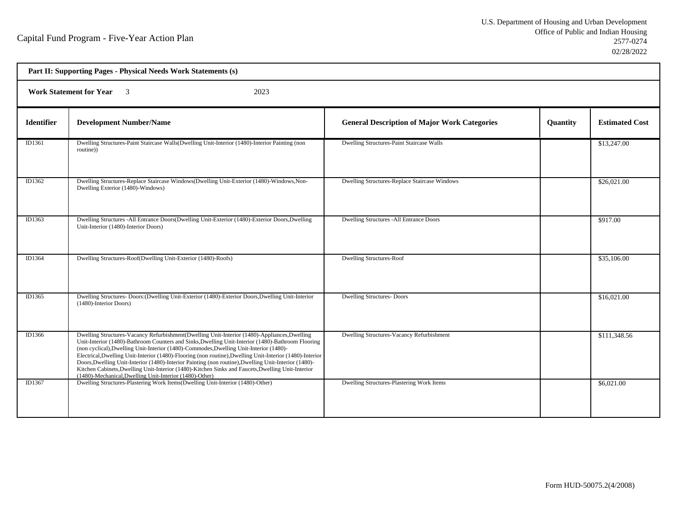| Part II: Supporting Pages - Physical Needs Work Statements (s) |                                                                                                                                                                                                                                                                                                                                                                                                                                                                                                                                                                                                                                                                                 |                                                     |          |                       |  |
|----------------------------------------------------------------|---------------------------------------------------------------------------------------------------------------------------------------------------------------------------------------------------------------------------------------------------------------------------------------------------------------------------------------------------------------------------------------------------------------------------------------------------------------------------------------------------------------------------------------------------------------------------------------------------------------------------------------------------------------------------------|-----------------------------------------------------|----------|-----------------------|--|
|                                                                | <b>Work Statement for Year</b><br>2023<br>$\overline{\mathbf{3}}$                                                                                                                                                                                                                                                                                                                                                                                                                                                                                                                                                                                                               |                                                     |          |                       |  |
| <b>Identifier</b>                                              | <b>Development Number/Name</b>                                                                                                                                                                                                                                                                                                                                                                                                                                                                                                                                                                                                                                                  | <b>General Description of Major Work Categories</b> | Quantity | <b>Estimated Cost</b> |  |
| ID1361                                                         | Dwelling Structures-Paint Staircase Walls(Dwelling Unit-Interior (1480)-Interior Painting (non<br>routine))                                                                                                                                                                                                                                                                                                                                                                                                                                                                                                                                                                     | Dwelling Structures-Paint Staircase Walls           |          | \$13,247.00           |  |
| ID1362                                                         | Dwelling Structures-Replace Staircase Windows (Dwelling Unit-Exterior (1480)-Windows, Non-<br>Dwelling Exterior (1480)-Windows)                                                                                                                                                                                                                                                                                                                                                                                                                                                                                                                                                 | Dwelling Structures-Replace Staircase Windows       |          | \$26,021.00           |  |
| ID1363                                                         | Dwelling Structures -All Entrance Doors(Dwelling Unit-Exterior (1480)-Exterior Doors, Dwelling<br>Unit-Interior (1480)-Interior Doors)                                                                                                                                                                                                                                                                                                                                                                                                                                                                                                                                          | <b>Dwelling Structures -All Entrance Doors</b>      |          | \$917.00              |  |
| ID1364                                                         | Dwelling Structures-Roof(Dwelling Unit-Exterior (1480)-Roofs)                                                                                                                                                                                                                                                                                                                                                                                                                                                                                                                                                                                                                   | <b>Dwelling Structures-Roof</b>                     |          | \$35,106.00           |  |
| ID1365                                                         | Dwelling Structures- Doors: (Dwelling Unit-Exterior (1480)-Exterior Doors, Dwelling Unit-Interior<br>(1480)-Interior Doors)                                                                                                                                                                                                                                                                                                                                                                                                                                                                                                                                                     | <b>Dwelling Structures-Doors</b>                    |          | \$16,021.00           |  |
| ID1366                                                         | Dwelling Structures-Vacancy Refurbishment(Dwelling Unit-Interior (1480)-Appliances, Dwelling<br>Unit-Interior (1480)-Bathroom Counters and Sinks, Dwelling Unit-Interior (1480)-Bathroom Flooring<br>(non cyclical), Dwelling Unit-Interior (1480)-Commodes, Dwelling Unit-Interior (1480)-<br>Electrical, Dwelling Unit-Interior (1480)-Flooring (non routine), Dwelling Unit-Interior (1480)-Interior<br>Doors, Dwelling Unit-Interior (1480)-Interior Painting (non routine), Dwelling Unit-Interior (1480)-<br>Kitchen Cabinets, Dwelling Unit-Interior (1480)-Kitchen Sinks and Faucets, Dwelling Unit-Interior<br>(1480)-Mechanical, Dwelling Unit-Interior (1480)-Other) | Dwelling Structures-Vacancy Refurbishment           |          | \$111,348.56          |  |
| ID1367                                                         | Dwelling Structures-Plastering Work Items(Dwelling Unit-Interior (1480)-Other)                                                                                                                                                                                                                                                                                                                                                                                                                                                                                                                                                                                                  | Dwelling Structures-Plastering Work Items           |          | \$6,021.00            |  |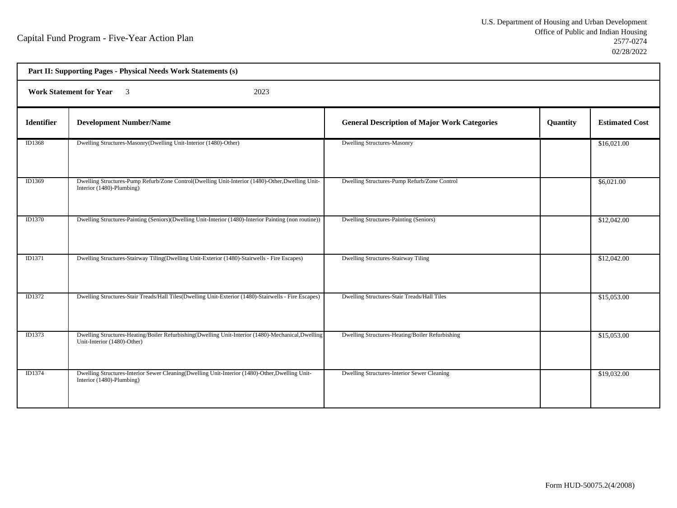| Part II: Supporting Pages - Physical Needs Work Statements (s) |                                                                                                                                  |                                                     |          |                       |  |
|----------------------------------------------------------------|----------------------------------------------------------------------------------------------------------------------------------|-----------------------------------------------------|----------|-----------------------|--|
|                                                                | <b>Work Statement for Year</b> 3<br>2023                                                                                         |                                                     |          |                       |  |
| <b>Identifier</b>                                              | <b>Development Number/Name</b>                                                                                                   | <b>General Description of Major Work Categories</b> | Quantity | <b>Estimated Cost</b> |  |
| ID1368                                                         | Dwelling Structures-Masonry(Dwelling Unit-Interior (1480)-Other)                                                                 | <b>Dwelling Structures-Masonry</b>                  |          | \$16,021.00           |  |
| ID1369                                                         | Dwelling Structures-Pump Refurb/Zone Control(Dwelling Unit-Interior (1480)-Other, Dwelling Unit-<br>Interior (1480)-Plumbing)    | Dwelling Structures-Pump Refurb/Zone Control        |          | \$6,021.00            |  |
| <b>ID1370</b>                                                  | Dwelling Structures-Painting (Seniors)(Dwelling Unit-Interior (1480)-Interior Painting (non routine))                            | Dwelling Structures-Painting (Seniors)              |          | \$12,042.00           |  |
| ID1371                                                         | Dwelling Structures-Stairway Tiling(Dwelling Unit-Exterior (1480)-Stairwells - Fire Escapes)                                     | <b>Dwelling Structures-Stairway Tiling</b>          |          | \$12,042.00           |  |
| ID1372                                                         | Dwelling Structures-Stair Treads/Hall Tiles(Dwelling Unit-Exterior (1480)-Stairwells - Fire Escapes)                             | Dwelling Structures-Stair Treads/Hall Tiles         |          | \$15,053.00           |  |
| ID1373                                                         | Dwelling Structures-Heating/Boiler Refurbishing(Dwelling Unit-Interior (1480)-Mechanical,Dwelling<br>Unit-Interior (1480)-Other) | Dwelling Structures-Heating/Boiler Refurbishing     |          | \$15,053.00           |  |
| ID1374                                                         | Dwelling Structures-Interior Sewer Cleaning(Dwelling Unit-Interior (1480)-Other, Dwelling Unit-<br>Interior (1480)-Plumbing)     | Dwelling Structures-Interior Sewer Cleaning         |          | \$19,032.00           |  |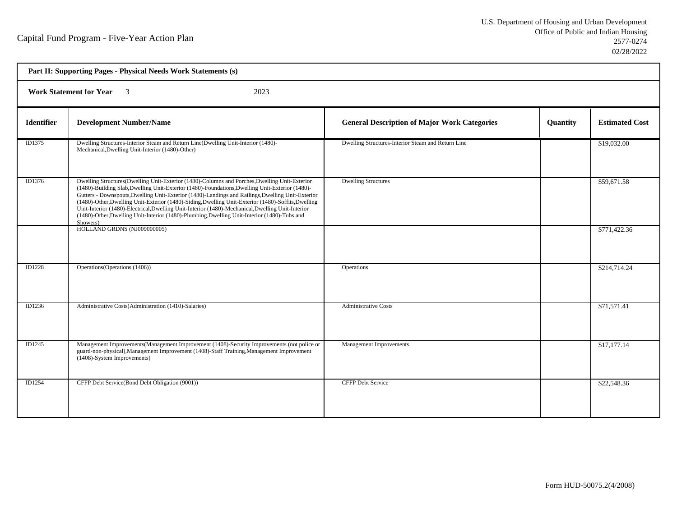| Part II: Supporting Pages - Physical Needs Work Statements (s) |                                                                                                                                                                                                                                                                                                                                                                                                                                                                                                                                                                                                                               |                                                     |          |                       |  |
|----------------------------------------------------------------|-------------------------------------------------------------------------------------------------------------------------------------------------------------------------------------------------------------------------------------------------------------------------------------------------------------------------------------------------------------------------------------------------------------------------------------------------------------------------------------------------------------------------------------------------------------------------------------------------------------------------------|-----------------------------------------------------|----------|-----------------------|--|
| <b>Work Statement for Year</b> 3<br>2023                       |                                                                                                                                                                                                                                                                                                                                                                                                                                                                                                                                                                                                                               |                                                     |          |                       |  |
| <b>Identifier</b>                                              | <b>Development Number/Name</b>                                                                                                                                                                                                                                                                                                                                                                                                                                                                                                                                                                                                | <b>General Description of Major Work Categories</b> | Quantity | <b>Estimated Cost</b> |  |
| ID1375                                                         | Dwelling Structures-Interior Steam and Return Line(Dwelling Unit-Interior (1480)-<br>Mechanical, Dwelling Unit-Interior (1480)-Other)                                                                                                                                                                                                                                                                                                                                                                                                                                                                                         | Dwelling Structures-Interior Steam and Return Line  |          | \$19,032.00           |  |
| ID1376                                                         | Dwelling Structures(Dwelling Unit-Exterior (1480)-Columns and Porches, Dwelling Unit-Exterior<br>(1480)-Building Slab, Dwelling Unit-Exterior (1480)-Foundations, Dwelling Unit-Exterior (1480)-<br>Gutters - Downspouts, Dwelling Unit-Exterior (1480)-Landings and Railings, Dwelling Unit-Exterior<br>(1480)-Other, Dwelling Unit-Exterior (1480)-Siding, Dwelling Unit-Exterior (1480)-Soffits, Dwelling<br>Unit-Interior (1480)-Electrical, Dwelling Unit-Interior (1480)-Mechanical, Dwelling Unit-Interior<br>(1480)-Other, Dwelling Unit-Interior (1480)-Plumbing, Dwelling Unit-Interior (1480)-Tubs and<br>Showers) | <b>Dwelling Structures</b>                          |          | \$59,671.58           |  |
|                                                                | HOLLAND GRDNS (NJ009000005)                                                                                                                                                                                                                                                                                                                                                                                                                                                                                                                                                                                                   |                                                     |          | \$771,422.36          |  |
| <b>ID1228</b>                                                  | Operations (Operations (1406))                                                                                                                                                                                                                                                                                                                                                                                                                                                                                                                                                                                                | Operations                                          |          | \$214,714.24          |  |
| ID1236                                                         | Administrative Costs(Administration (1410)-Salaries)                                                                                                                                                                                                                                                                                                                                                                                                                                                                                                                                                                          | <b>Administrative Costs</b>                         |          | \$71,571.41           |  |
| ID1245                                                         | Management Improvements (Management Improvement (1408)-Security Improvements (not police or<br>guard-non-physical), Management Improvement (1408)-Staff Training, Management Improvement<br>(1408)-System Improvements)                                                                                                                                                                                                                                                                                                                                                                                                       | <b>Management Improvements</b>                      |          | \$17,177.14           |  |
| ID1254                                                         | CFFP Debt Service(Bond Debt Obligation (9001))                                                                                                                                                                                                                                                                                                                                                                                                                                                                                                                                                                                | <b>CFFP Debt Service</b>                            |          | \$22,548.36           |  |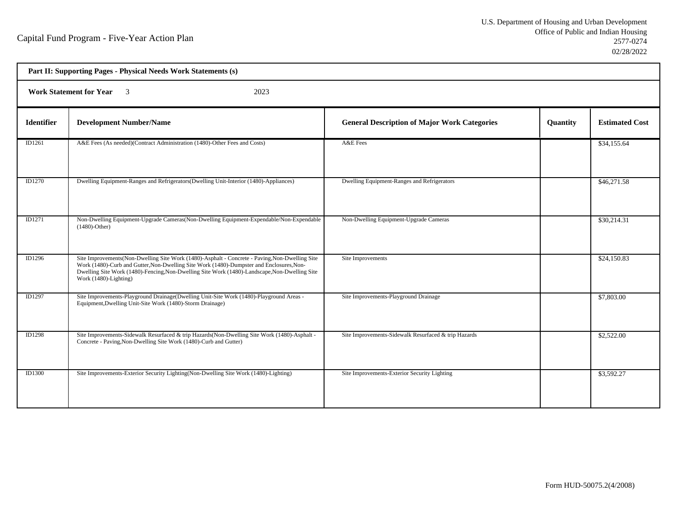| Part II: Supporting Pages - Physical Needs Work Statements (s) |                                                                                                                                                                                                                                                                                                                      |                                                      |                 |                       |  |  |
|----------------------------------------------------------------|----------------------------------------------------------------------------------------------------------------------------------------------------------------------------------------------------------------------------------------------------------------------------------------------------------------------|------------------------------------------------------|-----------------|-----------------------|--|--|
|                                                                | <b>Work Statement for Year</b><br>2023<br>$\overline{\mathbf{3}}$                                                                                                                                                                                                                                                    |                                                      |                 |                       |  |  |
| <b>Identifier</b>                                              | <b>Development Number/Name</b>                                                                                                                                                                                                                                                                                       | <b>General Description of Major Work Categories</b>  | <b>Quantity</b> | <b>Estimated Cost</b> |  |  |
| ID1261                                                         | A&E Fees (As needed)(Contract Administration (1480)-Other Fees and Costs)                                                                                                                                                                                                                                            | A&E Fees                                             |                 | \$34,155.64           |  |  |
| ID1270                                                         | Dwelling Equipment-Ranges and Refrigerators (Dwelling Unit-Interior (1480)-Appliances)                                                                                                                                                                                                                               | Dwelling Equipment-Ranges and Refrigerators          |                 | \$46,271.58           |  |  |
| ID1271                                                         | Non-Dwelling Equipment-Upgrade Cameras(Non-Dwelling Equipment-Expendable/Non-Expendable<br>$(1480)$ -Other)                                                                                                                                                                                                          | Non-Dwelling Equipment-Upgrade Cameras               |                 | \$30,214.31           |  |  |
| <b>ID1296</b>                                                  | Site Improvements(Non-Dwelling Site Work (1480)-Asphalt - Concrete - Paving, Non-Dwelling Site<br>Work (1480)-Curb and Gutter, Non-Dwelling Site Work (1480)-Dumpster and Enclosures, Non-<br>Dwelling Site Work (1480)-Fencing, Non-Dwelling Site Work (1480)-Landscape, Non-Dwelling Site<br>Work (1480)-Lighting) | Site Improvements                                    |                 | \$24,150.83           |  |  |
| <b>ID1297</b>                                                  | Site Improvements-Playground Drainage(Dwelling Unit-Site Work (1480)-Playground Areas -<br>Equipment, Dwelling Unit-Site Work (1480)-Storm Drainage)                                                                                                                                                                 | Site Improvements-Playground Drainage                |                 | \$7,803.00            |  |  |
| <b>ID1298</b>                                                  | Site Improvements-Sidewalk Resurfaced & trip Hazards (Non-Dwelling Site Work (1480)-Asphalt -<br>Concrete - Paving, Non-Dwelling Site Work (1480)-Curb and Gutter)                                                                                                                                                   | Site Improvements-Sidewalk Resurfaced & trip Hazards |                 | \$2,522.00            |  |  |
| ID1300                                                         | Site Improvements-Exterior Security Lighting (Non-Dwelling Site Work (1480)-Lighting)                                                                                                                                                                                                                                | Site Improvements-Exterior Security Lighting         |                 | \$3,592.27            |  |  |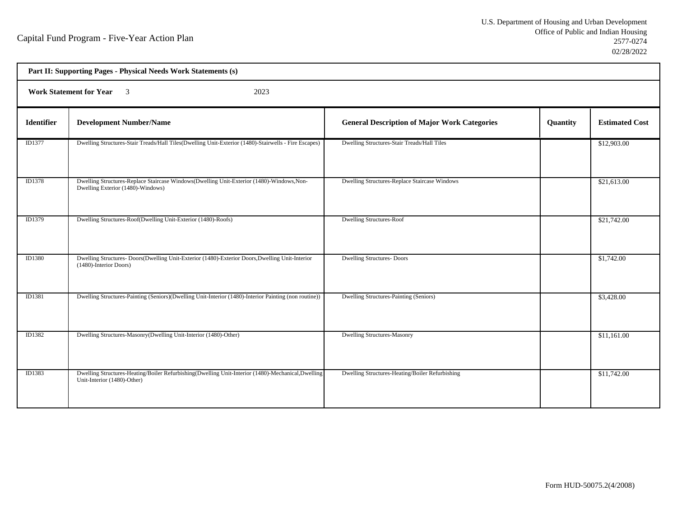| Part II: Supporting Pages - Physical Needs Work Statements (s) |                                                                                                                                  |                                                     |          |                       |  |  |
|----------------------------------------------------------------|----------------------------------------------------------------------------------------------------------------------------------|-----------------------------------------------------|----------|-----------------------|--|--|
|                                                                | <b>Work Statement for Year</b> 3<br>2023                                                                                         |                                                     |          |                       |  |  |
| <b>Identifier</b>                                              | <b>Development Number/Name</b>                                                                                                   | <b>General Description of Major Work Categories</b> | Quantity | <b>Estimated Cost</b> |  |  |
| ID1377                                                         | Dwelling Structures-Stair Treads/Hall Tiles(Dwelling Unit-Exterior (1480)-Stairwells - Fire Escapes)                             | Dwelling Structures-Stair Treads/Hall Tiles         |          | \$12,903.00           |  |  |
| <b>ID1378</b>                                                  | Dwelling Structures-Replace Staircase Windows(Dwelling Unit-Exterior (1480)-Windows, Non-<br>Dwelling Exterior (1480)-Windows)   | Dwelling Structures-Replace Staircase Windows       |          | \$21,613.00           |  |  |
| ID1379                                                         | Dwelling Structures-Roof(Dwelling Unit-Exterior (1480)-Roofs)                                                                    | <b>Dwelling Structures-Roof</b>                     |          | \$21,742.00           |  |  |
| ID1380                                                         | Dwelling Structures-Doors(Dwelling Unit-Exterior (1480)-Exterior Doors, Dwelling Unit-Interior<br>(1480)-Interior Doors)         | <b>Dwelling Structures-Doors</b>                    |          | \$1,742.00            |  |  |
| <b>ID1381</b>                                                  | Dwelling Structures-Painting (Seniors)(Dwelling Unit-Interior (1480)-Interior Painting (non routine))                            | Dwelling Structures-Painting (Seniors)              |          | \$3,428.00            |  |  |
| ID1382                                                         | Dwelling Structures-Masonry(Dwelling Unit-Interior (1480)-Other)                                                                 | <b>Dwelling Structures-Masonry</b>                  |          | \$11,161.00           |  |  |
| ID1383                                                         | Dwelling Structures-Heating/Boiler Refurbishing(Dwelling Unit-Interior (1480)-Mechanical,Dwelling<br>Unit-Interior (1480)-Other) | Dwelling Structures-Heating/Boiler Refurbishing     |          | \$11,742.00           |  |  |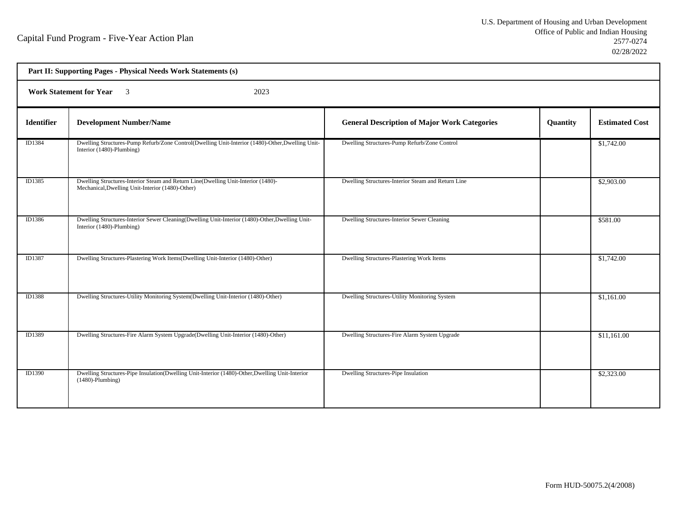| Part II: Supporting Pages - Physical Needs Work Statements (s) |                                                                                                                                       |                                                     |          |                       |  |  |
|----------------------------------------------------------------|---------------------------------------------------------------------------------------------------------------------------------------|-----------------------------------------------------|----------|-----------------------|--|--|
|                                                                | <b>Work Statement for Year</b> 3<br>2023                                                                                              |                                                     |          |                       |  |  |
| <b>Identifier</b>                                              | <b>Development Number/Name</b>                                                                                                        | <b>General Description of Major Work Categories</b> | Quantity | <b>Estimated Cost</b> |  |  |
| ID1384                                                         | Dwelling Structures-Pump Refurb/Zone Control(Dwelling Unit-Interior (1480)-Other, Dwelling Unit-<br>Interior (1480)-Plumbing)         | Dwelling Structures-Pump Refurb/Zone Control        |          | \$1,742.00            |  |  |
| ID1385                                                         | Dwelling Structures-Interior Steam and Return Line(Dwelling Unit-Interior (1480)-<br>Mechanical, Dwelling Unit-Interior (1480)-Other) | Dwelling Structures-Interior Steam and Return Line  |          | \$2,903.00            |  |  |
| ID1386                                                         | Dwelling Structures-Interior Sewer Cleaning(Dwelling Unit-Interior (1480)-Other, Dwelling Unit-<br>Interior (1480)-Plumbing)          | Dwelling Structures-Interior Sewer Cleaning         |          | \$581.00              |  |  |
| ID1387                                                         | Dwelling Structures-Plastering Work Items(Dwelling Unit-Interior (1480)-Other)                                                        | Dwelling Structures-Plastering Work Items           |          | \$1,742.00            |  |  |
| <b>ID1388</b>                                                  | Dwelling Structures-Utility Monitoring System(Dwelling Unit-Interior (1480)-Other)                                                    | Dwelling Structures-Utility Monitoring System       |          | \$1,161.00            |  |  |
| ID1389                                                         | Dwelling Structures-Fire Alarm System Upgrade(Dwelling Unit-Interior (1480)-Other)                                                    | Dwelling Structures-Fire Alarm System Upgrade       |          | \$11,161.00           |  |  |
| <b>ID1390</b>                                                  | Dwelling Structures-Pipe Insulation(Dwelling Unit-Interior (1480)-Other, Dwelling Unit-Interior<br>$(1480)$ -Plumbing)                | Dwelling Structures-Pipe Insulation                 |          | \$2,323.00            |  |  |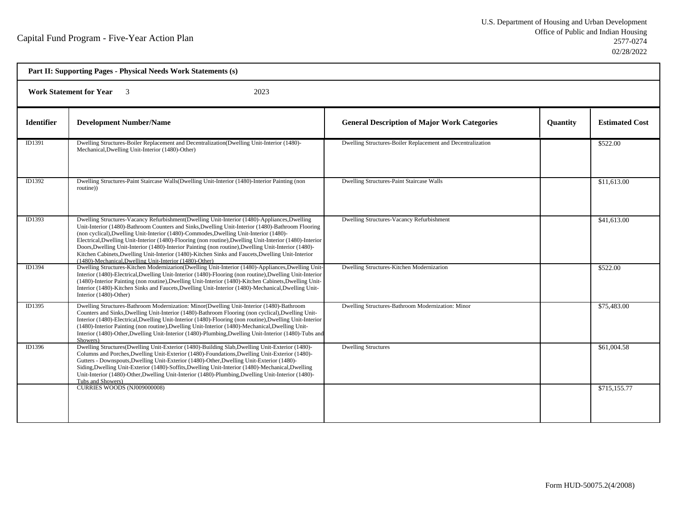| Part II: Supporting Pages - Physical Needs Work Statements (s) |                                                                                                                                                                                                                                                                                                                                                                                                                                                                                                                                                                                                                                                                                 |                                                             |                 |                       |  |  |
|----------------------------------------------------------------|---------------------------------------------------------------------------------------------------------------------------------------------------------------------------------------------------------------------------------------------------------------------------------------------------------------------------------------------------------------------------------------------------------------------------------------------------------------------------------------------------------------------------------------------------------------------------------------------------------------------------------------------------------------------------------|-------------------------------------------------------------|-----------------|-----------------------|--|--|
|                                                                | <b>Work Statement for Year</b><br>2023<br>$\overline{\phantom{a}3}$                                                                                                                                                                                                                                                                                                                                                                                                                                                                                                                                                                                                             |                                                             |                 |                       |  |  |
| <b>Identifier</b>                                              | <b>Development Number/Name</b>                                                                                                                                                                                                                                                                                                                                                                                                                                                                                                                                                                                                                                                  | <b>General Description of Major Work Categories</b>         | <b>Ouantity</b> | <b>Estimated Cost</b> |  |  |
| ID1391                                                         | Dwelling Structures-Boiler Replacement and Decentralization(Dwelling Unit-Interior (1480)-<br>Mechanical, Dwelling Unit-Interior (1480)-Other)                                                                                                                                                                                                                                                                                                                                                                                                                                                                                                                                  | Dwelling Structures-Boiler Replacement and Decentralization |                 | \$522.00              |  |  |
| ID1392                                                         | Dwelling Structures-Paint Staircase Walls(Dwelling Unit-Interior (1480)-Interior Painting (non<br>routine))                                                                                                                                                                                                                                                                                                                                                                                                                                                                                                                                                                     | Dwelling Structures-Paint Staircase Walls                   |                 | \$11,613.00           |  |  |
| ID1393                                                         | Dwelling Structures-Vacancy Refurbishment(Dwelling Unit-Interior (1480)-Appliances, Dwelling<br>Unit-Interior (1480)-Bathroom Counters and Sinks, Dwelling Unit-Interior (1480)-Bathroom Flooring<br>(non cyclical), Dwelling Unit-Interior (1480)-Commodes, Dwelling Unit-Interior (1480)-<br>Electrical, Dwelling Unit-Interior (1480)-Flooring (non routine), Dwelling Unit-Interior (1480)-Interior<br>Doors, Dwelling Unit-Interior (1480)-Interior Painting (non routine), Dwelling Unit-Interior (1480)-<br>Kitchen Cabinets, Dwelling Unit-Interior (1480)-Kitchen Sinks and Faucets, Dwelling Unit-Interior<br>(1480)-Mechanical, Dwelling Unit-Interior (1480)-Other) | Dwelling Structures-Vacancy Refurbishment                   |                 | \$41,613.00           |  |  |
| ID1394                                                         | Dwelling Structures-Kitchen Modernizarion(Dwelling Unit-Interior (1480)-Appliances, Dwelling Unit<br>Interior (1480)-Electrical, Dwelling Unit-Interior (1480)-Flooring (non routine), Dwelling Unit-Interior<br>(1480)-Interior Painting (non routine), Dwelling Unit-Interior (1480)-Kitchen Cabinets, Dwelling Unit-<br>Interior (1480)-Kitchen Sinks and Faucets, Dwelling Unit-Interior (1480)-Mechanical, Dwelling Unit-<br>Interior (1480)-Other)                                                                                                                                                                                                                        | Dwelling Structures-Kitchen Modernizarion                   |                 | \$522.00              |  |  |
| ID1395                                                         | Dwelling Structures-Bathroom Modernization: Minor(Dwelling Unit-Interior (1480)-Bathroom<br>Counters and Sinks, Dwelling Unit-Interior (1480)-Bathroom Flooring (non cyclical), Dwelling Unit-<br>Interior (1480)-Electrical, Dwelling Unit-Interior (1480)-Flooring (non routine), Dwelling Unit-Interior<br>(1480)-Interior Painting (non routine), Dwelling Unit-Interior (1480)-Mechanical, Dwelling Unit-<br>Interior (1480)-Other, Dwelling Unit-Interior (1480)-Plumbing, Dwelling Unit-Interior (1480)-Tubs and<br>Showers)                                                                                                                                             | Dwelling Structures-Bathroom Modernization: Minor           |                 | \$75,483.00           |  |  |
| ID1396                                                         | Dwelling Structures (Dwelling Unit-Exterior (1480)-Building Slab, Dwelling Unit-Exterior (1480)-<br>Columns and Porches, Dwelling Unit-Exterior (1480)-Foundations, Dwelling Unit-Exterior (1480)-<br>Gutters - Downspouts, Dwelling Unit-Exterior (1480)-Other, Dwelling Unit-Exterior (1480)-<br>Siding, Dwelling Unit-Exterior (1480)-Soffits, Dwelling Unit-Interior (1480)-Mechanical, Dwelling<br>Unit-Interior (1480)-Other, Dwelling Unit-Interior (1480)-Plumbing, Dwelling Unit-Interior (1480)-<br>Tubs and Showers)                                                                                                                                                 | <b>Dwelling Structures</b>                                  |                 | \$61,004.58           |  |  |
|                                                                | CURRIES WOODS (NJ009000008)                                                                                                                                                                                                                                                                                                                                                                                                                                                                                                                                                                                                                                                     |                                                             |                 | \$715,155.77          |  |  |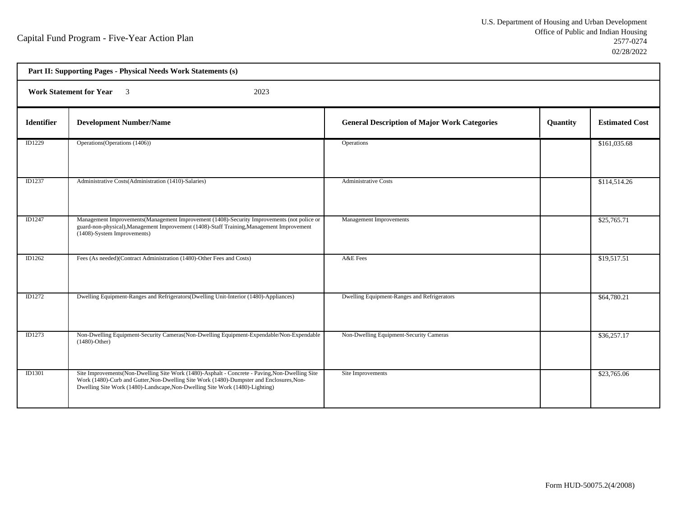h

| Part II: Supporting Pages - Physical Needs Work Statements (s) |                                                                                                                                                                                                                                                                             |                                                     |          |                       |  |
|----------------------------------------------------------------|-----------------------------------------------------------------------------------------------------------------------------------------------------------------------------------------------------------------------------------------------------------------------------|-----------------------------------------------------|----------|-----------------------|--|
|                                                                | Work Statement for Year 3<br>2023                                                                                                                                                                                                                                           |                                                     |          |                       |  |
| <b>Identifier</b>                                              | <b>Development Number/Name</b>                                                                                                                                                                                                                                              | <b>General Description of Major Work Categories</b> | Quantity | <b>Estimated Cost</b> |  |
| ID1229                                                         | Operations (Operations (1406))                                                                                                                                                                                                                                              | Operations                                          |          | \$161,035.68          |  |
| <b>ID1237</b>                                                  | Administrative Costs(Administration (1410)-Salaries)                                                                                                                                                                                                                        | <b>Administrative Costs</b>                         |          | \$114,514.26          |  |
| ID1247                                                         | Management Improvements (Management Improvement (1408)-Security Improvements (not police or<br>guard-non-physical), Management Improvement (1408)-Staff Training, Management Improvement<br>(1408)-System Improvements)                                                     | <b>Management Improvements</b>                      |          | \$25,765.71           |  |
| ID1262                                                         | Fees (As needed)(Contract Administration (1480)-Other Fees and Costs)                                                                                                                                                                                                       | A&E Fees                                            |          | \$19,517.51           |  |
| <b>ID1272</b>                                                  | Dwelling Equipment-Ranges and Refrigerators(Dwelling Unit-Interior (1480)-Appliances)                                                                                                                                                                                       | Dwelling Equipment-Ranges and Refrigerators         |          | \$64,780.21           |  |
| ID1273                                                         | Non-Dwelling Equipment-Security Cameras (Non-Dwelling Equipment-Expendable/Non-Expendable<br>$(1480)$ -Other)                                                                                                                                                               | Non-Dwelling Equipment-Security Cameras             |          | \$36,257.17           |  |
| <b>ID1301</b>                                                  | Site Improvements (Non-Dwelling Site Work (1480)-Asphalt - Concrete - Paving, Non-Dwelling Site<br>Work (1480)-Curb and Gutter, Non-Dwelling Site Work (1480)-Dumpster and Enclosures, Non-<br>Dwelling Site Work (1480)-Landscape, Non-Dwelling Site Work (1480)-Lighting) | Site Improvements                                   |          | \$23,765.06           |  |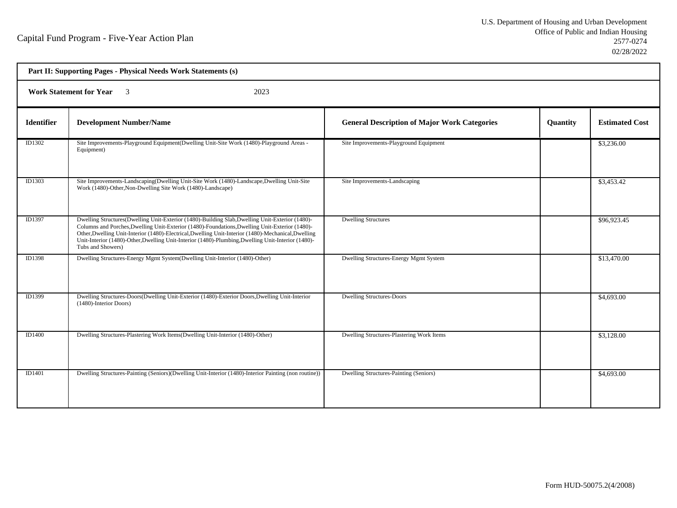| Part II: Supporting Pages - Physical Needs Work Statements (s) |                                                                                                                                                                                                                                                                                                                                                                                                                                     |                                                     |                 |                       |  |
|----------------------------------------------------------------|-------------------------------------------------------------------------------------------------------------------------------------------------------------------------------------------------------------------------------------------------------------------------------------------------------------------------------------------------------------------------------------------------------------------------------------|-----------------------------------------------------|-----------------|-----------------------|--|
|                                                                | <b>Work Statement for Year</b> 3<br>2023                                                                                                                                                                                                                                                                                                                                                                                            |                                                     |                 |                       |  |
| <b>Identifier</b>                                              | <b>Development Number/Name</b>                                                                                                                                                                                                                                                                                                                                                                                                      | <b>General Description of Major Work Categories</b> | <b>Quantity</b> | <b>Estimated Cost</b> |  |
| ID1302                                                         | Site Improvements-Playground Equipment(Dwelling Unit-Site Work (1480)-Playground Areas -<br>Equipment)                                                                                                                                                                                                                                                                                                                              | Site Improvements-Playground Equipment              |                 | \$3,236.00            |  |
| ID1303                                                         | Site Improvements-Landscaping(Dwelling Unit-Site Work (1480)-Landscape, Dwelling Unit-Site<br>Work (1480)-Other, Non-Dwelling Site Work (1480)-Landscape)                                                                                                                                                                                                                                                                           | Site Improvements-Landscaping                       |                 | \$3,453.42            |  |
| ID1397                                                         | Dwelling Structures(Dwelling Unit-Exterior (1480)-Building Slab, Dwelling Unit-Exterior (1480)-<br>Columns and Porches, Dwelling Unit-Exterior (1480)-Foundations, Dwelling Unit-Exterior (1480)-<br>Other, Dwelling Unit-Interior (1480)-Electrical, Dwelling Unit-Interior (1480)-Mechanical, Dwelling<br>Unit-Interior (1480)-Other, Dwelling Unit-Interior (1480)-Plumbing, Dwelling Unit-Interior (1480)-<br>Tubs and Showers) | <b>Dwelling Structures</b>                          |                 | \$96,923.45           |  |
| <b>ID1398</b>                                                  | Dwelling Structures-Energy Mgmt System(Dwelling Unit-Interior (1480)-Other)                                                                                                                                                                                                                                                                                                                                                         | Dwelling Structures-Energy Mgmt System              |                 | \$13,470.00           |  |
| ID1399                                                         | Dwelling Structures-Doors(Dwelling Unit-Exterior (1480)-Exterior Doors, Dwelling Unit-Interior<br>(1480)-Interior Doors)                                                                                                                                                                                                                                                                                                            | <b>Dwelling Structures-Doors</b>                    |                 | \$4,693.00            |  |
| ID1400                                                         | Dwelling Structures-Plastering Work Items(Dwelling Unit-Interior (1480)-Other)                                                                                                                                                                                                                                                                                                                                                      | Dwelling Structures-Plastering Work Items           |                 | \$3,128.00            |  |
| ID1401                                                         | Dwelling Structures-Painting (Seniors) (Dwelling Unit-Interior (1480)-Interior Painting (non routine))                                                                                                                                                                                                                                                                                                                              | Dwelling Structures-Painting (Seniors)              |                 | \$4,693.00            |  |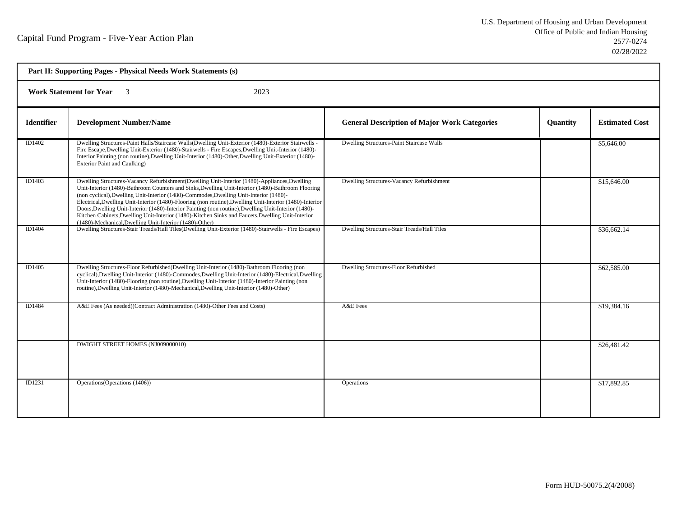| Part II: Supporting Pages - Physical Needs Work Statements (s) |                                                                                                                                                                                                                                                                                                                                                                                                                                                                                                                                                                                                                                                                                 |                                                     |          |                       |
|----------------------------------------------------------------|---------------------------------------------------------------------------------------------------------------------------------------------------------------------------------------------------------------------------------------------------------------------------------------------------------------------------------------------------------------------------------------------------------------------------------------------------------------------------------------------------------------------------------------------------------------------------------------------------------------------------------------------------------------------------------|-----------------------------------------------------|----------|-----------------------|
| <b>Work Statement for Year</b><br>2023                         |                                                                                                                                                                                                                                                                                                                                                                                                                                                                                                                                                                                                                                                                                 |                                                     |          |                       |
| <b>Identifier</b>                                              | <b>Development Number/Name</b>                                                                                                                                                                                                                                                                                                                                                                                                                                                                                                                                                                                                                                                  | <b>General Description of Major Work Categories</b> | Quantity | <b>Estimated Cost</b> |
| ID1402                                                         | Dwelling Structures-Paint Halls/Staircase Walls(Dwelling Unit-Exterior (1480)-Exterior Stairwells -<br>Fire Escape, Dwelling Unit-Exterior (1480)-Stairwells - Fire Escapes, Dwelling Unit-Interior (1480)-<br>Interior Painting (non routine), Dwelling Unit-Interior (1480)-Other, Dwelling Unit-Exterior (1480)-<br>Exterior Paint and Caulking)                                                                                                                                                                                                                                                                                                                             | Dwelling Structures-Paint Staircase Walls           |          | \$5,646.00            |
| ID1403                                                         | Dwelling Structures-Vacancy Refurbishment(Dwelling Unit-Interior (1480)-Appliances, Dwelling<br>Unit-Interior (1480)-Bathroom Counters and Sinks, Dwelling Unit-Interior (1480)-Bathroom Flooring<br>(non cyclical), Dwelling Unit-Interior (1480)-Commodes, Dwelling Unit-Interior (1480)-<br>Electrical, Dwelling Unit-Interior (1480)-Flooring (non routine), Dwelling Unit-Interior (1480)-Interior<br>Doors, Dwelling Unit-Interior (1480)-Interior Painting (non routine), Dwelling Unit-Interior (1480)-<br>Kitchen Cabinets, Dwelling Unit-Interior (1480)-Kitchen Sinks and Faucets, Dwelling Unit-Interior<br>(1480)-Mechanical, Dwelling Unit-Interior (1480)-Other) | Dwelling Structures-Vacancy Refurbishment           |          | \$15,646.00           |
| ID1404                                                         | Dwelling Structures-Stair Treads/Hall Tiles(Dwelling Unit-Exterior (1480)-Stairwells - Fire Escapes)                                                                                                                                                                                                                                                                                                                                                                                                                                                                                                                                                                            | Dwelling Structures-Stair Treads/Hall Tiles         |          | \$36,662.14           |
| ID1405                                                         | Dwelling Structures-Floor Refurbished (Dwelling Unit-Interior (1480)-Bathroom Flooring (non<br>cyclical), Dwelling Unit-Interior (1480)-Commodes, Dwelling Unit-Interior (1480)-Electrical, Dwelling<br>Unit-Interior (1480)-Flooring (non routine), Dwelling Unit-Interior (1480)-Interior Painting (non<br>routine), Dwelling Unit-Interior (1480)-Mechanical, Dwelling Unit-Interior (1480)-Other)                                                                                                                                                                                                                                                                           | Dwelling Structures-Floor Refurbished               |          | \$62,585.00           |
| ID1484                                                         | A&E Fees (As needed)(Contract Administration (1480)-Other Fees and Costs)                                                                                                                                                                                                                                                                                                                                                                                                                                                                                                                                                                                                       | A&E Fees                                            |          | \$19,384.16           |
|                                                                | DWIGHT STREET HOMES (NJ009000010)                                                                                                                                                                                                                                                                                                                                                                                                                                                                                                                                                                                                                                               |                                                     |          | \$26,481.42           |
| ID1231                                                         | Operations (Operations (1406))                                                                                                                                                                                                                                                                                                                                                                                                                                                                                                                                                                                                                                                  | Operations                                          |          | \$17,892.85           |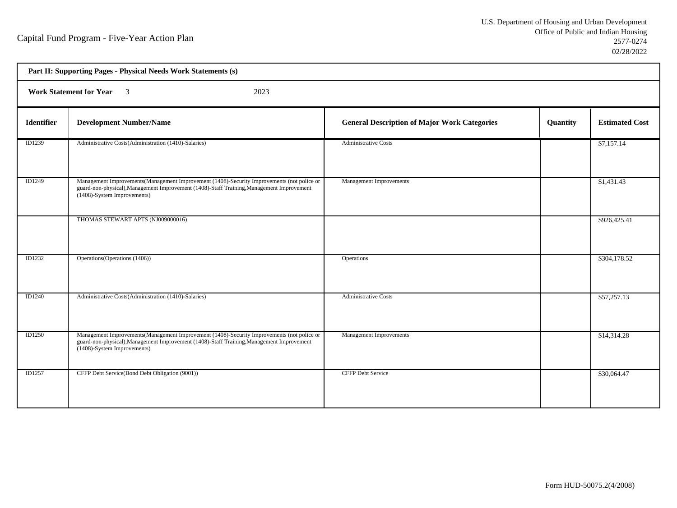| Part II: Supporting Pages - Physical Needs Work Statements (s) |                                                                                                                                                                                                                         |                                                     |          |                       |  |
|----------------------------------------------------------------|-------------------------------------------------------------------------------------------------------------------------------------------------------------------------------------------------------------------------|-----------------------------------------------------|----------|-----------------------|--|
|                                                                | Work Statement for Year 3<br>2023                                                                                                                                                                                       |                                                     |          |                       |  |
| <b>Identifier</b>                                              | <b>Development Number/Name</b>                                                                                                                                                                                          | <b>General Description of Major Work Categories</b> | Quantity | <b>Estimated Cost</b> |  |
| ID1239                                                         | Administrative Costs(Administration (1410)-Salaries)                                                                                                                                                                    | <b>Administrative Costs</b>                         |          | \$7,157.14            |  |
| ID1249                                                         | Management Improvements(Management Improvement (1408)-Security Improvements (not police or<br>guard-non-physical), Management Improvement (1408)-Staff Training, Management Improvement<br>(1408)-System Improvements)  | <b>Management Improvements</b>                      |          | \$1,431.43            |  |
|                                                                | THOMAS STEWART APTS (NJ009000016)                                                                                                                                                                                       |                                                     |          | \$926,425.41          |  |
| ID1232                                                         | Operations (Operations (1406))                                                                                                                                                                                          | Operations                                          |          | \$304,178.52          |  |
| <b>ID1240</b>                                                  | Administrative Costs(Administration (1410)-Salaries)                                                                                                                                                                    | <b>Administrative Costs</b>                         |          | \$57,257.13           |  |
| <b>ID1250</b>                                                  | Management Improvements (Management Improvement (1408)-Security Improvements (not police or<br>guard-non-physical), Management Improvement (1408)-Staff Training, Management Improvement<br>(1408)-System Improvements) | Management Improvements                             |          | \$14,314.28           |  |
| <b>ID1257</b>                                                  | CFFP Debt Service(Bond Debt Obligation (9001))                                                                                                                                                                          | <b>CFFP Debt Service</b>                            |          | \$30,064.47           |  |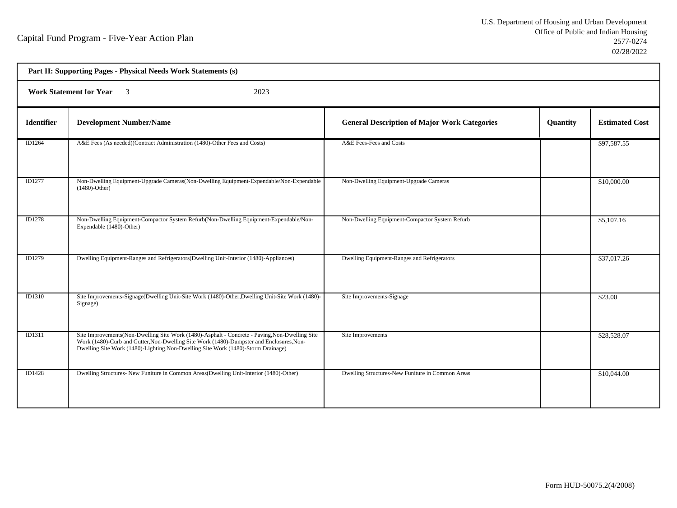| Part II: Supporting Pages - Physical Needs Work Statements (s) |                                                                                                                                                                                                                                                                                  |                                                     |          |                       |
|----------------------------------------------------------------|----------------------------------------------------------------------------------------------------------------------------------------------------------------------------------------------------------------------------------------------------------------------------------|-----------------------------------------------------|----------|-----------------------|
| <b>Work Statement for Year</b> 3<br>2023                       |                                                                                                                                                                                                                                                                                  |                                                     |          |                       |
| <b>Identifier</b>                                              | <b>Development Number/Name</b>                                                                                                                                                                                                                                                   | <b>General Description of Major Work Categories</b> | Quantity | <b>Estimated Cost</b> |
| ID1264                                                         | A&E Fees (As needed)(Contract Administration (1480)-Other Fees and Costs)                                                                                                                                                                                                        | A&E Fees-Fees and Costs                             |          | \$97,587.55           |
| ID1277                                                         | Non-Dwelling Equipment-Upgrade Cameras(Non-Dwelling Equipment-Expendable/Non-Expendable<br>$(1480)$ -Other)                                                                                                                                                                      | Non-Dwelling Equipment-Upgrade Cameras              |          | \$10,000.00           |
| ID1278                                                         | Non-Dwelling Equipment-Compactor System Refurb(Non-Dwelling Equipment-Expendable/Non-<br>Expendable (1480)-Other)                                                                                                                                                                | Non-Dwelling Equipment-Compactor System Refurb      |          | \$5,107.16            |
| ID1279                                                         | Dwelling Equipment-Ranges and Refrigerators (Dwelling Unit-Interior (1480)-Appliances)                                                                                                                                                                                           | Dwelling Equipment-Ranges and Refrigerators         |          | \$37,017.26           |
| ID1310                                                         | Site Improvements-Signage(Dwelling Unit-Site Work (1480)-Other, Dwelling Unit-Site Work (1480)-<br>Signage)                                                                                                                                                                      | Site Improvements-Signage                           |          | \$23.00               |
| <b>ID1311</b>                                                  | Site Improvements (Non-Dwelling Site Work (1480)-Asphalt - Concrete - Paving, Non-Dwelling Site<br>Work (1480)-Curb and Gutter, Non-Dwelling Site Work (1480)-Dumpster and Enclosures, Non-<br>Dwelling Site Work (1480)-Lighting, Non-Dwelling Site Work (1480)-Storm Drainage) | Site Improvements                                   |          | \$28,528.07           |
| ID1428                                                         | Dwelling Structures- New Funiture in Common Areas (Dwelling Unit-Interior (1480)-Other)                                                                                                                                                                                          | Dwelling Structures-New Funiture in Common Areas    |          | \$10,044.00           |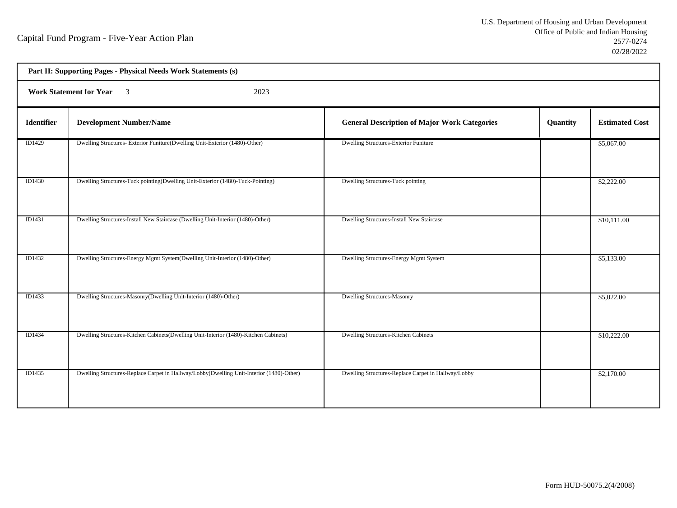| Part II: Supporting Pages - Physical Needs Work Statements (s) |                                                                                          |                                                     |          |                       |  |
|----------------------------------------------------------------|------------------------------------------------------------------------------------------|-----------------------------------------------------|----------|-----------------------|--|
|                                                                | Work Statement for Year 3<br>2023                                                        |                                                     |          |                       |  |
| Identifier                                                     | <b>Development Number/Name</b>                                                           | <b>General Description of Major Work Categories</b> | Quantity | <b>Estimated Cost</b> |  |
| ID1429                                                         | Dwelling Structures- Exterior Funiture(Dwelling Unit-Exterior (1480)-Other)              | Dwelling Structures-Exterior Funiture               |          | \$5,067.00            |  |
| ID1430                                                         | Dwelling Structures-Tuck pointing(Dwelling Unit-Exterior (1480)-Tuck-Pointing)           | Dwelling Structures-Tuck pointing                   |          | \$2,222.00            |  |
| ID1431                                                         | Dwelling Structures-Install New Staircase (Dwelling Unit-Interior (1480)-Other)          | Dwelling Structures-Install New Staircase           |          | \$10,111.00           |  |
| ID1432                                                         | Dwelling Structures-Energy Mgmt System(Dwelling Unit-Interior (1480)-Other)              | Dwelling Structures-Energy Mgmt System              |          | \$5,133.00            |  |
| ID1433                                                         | Dwelling Structures-Masonry(Dwelling Unit-Interior (1480)-Other)                         | <b>Dwelling Structures-Masonry</b>                  |          | \$5,022.00            |  |
| ID1434                                                         | Dwelling Structures-Kitchen Cabinets (Dwelling Unit-Interior (1480)-Kitchen Cabinets)    | Dwelling Structures-Kitchen Cabinets                |          | \$10,222.00           |  |
| ID1435                                                         | Dwelling Structures-Replace Carpet in Hallway/Lobby(Dwelling Unit-Interior (1480)-Other) | Dwelling Structures-Replace Carpet in Hallway/Lobby |          | \$2,170.00            |  |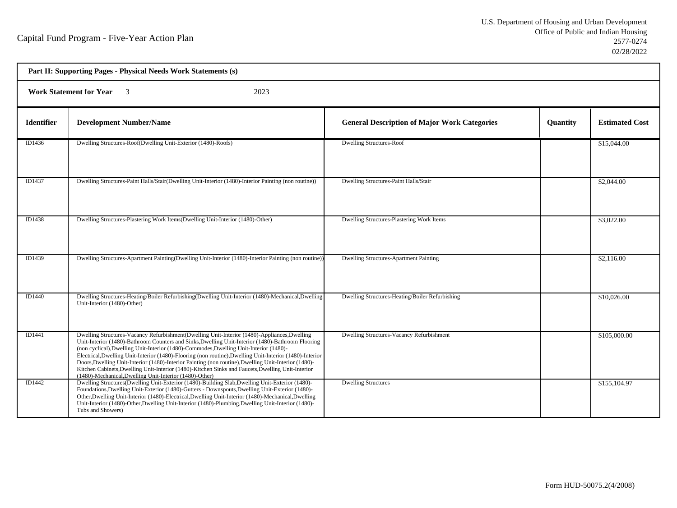| Part II: Supporting Pages - Physical Needs Work Statements (s)     |                                                                                                                                                                                                                                                                                                                                                                                                                                                                                                                                                                                                                                                                                  |                                                     |                 |                       |
|--------------------------------------------------------------------|----------------------------------------------------------------------------------------------------------------------------------------------------------------------------------------------------------------------------------------------------------------------------------------------------------------------------------------------------------------------------------------------------------------------------------------------------------------------------------------------------------------------------------------------------------------------------------------------------------------------------------------------------------------------------------|-----------------------------------------------------|-----------------|-----------------------|
| <b>Work Statement for Year</b><br>2023<br>$\overline{\mathcal{E}}$ |                                                                                                                                                                                                                                                                                                                                                                                                                                                                                                                                                                                                                                                                                  |                                                     |                 |                       |
| <b>Identifier</b>                                                  | <b>Development Number/Name</b>                                                                                                                                                                                                                                                                                                                                                                                                                                                                                                                                                                                                                                                   | <b>General Description of Major Work Categories</b> | <b>Quantity</b> | <b>Estimated Cost</b> |
| ID1436                                                             | Dwelling Structures-Roof(Dwelling Unit-Exterior (1480)-Roofs)                                                                                                                                                                                                                                                                                                                                                                                                                                                                                                                                                                                                                    | <b>Dwelling Structures-Roof</b>                     |                 | \$15,044.00           |
| ID1437                                                             | Dwelling Structures-Paint Halls/Stair(Dwelling Unit-Interior (1480)-Interior Painting (non routine))                                                                                                                                                                                                                                                                                                                                                                                                                                                                                                                                                                             | Dwelling Structures-Paint Halls/Stair               |                 | \$2,044.00            |
| ID1438                                                             | Dwelling Structures-Plastering Work Items(Dwelling Unit-Interior (1480)-Other)                                                                                                                                                                                                                                                                                                                                                                                                                                                                                                                                                                                                   | Dwelling Structures-Plastering Work Items           |                 | \$3,022.00            |
| ID1439                                                             | Dwelling Structures-Apartment Painting (Dwelling Unit-Interior (1480)-Interior Painting (non routine))                                                                                                                                                                                                                                                                                                                                                                                                                                                                                                                                                                           | <b>Dwelling Structures-Apartment Painting</b>       |                 | \$2,116.00            |
| ID1440                                                             | Dwelling Structures-Heating/Boiler Refurbishing(Dwelling Unit-Interior (1480)-Mechanical,Dwelling<br>Unit-Interior (1480)-Other)                                                                                                                                                                                                                                                                                                                                                                                                                                                                                                                                                 | Dwelling Structures-Heating/Boiler Refurbishing     |                 | \$10,026.00           |
| ID1441                                                             | Dwelling Structures-Vacancy Refurbishment (Dwelling Unit-Interior (1480)-Appliances, Dwelling<br>Unit-Interior (1480)-Bathroom Counters and Sinks, Dwelling Unit-Interior (1480)-Bathroom Flooring<br>(non cyclical), Dwelling Unit-Interior (1480)-Commodes, Dwelling Unit-Interior (1480)-<br>Electrical, Dwelling Unit-Interior (1480)-Flooring (non routine), Dwelling Unit-Interior (1480)-Interior<br>Doors, Dwelling Unit-Interior (1480)-Interior Painting (non routine), Dwelling Unit-Interior (1480)-<br>Kitchen Cabinets, Dwelling Unit-Interior (1480)-Kitchen Sinks and Faucets, Dwelling Unit-Interior<br>(1480)-Mechanical, Dwelling Unit-Interior (1480)-Other) | Dwelling Structures-Vacancy Refurbishment           |                 | \$105,000.00          |
| ID1442                                                             | Dwelling Structures(Dwelling Unit-Exterior (1480)-Building Slab, Dwelling Unit-Exterior (1480)-<br>Foundations, Dwelling Unit-Exterior (1480)-Gutters - Downspouts, Dwelling Unit-Exterior (1480)-<br>Other, Dwelling Unit-Interior (1480)-Electrical, Dwelling Unit-Interior (1480)-Mechanical, Dwelling<br>Unit-Interior (1480)-Other, Dwelling Unit-Interior (1480)-Plumbing, Dwelling Unit-Interior (1480)-<br>Tubs and Showers)                                                                                                                                                                                                                                             | <b>Dwelling Structures</b>                          |                 | \$155,104.97          |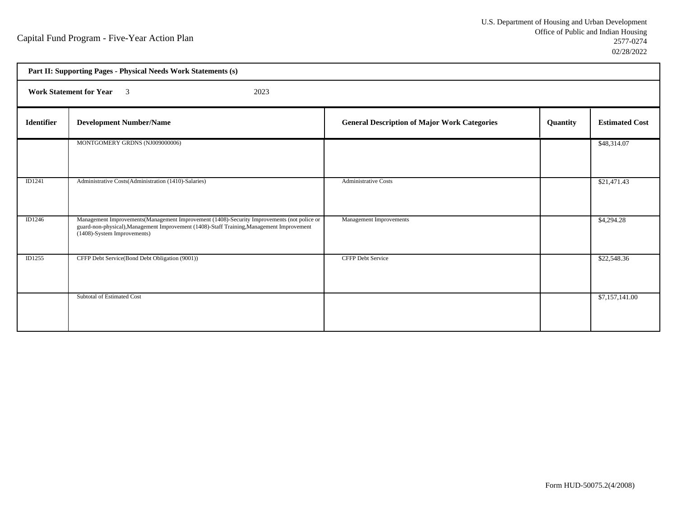| Part II: Supporting Pages - Physical Needs Work Statements (s) |                                                                                                                                                                                                                         |                                                     |          |                       |  |
|----------------------------------------------------------------|-------------------------------------------------------------------------------------------------------------------------------------------------------------------------------------------------------------------------|-----------------------------------------------------|----------|-----------------------|--|
|                                                                | 2023<br><b>Work Statement for Year</b> 3                                                                                                                                                                                |                                                     |          |                       |  |
| <b>Identifier</b>                                              | <b>Development Number/Name</b>                                                                                                                                                                                          | <b>General Description of Major Work Categories</b> | Quantity | <b>Estimated Cost</b> |  |
|                                                                | MONTGOMERY GRDNS (NJ009000006)                                                                                                                                                                                          |                                                     |          | \$48,314.07           |  |
| ID1241                                                         | Administrative Costs(Administration (1410)-Salaries)                                                                                                                                                                    | <b>Administrative Costs</b>                         |          | \$21,471.43           |  |
| ID1246                                                         | Management Improvements (Management Improvement (1408)-Security Improvements (not police or<br>guard-non-physical), Management Improvement (1408)-Staff Training, Management Improvement<br>(1408)-System Improvements) | Management Improvements                             |          | \$4,294.28            |  |
| ID1255                                                         | CFFP Debt Service(Bond Debt Obligation (9001))                                                                                                                                                                          | <b>CFFP Debt Service</b>                            |          | \$22,548.36           |  |
|                                                                | Subtotal of Estimated Cost                                                                                                                                                                                              |                                                     |          | \$7,157,141.00        |  |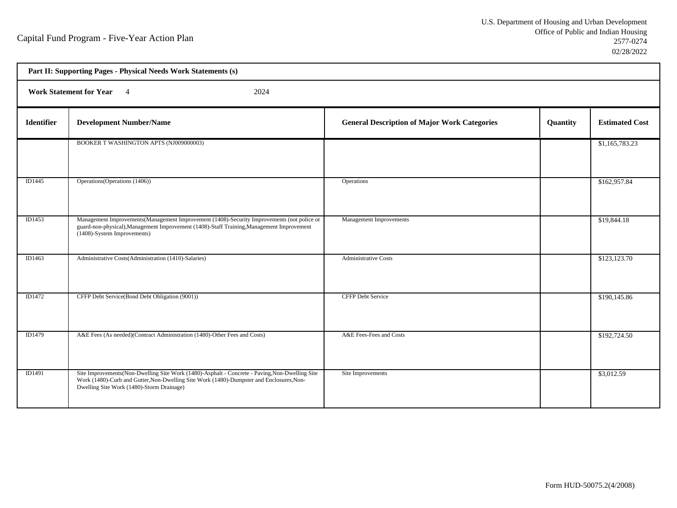| Part II: Supporting Pages - Physical Needs Work Statements (s) |                                                                                                                                                                                                                                          |                                                     |          |                       |  |
|----------------------------------------------------------------|------------------------------------------------------------------------------------------------------------------------------------------------------------------------------------------------------------------------------------------|-----------------------------------------------------|----------|-----------------------|--|
|                                                                | <b>Work Statement for Year</b><br>2024<br>$\overline{4}$                                                                                                                                                                                 |                                                     |          |                       |  |
| <b>Identifier</b>                                              | <b>Development Number/Name</b>                                                                                                                                                                                                           | <b>General Description of Major Work Categories</b> | Quantity | <b>Estimated Cost</b> |  |
|                                                                | BOOKER T WASHINGTON APTS (NJ009000003)                                                                                                                                                                                                   |                                                     |          | \$1,165,783.23        |  |
| ID1445                                                         | Operations (Operations (1406))                                                                                                                                                                                                           | Operations                                          |          | \$162,957.84          |  |
| ID1453                                                         | Management Improvements (Management Improvement (1408)-Security Improvements (not police or<br>guard-non-physical), Management Improvement (1408)-Staff Training, Management Improvement<br>(1408)-System Improvements)                  | Management Improvements                             |          | \$19,844.18           |  |
| ID1463                                                         | Administrative Costs(Administration (1410)-Salaries)                                                                                                                                                                                     | <b>Administrative Costs</b>                         |          | \$123,123.70          |  |
| <b>ID1472</b>                                                  | CFFP Debt Service(Bond Debt Obligation (9001))                                                                                                                                                                                           | <b>CFFP Debt Service</b>                            |          | \$190,145.86          |  |
| ID1479                                                         | A&E Fees (As needed)(Contract Administration (1480)-Other Fees and Costs)                                                                                                                                                                | A&E Fees-Fees and Costs                             |          | \$192,724.50          |  |
| ID1491                                                         | Site Improvements (Non-Dwelling Site Work (1480)-Asphalt - Concrete - Paving, Non-Dwelling Site<br>Work (1480)-Curb and Gutter, Non-Dwelling Site Work (1480)-Dumpster and Enclosures, Non-<br>Dwelling Site Work (1480)-Storm Drainage) | Site Improvements                                   |          | \$3,012.59            |  |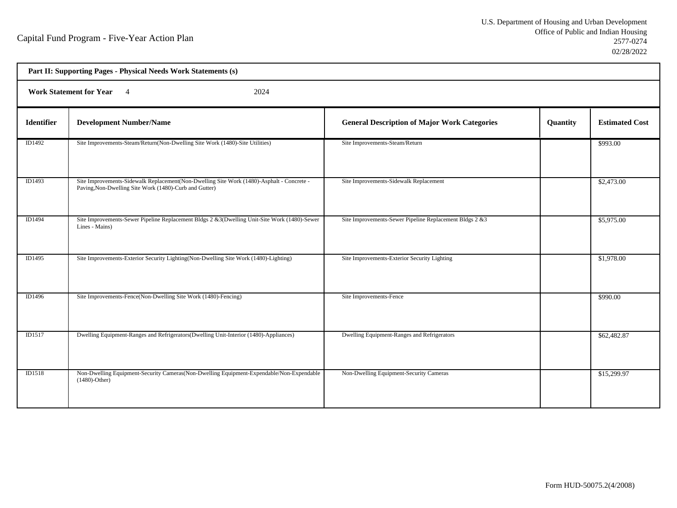| Part II: Supporting Pages - Physical Needs Work Statements (s) |                                                                                                                                                     |                                                         |          |                       |  |
|----------------------------------------------------------------|-----------------------------------------------------------------------------------------------------------------------------------------------------|---------------------------------------------------------|----------|-----------------------|--|
|                                                                | <b>Work Statement for Year</b><br>2024<br>$\overline{4}$                                                                                            |                                                         |          |                       |  |
| <b>Identifier</b>                                              | <b>Development Number/Name</b>                                                                                                                      | <b>General Description of Major Work Categories</b>     | Quantity | <b>Estimated Cost</b> |  |
| ID1492                                                         | Site Improvements-Steam/Return(Non-Dwelling Site Work (1480)-Site Utilities)                                                                        | Site Improvements-Steam/Return                          |          | \$993.00              |  |
| ID1493                                                         | Site Improvements-Sidewalk Replacement(Non-Dwelling Site Work (1480)-Asphalt - Concrete -<br>Paving, Non-Dwelling Site Work (1480)-Curb and Gutter) | Site Improvements-Sidewalk Replacement                  |          | \$2,473.00            |  |
| <b>ID1494</b>                                                  | Site Improvements-Sewer Pipeline Replacement Bldgs 2 & 3(Dwelling Unit-Site Work (1480)-Sewer<br>Lines - Mains)                                     | Site Improvements-Sewer Pipeline Replacement Bldgs 2 &3 |          | \$5,975.00            |  |
| <b>ID1495</b>                                                  | Site Improvements-Exterior Security Lighting(Non-Dwelling Site Work (1480)-Lighting)                                                                | Site Improvements-Exterior Security Lighting            |          | \$1,978.00            |  |
| <b>ID1496</b>                                                  | Site Improvements-Fence(Non-Dwelling Site Work (1480)-Fencing)                                                                                      | Site Improvements-Fence                                 |          | \$990.00              |  |
| ID1517                                                         | Dwelling Equipment-Ranges and Refrigerators(Dwelling Unit-Interior (1480)-Appliances)                                                               | Dwelling Equipment-Ranges and Refrigerators             |          | \$62,482.87           |  |
| <b>ID1518</b>                                                  | Non-Dwelling Equipment-Security Cameras (Non-Dwelling Equipment-Expendable/Non-Expendable<br>$(1480)$ -Other)                                       | Non-Dwelling Equipment-Security Cameras                 |          | \$15,299.97           |  |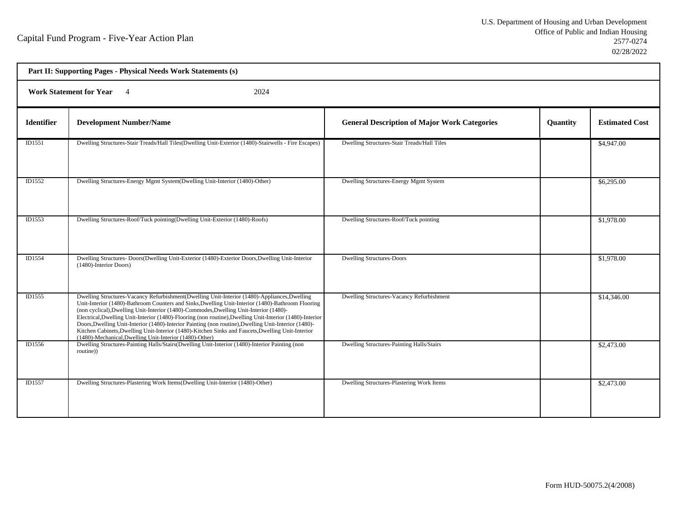| Part II: Supporting Pages - Physical Needs Work Statements (s) |                                                                                                                                                                                                                                                                                                                                                                                                                                                                                                                                                                                                                                                                                 |                                                     |          |                       |  |
|----------------------------------------------------------------|---------------------------------------------------------------------------------------------------------------------------------------------------------------------------------------------------------------------------------------------------------------------------------------------------------------------------------------------------------------------------------------------------------------------------------------------------------------------------------------------------------------------------------------------------------------------------------------------------------------------------------------------------------------------------------|-----------------------------------------------------|----------|-----------------------|--|
|                                                                | <b>Work Statement for Year</b><br>2024<br>$\overline{4}$                                                                                                                                                                                                                                                                                                                                                                                                                                                                                                                                                                                                                        |                                                     |          |                       |  |
| <b>Identifier</b>                                              | <b>Development Number/Name</b>                                                                                                                                                                                                                                                                                                                                                                                                                                                                                                                                                                                                                                                  | <b>General Description of Major Work Categories</b> | Quantity | <b>Estimated Cost</b> |  |
| ID1551                                                         | Dwelling Structures-Stair Treads/Hall Tiles(Dwelling Unit-Exterior (1480)-Stairwells - Fire Escapes)                                                                                                                                                                                                                                                                                                                                                                                                                                                                                                                                                                            | Dwelling Structures-Stair Treads/Hall Tiles         |          | \$4,947.00            |  |
| ID1552                                                         | Dwelling Structures-Energy Mgmt System(Dwelling Unit-Interior (1480)-Other)                                                                                                                                                                                                                                                                                                                                                                                                                                                                                                                                                                                                     | Dwelling Structures-Energy Mgmt System              |          | \$6,295.00            |  |
| ID1553                                                         | Dwelling Structures-Roof/Tuck pointing(Dwelling Unit-Exterior (1480)-Roofs)                                                                                                                                                                                                                                                                                                                                                                                                                                                                                                                                                                                                     | Dwelling Structures-Roof/Tuck pointing              |          | \$1,978.00            |  |
| ID1554                                                         | Dwelling Structures- Doors (Dwelling Unit-Exterior (1480)-Exterior Doors, Dwelling Unit-Interior<br>(1480)-Interior Doors)                                                                                                                                                                                                                                                                                                                                                                                                                                                                                                                                                      | <b>Dwelling Structures-Doors</b>                    |          | \$1,978.00            |  |
| ID1555                                                         | Dwelling Structures-Vacancy Refurbishment(Dwelling Unit-Interior (1480)-Appliances, Dwelling<br>Unit-Interior (1480)-Bathroom Counters and Sinks, Dwelling Unit-Interior (1480)-Bathroom Flooring<br>(non cyclical), Dwelling Unit-Interior (1480)-Commodes, Dwelling Unit-Interior (1480)-<br>Electrical, Dwelling Unit-Interior (1480)-Flooring (non routine), Dwelling Unit-Interior (1480)-Interior<br>Doors, Dwelling Unit-Interior (1480)-Interior Painting (non routine), Dwelling Unit-Interior (1480)-<br>Kitchen Cabinets, Dwelling Unit-Interior (1480)-Kitchen Sinks and Faucets, Dwelling Unit-Interior<br>(1480)-Mechanical, Dwelling Unit-Interior (1480)-Other) | Dwelling Structures-Vacancy Refurbishment           |          | \$14,346.00           |  |
| ID1556                                                         | Dwelling Structures-Painting Halls/Stairs(Dwelling Unit-Interior (1480)-Interior Painting (non<br>routine))                                                                                                                                                                                                                                                                                                                                                                                                                                                                                                                                                                     | Dwelling Structures-Painting Halls/Stairs           |          | \$2,473.00            |  |
| ID1557                                                         | Dwelling Structures-Plastering Work Items(Dwelling Unit-Interior (1480)-Other)                                                                                                                                                                                                                                                                                                                                                                                                                                                                                                                                                                                                  | Dwelling Structures-Plastering Work Items           |          | \$2,473.00            |  |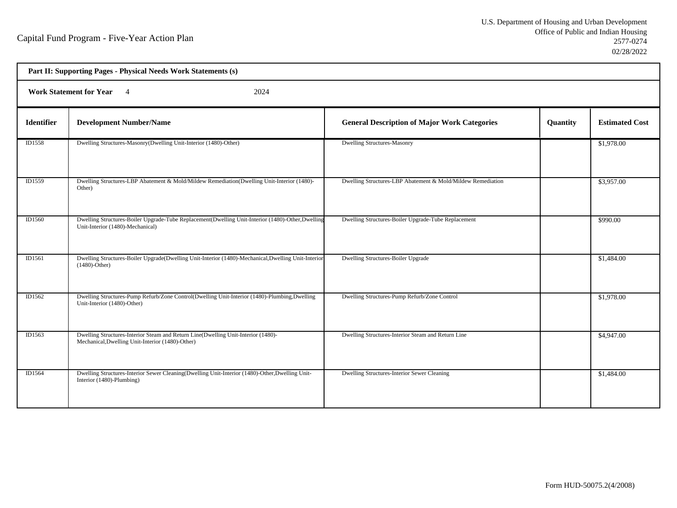|                   | Part II: Supporting Pages - Physical Needs Work Statements (s)                                                                        |                                                             |          |                       |  |
|-------------------|---------------------------------------------------------------------------------------------------------------------------------------|-------------------------------------------------------------|----------|-----------------------|--|
|                   | <b>Work Statement for Year</b><br>2024<br>$\overline{4}$                                                                              |                                                             |          |                       |  |
| <b>Identifier</b> | <b>Development Number/Name</b>                                                                                                        | <b>General Description of Major Work Categories</b>         | Quantity | <b>Estimated Cost</b> |  |
| ID1558            | Dwelling Structures-Masonry(Dwelling Unit-Interior (1480)-Other)                                                                      | Dwelling Structures-Masonry                                 |          | \$1,978.00            |  |
| ID1559            | Dwelling Structures-LBP Abatement & Mold/Mildew Remediation(Dwelling Unit-Interior (1480)-<br>Other)                                  | Dwelling Structures-LBP Abatement & Mold/Mildew Remediation |          | \$3,957.00            |  |
| ID1560            | Dwelling Structures-Boiler Upgrade-Tube Replacement(Dwelling Unit-Interior (1480)-Other,Dwelling<br>Unit-Interior (1480)-Mechanical)  | Dwelling Structures-Boiler Upgrade-Tube Replacement         |          | \$990.00              |  |
| ID1561            | Dwelling Structures-Boiler Upgrade(Dwelling Unit-Interior (1480)-Mechanical, Dwelling Unit-Interior<br>$(1480)$ -Other)               | Dwelling Structures-Boiler Upgrade                          |          | \$1,484.00            |  |
| ID1562            | Dwelling Structures-Pump Refurb/Zone Control(Dwelling Unit-Interior (1480)-Plumbing, Dwelling<br>Unit-Interior (1480)-Other)          | Dwelling Structures-Pump Refurb/Zone Control                |          | \$1,978.00            |  |
| ID1563            | Dwelling Structures-Interior Steam and Return Line(Dwelling Unit-Interior (1480)-<br>Mechanical, Dwelling Unit-Interior (1480)-Other) | Dwelling Structures-Interior Steam and Return Line          |          | \$4,947.00            |  |
| ID1564            | Dwelling Structures-Interior Sewer Cleaning(Dwelling Unit-Interior (1480)-Other, Dwelling Unit-<br>Interior (1480)-Plumbing)          | Dwelling Structures-Interior Sewer Cleaning                 |          | \$1,484.00            |  |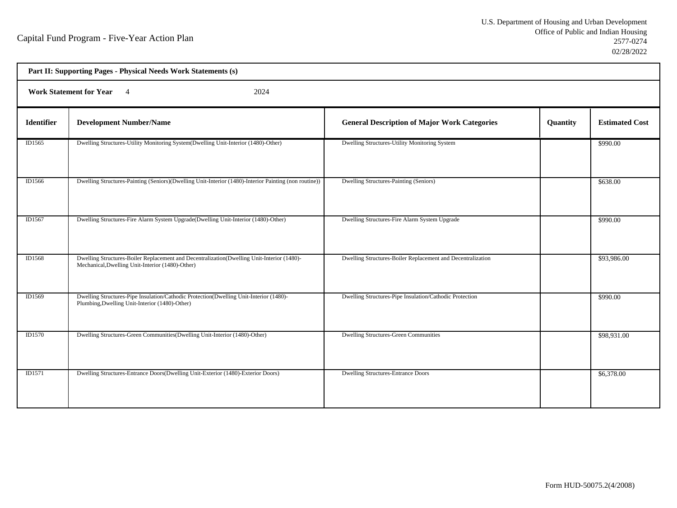| Part II: Supporting Pages - Physical Needs Work Statements (s) |                                                                                                                                                |                                                             |          |                       |  |
|----------------------------------------------------------------|------------------------------------------------------------------------------------------------------------------------------------------------|-------------------------------------------------------------|----------|-----------------------|--|
|                                                                | <b>Work Statement for Year</b><br>2024<br>$\overline{4}$                                                                                       |                                                             |          |                       |  |
| <b>Identifier</b>                                              | <b>Development Number/Name</b>                                                                                                                 | <b>General Description of Major Work Categories</b>         | Quantity | <b>Estimated Cost</b> |  |
| ID1565                                                         | Dwelling Structures-Utility Monitoring System(Dwelling Unit-Interior (1480)-Other)                                                             | Dwelling Structures-Utility Monitoring System               |          | \$990.00              |  |
| ID1566                                                         | Dwelling Structures-Painting (Seniors)(Dwelling Unit-Interior (1480)-Interior Painting (non routine))                                          | Dwelling Structures-Painting (Seniors)                      |          | \$638.00              |  |
| ID1567                                                         | Dwelling Structures-Fire Alarm System Upgrade(Dwelling Unit-Interior (1480)-Other)                                                             | Dwelling Structures-Fire Alarm System Upgrade               |          | \$990.00              |  |
| ID1568                                                         | Dwelling Structures-Boiler Replacement and Decentralization(Dwelling Unit-Interior (1480)-<br>Mechanical, Dwelling Unit-Interior (1480)-Other) | Dwelling Structures-Boiler Replacement and Decentralization |          | \$93,986.00           |  |
| ID1569                                                         | Dwelling Structures-Pipe Insulation/Cathodic Protection(Dwelling Unit-Interior (1480)-<br>Plumbing, Dwelling Unit-Interior (1480)-Other)       | Dwelling Structures-Pipe Insulation/Cathodic Protection     |          | \$990.00              |  |
| ID1570                                                         | Dwelling Structures-Green Communities (Dwelling Unit-Interior (1480)-Other)                                                                    | <b>Dwelling Structures-Green Communities</b>                |          | \$98,931.00           |  |
| <b>ID1571</b>                                                  | Dwelling Structures-Entrance Doors(Dwelling Unit-Exterior (1480)-Exterior Doors)                                                               | <b>Dwelling Structures-Entrance Doors</b>                   |          | \$6,378.00            |  |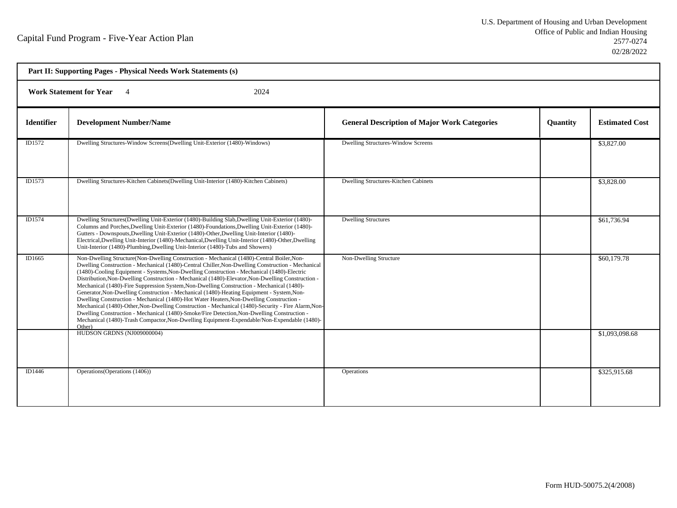| Part II: Supporting Pages - Physical Needs Work Statements (s) |                                                                                                                                                                                                                                                                                                                                                                                                                                                                                                                                                                                                                                                                                                                                                                                                                                                                                                                                                                                                       |                                                     |                 |                       |  |
|----------------------------------------------------------------|-------------------------------------------------------------------------------------------------------------------------------------------------------------------------------------------------------------------------------------------------------------------------------------------------------------------------------------------------------------------------------------------------------------------------------------------------------------------------------------------------------------------------------------------------------------------------------------------------------------------------------------------------------------------------------------------------------------------------------------------------------------------------------------------------------------------------------------------------------------------------------------------------------------------------------------------------------------------------------------------------------|-----------------------------------------------------|-----------------|-----------------------|--|
| <b>Work Statement for Year</b><br>2024                         |                                                                                                                                                                                                                                                                                                                                                                                                                                                                                                                                                                                                                                                                                                                                                                                                                                                                                                                                                                                                       |                                                     |                 |                       |  |
| <b>Identifier</b>                                              | <b>Development Number/Name</b>                                                                                                                                                                                                                                                                                                                                                                                                                                                                                                                                                                                                                                                                                                                                                                                                                                                                                                                                                                        | <b>General Description of Major Work Categories</b> | <b>Quantity</b> | <b>Estimated Cost</b> |  |
| ID1572                                                         | Dwelling Structures-Window Screens(Dwelling Unit-Exterior (1480)-Windows)                                                                                                                                                                                                                                                                                                                                                                                                                                                                                                                                                                                                                                                                                                                                                                                                                                                                                                                             | <b>Dwelling Structures-Window Screens</b>           |                 | \$3,827.00            |  |
| ID1573                                                         | Dwelling Structures-Kitchen Cabinets(Dwelling Unit-Interior (1480)-Kitchen Cabinets)                                                                                                                                                                                                                                                                                                                                                                                                                                                                                                                                                                                                                                                                                                                                                                                                                                                                                                                  | Dwelling Structures-Kitchen Cabinets                |                 | \$3,828.00            |  |
| ID1574                                                         | Dwelling Structures(Dwelling Unit-Exterior (1480)-Building Slab, Dwelling Unit-Exterior (1480)-<br>Columns and Porches, Dwelling Unit-Exterior (1480)-Foundations, Dwelling Unit-Exterior (1480)-<br>Gutters - Downspouts, Dwelling Unit-Exterior (1480)-Other, Dwelling Unit-Interior (1480)-<br>Electrical, Dwelling Unit-Interior (1480)-Mechanical, Dwelling Unit-Interior (1480)-Other, Dwelling<br>Unit-Interior (1480)-Plumbing, Dwelling Unit-Interior (1480)-Tubs and Showers)                                                                                                                                                                                                                                                                                                                                                                                                                                                                                                               | <b>Dwelling Structures</b>                          |                 | \$61,736.94           |  |
| ID1665                                                         | Non-Dwelling Structure(Non-Dwelling Construction - Mechanical (1480)-Central Boiler, Non-<br>Dwelling Construction - Mechanical (1480)-Central Chiller, Non-Dwelling Construction - Mechanical<br>(1480)-Cooling Equipment - Systems, Non-Dwelling Construction - Mechanical (1480)-Electric<br>Distribution, Non-Dwelling Construction - Mechanical (1480)-Elevator, Non-Dwelling Construction -<br>Mechanical (1480)-Fire Suppression System, Non-Dwelling Construction - Mechanical (1480)-<br>Generator, Non-Dwelling Construction - Mechanical (1480)-Heating Equipment - System, Non-<br>Dwelling Construction - Mechanical (1480)-Hot Water Heaters, Non-Dwelling Construction -<br>Mechanical (1480)-Other, Non-Dwelling Construction - Mechanical (1480)-Security - Fire Alarm, Non-<br>Dwelling Construction - Mechanical (1480)-Smoke/Fire Detection, Non-Dwelling Construction -<br>Mechanical (1480)-Trash Compactor, Non-Dwelling Equipment-Expendable/Non-Expendable (1480)-<br>Other) | Non-Dwelling Structure                              |                 | \$60,179.78           |  |
|                                                                | HUDSON GRDNS (NJ009000004)                                                                                                                                                                                                                                                                                                                                                                                                                                                                                                                                                                                                                                                                                                                                                                                                                                                                                                                                                                            |                                                     |                 | \$1,093,098.68        |  |
| ID1446                                                         | Operations (Operations (1406))                                                                                                                                                                                                                                                                                                                                                                                                                                                                                                                                                                                                                                                                                                                                                                                                                                                                                                                                                                        | <b>Operations</b>                                   |                 | \$325,915.68          |  |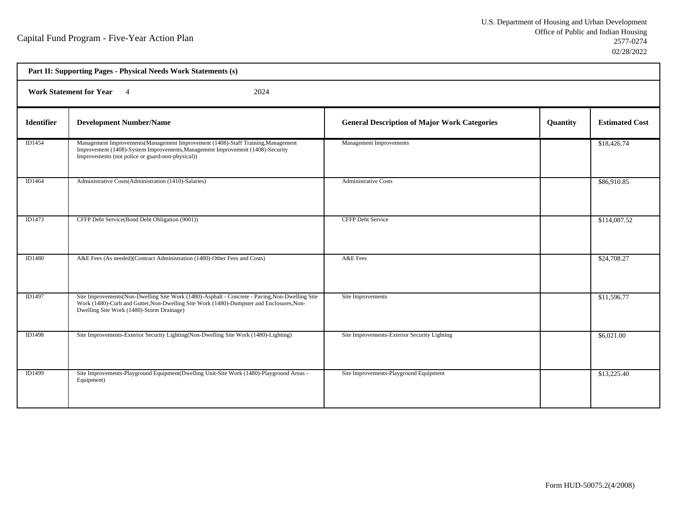| Part II: Supporting Pages - Physical Needs Work Statements (s) |                                                                                                                                                                                                                                         |                                                     |          |                       |
|----------------------------------------------------------------|-----------------------------------------------------------------------------------------------------------------------------------------------------------------------------------------------------------------------------------------|-----------------------------------------------------|----------|-----------------------|
| <b>Work Statement for Year</b> 4<br>2024                       |                                                                                                                                                                                                                                         |                                                     |          |                       |
| <b>Identifier</b>                                              | <b>Development Number/Name</b>                                                                                                                                                                                                          | <b>General Description of Major Work Categories</b> | Quantity | <b>Estimated Cost</b> |
| ID1454                                                         | Management Improvements(Management Improvement (1408)-Staff Training, Management<br>Improvement (1408)-System Improvements, Management Improvement (1408)-Security<br>Improvements (not police or guard-non-physical))                  | Management Improvements                             |          | \$18,426.74           |
| ID1464                                                         | Administrative Costs(Administration (1410)-Salaries)                                                                                                                                                                                    | <b>Administrative Costs</b>                         |          | \$86,910.85           |
| ID1473                                                         | CFFP Debt Service(Bond Debt Obligation (9001))                                                                                                                                                                                          | <b>CFFP Debt Service</b>                            |          | \$114,087.52          |
| ID1480                                                         | A&E Fees (As needed)(Contract Administration (1480)-Other Fees and Costs)                                                                                                                                                               | A&E Fees                                            |          | \$24,708.27           |
| ID1497                                                         | Site Improvements(Non-Dwelling Site Work (1480)-Asphalt - Concrete - Paving, Non-Dwelling Site<br>Work (1480)-Curb and Gutter, Non-Dwelling Site Work (1480)-Dumpster and Enclosures, Non-<br>Dwelling Site Work (1480)-Storm Drainage) | Site Improvements                                   |          | \$11,596.77           |
| ID1498                                                         | Site Improvements-Exterior Security Lighting (Non-Dwelling Site Work (1480)-Lighting)                                                                                                                                                   | Site Improvements-Exterior Security Lighting        |          | \$6,021.00            |
| <b>ID1499</b>                                                  | Site Improvements-Playground Equipment (Dwelling Unit-Site Work (1480)-Playground Areas -<br>Equipment)                                                                                                                                 | Site Improvements-Playground Equipment              |          | \$13,225.40           |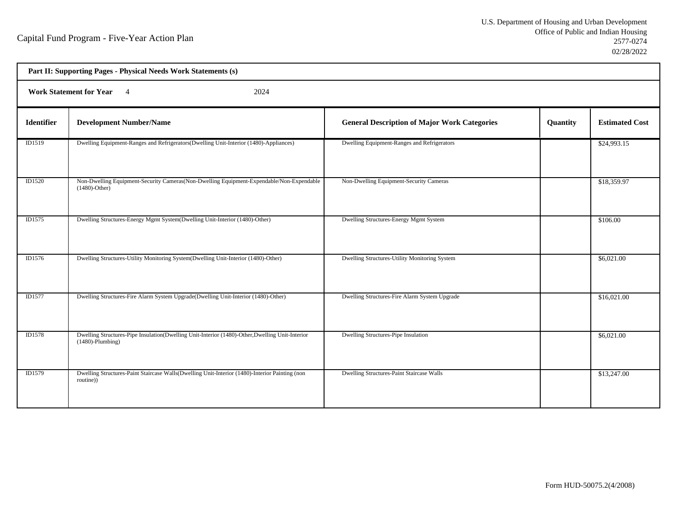| Part II: Supporting Pages - Physical Needs Work Statements (s) |                                                                                                                        |                                                     |          |                       |  |  |
|----------------------------------------------------------------|------------------------------------------------------------------------------------------------------------------------|-----------------------------------------------------|----------|-----------------------|--|--|
|                                                                | <b>Work Statement for Year</b><br>2024<br>$\overline{4}$                                                               |                                                     |          |                       |  |  |
| <b>Identifier</b>                                              | <b>Development Number/Name</b>                                                                                         | <b>General Description of Major Work Categories</b> | Quantity | <b>Estimated Cost</b> |  |  |
| ID1519                                                         | Dwelling Equipment-Ranges and Refrigerators(Dwelling Unit-Interior (1480)-Appliances)                                  | Dwelling Equipment-Ranges and Refrigerators         |          | \$24,993.15           |  |  |
| <b>ID1520</b>                                                  | Non-Dwelling Equipment-Security Cameras (Non-Dwelling Equipment-Expendable/Non-Expendable<br>$(1480)$ -Other)          | Non-Dwelling Equipment-Security Cameras             |          | \$18,359.97           |  |  |
| ID1575                                                         | Dwelling Structures-Energy Mgmt System(Dwelling Unit-Interior (1480)-Other)                                            | Dwelling Structures-Energy Mgmt System              |          | \$106.00              |  |  |
| ID1576                                                         | Dwelling Structures-Utility Monitoring System(Dwelling Unit-Interior (1480)-Other)                                     | Dwelling Structures-Utility Monitoring System       |          | \$6,021.00            |  |  |
| ID1577                                                         | Dwelling Structures-Fire Alarm System Upgrade(Dwelling Unit-Interior (1480)-Other)                                     | Dwelling Structures-Fire Alarm System Upgrade       |          | \$16,021.00           |  |  |
| <b>ID1578</b>                                                  | Dwelling Structures-Pipe Insulation(Dwelling Unit-Interior (1480)-Other, Dwelling Unit-Interior<br>$(1480)$ -Plumbing) | Dwelling Structures-Pipe Insulation                 |          | \$6,021.00            |  |  |
| ID1579                                                         | Dwelling Structures-Paint Staircase Walls(Dwelling Unit-Interior (1480)-Interior Painting (non<br>routine))            | Dwelling Structures-Paint Staircase Walls           |          | \$13,247.00           |  |  |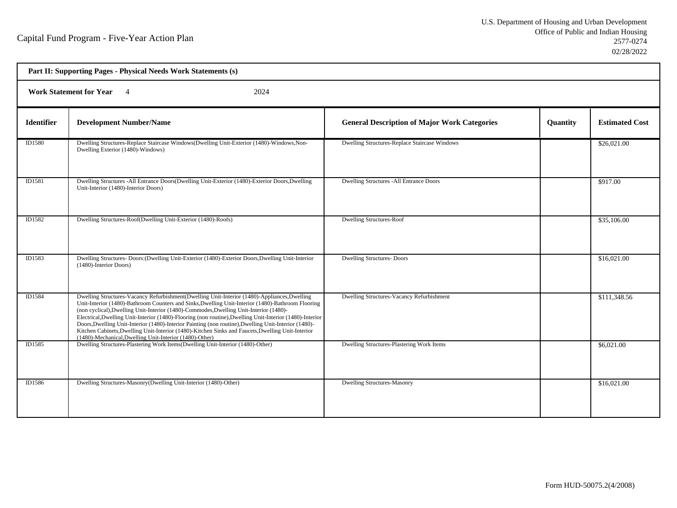| Part II: Supporting Pages - Physical Needs Work Statements (s) |                                                                                                                                                                                                                                                                                                                                                                                                                                                                                                                                                                                                                                                                                  |                                                     |                 |                       |
|----------------------------------------------------------------|----------------------------------------------------------------------------------------------------------------------------------------------------------------------------------------------------------------------------------------------------------------------------------------------------------------------------------------------------------------------------------------------------------------------------------------------------------------------------------------------------------------------------------------------------------------------------------------------------------------------------------------------------------------------------------|-----------------------------------------------------|-----------------|-----------------------|
| Work Statement for Year 4<br>2024                              |                                                                                                                                                                                                                                                                                                                                                                                                                                                                                                                                                                                                                                                                                  |                                                     |                 |                       |
| <b>Identifier</b>                                              | <b>Development Number/Name</b>                                                                                                                                                                                                                                                                                                                                                                                                                                                                                                                                                                                                                                                   | <b>General Description of Major Work Categories</b> | <b>Quantity</b> | <b>Estimated Cost</b> |
| ID1580                                                         | Dwelling Structures-Replace Staircase Windows(Dwelling Unit-Exterior (1480)-Windows, Non-<br>Dwelling Exterior (1480)-Windows)                                                                                                                                                                                                                                                                                                                                                                                                                                                                                                                                                   | Dwelling Structures-Replace Staircase Windows       |                 | \$26,021.00           |
| ID1581                                                         | Dwelling Structures -All Entrance Doors(Dwelling Unit-Exterior (1480)-Exterior Doors, Dwelling<br>Unit-Interior (1480)-Interior Doors)                                                                                                                                                                                                                                                                                                                                                                                                                                                                                                                                           | <b>Dwelling Structures -All Entrance Doors</b>      |                 | \$917.00              |
| ID1582                                                         | Dwelling Structures-Roof(Dwelling Unit-Exterior (1480)-Roofs)                                                                                                                                                                                                                                                                                                                                                                                                                                                                                                                                                                                                                    | <b>Dwelling Structures-Roof</b>                     |                 | \$35,106.00           |
| ID1583                                                         | Dwelling Structures- Doors: (Dwelling Unit-Exterior (1480)-Exterior Doors, Dwelling Unit-Interior<br>(1480)-Interior Doors)                                                                                                                                                                                                                                                                                                                                                                                                                                                                                                                                                      | <b>Dwelling Structures-Doors</b>                    |                 | \$16,021.00           |
| ID1584                                                         | Dwelling Structures-Vacancy Refurbishment (Dwelling Unit-Interior (1480)-Appliances, Dwelling<br>Unit-Interior (1480)-Bathroom Counters and Sinks, Dwelling Unit-Interior (1480)-Bathroom Flooring<br>(non cyclical), Dwelling Unit-Interior (1480)-Commodes, Dwelling Unit-Interior (1480)-<br>Electrical, Dwelling Unit-Interior (1480)-Flooring (non routine), Dwelling Unit-Interior (1480)-Interior<br>Doors, Dwelling Unit-Interior (1480)-Interior Painting (non routine), Dwelling Unit-Interior (1480)-<br>Kitchen Cabinets, Dwelling Unit-Interior (1480)-Kitchen Sinks and Faucets, Dwelling Unit-Interior<br>(1480)-Mechanical, Dwelling Unit-Interior (1480)-Other) | Dwelling Structures-Vacancy Refurbishment           |                 | \$111,348.56          |
| ID1585                                                         | Dwelling Structures-Plastering Work Items(Dwelling Unit-Interior (1480)-Other)                                                                                                                                                                                                                                                                                                                                                                                                                                                                                                                                                                                                   | Dwelling Structures-Plastering Work Items           |                 | \$6,021.00            |
| ID1586                                                         | Dwelling Structures-Masonry(Dwelling Unit-Interior (1480)-Other)                                                                                                                                                                                                                                                                                                                                                                                                                                                                                                                                                                                                                 | <b>Dwelling Structures-Masonry</b>                  |                 | \$16,021.00           |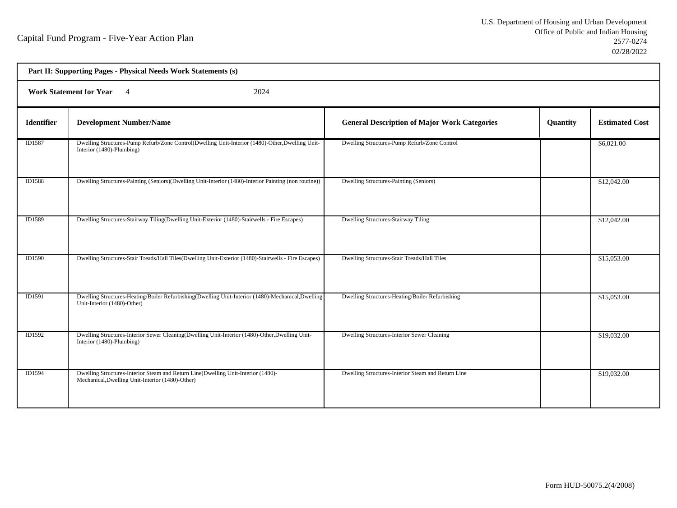h

| Part II: Supporting Pages - Physical Needs Work Statements (s) |                                                                                                                                       |                                                     |          |                       |  |  |
|----------------------------------------------------------------|---------------------------------------------------------------------------------------------------------------------------------------|-----------------------------------------------------|----------|-----------------------|--|--|
|                                                                | <b>Work Statement for Year</b><br>2024<br>$\overline{4}$                                                                              |                                                     |          |                       |  |  |
| <b>Identifier</b>                                              | <b>Development Number/Name</b>                                                                                                        | <b>General Description of Major Work Categories</b> | Quantity | <b>Estimated Cost</b> |  |  |
| ID1587                                                         | Dwelling Structures-Pump Refurb/Zone Control(Dwelling Unit-Interior (1480)-Other, Dwelling Unit-<br>Interior (1480)-Plumbing)         | Dwelling Structures-Pump Refurb/Zone Control        |          | \$6,021.00            |  |  |
| <b>ID1588</b>                                                  | Dwelling Structures-Painting (Seniors)(Dwelling Unit-Interior (1480)-Interior Painting (non routine))                                 | Dwelling Structures-Painting (Seniors)              |          | \$12,042.00           |  |  |
| ID1589                                                         | Dwelling Structures-Stairway Tiling(Dwelling Unit-Exterior (1480)-Stairwells - Fire Escapes)                                          | <b>Dwelling Structures-Stairway Tiling</b>          |          | \$12,042.00           |  |  |
| ID1590                                                         | Dwelling Structures-Stair Treads/Hall Tiles(Dwelling Unit-Exterior (1480)-Stairwells - Fire Escapes)                                  | Dwelling Structures-Stair Treads/Hall Tiles         |          | \$15,053.00           |  |  |
| <b>ID1591</b>                                                  | Dwelling Structures-Heating/Boiler Refurbishing(Dwelling Unit-Interior (1480)-Mechanical,Dwelling<br>Unit-Interior (1480)-Other)      | Dwelling Structures-Heating/Boiler Refurbishing     |          | \$15,053.00           |  |  |
| ID1592                                                         | Dwelling Structures-Interior Sewer Cleaning(Dwelling Unit-Interior (1480)-Other, Dwelling Unit-<br>Interior (1480)-Plumbing)          | Dwelling Structures-Interior Sewer Cleaning         |          | \$19,032.00           |  |  |
| <b>ID1594</b>                                                  | Dwelling Structures-Interior Steam and Return Line(Dwelling Unit-Interior (1480)-<br>Mechanical, Dwelling Unit-Interior (1480)-Other) | Dwelling Structures-Interior Steam and Return Line  |          | \$19,032.00           |  |  |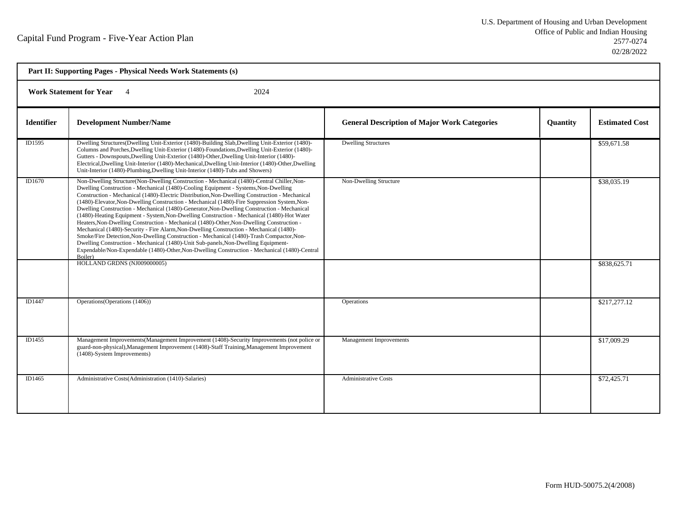| Part II: Supporting Pages - Physical Needs Work Statements (s) |                                                                                                                                                                                                                                                                                                                                                                                                                                                                                                                                                                                                                                                                                                                                                                                                                                                                                                                                                                                                                                                                         |                                                     |                 |                       |  |  |
|----------------------------------------------------------------|-------------------------------------------------------------------------------------------------------------------------------------------------------------------------------------------------------------------------------------------------------------------------------------------------------------------------------------------------------------------------------------------------------------------------------------------------------------------------------------------------------------------------------------------------------------------------------------------------------------------------------------------------------------------------------------------------------------------------------------------------------------------------------------------------------------------------------------------------------------------------------------------------------------------------------------------------------------------------------------------------------------------------------------------------------------------------|-----------------------------------------------------|-----------------|-----------------------|--|--|
|                                                                | <b>Work Statement for Year</b><br>2024                                                                                                                                                                                                                                                                                                                                                                                                                                                                                                                                                                                                                                                                                                                                                                                                                                                                                                                                                                                                                                  |                                                     |                 |                       |  |  |
| <b>Identifier</b>                                              | <b>Development Number/Name</b>                                                                                                                                                                                                                                                                                                                                                                                                                                                                                                                                                                                                                                                                                                                                                                                                                                                                                                                                                                                                                                          | <b>General Description of Major Work Categories</b> | <b>Ouantity</b> | <b>Estimated Cost</b> |  |  |
| ID1595                                                         | Dwelling Structures(Dwelling Unit-Exterior (1480)-Building Slab, Dwelling Unit-Exterior (1480)-<br>Columns and Porches, Dwelling Unit-Exterior (1480)-Foundations, Dwelling Unit-Exterior (1480)-<br>Gutters - Downspouts, Dwelling Unit-Exterior (1480)-Other, Dwelling Unit-Interior (1480)-<br>Electrical, Dwelling Unit-Interior (1480)-Mechanical, Dwelling Unit-Interior (1480)-Other, Dwelling<br>Unit-Interior (1480)-Plumbing, Dwelling Unit-Interior (1480)-Tubs and Showers)                                                                                                                                                                                                                                                                                                                                                                                                                                                                                                                                                                                 | <b>Dwelling Structures</b>                          |                 | \$59,671.58           |  |  |
| ID1670                                                         | Non-Dwelling Structure(Non-Dwelling Construction - Mechanical (1480)-Central Chiller, Non-<br>Dwelling Construction - Mechanical (1480)-Cooling Equipment - Systems, Non-Dwelling<br>Construction - Mechanical (1480)-Electric Distribution, Non-Dwelling Construction - Mechanical<br>(1480)-Elevator, Non-Dwelling Construction - Mechanical (1480)-Fire Suppression System, Non-<br>Dwelling Construction - Mechanical (1480)-Generator, Non-Dwelling Construction - Mechanical<br>(1480)-Heating Equipment - System, Non-Dwelling Construction - Mechanical (1480)-Hot Water<br>Heaters, Non-Dwelling Construction - Mechanical (1480)-Other, Non-Dwelling Construction -<br>Mechanical (1480)-Security - Fire Alarm, Non-Dwelling Construction - Mechanical (1480)-<br>Smoke/Fire Detection, Non-Dwelling Construction - Mechanical (1480)-Trash Compactor, Non-<br>Dwelling Construction - Mechanical (1480)-Unit Sub-panels, Non-Dwelling Equipment-<br>Expendable/Non-Expendable (1480)-Other, Non-Dwelling Construction - Mechanical (1480)-Central<br>Boiler) | Non-Dwelling Structure                              |                 | \$38,035.19           |  |  |
|                                                                | HOLLAND GRDNS (NJ009000005)                                                                                                                                                                                                                                                                                                                                                                                                                                                                                                                                                                                                                                                                                                                                                                                                                                                                                                                                                                                                                                             |                                                     |                 | \$838,625.71          |  |  |
| ID1447                                                         | Operations (Operations (1406))                                                                                                                                                                                                                                                                                                                                                                                                                                                                                                                                                                                                                                                                                                                                                                                                                                                                                                                                                                                                                                          | <b>Operations</b>                                   |                 | \$217,277.12          |  |  |
| ID1455                                                         | Management Improvements (Management Improvement (1408)-Security Improvements (not police or<br>guard-non-physical), Management Improvement (1408)-Staff Training, Management Improvement<br>(1408)-System Improvements)                                                                                                                                                                                                                                                                                                                                                                                                                                                                                                                                                                                                                                                                                                                                                                                                                                                 | <b>Management Improvements</b>                      |                 | \$17,009.29           |  |  |
| ID1465                                                         | Administrative Costs(Administration (1410)-Salaries)                                                                                                                                                                                                                                                                                                                                                                                                                                                                                                                                                                                                                                                                                                                                                                                                                                                                                                                                                                                                                    | <b>Administrative Costs</b>                         |                 | \$72,425.71           |  |  |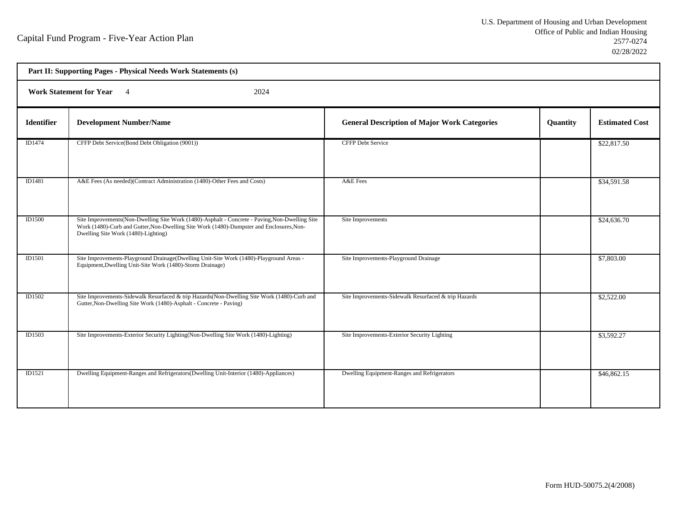h

| Part II: Supporting Pages - Physical Needs Work Statements (s) |                                                                                                                                                                                                                                   |                                                      |                 |                       |  |
|----------------------------------------------------------------|-----------------------------------------------------------------------------------------------------------------------------------------------------------------------------------------------------------------------------------|------------------------------------------------------|-----------------|-----------------------|--|
|                                                                | Work Statement for Year 4<br>2024                                                                                                                                                                                                 |                                                      |                 |                       |  |
| <b>Identifier</b>                                              | <b>Development Number/Name</b>                                                                                                                                                                                                    | <b>General Description of Major Work Categories</b>  | <b>Quantity</b> | <b>Estimated Cost</b> |  |
| ID1474                                                         | CFFP Debt Service(Bond Debt Obligation (9001))                                                                                                                                                                                    | <b>CFFP Debt Service</b>                             |                 | \$22,817.50           |  |
| ID1481                                                         | A&E Fees (As needed)(Contract Administration (1480)-Other Fees and Costs)                                                                                                                                                         | A&E Fees                                             |                 | \$34,591.58           |  |
| <b>ID1500</b>                                                  | Site Improvements(Non-Dwelling Site Work (1480)-Asphalt - Concrete - Paving, Non-Dwelling Site<br>Work (1480)-Curb and Gutter, Non-Dwelling Site Work (1480)-Dumpster and Enclosures, Non-<br>Dwelling Site Work (1480)-Lighting) | Site Improvements                                    |                 | \$24,636.70           |  |
| <b>ID1501</b>                                                  | Site Improvements-Playground Drainage(Dwelling Unit-Site Work (1480)-Playground Areas -<br>Equipment, Dwelling Unit-Site Work (1480)-Storm Drainage)                                                                              | Site Improvements-Playground Drainage                |                 | \$7,803.00            |  |
| ID1502                                                         | Site Improvements-Sidewalk Resurfaced & trip Hazards (Non-Dwelling Site Work (1480)-Curb and<br>Gutter, Non-Dwelling Site Work (1480)-Asphalt - Concrete - Paving)                                                                | Site Improvements-Sidewalk Resurfaced & trip Hazards |                 | \$2,522.00            |  |
| ID1503                                                         | Site Improvements-Exterior Security Lighting (Non-Dwelling Site Work (1480)-Lighting)                                                                                                                                             | Site Improvements-Exterior Security Lighting         |                 | \$3,592.27            |  |
| ID1521                                                         | Dwelling Equipment-Ranges and Refrigerators(Dwelling Unit-Interior (1480)-Appliances)                                                                                                                                             | Dwelling Equipment-Ranges and Refrigerators          |                 | \$46,862.15           |  |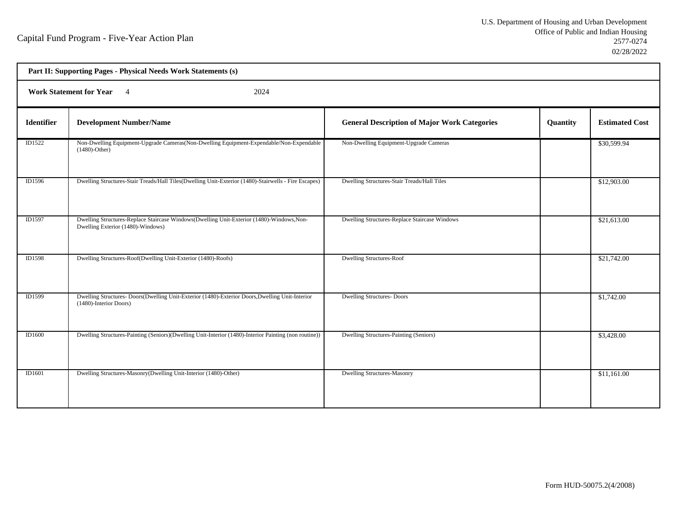| Part II: Supporting Pages - Physical Needs Work Statements (s) |                                                                                                                                |                                                     |          |                       |  |  |
|----------------------------------------------------------------|--------------------------------------------------------------------------------------------------------------------------------|-----------------------------------------------------|----------|-----------------------|--|--|
|                                                                | <b>Work Statement for Year</b><br>2024<br>$\overline{4}$                                                                       |                                                     |          |                       |  |  |
| <b>Identifier</b>                                              | <b>Development Number/Name</b>                                                                                                 | <b>General Description of Major Work Categories</b> | Quantity | <b>Estimated Cost</b> |  |  |
| ID1522                                                         | Non-Dwelling Equipment-Upgrade Cameras(Non-Dwelling Equipment-Expendable/Non-Expendable<br>$(1480)$ -Other)                    | Non-Dwelling Equipment-Upgrade Cameras              |          | \$30,599.94           |  |  |
| ID1596                                                         | Dwelling Structures-Stair Treads/Hall Tiles(Dwelling Unit-Exterior (1480)-Stairwells - Fire Escapes)                           | Dwelling Structures-Stair Treads/Hall Tiles         |          | \$12,903.00           |  |  |
| ID1597                                                         | Dwelling Structures-Replace Staircase Windows(Dwelling Unit-Exterior (1480)-Windows, Non-<br>Dwelling Exterior (1480)-Windows) | Dwelling Structures-Replace Staircase Windows       |          | \$21,613.00           |  |  |
| <b>ID1598</b>                                                  | Dwelling Structures-Roof(Dwelling Unit-Exterior (1480)-Roofs)                                                                  | <b>Dwelling Structures-Roof</b>                     |          | \$21,742.00           |  |  |
| ID1599                                                         | Dwelling Structures-Doors(Dwelling Unit-Exterior (1480)-Exterior Doors, Dwelling Unit-Interior<br>(1480)-Interior Doors)       | <b>Dwelling Structures- Doors</b>                   |          | \$1,742.00            |  |  |
| <b>ID1600</b>                                                  | Dwelling Structures-Painting (Seniors)(Dwelling Unit-Interior (1480)-Interior Painting (non routine))                          | Dwelling Structures-Painting (Seniors)              |          | \$3,428.00            |  |  |
| <b>ID1601</b>                                                  | Dwelling Structures-Masonry(Dwelling Unit-Interior (1480)-Other)                                                               | <b>Dwelling Structures-Masonry</b>                  |          | \$11,161.00           |  |  |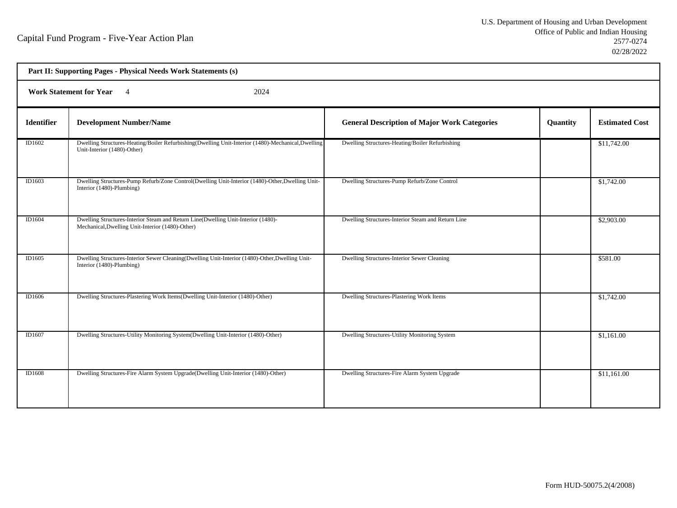| Part II: Supporting Pages - Physical Needs Work Statements (s) |                                                                                                                                       |                                                     |          |                       |  |  |
|----------------------------------------------------------------|---------------------------------------------------------------------------------------------------------------------------------------|-----------------------------------------------------|----------|-----------------------|--|--|
|                                                                | <b>Work Statement for Year</b><br>2024<br>$\overline{4}$                                                                              |                                                     |          |                       |  |  |
| <b>Identifier</b>                                              | <b>Development Number/Name</b>                                                                                                        | <b>General Description of Major Work Categories</b> | Quantity | <b>Estimated Cost</b> |  |  |
| ID1602                                                         | Dwelling Structures-Heating/Boiler Refurbishing(Dwelling Unit-Interior (1480)-Mechanical,Dwelling<br>Unit-Interior (1480)-Other)      | Dwelling Structures-Heating/Boiler Refurbishing     |          | \$11,742.00           |  |  |
| ID1603                                                         | Dwelling Structures-Pump Refurb/Zone Control(Dwelling Unit-Interior (1480)-Other, Dwelling Unit-<br>Interior (1480)-Plumbing)         | Dwelling Structures-Pump Refurb/Zone Control        |          | \$1,742.00            |  |  |
| ID1604                                                         | Dwelling Structures-Interior Steam and Return Line(Dwelling Unit-Interior (1480)-<br>Mechanical, Dwelling Unit-Interior (1480)-Other) | Dwelling Structures-Interior Steam and Return Line  |          | \$2,903.00            |  |  |
| ID1605                                                         | Dwelling Structures-Interior Sewer Cleaning(Dwelling Unit-Interior (1480)-Other, Dwelling Unit-<br>Interior (1480)-Plumbing)          | Dwelling Structures-Interior Sewer Cleaning         |          | \$581.00              |  |  |
| ID1606                                                         | Dwelling Structures-Plastering Work Items(Dwelling Unit-Interior (1480)-Other)                                                        | Dwelling Structures-Plastering Work Items           |          | \$1,742.00            |  |  |
| ID1607                                                         | Dwelling Structures-Utility Monitoring System(Dwelling Unit-Interior (1480)-Other)                                                    | Dwelling Structures-Utility Monitoring System       |          | \$1,161.00            |  |  |
| ID1608                                                         | Dwelling Structures-Fire Alarm System Upgrade(Dwelling Unit-Interior (1480)-Other)                                                    | Dwelling Structures-Fire Alarm System Upgrade       |          | \$11,161.00           |  |  |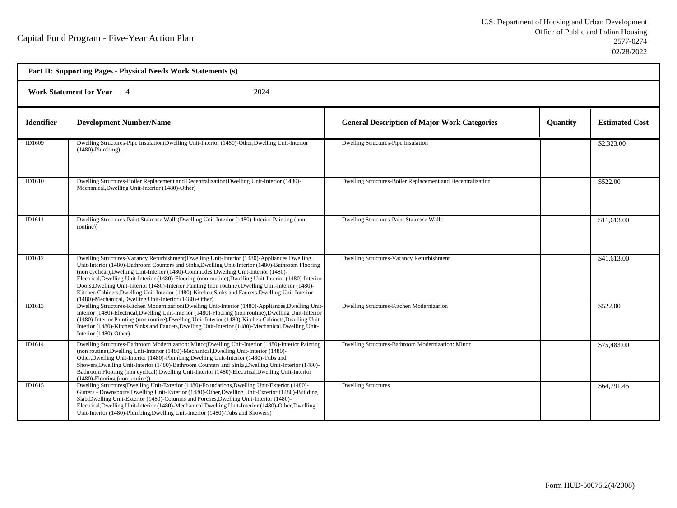| Part II: Supporting Pages - Physical Needs Work Statements (s) |                                                                                                                                                                                                                                                                                                                                                                                                                                                                                                                                                                                                                                                                                  |                                                             |          |                       |  |
|----------------------------------------------------------------|----------------------------------------------------------------------------------------------------------------------------------------------------------------------------------------------------------------------------------------------------------------------------------------------------------------------------------------------------------------------------------------------------------------------------------------------------------------------------------------------------------------------------------------------------------------------------------------------------------------------------------------------------------------------------------|-------------------------------------------------------------|----------|-----------------------|--|
|                                                                | <b>Work Statement for Year</b><br>2024                                                                                                                                                                                                                                                                                                                                                                                                                                                                                                                                                                                                                                           |                                                             |          |                       |  |
| <b>Identifier</b>                                              | <b>Development Number/Name</b>                                                                                                                                                                                                                                                                                                                                                                                                                                                                                                                                                                                                                                                   | <b>General Description of Major Work Categories</b>         | Quantity | <b>Estimated Cost</b> |  |
| ID1609                                                         | Dwelling Structures-Pipe Insulation(Dwelling Unit-Interior (1480)-Other, Dwelling Unit-Interior<br>$(1480)$ -Plumbing)                                                                                                                                                                                                                                                                                                                                                                                                                                                                                                                                                           | Dwelling Structures-Pipe Insulation                         |          | \$2,323.00            |  |
| ID1610                                                         | Dwelling Structures-Boiler Replacement and Decentralization(Dwelling Unit-Interior (1480)-<br>Mechanical, Dwelling Unit-Interior (1480)-Other)                                                                                                                                                                                                                                                                                                                                                                                                                                                                                                                                   | Dwelling Structures-Boiler Replacement and Decentralization |          | \$522.00              |  |
| ID1611                                                         | Dwelling Structures-Paint Staircase Walls(Dwelling Unit-Interior (1480)-Interior Painting (non<br>routine))                                                                                                                                                                                                                                                                                                                                                                                                                                                                                                                                                                      | Dwelling Structures-Paint Staircase Walls                   |          | \$11,613.00           |  |
| ID1612                                                         | Dwelling Structures-Vacancy Refurbishment (Dwelling Unit-Interior (1480)-Appliances, Dwelling<br>Unit-Interior (1480)-Bathroom Counters and Sinks, Dwelling Unit-Interior (1480)-Bathroom Flooring<br>(non cyclical), Dwelling Unit-Interior (1480)-Commodes, Dwelling Unit-Interior (1480)-<br>Electrical, Dwelling Unit-Interior (1480)-Flooring (non routine), Dwelling Unit-Interior (1480)-Interior<br>Doors, Dwelling Unit-Interior (1480)-Interior Painting (non routine), Dwelling Unit-Interior (1480)-<br>Kitchen Cabinets, Dwelling Unit-Interior (1480)-Kitchen Sinks and Faucets, Dwelling Unit-Interior<br>(1480)-Mechanical, Dwelling Unit-Interior (1480)-Other) | Dwelling Structures-Vacancy Refurbishment                   |          | \$41,613.00           |  |
| ID1613                                                         | Dwelling Structures-Kitchen Modernizarion(Dwelling Unit-Interior (1480)-Appliances, Dwelling Unit-<br>Interior (1480)-Electrical, Dwelling Unit-Interior (1480)-Flooring (non routine), Dwelling Unit-Interior<br>(1480)-Interior Painting (non routine), Dwelling Unit-Interior (1480)-Kitchen Cabinets, Dwelling Unit-<br>Interior (1480)-Kitchen Sinks and Faucets, Dwelling Unit-Interior (1480)-Mechanical, Dwelling Unit-<br>Interior (1480)-Other)                                                                                                                                                                                                                        | Dwelling Structures-Kitchen Modernizarion                   |          | \$522.00              |  |
| ID1614                                                         | Dwelling Structures-Bathroom Modernization: Minor(Dwelling Unit-Interior (1480)-Interior Painting<br>(non routine), Dwelling Unit-Interior (1480)-Mechanical, Dwelling Unit-Interior (1480)-<br>Other, Dwelling Unit-Interior (1480)-Plumbing, Dwelling Unit-Interior (1480)-Tubs and<br>Showers, Dwelling Unit-Interior (1480)-Bathroom Counters and Sinks, Dwelling Unit-Interior (1480)-<br>Bathroom Flooring (non cyclical), Dwelling Unit-Interior (1480)-Electrical, Dwelling Unit-Interior<br>$(1480)$ -Flooring (non routine))                                                                                                                                           | Dwelling Structures-Bathroom Modernization: Minor           |          | \$75,483.00           |  |
| ID1615                                                         | Dwelling Structures(Dwelling Unit-Exterior (1480)-Foundations, Dwelling Unit-Exterior (1480)-<br>Gutters - Downspouts, Dwelling Unit-Exterior (1480)-Other, Dwelling Unit-Exterior (1480)-Building<br>Slab, Dwelling Unit-Exterior (1480)-Columns and Porches, Dwelling Unit-Interior (1480)-<br>Electrical, Dwelling Unit-Interior (1480)-Mechanical, Dwelling Unit-Interior (1480)-Other, Dwelling<br>Unit-Interior (1480)-Plumbing, Dwelling Unit-Interior (1480)-Tubs and Showers)                                                                                                                                                                                           | <b>Dwelling Structures</b>                                  |          | \$64,791.45           |  |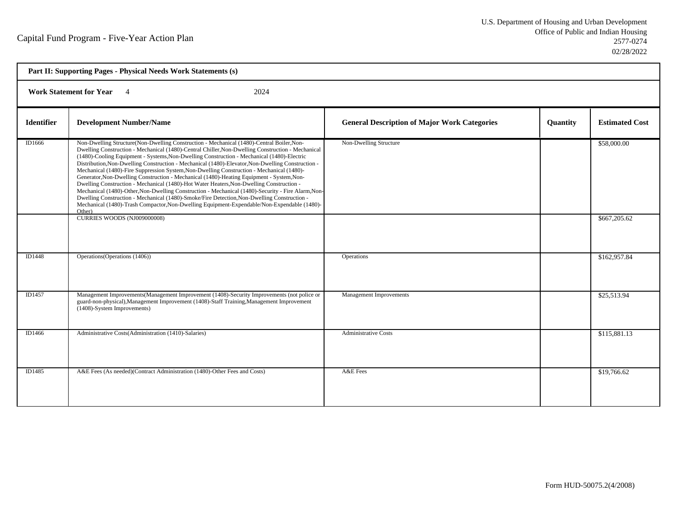| Part II: Supporting Pages - Physical Needs Work Statements (s) |                                                                                                                                                                                                                                                                                                                                                                                                                                                                                                                                                                                                                                                                                                                                                                                                                                                                                                                                                                                                                                      |                                                     |          |                             |  |
|----------------------------------------------------------------|--------------------------------------------------------------------------------------------------------------------------------------------------------------------------------------------------------------------------------------------------------------------------------------------------------------------------------------------------------------------------------------------------------------------------------------------------------------------------------------------------------------------------------------------------------------------------------------------------------------------------------------------------------------------------------------------------------------------------------------------------------------------------------------------------------------------------------------------------------------------------------------------------------------------------------------------------------------------------------------------------------------------------------------|-----------------------------------------------------|----------|-----------------------------|--|
|                                                                | <b>Work Statement for Year</b><br>2024                                                                                                                                                                                                                                                                                                                                                                                                                                                                                                                                                                                                                                                                                                                                                                                                                                                                                                                                                                                               |                                                     |          |                             |  |
| <b>Identifier</b>                                              | <b>Development Number/Name</b>                                                                                                                                                                                                                                                                                                                                                                                                                                                                                                                                                                                                                                                                                                                                                                                                                                                                                                                                                                                                       | <b>General Description of Major Work Categories</b> | Quantity | <b>Estimated Cost</b>       |  |
| ID1666                                                         | Non-Dwelling Structure(Non-Dwelling Construction - Mechanical (1480)-Central Boiler, Non-<br>Dwelling Construction - Mechanical (1480)-Central Chiller, Non-Dwelling Construction - Mechanical<br>(1480)-Cooling Equipment - Systems, Non-Dwelling Construction - Mechanical (1480)-Electric<br>Distribution, Non-Dwelling Construction - Mechanical (1480)-Elevator, Non-Dwelling Construction -<br>Mechanical (1480)-Fire Suppression System, Non-Dwelling Construction - Mechanical (1480)-<br>Generator, Non-Dwelling Construction - Mechanical (1480)-Heating Equipment - System, Non-<br>Dwelling Construction - Mechanical (1480)-Hot Water Heaters, Non-Dwelling Construction -<br>Mechanical (1480)-Other, Non-Dwelling Construction - Mechanical (1480)-Security - Fire Alarm, Non-<br>Dwelling Construction - Mechanical (1480)-Smoke/Fire Detection, Non-Dwelling Construction -<br>Mechanical (1480)-Trash Compactor, Non-Dwelling Equipment-Expendable/Non-Expendable (1480)-<br>Other)<br>CURRIES WOODS (NJ009000008) | Non-Dwelling Structure                              |          | \$58,000.00<br>\$667,205.62 |  |
| ID1448                                                         | Operations (Operations (1406))                                                                                                                                                                                                                                                                                                                                                                                                                                                                                                                                                                                                                                                                                                                                                                                                                                                                                                                                                                                                       | Operations                                          |          | \$162,957.84                |  |
| ID1457                                                         | Management Improvements (Management Improvement (1408)-Security Improvements (not police or<br>guard-non-physical), Management Improvement (1408)-Staff Training, Management Improvement<br>(1408)-System Improvements)                                                                                                                                                                                                                                                                                                                                                                                                                                                                                                                                                                                                                                                                                                                                                                                                              | Management Improvements                             |          | \$25,513.94                 |  |
| ID1466                                                         | Administrative Costs(Administration (1410)-Salaries)                                                                                                                                                                                                                                                                                                                                                                                                                                                                                                                                                                                                                                                                                                                                                                                                                                                                                                                                                                                 | <b>Administrative Costs</b>                         |          | \$115,881.13                |  |
| ID1485                                                         | A&E Fees (As needed)(Contract Administration (1480)-Other Fees and Costs)                                                                                                                                                                                                                                                                                                                                                                                                                                                                                                                                                                                                                                                                                                                                                                                                                                                                                                                                                            | A&E Fees                                            |          | \$19,766.62                 |  |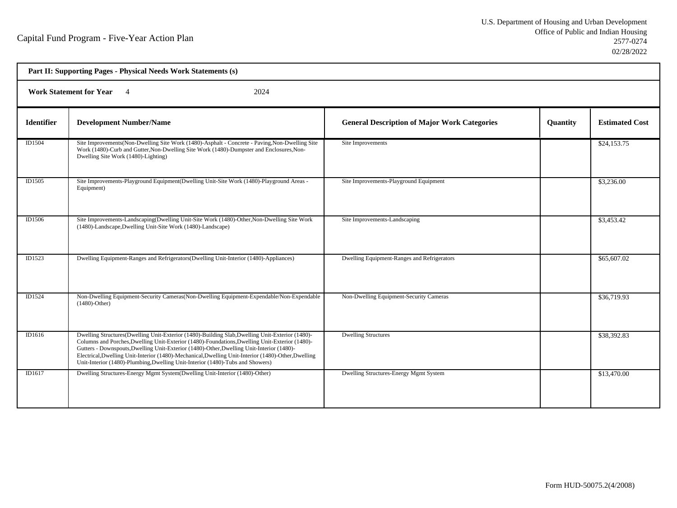| Part II: Supporting Pages - Physical Needs Work Statements (s) |                                                                                                                                                                                                                                                                                                                                                                                                                                                                                         |                                                     |                 |                       |
|----------------------------------------------------------------|-----------------------------------------------------------------------------------------------------------------------------------------------------------------------------------------------------------------------------------------------------------------------------------------------------------------------------------------------------------------------------------------------------------------------------------------------------------------------------------------|-----------------------------------------------------|-----------------|-----------------------|
| <b>Work Statement for Year</b> 4<br>2024                       |                                                                                                                                                                                                                                                                                                                                                                                                                                                                                         |                                                     |                 |                       |
| <b>Identifier</b>                                              | <b>Development Number/Name</b>                                                                                                                                                                                                                                                                                                                                                                                                                                                          | <b>General Description of Major Work Categories</b> | <b>Quantity</b> | <b>Estimated Cost</b> |
| ID1504                                                         | Site Improvements (Non-Dwelling Site Work (1480)-Asphalt - Concrete - Paving, Non-Dwelling Site<br>Work (1480)-Curb and Gutter, Non-Dwelling Site Work (1480)-Dumpster and Enclosures, Non-<br>Dwelling Site Work (1480)-Lighting)                                                                                                                                                                                                                                                      | Site Improvements                                   |                 | \$24,153.75           |
| ID1505                                                         | Site Improvements-Playground Equipment(Dwelling Unit-Site Work (1480)-Playground Areas -<br>Equipment)                                                                                                                                                                                                                                                                                                                                                                                  | Site Improvements-Playground Equipment              |                 | \$3,236.00            |
| ID1506                                                         | Site Improvements-Landscaping(Dwelling Unit-Site Work (1480)-Other, Non-Dwelling Site Work<br>(1480)-Landscape, Dwelling Unit-Site Work (1480)-Landscape)                                                                                                                                                                                                                                                                                                                               | Site Improvements-Landscaping                       |                 | \$3,453.42            |
| ID1523                                                         | Dwelling Equipment-Ranges and Refrigerators (Dwelling Unit-Interior (1480)-Appliances)                                                                                                                                                                                                                                                                                                                                                                                                  | Dwelling Equipment-Ranges and Refrigerators         |                 | \$65,607.02           |
| ID1524                                                         | Non-Dwelling Equipment-Security Cameras (Non-Dwelling Equipment-Expendable/Non-Expendable<br>$(1480)$ -Other)                                                                                                                                                                                                                                                                                                                                                                           | Non-Dwelling Equipment-Security Cameras             |                 | \$36,719.93           |
| ID1616                                                         | Dwelling Structures(Dwelling Unit-Exterior (1480)-Building Slab, Dwelling Unit-Exterior (1480)-<br>Columns and Porches, Dwelling Unit-Exterior (1480)-Foundations, Dwelling Unit-Exterior (1480)-<br>Gutters - Downspouts, Dwelling Unit-Exterior (1480)-Other, Dwelling Unit-Interior (1480)-<br>Electrical, Dwelling Unit-Interior (1480)-Mechanical, Dwelling Unit-Interior (1480)-Other, Dwelling<br>Unit-Interior (1480)-Plumbing, Dwelling Unit-Interior (1480)-Tubs and Showers) | <b>Dwelling Structures</b>                          |                 | \$38,392.83           |
| ID1617                                                         | Dwelling Structures-Energy Mgmt System(Dwelling Unit-Interior (1480)-Other)                                                                                                                                                                                                                                                                                                                                                                                                             | Dwelling Structures-Energy Mgmt System              |                 | \$13,470.00           |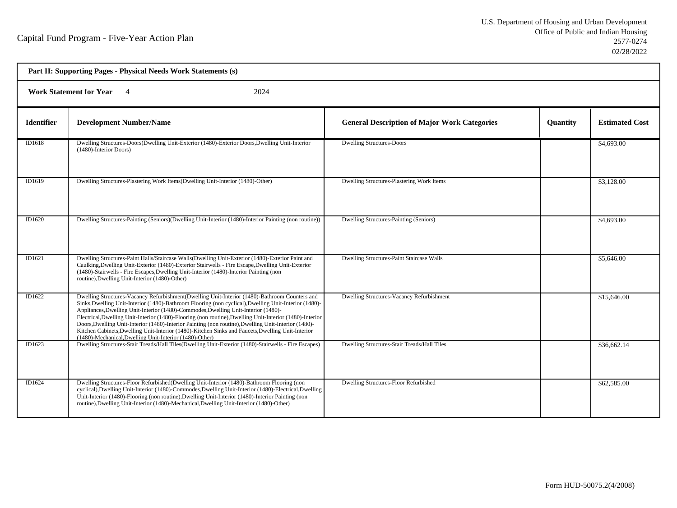| Part II: Supporting Pages - Physical Needs Work Statements (s) |                                                                                                                                                                                                                                                                                                                                                                                                                                                                                                                                                                                                                                                                                  |                                                     |                 |                       |  |
|----------------------------------------------------------------|----------------------------------------------------------------------------------------------------------------------------------------------------------------------------------------------------------------------------------------------------------------------------------------------------------------------------------------------------------------------------------------------------------------------------------------------------------------------------------------------------------------------------------------------------------------------------------------------------------------------------------------------------------------------------------|-----------------------------------------------------|-----------------|-----------------------|--|
|                                                                | <b>Work Statement for Year</b><br>2024<br>$\overline{4}$                                                                                                                                                                                                                                                                                                                                                                                                                                                                                                                                                                                                                         |                                                     |                 |                       |  |
| <b>Identifier</b>                                              | <b>Development Number/Name</b>                                                                                                                                                                                                                                                                                                                                                                                                                                                                                                                                                                                                                                                   | <b>General Description of Major Work Categories</b> | <b>Quantity</b> | <b>Estimated Cost</b> |  |
| ID1618                                                         | Dwelling Structures-Doors(Dwelling Unit-Exterior (1480)-Exterior Doors, Dwelling Unit-Interior<br>(1480)-Interior Doors)                                                                                                                                                                                                                                                                                                                                                                                                                                                                                                                                                         | <b>Dwelling Structures-Doors</b>                    |                 | \$4,693.00            |  |
| ID1619                                                         | Dwelling Structures-Plastering Work Items(Dwelling Unit-Interior (1480)-Other)                                                                                                                                                                                                                                                                                                                                                                                                                                                                                                                                                                                                   | Dwelling Structures-Plastering Work Items           |                 | \$3,128.00            |  |
| ID1620                                                         | Dwelling Structures-Painting (Seniors)(Dwelling Unit-Interior (1480)-Interior Painting (non routine))                                                                                                                                                                                                                                                                                                                                                                                                                                                                                                                                                                            | Dwelling Structures-Painting (Seniors)              |                 | \$4,693.00            |  |
| ID1621                                                         | Dwelling Structures-Paint Halls/Staircase Walls(Dwelling Unit-Exterior (1480)-Exterior Paint and<br>Caulking, Dwelling Unit-Exterior (1480)-Exterior Stairwells - Fire Escape, Dwelling Unit-Exterior<br>(1480)-Stairwells - Fire Escapes, Dwelling Unit-Interior (1480)-Interior Painting (non<br>routine), Dwelling Unit-Interior (1480)-Other)                                                                                                                                                                                                                                                                                                                                | Dwelling Structures-Paint Staircase Walls           |                 | \$5,646.00            |  |
| ID1622                                                         | Dwelling Structures-Vacancy Refurbishment(Dwelling Unit-Interior (1480)-Bathroom Counters and<br>Sinks, Dwelling Unit-Interior (1480)-Bathroom Flooring (non cyclical), Dwelling Unit-Interior (1480)-<br>Appliances, Dwelling Unit-Interior (1480)-Commodes, Dwelling Unit-Interior (1480)-<br>Electrical, Dwelling Unit-Interior (1480)-Flooring (non routine), Dwelling Unit-Interior (1480)-Interior<br>Doors, Dwelling Unit-Interior (1480)-Interior Painting (non routine), Dwelling Unit-Interior (1480)-<br>Kitchen Cabinets, Dwelling Unit-Interior (1480)-Kitchen Sinks and Faucets, Dwelling Unit-Interior<br>(1480)-Mechanical, Dwelling Unit-Interior (1480)-Other) | Dwelling Structures-Vacancy Refurbishment           |                 | \$15,646.00           |  |
| ID1623                                                         | Dwelling Structures-Stair Treads/Hall Tiles(Dwelling Unit-Exterior (1480)-Stairwells - Fire Escapes)                                                                                                                                                                                                                                                                                                                                                                                                                                                                                                                                                                             | Dwelling Structures-Stair Treads/Hall Tiles         |                 | \$36,662.14           |  |
| ID1624                                                         | Dwelling Structures-Floor Refurbished(Dwelling Unit-Interior (1480)-Bathroom Flooring (non<br>cyclical), Dwelling Unit-Interior (1480)-Commodes, Dwelling Unit-Interior (1480)-Electrical, Dwelling<br>Unit-Interior (1480)-Flooring (non routine), Dwelling Unit-Interior (1480)-Interior Painting (non<br>routine), Dwelling Unit-Interior (1480)-Mechanical, Dwelling Unit-Interior (1480)-Other)                                                                                                                                                                                                                                                                             | Dwelling Structures-Floor Refurbished               |                 | \$62,585.00           |  |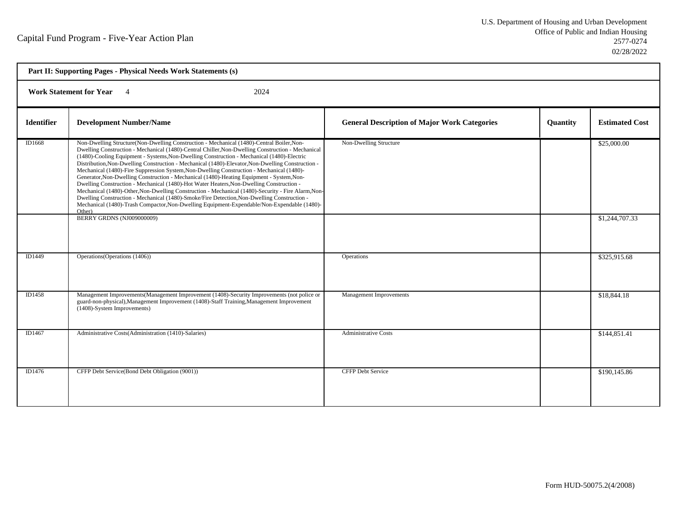| Part II: Supporting Pages - Physical Needs Work Statements (s) |                                                                                                                                                                                                                                                                                                                                                                                                                                                                                                                                                                                                                                                                                                                                                                                                                                                                                                                                                                                                                                    |                                                     |          |                               |  |
|----------------------------------------------------------------|------------------------------------------------------------------------------------------------------------------------------------------------------------------------------------------------------------------------------------------------------------------------------------------------------------------------------------------------------------------------------------------------------------------------------------------------------------------------------------------------------------------------------------------------------------------------------------------------------------------------------------------------------------------------------------------------------------------------------------------------------------------------------------------------------------------------------------------------------------------------------------------------------------------------------------------------------------------------------------------------------------------------------------|-----------------------------------------------------|----------|-------------------------------|--|
|                                                                | <b>Work Statement for Year</b><br>2024                                                                                                                                                                                                                                                                                                                                                                                                                                                                                                                                                                                                                                                                                                                                                                                                                                                                                                                                                                                             |                                                     |          |                               |  |
| <b>Identifier</b>                                              | <b>Development Number/Name</b>                                                                                                                                                                                                                                                                                                                                                                                                                                                                                                                                                                                                                                                                                                                                                                                                                                                                                                                                                                                                     | <b>General Description of Major Work Categories</b> | Quantity | <b>Estimated Cost</b>         |  |
| ID1668                                                         | Non-Dwelling Structure(Non-Dwelling Construction - Mechanical (1480)-Central Boiler, Non-<br>Dwelling Construction - Mechanical (1480)-Central Chiller, Non-Dwelling Construction - Mechanical<br>(1480)-Cooling Equipment - Systems, Non-Dwelling Construction - Mechanical (1480)-Electric<br>Distribution, Non-Dwelling Construction - Mechanical (1480)-Elevator, Non-Dwelling Construction -<br>Mechanical (1480)-Fire Suppression System, Non-Dwelling Construction - Mechanical (1480)-<br>Generator, Non-Dwelling Construction - Mechanical (1480)-Heating Equipment - System, Non-<br>Dwelling Construction - Mechanical (1480)-Hot Water Heaters, Non-Dwelling Construction -<br>Mechanical (1480)-Other, Non-Dwelling Construction - Mechanical (1480)-Security - Fire Alarm, Non-<br>Dwelling Construction - Mechanical (1480)-Smoke/Fire Detection, Non-Dwelling Construction -<br>Mechanical (1480)-Trash Compactor, Non-Dwelling Equipment-Expendable/Non-Expendable (1480)-<br>Other)<br>BERRY GRDNS (NJ009000009) | Non-Dwelling Structure                              |          | \$25,000.00<br>\$1,244,707.33 |  |
| ID1449                                                         | Operations (Operations (1406))                                                                                                                                                                                                                                                                                                                                                                                                                                                                                                                                                                                                                                                                                                                                                                                                                                                                                                                                                                                                     | Operations                                          |          | \$325,915.68                  |  |
| ID1458                                                         | Management Improvements (Management Improvement (1408)-Security Improvements (not police or<br>guard-non-physical), Management Improvement (1408)-Staff Training, Management Improvement<br>(1408)-System Improvements)                                                                                                                                                                                                                                                                                                                                                                                                                                                                                                                                                                                                                                                                                                                                                                                                            | Management Improvements                             |          | \$18,844.18                   |  |
| ID1467                                                         | Administrative Costs(Administration (1410)-Salaries)                                                                                                                                                                                                                                                                                                                                                                                                                                                                                                                                                                                                                                                                                                                                                                                                                                                                                                                                                                               | <b>Administrative Costs</b>                         |          | \$144,851.41                  |  |
| ID1476                                                         | CFFP Debt Service(Bond Debt Obligation (9001))                                                                                                                                                                                                                                                                                                                                                                                                                                                                                                                                                                                                                                                                                                                                                                                                                                                                                                                                                                                     | <b>CFFP Debt Service</b>                            |          | \$190,145.86                  |  |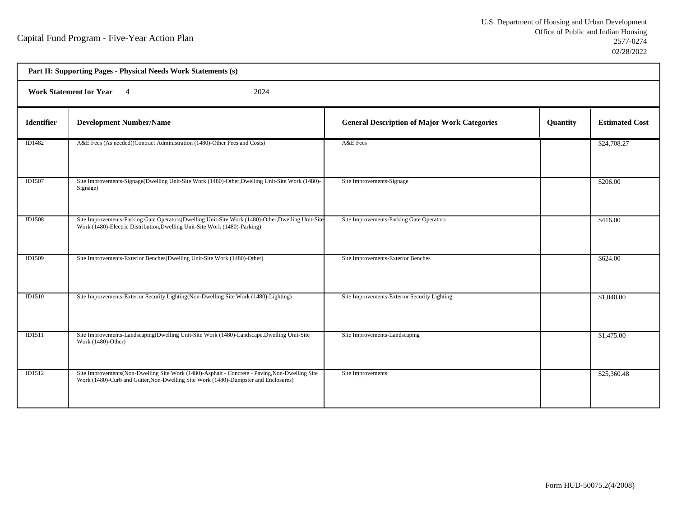| Part II: Supporting Pages - Physical Needs Work Statements (s) |                                                                                                                                                                                        |                                                     |          |                       |  |
|----------------------------------------------------------------|----------------------------------------------------------------------------------------------------------------------------------------------------------------------------------------|-----------------------------------------------------|----------|-----------------------|--|
|                                                                | <b>Work Statement for Year</b><br>2024<br>$\overline{4}$                                                                                                                               |                                                     |          |                       |  |
| <b>Identifier</b>                                              | <b>Development Number/Name</b>                                                                                                                                                         | <b>General Description of Major Work Categories</b> | Quantity | <b>Estimated Cost</b> |  |
| ID1482                                                         | A&E Fees (As needed)(Contract Administration (1480)-Other Fees and Costs)                                                                                                              | A&E Fees                                            |          | \$24,708.27           |  |
| <b>ID1507</b>                                                  | Site Improvements-Signage(Dwelling Unit-Site Work (1480)-Other, Dwelling Unit-Site Work (1480)-<br>Signage)                                                                            | Site Improvements-Signage                           |          | \$206.00              |  |
| <b>ID1508</b>                                                  | Site Improvements-Parking Gate Operators(Dwelling Unit-Site Work (1480)-Other, Dwelling Unit-Site<br>Work (1480)-Electric Distribution, Dwelling Unit-Site Work (1480)-Parking)        | Site Improvements-Parking Gate Operators            |          | \$416.00              |  |
| ID1509                                                         | Site Improvements-Exterior Benches(Dwelling Unit-Site Work (1480)-Other)                                                                                                               | Site Improvements-Exterior Benches                  |          | \$624.00              |  |
| <b>ID1510</b>                                                  | Site Improvements-Exterior Security Lighting (Non-Dwelling Site Work (1480)-Lighting)                                                                                                  | Site Improvements-Exterior Security Lighting        |          | \$1,040.00            |  |
| ID1511                                                         | Site Improvements-Landscaping(Dwelling Unit-Site Work (1480)-Landscape, Dwelling Unit-Site<br>Work (1480)-Other)                                                                       | Site Improvements-Landscaping                       |          | \$1,475.00            |  |
| <b>ID1512</b>                                                  | Site Improvements (Non-Dwelling Site Work (1480)-Asphalt - Concrete - Paving, Non-Dwelling Site<br>Work (1480)-Curb and Gutter, Non-Dwelling Site Work (1480)-Dumpster and Enclosures) | Site Improvements                                   |          | \$25,360.48           |  |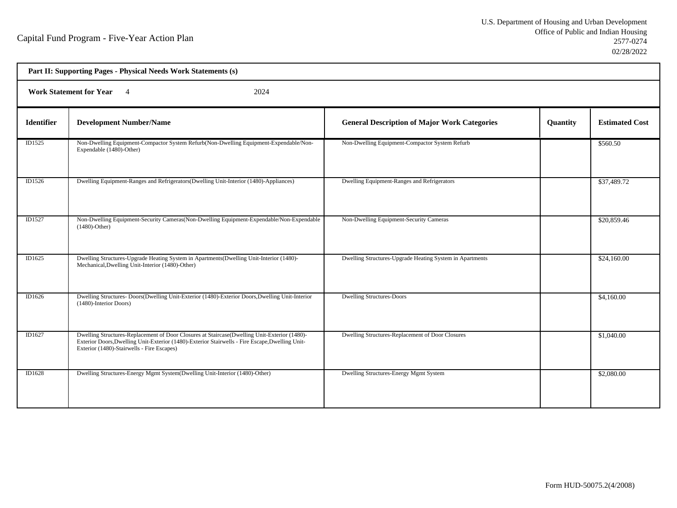| Part II: Supporting Pages - Physical Needs Work Statements (s) |                                                                                                                                                                                                                                               |                                                          |          |                       |  |
|----------------------------------------------------------------|-----------------------------------------------------------------------------------------------------------------------------------------------------------------------------------------------------------------------------------------------|----------------------------------------------------------|----------|-----------------------|--|
|                                                                | Work Statement for Year 4<br>2024                                                                                                                                                                                                             |                                                          |          |                       |  |
| <b>Identifier</b>                                              | <b>Development Number/Name</b>                                                                                                                                                                                                                | <b>General Description of Major Work Categories</b>      | Quantity | <b>Estimated Cost</b> |  |
| ID1525                                                         | Non-Dwelling Equipment-Compactor System Refurb(Non-Dwelling Equipment-Expendable/Non-<br>Expendable (1480)-Other)                                                                                                                             | Non-Dwelling Equipment-Compactor System Refurb           |          | \$560.50              |  |
| ID1526                                                         | Dwelling Equipment-Ranges and Refrigerators(Dwelling Unit-Interior (1480)-Appliances)                                                                                                                                                         | Dwelling Equipment-Ranges and Refrigerators              |          | \$37,489.72           |  |
| ID1527                                                         | Non-Dwelling Equipment-Security Cameras (Non-Dwelling Equipment-Expendable/Non-Expendable<br>$(1480)$ -Other)                                                                                                                                 | Non-Dwelling Equipment-Security Cameras                  |          | \$20,859.46           |  |
| ID1625                                                         | Dwelling Structures-Upgrade Heating System in Apartments (Dwelling Unit-Interior (1480)-<br>Mechanical, Dwelling Unit-Interior (1480)-Other)                                                                                                  | Dwelling Structures-Upgrade Heating System in Apartments |          | \$24,160.00           |  |
| ID1626                                                         | Dwelling Structures- Doors(Dwelling Unit-Exterior (1480)-Exterior Doors, Dwelling Unit-Interior<br>(1480)-Interior Doors)                                                                                                                     | <b>Dwelling Structures-Doors</b>                         |          | \$4,160.00            |  |
| ID1627                                                         | Dwelling Structures-Replacement of Door Closures at Staircase(Dwelling Unit-Exterior (1480)-<br>Exterior Doors, Dwelling Unit-Exterior (1480)-Exterior Stairwells - Fire Escape, Dwelling Unit-<br>Exterior (1480)-Stairwells - Fire Escapes) | Dwelling Structures-Replacement of Door Closures         |          | \$1,040.00            |  |
| ID1628                                                         | Dwelling Structures-Energy Mgmt System(Dwelling Unit-Interior (1480)-Other)                                                                                                                                                                   | Dwelling Structures-Energy Mgmt System                   |          | \$2,080.00            |  |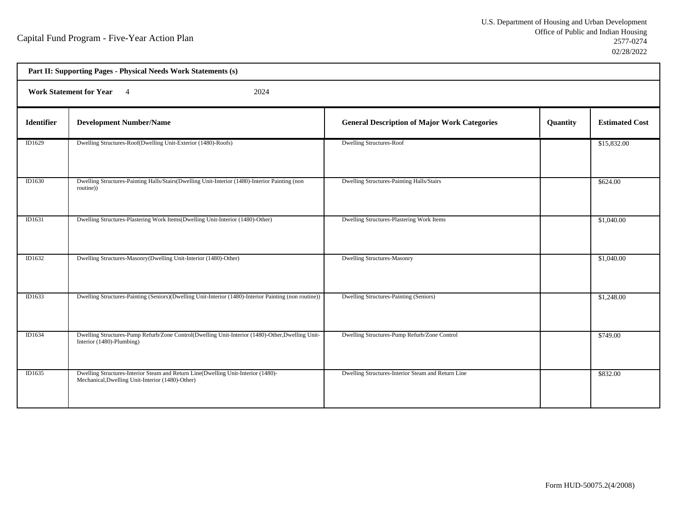| Part II: Supporting Pages - Physical Needs Work Statements (s) |                                                                                                                                       |                                                     |          |                       |  |
|----------------------------------------------------------------|---------------------------------------------------------------------------------------------------------------------------------------|-----------------------------------------------------|----------|-----------------------|--|
|                                                                | <b>Work Statement for Year</b><br>2024<br>$\overline{4}$                                                                              |                                                     |          |                       |  |
| <b>Identifier</b>                                              | <b>Development Number/Name</b>                                                                                                        | <b>General Description of Major Work Categories</b> | Quantity | <b>Estimated Cost</b> |  |
| ID1629                                                         | Dwelling Structures-Roof(Dwelling Unit-Exterior (1480)-Roofs)                                                                         | <b>Dwelling Structures-Roof</b>                     |          | \$15,832.00           |  |
| ID1630                                                         | Dwelling Structures-Painting Halls/Stairs(Dwelling Unit-Interior (1480)-Interior Painting (non<br>routine))                           | Dwelling Structures-Painting Halls/Stairs           |          | \$624.00              |  |
| ID1631                                                         | Dwelling Structures-Plastering Work Items(Dwelling Unit-Interior (1480)-Other)                                                        | Dwelling Structures-Plastering Work Items           |          | \$1,040.00            |  |
| ID1632                                                         | Dwelling Structures-Masonry(Dwelling Unit-Interior (1480)-Other)                                                                      | <b>Dwelling Structures-Masonry</b>                  |          | \$1,040.00            |  |
| ID1633                                                         | Dwelling Structures-Painting (Seniors)(Dwelling Unit-Interior (1480)-Interior Painting (non routine))                                 | Dwelling Structures-Painting (Seniors)              |          | \$1,248.00            |  |
| ID1634                                                         | Dwelling Structures-Pump Refurb/Zone Control(Dwelling Unit-Interior (1480)-Other, Dwelling Unit-<br>Interior (1480)-Plumbing)         | Dwelling Structures-Pump Refurb/Zone Control        |          | \$749.00              |  |
| ID1635                                                         | Dwelling Structures-Interior Steam and Return Line(Dwelling Unit-Interior (1480)-<br>Mechanical, Dwelling Unit-Interior (1480)-Other) | Dwelling Structures-Interior Steam and Return Line  |          | \$832.00              |  |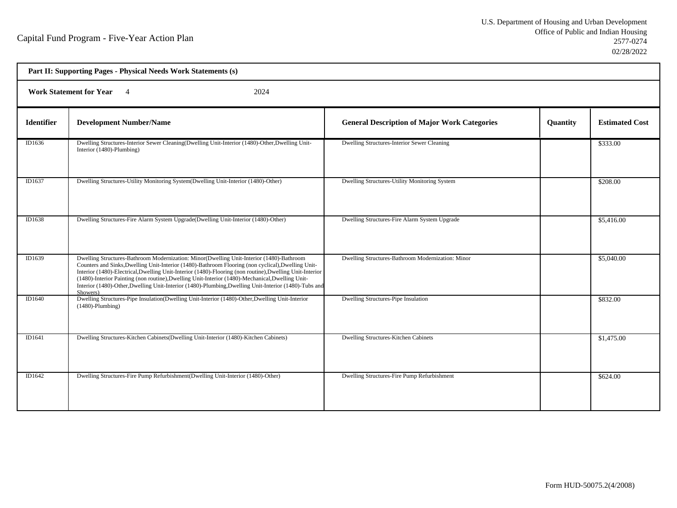|                   | Part II: Supporting Pages - Physical Needs Work Statements (s)                                                                                                                                                                                                                                                                                                                                                                                                                                                                      |                                                     |          |                       |  |
|-------------------|-------------------------------------------------------------------------------------------------------------------------------------------------------------------------------------------------------------------------------------------------------------------------------------------------------------------------------------------------------------------------------------------------------------------------------------------------------------------------------------------------------------------------------------|-----------------------------------------------------|----------|-----------------------|--|
|                   | <b>Work Statement for Year</b><br>2024<br>$\overline{4}$                                                                                                                                                                                                                                                                                                                                                                                                                                                                            |                                                     |          |                       |  |
| <b>Identifier</b> | <b>Development Number/Name</b>                                                                                                                                                                                                                                                                                                                                                                                                                                                                                                      | <b>General Description of Major Work Categories</b> | Quantity | <b>Estimated Cost</b> |  |
| ID1636            | Dwelling Structures-Interior Sewer Cleaning(Dwelling Unit-Interior (1480)-Other, Dwelling Unit-<br>Interior (1480)-Plumbing)                                                                                                                                                                                                                                                                                                                                                                                                        | Dwelling Structures-Interior Sewer Cleaning         |          | \$333.00              |  |
| ID1637            | Dwelling Structures-Utility Monitoring System(Dwelling Unit-Interior (1480)-Other)                                                                                                                                                                                                                                                                                                                                                                                                                                                  | Dwelling Structures-Utility Monitoring System       |          | \$208.00              |  |
| ID1638            | Dwelling Structures-Fire Alarm System Upgrade(Dwelling Unit-Interior (1480)-Other)                                                                                                                                                                                                                                                                                                                                                                                                                                                  | Dwelling Structures-Fire Alarm System Upgrade       |          | \$5,416.00            |  |
| ID1639            | Dwelling Structures-Bathroom Modernization: Minor(Dwelling Unit-Interior (1480)-Bathroom<br>Counters and Sinks, Dwelling Unit-Interior (1480)-Bathroom Flooring (non cyclical), Dwelling Unit-<br>Interior (1480)-Electrical, Dwelling Unit-Interior (1480)-Flooring (non routine), Dwelling Unit-Interior<br>(1480)-Interior Painting (non routine), Dwelling Unit-Interior (1480)-Mechanical, Dwelling Unit-<br>Interior (1480)-Other, Dwelling Unit-Interior (1480)-Plumbing, Dwelling Unit-Interior (1480)-Tubs and<br>Showers) | Dwelling Structures-Bathroom Modernization: Minor   |          | \$5,040.00            |  |
| ID1640            | Dwelling Structures-Pipe Insulation(Dwelling Unit-Interior (1480)-Other, Dwelling Unit-Interior<br>$(1480)$ -Plumbing)                                                                                                                                                                                                                                                                                                                                                                                                              | Dwelling Structures-Pipe Insulation                 |          | \$832.00              |  |
| ID1641            | Dwelling Structures-Kitchen Cabinets (Dwelling Unit-Interior (1480)-Kitchen Cabinets)                                                                                                                                                                                                                                                                                                                                                                                                                                               | Dwelling Structures-Kitchen Cabinets                |          | \$1,475.00            |  |
| ID1642            | Dwelling Structures-Fire Pump Refurbishment(Dwelling Unit-Interior (1480)-Other)                                                                                                                                                                                                                                                                                                                                                                                                                                                    | Dwelling Structures-Fire Pump Refurbishment         |          | \$624.00              |  |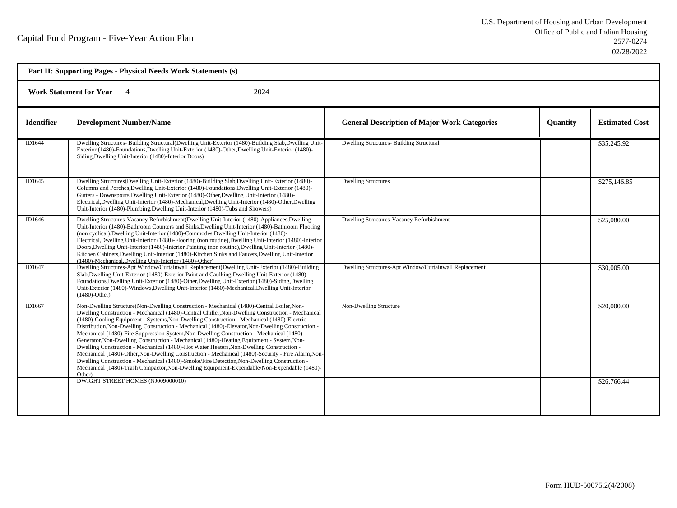| Part II: Supporting Pages - Physical Needs Work Statements (s) |                                                                                                                                                                                                                                                                                                                                                                                                                                                                                                                                                                                                                                                                                                                                                                                                                                                                                                                                                                                                       |                                                        |          |                       |
|----------------------------------------------------------------|-------------------------------------------------------------------------------------------------------------------------------------------------------------------------------------------------------------------------------------------------------------------------------------------------------------------------------------------------------------------------------------------------------------------------------------------------------------------------------------------------------------------------------------------------------------------------------------------------------------------------------------------------------------------------------------------------------------------------------------------------------------------------------------------------------------------------------------------------------------------------------------------------------------------------------------------------------------------------------------------------------|--------------------------------------------------------|----------|-----------------------|
| <b>Work Statement for Year</b><br>2024                         |                                                                                                                                                                                                                                                                                                                                                                                                                                                                                                                                                                                                                                                                                                                                                                                                                                                                                                                                                                                                       |                                                        |          |                       |
| <b>Identifier</b>                                              | <b>Development Number/Name</b>                                                                                                                                                                                                                                                                                                                                                                                                                                                                                                                                                                                                                                                                                                                                                                                                                                                                                                                                                                        | <b>General Description of Major Work Categories</b>    | Quantity | <b>Estimated Cost</b> |
| ID1644                                                         | Dwelling Structures- Building Structural (Dwelling Unit-Exterior (1480)-Building Slab, Dwelling Unit-<br>Exterior (1480)-Foundations, Dwelling Unit-Exterior (1480)-Other, Dwelling Unit-Exterior (1480)-<br>Siding, Dwelling Unit-Interior (1480)-Interior Doors)                                                                                                                                                                                                                                                                                                                                                                                                                                                                                                                                                                                                                                                                                                                                    | <b>Dwelling Structures- Building Structural</b>        |          | \$35,245.92           |
| ID1645                                                         | Dwelling Structures(Dwelling Unit-Exterior (1480)-Building Slab,Dwelling Unit-Exterior (1480)-<br>Columns and Porches, Dwelling Unit-Exterior (1480)-Foundations, Dwelling Unit-Exterior (1480)-<br>Gutters - Downspouts, Dwelling Unit-Exterior (1480)-Other, Dwelling Unit-Interior (1480)-<br>Electrical, Dwelling Unit-Interior (1480)-Mechanical, Dwelling Unit-Interior (1480)-Other, Dwelling<br>Unit-Interior (1480)-Plumbing, Dwelling Unit-Interior (1480)-Tubs and Showers)                                                                                                                                                                                                                                                                                                                                                                                                                                                                                                                | <b>Dwelling Structures</b>                             |          | \$275,146.85          |
| ID1646                                                         | Dwelling Structures-Vacancy Refurbishment(Dwelling Unit-Interior (1480)-Appliances, Dwelling<br>Unit-Interior (1480)-Bathroom Counters and Sinks, Dwelling Unit-Interior (1480)-Bathroom Flooring<br>(non cyclical), Dwelling Unit-Interior (1480)-Commodes, Dwelling Unit-Interior (1480)-<br>Electrical, Dwelling Unit-Interior (1480)-Flooring (non routine), Dwelling Unit-Interior (1480)-Interior<br>Doors, Dwelling Unit-Interior (1480)-Interior Painting (non routine), Dwelling Unit-Interior (1480)-<br>Kitchen Cabinets, Dwelling Unit-Interior (1480)-Kitchen Sinks and Faucets, Dwelling Unit-Interior<br>(1480)-Mechanical, Dwelling Unit-Interior (1480)-Other)                                                                                                                                                                                                                                                                                                                       | Dwelling Structures-Vacancy Refurbishment              |          | \$25,080.00           |
| ID1647                                                         | Dwelling Structures-Apt Window/Curtainwall Replacement(Dwelling Unit-Exterior (1480)-Building<br>Slab, Dwelling Unit-Exterior (1480)-Exterior Paint and Caulking, Dwelling Unit-Exterior (1480)-<br>Foundations, Dwelling Unit-Exterior (1480)-Other, Dwelling Unit-Exterior (1480)-Siding, Dwelling<br>Unit-Exterior (1480)-Windows, Dwelling Unit-Interior (1480)-Mechanical, Dwelling Unit-Interior<br>$(1480)$ -Other)                                                                                                                                                                                                                                                                                                                                                                                                                                                                                                                                                                            | Dwelling Structures-Apt Window/Curtainwall Replacement |          | \$30,005.00           |
| ID1667                                                         | Non-Dwelling Structure(Non-Dwelling Construction - Mechanical (1480)-Central Boiler, Non-<br>Dwelling Construction - Mechanical (1480)-Central Chiller, Non-Dwelling Construction - Mechanical<br>(1480)-Cooling Equipment - Systems, Non-Dwelling Construction - Mechanical (1480)-Electric<br>Distribution, Non-Dwelling Construction - Mechanical (1480)-Elevator, Non-Dwelling Construction -<br>Mechanical (1480)-Fire Suppression System, Non-Dwelling Construction - Mechanical (1480)-<br>Generator, Non-Dwelling Construction - Mechanical (1480)-Heating Equipment - System, Non-<br>Dwelling Construction - Mechanical (1480)-Hot Water Heaters, Non-Dwelling Construction -<br>Mechanical (1480)-Other, Non-Dwelling Construction - Mechanical (1480)-Security - Fire Alarm, Non-<br>Dwelling Construction - Mechanical (1480)-Smoke/Fire Detection, Non-Dwelling Construction -<br>Mechanical (1480)-Trash Compactor, Non-Dwelling Equipment-Expendable/Non-Expendable (1480)-<br>Other) | Non-Dwelling Structure                                 |          | \$20,000.00           |
|                                                                | DWIGHT STREET HOMES (NJ009000010)                                                                                                                                                                                                                                                                                                                                                                                                                                                                                                                                                                                                                                                                                                                                                                                                                                                                                                                                                                     |                                                        |          | \$26,766.44           |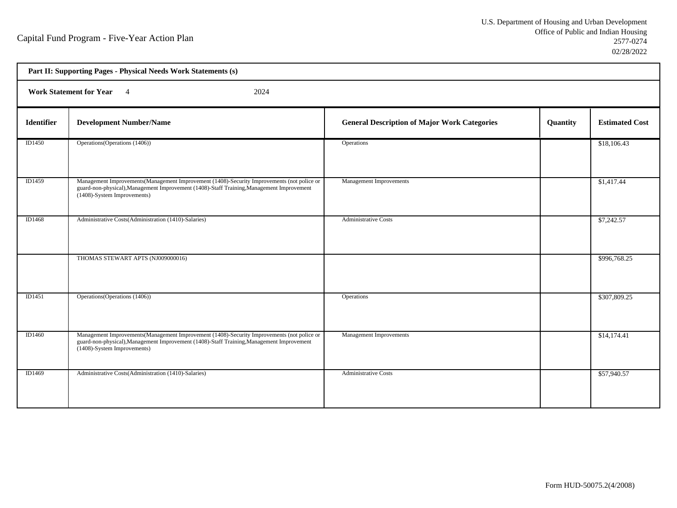h

| Part II: Supporting Pages - Physical Needs Work Statements (s) |                                                                                                                                                                                                                         |                                                     |          |                       |  |
|----------------------------------------------------------------|-------------------------------------------------------------------------------------------------------------------------------------------------------------------------------------------------------------------------|-----------------------------------------------------|----------|-----------------------|--|
|                                                                | Work Statement for Year 4<br>2024                                                                                                                                                                                       |                                                     |          |                       |  |
| <b>Identifier</b>                                              | <b>Development Number/Name</b>                                                                                                                                                                                          | <b>General Description of Major Work Categories</b> | Quantity | <b>Estimated Cost</b> |  |
| ID1450                                                         | Operations (Operations (1406))                                                                                                                                                                                          | Operations                                          |          | \$18,106.43           |  |
| ID1459                                                         | Management Improvements (Management Improvement (1408)-Security Improvements (not police or<br>guard-non-physical), Management Improvement (1408)-Staff Training, Management Improvement<br>(1408)-System Improvements) | Management Improvements                             |          | \$1,417.44            |  |
| ID1468                                                         | Administrative Costs(Administration (1410)-Salaries)                                                                                                                                                                    | <b>Administrative Costs</b>                         |          | \$7,242.57            |  |
|                                                                | THOMAS STEWART APTS (NJ009000016)                                                                                                                                                                                       |                                                     |          | \$996,768.25          |  |
| ID1451                                                         | Operations (Operations (1406))                                                                                                                                                                                          | Operations                                          |          | \$307,809.25          |  |
| ID1460                                                         | Management Improvements (Management Improvement (1408)-Security Improvements (not police or<br>guard-non-physical), Management Improvement (1408)-Staff Training, Management Improvement<br>(1408)-System Improvements) | Management Improvements                             |          | \$14,174.41           |  |
| ID1469                                                         | Administrative Costs(Administration (1410)-Salaries)                                                                                                                                                                    | <b>Administrative Costs</b>                         |          | \$57,940.57           |  |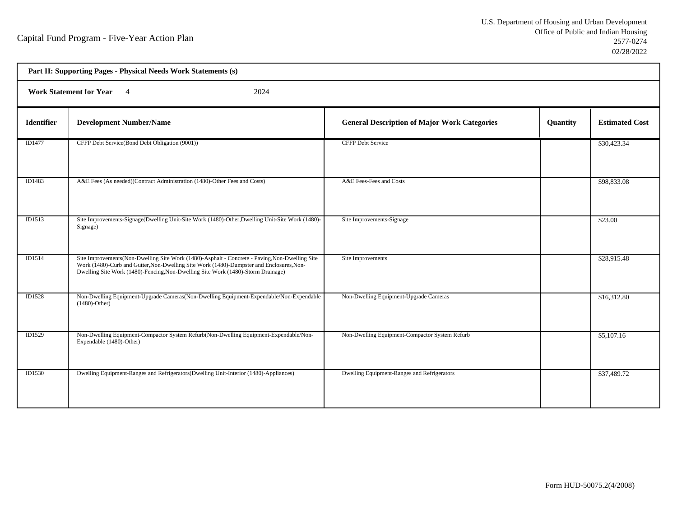h

| Part II: Supporting Pages - Physical Needs Work Statements (s) |                                                                                                                                                                                                                                                                                 |                                                     |          |                       |  |
|----------------------------------------------------------------|---------------------------------------------------------------------------------------------------------------------------------------------------------------------------------------------------------------------------------------------------------------------------------|-----------------------------------------------------|----------|-----------------------|--|
|                                                                | 2024<br>Work Statement for Year 4                                                                                                                                                                                                                                               |                                                     |          |                       |  |
| <b>Identifier</b>                                              | <b>Development Number/Name</b>                                                                                                                                                                                                                                                  | <b>General Description of Major Work Categories</b> | Quantity | <b>Estimated Cost</b> |  |
| ID1477                                                         | CFFP Debt Service(Bond Debt Obligation (9001))                                                                                                                                                                                                                                  | <b>CFFP Debt Service</b>                            |          | \$30,423.34           |  |
| ID1483                                                         | A&E Fees (As needed)(Contract Administration (1480)-Other Fees and Costs)                                                                                                                                                                                                       | A&E Fees-Fees and Costs                             |          | \$98,833.08           |  |
| ID1513                                                         | Site Improvements-Signage(Dwelling Unit-Site Work (1480)-Other, Dwelling Unit-Site Work (1480)-<br>Signage)                                                                                                                                                                     | Site Improvements-Signage                           |          | \$23.00               |  |
| ID1514                                                         | Site Improvements (Non-Dwelling Site Work (1480)-Asphalt - Concrete - Paving, Non-Dwelling Site<br>Work (1480)-Curb and Gutter, Non-Dwelling Site Work (1480)-Dumpster and Enclosures, Non-<br>Dwelling Site Work (1480)-Fencing, Non-Dwelling Site Work (1480)-Storm Drainage) | Site Improvements                                   |          | \$28,915.48           |  |
| <b>ID1528</b>                                                  | Non-Dwelling Equipment-Upgrade Cameras(Non-Dwelling Equipment-Expendable/Non-Expendable<br>$(1480)$ -Other)                                                                                                                                                                     | Non-Dwelling Equipment-Upgrade Cameras              |          | \$16,312.80           |  |
| ID1529                                                         | Non-Dwelling Equipment-Compactor System Refurb(Non-Dwelling Equipment-Expendable/Non-<br>Expendable (1480)-Other)                                                                                                                                                               | Non-Dwelling Equipment-Compactor System Refurb      |          | \$5,107.16            |  |
| <b>ID1530</b>                                                  | Dwelling Equipment-Ranges and Refrigerators(Dwelling Unit-Interior (1480)-Appliances)                                                                                                                                                                                           | Dwelling Equipment-Ranges and Refrigerators         |          | \$37,489.72           |  |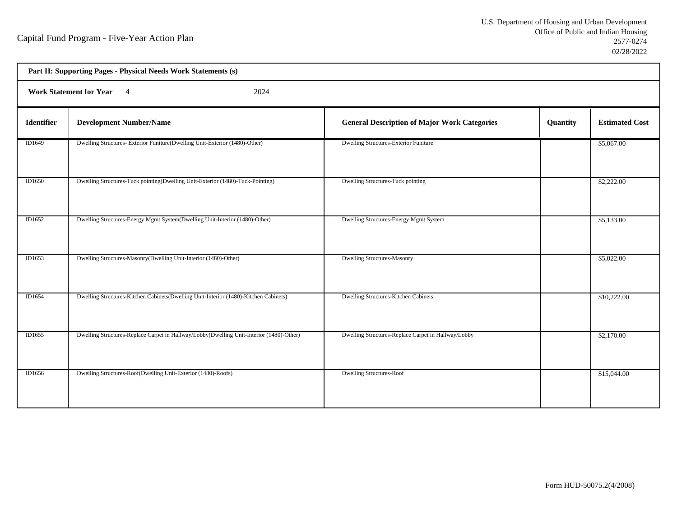| Part II: Supporting Pages - Physical Needs Work Statements (s) |                                                                                          |                                                     |          |                       |  |
|----------------------------------------------------------------|------------------------------------------------------------------------------------------|-----------------------------------------------------|----------|-----------------------|--|
|                                                                | Work Statement for Year 4<br>2024                                                        |                                                     |          |                       |  |
| Identifier                                                     | <b>Development Number/Name</b>                                                           | <b>General Description of Major Work Categories</b> | Quantity | <b>Estimated Cost</b> |  |
| ID1649                                                         | Dwelling Structures-Exterior Funiture(Dwelling Unit-Exterior (1480)-Other)               | Dwelling Structures-Exterior Funiture               |          | \$5,067.00            |  |
| ID1650                                                         | Dwelling Structures-Tuck pointing(Dwelling Unit-Exterior (1480)-Tuck-Pointing)           | Dwelling Structures-Tuck pointing                   |          | \$2,222.00            |  |
| ID1652                                                         | Dwelling Structures-Energy Mgmt System(Dwelling Unit-Interior (1480)-Other)              | Dwelling Structures-Energy Mgmt System              |          | \$5,133.00            |  |
| ID1653                                                         | Dwelling Structures-Masonry(Dwelling Unit-Interior (1480)-Other)                         | <b>Dwelling Structures-Masonry</b>                  |          | \$5,022.00            |  |
| ID1654                                                         | Dwelling Structures-Kitchen Cabinets(Dwelling Unit-Interior (1480)-Kitchen Cabinets)     | Dwelling Structures-Kitchen Cabinets                |          | \$10,222.00           |  |
| ID1655                                                         | Dwelling Structures-Replace Carpet in Hallway/Lobby(Dwelling Unit-Interior (1480)-Other) | Dwelling Structures-Replace Carpet in Hallway/Lobby |          | \$2,170.00            |  |
| ID1656                                                         | Dwelling Structures-Roof(Dwelling Unit-Exterior (1480)-Roofs)                            | <b>Dwelling Structures-Roof</b>                     |          | \$15,044.00           |  |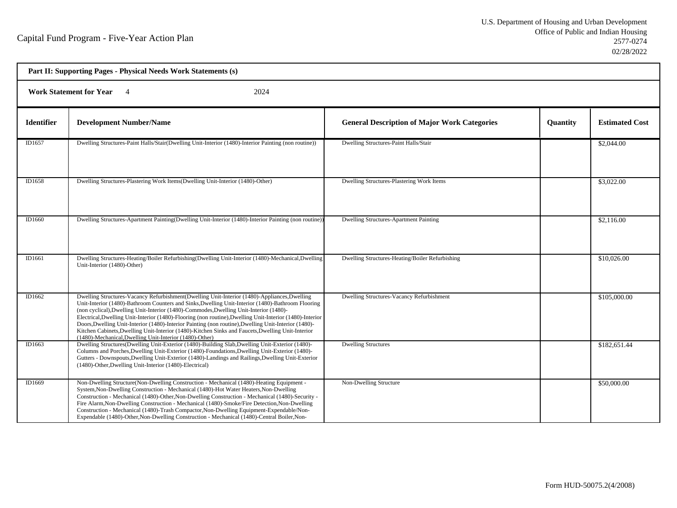h

| Part II: Supporting Pages - Physical Needs Work Statements (s) |                                                                                                                                                                                                                                                                                                                                                                                                                                                                                                                                                                                                                                                                                 |                                                     |          |                       |  |
|----------------------------------------------------------------|---------------------------------------------------------------------------------------------------------------------------------------------------------------------------------------------------------------------------------------------------------------------------------------------------------------------------------------------------------------------------------------------------------------------------------------------------------------------------------------------------------------------------------------------------------------------------------------------------------------------------------------------------------------------------------|-----------------------------------------------------|----------|-----------------------|--|
|                                                                | <b>Work Statement for Year</b><br>2024<br>$\overline{4}$                                                                                                                                                                                                                                                                                                                                                                                                                                                                                                                                                                                                                        |                                                     |          |                       |  |
| <b>Identifier</b>                                              | <b>Development Number/Name</b>                                                                                                                                                                                                                                                                                                                                                                                                                                                                                                                                                                                                                                                  | <b>General Description of Major Work Categories</b> | Quantity | <b>Estimated Cost</b> |  |
| ID1657                                                         | Dwelling Structures-Paint Halls/Stair(Dwelling Unit-Interior (1480)-Interior Painting (non routine))                                                                                                                                                                                                                                                                                                                                                                                                                                                                                                                                                                            | Dwelling Structures-Paint Halls/Stair               |          | \$2,044.00            |  |
| ID1658                                                         | Dwelling Structures-Plastering Work Items(Dwelling Unit-Interior (1480)-Other)                                                                                                                                                                                                                                                                                                                                                                                                                                                                                                                                                                                                  | Dwelling Structures-Plastering Work Items           |          | \$3,022.00            |  |
| ID1660                                                         | Dwelling Structures-Apartment Painting (Dwelling Unit-Interior (1480)-Interior Painting (non routine))                                                                                                                                                                                                                                                                                                                                                                                                                                                                                                                                                                          | <b>Dwelling Structures-Apartment Painting</b>       |          | \$2,116.00            |  |
| ID1661                                                         | Dwelling Structures-Heating/Boiler Refurbishing(Dwelling Unit-Interior (1480)-Mechanical,Dwelling<br>Unit-Interior (1480)-Other)                                                                                                                                                                                                                                                                                                                                                                                                                                                                                                                                                | Dwelling Structures-Heating/Boiler Refurbishing     |          | \$10,026.00           |  |
| ID1662                                                         | Dwelling Structures-Vacancy Refurbishment(Dwelling Unit-Interior (1480)-Appliances, Dwelling<br>Unit-Interior (1480)-Bathroom Counters and Sinks, Dwelling Unit-Interior (1480)-Bathroom Flooring<br>(non cyclical), Dwelling Unit-Interior (1480)-Commodes, Dwelling Unit-Interior (1480)-<br>Electrical, Dwelling Unit-Interior (1480)-Flooring (non routine), Dwelling Unit-Interior (1480)-Interior<br>Doors, Dwelling Unit-Interior (1480)-Interior Painting (non routine), Dwelling Unit-Interior (1480)-<br>Kitchen Cabinets, Dwelling Unit-Interior (1480)-Kitchen Sinks and Faucets, Dwelling Unit-Interior<br>(1480)-Mechanical, Dwelling Unit-Interior (1480)-Other) | Dwelling Structures-Vacancy Refurbishment           |          | \$105,000.00          |  |
| ID1663                                                         | Dwelling Structures(Dwelling Unit-Exterior (1480)-Building Slab,Dwelling Unit-Exterior (1480)-<br>Columns and Porches, Dwelling Unit-Exterior (1480)-Foundations, Dwelling Unit-Exterior (1480)-<br>Gutters - Downspouts, Dwelling Unit-Exterior (1480)-Landings and Railings, Dwelling Unit-Exterior<br>(1480)-Other, Dwelling Unit-Interior (1480)-Electrical)                                                                                                                                                                                                                                                                                                                | <b>Dwelling Structures</b>                          |          | \$182,651.44          |  |
| ID1669                                                         | Non-Dwelling Structure(Non-Dwelling Construction - Mechanical (1480)-Heating Equipment -<br>System, Non-Dwelling Construction - Mechanical (1480)-Hot Water Heaters, Non-Dwelling<br>Construction - Mechanical (1480)-Other, Non-Dwelling Construction - Mechanical (1480)-Security -<br>Fire Alarm, Non-Dwelling Construction - Mechanical (1480)-Smoke/Fire Detection, Non-Dwelling<br>Construction - Mechanical (1480)-Trash Compactor, Non-Dwelling Equipment-Expendable/Non-<br>Expendable (1480)-Other, Non-Dwelling Construction - Mechanical (1480)-Central Boiler, Non-                                                                                                | Non-Dwelling Structure                              |          | \$50,000.00           |  |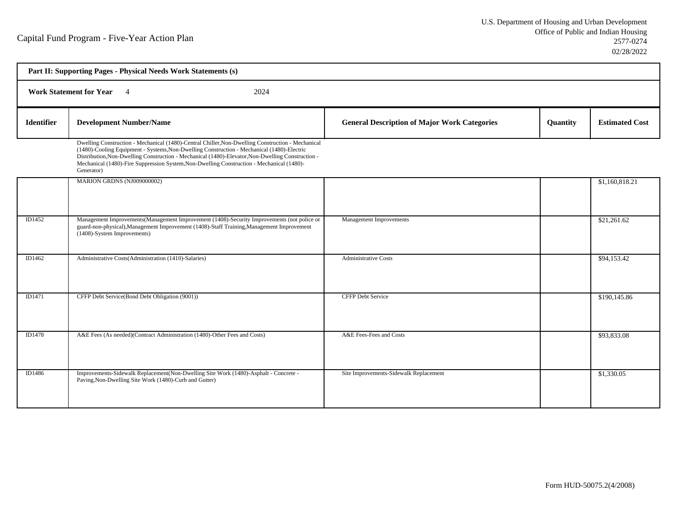| Part II: Supporting Pages - Physical Needs Work Statements (s) |                                                                                                                                                                                                                                                                                                                                                                                                                 |                                                     |          |                       |  |
|----------------------------------------------------------------|-----------------------------------------------------------------------------------------------------------------------------------------------------------------------------------------------------------------------------------------------------------------------------------------------------------------------------------------------------------------------------------------------------------------|-----------------------------------------------------|----------|-----------------------|--|
|                                                                | <b>Work Statement for Year</b> 4<br>2024                                                                                                                                                                                                                                                                                                                                                                        |                                                     |          |                       |  |
| <b>Identifier</b>                                              | <b>Development Number/Name</b>                                                                                                                                                                                                                                                                                                                                                                                  | <b>General Description of Major Work Categories</b> | Quantity | <b>Estimated Cost</b> |  |
|                                                                | Dwelling Construction - Mechanical (1480)-Central Chiller, Non-Dwelling Construction - Mechanical<br>(1480)-Cooling Equipment - Systems, Non-Dwelling Construction - Mechanical (1480)-Electric<br>Distribution, Non-Dwelling Construction - Mechanical (1480)-Elevator, Non-Dwelling Construction -<br>Mechanical (1480)-Fire Suppression System, Non-Dwelling Construction - Mechanical (1480)-<br>Generator) |                                                     |          |                       |  |
|                                                                | MARION GRDNS (NJ009000002)                                                                                                                                                                                                                                                                                                                                                                                      |                                                     |          | \$1,160,818.21        |  |
| ID1452                                                         | Management Improvements (Management Improvement (1408)-Security Improvements (not police or<br>guard-non-physical), Management Improvement (1408)-Staff Training, Management Improvement<br>(1408)-System Improvements)                                                                                                                                                                                         | <b>Management Improvements</b>                      |          | \$21,261.62           |  |
| ID1462                                                         | Administrative Costs(Administration (1410)-Salaries)                                                                                                                                                                                                                                                                                                                                                            | <b>Administrative Costs</b>                         |          | \$94,153.42           |  |
| ID1471                                                         | CFFP Debt Service(Bond Debt Obligation (9001))                                                                                                                                                                                                                                                                                                                                                                  | <b>CFFP Debt Service</b>                            |          | \$190,145.86          |  |
| ID1478                                                         | A&E Fees (As needed)(Contract Administration (1480)-Other Fees and Costs)                                                                                                                                                                                                                                                                                                                                       | A&E Fees-Fees and Costs                             |          | \$93,833.08           |  |
| ID1486                                                         | Improvements-Sidewalk Replacement(Non-Dwelling Site Work (1480)-Asphalt - Concrete -<br>Paving, Non-Dwelling Site Work (1480)-Curb and Gutter)                                                                                                                                                                                                                                                                  | Site Improvements-Sidewalk Replacement              |          | \$1,330.05            |  |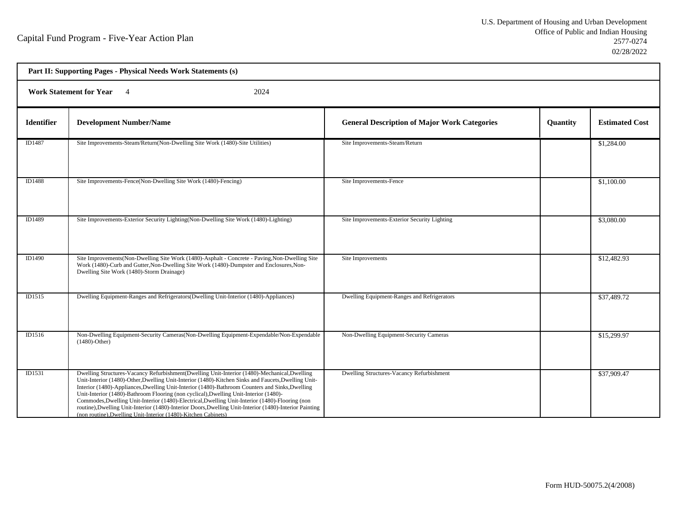| Part II: Supporting Pages - Physical Needs Work Statements (s) |                                                                                                                                                                                                                                                                                                                                                                                                                                                                                                                                                                                                                                                                                 |                                                     |          |                       |  |  |
|----------------------------------------------------------------|---------------------------------------------------------------------------------------------------------------------------------------------------------------------------------------------------------------------------------------------------------------------------------------------------------------------------------------------------------------------------------------------------------------------------------------------------------------------------------------------------------------------------------------------------------------------------------------------------------------------------------------------------------------------------------|-----------------------------------------------------|----------|-----------------------|--|--|
|                                                                | <b>Work Statement for Year</b><br>2024<br>$\overline{4}$                                                                                                                                                                                                                                                                                                                                                                                                                                                                                                                                                                                                                        |                                                     |          |                       |  |  |
| <b>Identifier</b>                                              | <b>Development Number/Name</b>                                                                                                                                                                                                                                                                                                                                                                                                                                                                                                                                                                                                                                                  | <b>General Description of Major Work Categories</b> | Quantity | <b>Estimated Cost</b> |  |  |
| ID1487                                                         | Site Improvements-Steam/Return(Non-Dwelling Site Work (1480)-Site Utilities)                                                                                                                                                                                                                                                                                                                                                                                                                                                                                                                                                                                                    | Site Improvements-Steam/Return                      |          | \$1,284.00            |  |  |
| ID1488                                                         | Site Improvements-Fence(Non-Dwelling Site Work (1480)-Fencing)                                                                                                                                                                                                                                                                                                                                                                                                                                                                                                                                                                                                                  | Site Improvements-Fence                             |          | \$1,100.00            |  |  |
| ID1489                                                         | Site Improvements-Exterior Security Lighting (Non-Dwelling Site Work (1480)-Lighting)                                                                                                                                                                                                                                                                                                                                                                                                                                                                                                                                                                                           | Site Improvements-Exterior Security Lighting        |          | \$3,080.00            |  |  |
| ID1490                                                         | Site Improvements(Non-Dwelling Site Work (1480)-Asphalt - Concrete - Paving, Non-Dwelling Site<br>Work (1480)-Curb and Gutter, Non-Dwelling Site Work (1480)-Dumpster and Enclosures, Non-<br>Dwelling Site Work (1480)-Storm Drainage)                                                                                                                                                                                                                                                                                                                                                                                                                                         | Site Improvements                                   |          | \$12,482.93           |  |  |
| ID1515                                                         | Dwelling Equipment-Ranges and Refrigerators(Dwelling Unit-Interior (1480)-Appliances)                                                                                                                                                                                                                                                                                                                                                                                                                                                                                                                                                                                           | Dwelling Equipment-Ranges and Refrigerators         |          | \$37,489.72           |  |  |
| ID1516                                                         | Non-Dwelling Equipment-Security Cameras(Non-Dwelling Equipment-Expendable/Non-Expendable<br>$(1480)$ -Other)                                                                                                                                                                                                                                                                                                                                                                                                                                                                                                                                                                    | Non-Dwelling Equipment-Security Cameras             |          | \$15,299.97           |  |  |
| ID1531                                                         | Dwelling Structures-Vacancy Refurbishment(Dwelling Unit-Interior (1480)-Mechanical, Dwelling<br>Unit-Interior (1480)-Other, Dwelling Unit-Interior (1480)-Kitchen Sinks and Faucets, Dwelling Unit-<br>Interior (1480)-Appliances, Dwelling Unit-Interior (1480)-Bathroom Counters and Sinks, Dwelling<br>Unit-Interior (1480)-Bathroom Flooring (non cyclical), Dwelling Unit-Interior (1480)-<br>Commodes, Dwelling Unit-Interior (1480)-Electrical, Dwelling Unit-Interior (1480)-Flooring (non<br>routine), Dwelling Unit-Interior (1480)-Interior Doors, Dwelling Unit-Interior (1480)-Interior Painting<br>(non routine), Dwelling Unit-Interior (1480)-Kitchen Cabinets) | Dwelling Structures-Vacancy Refurbishment           |          | \$37,909.47           |  |  |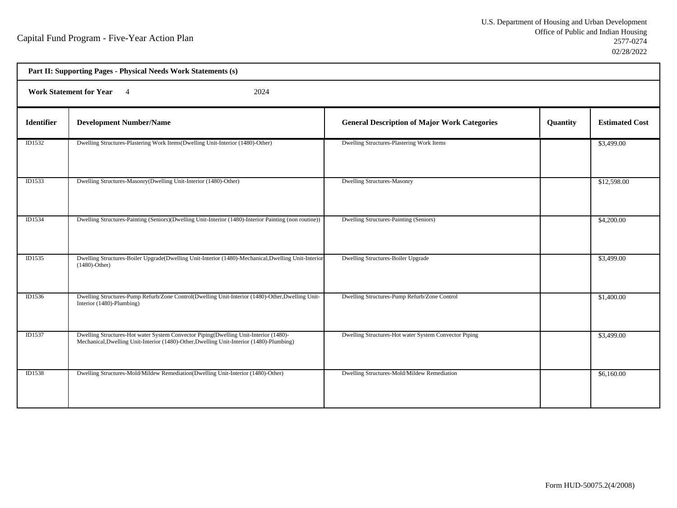h

| Part II: Supporting Pages - Physical Needs Work Statements (s) |                                                                                                                                                                                  |                                                       |          |                       |  |
|----------------------------------------------------------------|----------------------------------------------------------------------------------------------------------------------------------------------------------------------------------|-------------------------------------------------------|----------|-----------------------|--|
| <b>Work Statement for Year</b><br>2024<br>$\overline{4}$       |                                                                                                                                                                                  |                                                       |          |                       |  |
| <b>Identifier</b>                                              | <b>Development Number/Name</b>                                                                                                                                                   | <b>General Description of Major Work Categories</b>   | Quantity | <b>Estimated Cost</b> |  |
| ID1532                                                         | Dwelling Structures-Plastering Work Items(Dwelling Unit-Interior (1480)-Other)                                                                                                   | Dwelling Structures-Plastering Work Items             |          | \$3,499.00            |  |
| ID1533                                                         | Dwelling Structures-Masonry(Dwelling Unit-Interior (1480)-Other)                                                                                                                 | <b>Dwelling Structures-Masonry</b>                    |          | \$12,598.00           |  |
| ID1534                                                         | Dwelling Structures-Painting (Seniors)(Dwelling Unit-Interior (1480)-Interior Painting (non routine))                                                                            | Dwelling Structures-Painting (Seniors)                |          | \$4,200.00            |  |
| ID1535                                                         | Dwelling Structures-Boiler Upgrade(Dwelling Unit-Interior (1480)-Mechanical, Dwelling Unit-Interior<br>$(1480)$ -Other)                                                          | <b>Dwelling Structures-Boiler Upgrade</b>             |          | \$3,499.00            |  |
| ID1536                                                         | Dwelling Structures-Pump Refurb/Zone Control(Dwelling Unit-Interior (1480)-Other, Dwelling Unit-<br>Interior (1480)-Plumbing)                                                    | Dwelling Structures-Pump Refurb/Zone Control          |          | \$1,400.00            |  |
| ID1537                                                         | Dwelling Structures-Hot water System Convector Piping(Dwelling Unit-Interior (1480)-<br>Mechanical, Dwelling Unit-Interior (1480)-Other, Dwelling Unit-Interior (1480)-Plumbing) | Dwelling Structures-Hot water System Convector Piping |          | \$3,499.00            |  |
| ID1538                                                         | Dwelling Structures-Mold/Mildew Remediation(Dwelling Unit-Interior (1480)-Other)                                                                                                 | Dwelling Structures-Mold/Mildew Remediation           |          | \$6,160.00            |  |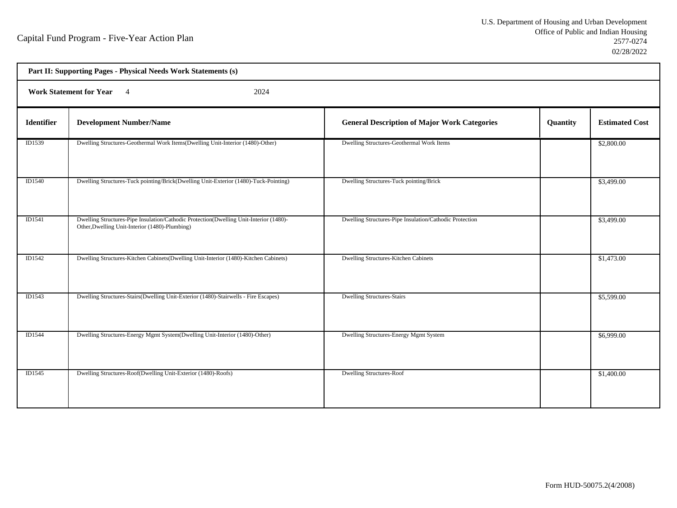| Part II: Supporting Pages - Physical Needs Work Statements (s) |                                                                                                                                          |                                                         |          |                       |  |
|----------------------------------------------------------------|------------------------------------------------------------------------------------------------------------------------------------------|---------------------------------------------------------|----------|-----------------------|--|
| <b>Work Statement for Year</b><br>2024<br>$\overline{4}$       |                                                                                                                                          |                                                         |          |                       |  |
| <b>Identifier</b>                                              | <b>Development Number/Name</b>                                                                                                           | <b>General Description of Major Work Categories</b>     | Quantity | <b>Estimated Cost</b> |  |
| ID1539                                                         | Dwelling Structures-Geothermal Work Items(Dwelling Unit-Interior (1480)-Other)                                                           | Dwelling Structures-Geothermal Work Items               |          | \$2,800.00            |  |
| ID1540                                                         | Dwelling Structures-Tuck pointing/Brick(Dwelling Unit-Exterior (1480)-Tuck-Pointing)                                                     | Dwelling Structures-Tuck pointing/Brick                 |          | \$3,499.00            |  |
| ID1541                                                         | Dwelling Structures-Pipe Insulation/Cathodic Protection(Dwelling Unit-Interior (1480)-<br>Other, Dwelling Unit-Interior (1480)-Plumbing) | Dwelling Structures-Pipe Insulation/Cathodic Protection |          | \$3,499.00            |  |
| ID1542                                                         | Dwelling Structures-Kitchen Cabinets(Dwelling Unit-Interior (1480)-Kitchen Cabinets)                                                     | Dwelling Structures-Kitchen Cabinets                    |          | \$1,473.00            |  |
| ID1543                                                         | Dwelling Structures-Stairs(Dwelling Unit-Exterior (1480)-Stairwells - Fire Escapes)                                                      | <b>Dwelling Structures-Stairs</b>                       |          | \$5,599.00            |  |
| ID1544                                                         | Dwelling Structures-Energy Mgmt System(Dwelling Unit-Interior (1480)-Other)                                                              | Dwelling Structures-Energy Mgmt System                  |          | \$6,999.00            |  |
| <b>ID1545</b>                                                  | Dwelling Structures-Roof(Dwelling Unit-Exterior (1480)-Roofs)                                                                            | <b>Dwelling Structures-Roof</b>                         |          | \$1,400.00            |  |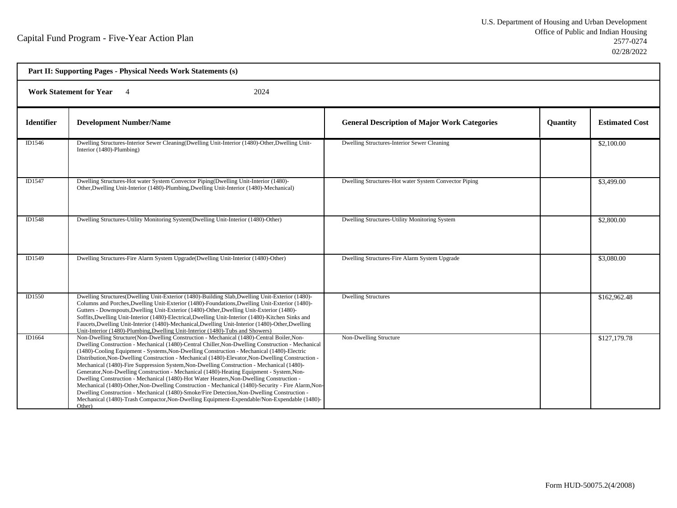| Part II: Supporting Pages - Physical Needs Work Statements (s) |                                                                                                                                                                                                                                                                                                                                                                                                                                                                                                                                                                                                                                                                                                                                                                                                                                                                                                                                                                                                       |                                                       |                 |                       |  |  |
|----------------------------------------------------------------|-------------------------------------------------------------------------------------------------------------------------------------------------------------------------------------------------------------------------------------------------------------------------------------------------------------------------------------------------------------------------------------------------------------------------------------------------------------------------------------------------------------------------------------------------------------------------------------------------------------------------------------------------------------------------------------------------------------------------------------------------------------------------------------------------------------------------------------------------------------------------------------------------------------------------------------------------------------------------------------------------------|-------------------------------------------------------|-----------------|-----------------------|--|--|
|                                                                | <b>Work Statement for Year</b><br>2024                                                                                                                                                                                                                                                                                                                                                                                                                                                                                                                                                                                                                                                                                                                                                                                                                                                                                                                                                                |                                                       |                 |                       |  |  |
| <b>Identifier</b>                                              | <b>Development Number/Name</b>                                                                                                                                                                                                                                                                                                                                                                                                                                                                                                                                                                                                                                                                                                                                                                                                                                                                                                                                                                        | <b>General Description of Major Work Categories</b>   | <b>Quantity</b> | <b>Estimated Cost</b> |  |  |
| ID1546                                                         | Dwelling Structures-Interior Sewer Cleaning (Dwelling Unit-Interior (1480)-Other, Dwelling Unit-<br>Interior (1480)-Plumbing)                                                                                                                                                                                                                                                                                                                                                                                                                                                                                                                                                                                                                                                                                                                                                                                                                                                                         | Dwelling Structures-Interior Sewer Cleaning           |                 | \$2,100.00            |  |  |
| ID1547                                                         | Dwelling Structures-Hot water System Convector Piping(Dwelling Unit-Interior (1480)-<br>Other, Dwelling Unit-Interior (1480)-Plumbing, Dwelling Unit-Interior (1480)-Mechanical)                                                                                                                                                                                                                                                                                                                                                                                                                                                                                                                                                                                                                                                                                                                                                                                                                      | Dwelling Structures-Hot water System Convector Piping |                 | \$3,499.00            |  |  |
| ID1548                                                         | Dwelling Structures-Utility Monitoring System(Dwelling Unit-Interior (1480)-Other)                                                                                                                                                                                                                                                                                                                                                                                                                                                                                                                                                                                                                                                                                                                                                                                                                                                                                                                    | Dwelling Structures-Utility Monitoring System         |                 | \$2,800.00            |  |  |
| ID1549                                                         | Dwelling Structures-Fire Alarm System Upgrade(Dwelling Unit-Interior (1480)-Other)                                                                                                                                                                                                                                                                                                                                                                                                                                                                                                                                                                                                                                                                                                                                                                                                                                                                                                                    | Dwelling Structures-Fire Alarm System Upgrade         |                 | \$3,080.00            |  |  |
| ID1550                                                         | Dwelling Structures(Dwelling Unit-Exterior (1480)-Building Slab, Dwelling Unit-Exterior (1480)-<br>Columns and Porches, Dwelling Unit-Exterior (1480)-Foundations, Dwelling Unit-Exterior (1480)-<br>Gutters - Downspouts, Dwelling Unit-Exterior (1480)-Other, Dwelling Unit-Exterior (1480)-<br>Soffits, Dwelling Unit-Interior (1480)-Electrical, Dwelling Unit-Interior (1480)-Kitchen Sinks and<br>Faucets, Dwelling Unit-Interior (1480)-Mechanical, Dwelling Unit-Interior (1480)-Other, Dwelling<br>Unit-Interior (1480)-Plumbing, Dwelling Unit-Interior (1480)-Tubs and Showers)                                                                                                                                                                                                                                                                                                                                                                                                            | <b>Dwelling Structures</b>                            |                 | \$162,962.48          |  |  |
| ID1664                                                         | Non-Dwelling Structure(Non-Dwelling Construction - Mechanical (1480)-Central Boiler, Non-<br>Dwelling Construction - Mechanical (1480)-Central Chiller, Non-Dwelling Construction - Mechanical<br>(1480)-Cooling Equipment - Systems, Non-Dwelling Construction - Mechanical (1480)-Electric<br>Distribution, Non-Dwelling Construction - Mechanical (1480)-Elevator, Non-Dwelling Construction -<br>Mechanical (1480)-Fire Suppression System, Non-Dwelling Construction - Mechanical (1480)-<br>Generator, Non-Dwelling Construction - Mechanical (1480)-Heating Equipment - System, Non-<br>Dwelling Construction - Mechanical (1480)-Hot Water Heaters, Non-Dwelling Construction -<br>Mechanical (1480)-Other, Non-Dwelling Construction - Mechanical (1480)-Security - Fire Alarm, Non-<br>Dwelling Construction - Mechanical (1480)-Smoke/Fire Detection, Non-Dwelling Construction -<br>Mechanical (1480)-Trash Compactor, Non-Dwelling Equipment-Expendable/Non-Expendable (1480)-<br>Other) | Non-Dwelling Structure                                |                 | \$127,179.78          |  |  |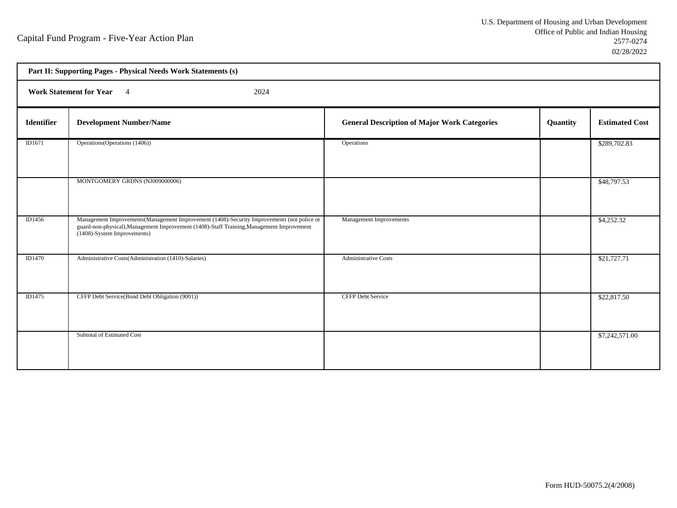| Part II: Supporting Pages - Physical Needs Work Statements (s) |                                                                                                                                                                                                                         |                                                     |          |                       |
|----------------------------------------------------------------|-------------------------------------------------------------------------------------------------------------------------------------------------------------------------------------------------------------------------|-----------------------------------------------------|----------|-----------------------|
| Work Statement for Year 4<br>2024                              |                                                                                                                                                                                                                         |                                                     |          |                       |
| <b>Identifier</b>                                              | <b>Development Number/Name</b>                                                                                                                                                                                          | <b>General Description of Major Work Categories</b> | Quantity | <b>Estimated Cost</b> |
| ID1671                                                         | Operations (Operations (1406))                                                                                                                                                                                          | Operations                                          |          | \$289,702.83          |
|                                                                | MONTGOMERY GRDNS (NJ009000006)                                                                                                                                                                                          |                                                     |          | \$48,797.53           |
| ID1456                                                         | Management Improvements (Management Improvement (1408)-Security Improvements (not police or<br>guard-non-physical), Management Improvement (1408)-Staff Training, Management Improvement<br>(1408)-System Improvements) | <b>Management Improvements</b>                      |          | \$4,252.32            |
| <b>ID1470</b>                                                  | Administrative Costs(Administration (1410)-Salaries)                                                                                                                                                                    | <b>Administrative Costs</b>                         |          | \$21,727.71           |
| ID1475                                                         | CFFP Debt Service(Bond Debt Obligation (9001))                                                                                                                                                                          | <b>CFFP Debt Service</b>                            |          | \$22,817.50           |
|                                                                | Subtotal of Estimated Cost                                                                                                                                                                                              |                                                     |          | \$7,242,571.00        |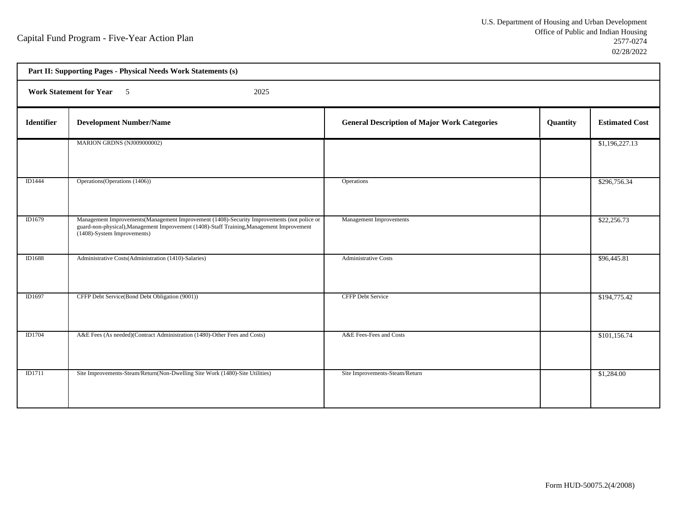| Part II: Supporting Pages - Physical Needs Work Statements (s) |                                                                                                                                                                                                                         |                                                     |          |                       |  |  |
|----------------------------------------------------------------|-------------------------------------------------------------------------------------------------------------------------------------------------------------------------------------------------------------------------|-----------------------------------------------------|----------|-----------------------|--|--|
|                                                                | Work Statement for Year 5<br>2025                                                                                                                                                                                       |                                                     |          |                       |  |  |
| <b>Identifier</b>                                              | <b>Development Number/Name</b>                                                                                                                                                                                          | <b>General Description of Major Work Categories</b> | Quantity | <b>Estimated Cost</b> |  |  |
|                                                                | MARION GRDNS (NJ009000002)                                                                                                                                                                                              |                                                     |          | \$1,196,227.13        |  |  |
| ID1444                                                         | Operations (Operations (1406))                                                                                                                                                                                          | Operations                                          |          | \$296,756.34          |  |  |
| ID1679                                                         | Management Improvements (Management Improvement (1408)-Security Improvements (not police or<br>guard-non-physical), Management Improvement (1408)-Staff Training, Management Improvement<br>(1408)-System Improvements) | Management Improvements                             |          | \$22,256.73           |  |  |
| ID1688                                                         | Administrative Costs(Administration (1410)-Salaries)                                                                                                                                                                    | <b>Administrative Costs</b>                         |          | \$96,445.81           |  |  |
| ID1697                                                         | CFFP Debt Service(Bond Debt Obligation (9001))                                                                                                                                                                          | CFFP Debt Service                                   |          | \$194,775.42          |  |  |
| ID1704                                                         | A&E Fees (As needed)(Contract Administration (1480)-Other Fees and Costs)                                                                                                                                               | A&E Fees-Fees and Costs                             |          | \$101,156.74          |  |  |
| ID1711                                                         | Site Improvements-Steam/Return(Non-Dwelling Site Work (1480)-Site Utilities)                                                                                                                                            | Site Improvements-Steam/Return                      |          | \$1,284.00            |  |  |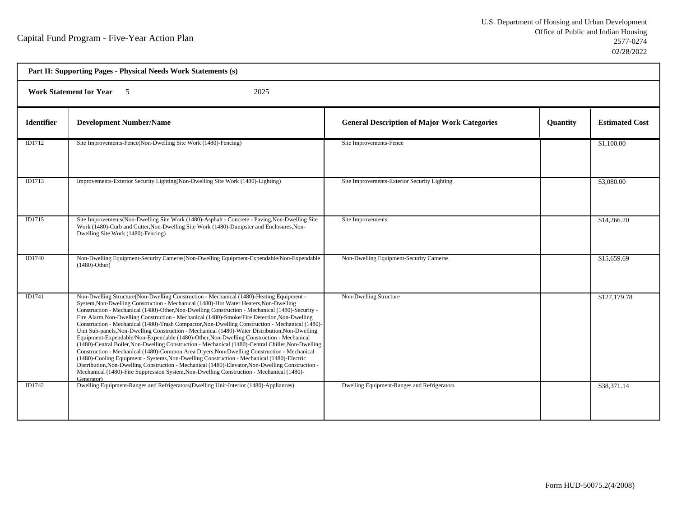| Part II: Supporting Pages - Physical Needs Work Statements (s) |                                                                                                                                                                                                                                                                                                                                                                                                                                                                                                                                                                                                                                                                                                                                                                                                                                                                                                                                                                                                                                                                                                                                                                                                             |                                                     |          |                       |  |
|----------------------------------------------------------------|-------------------------------------------------------------------------------------------------------------------------------------------------------------------------------------------------------------------------------------------------------------------------------------------------------------------------------------------------------------------------------------------------------------------------------------------------------------------------------------------------------------------------------------------------------------------------------------------------------------------------------------------------------------------------------------------------------------------------------------------------------------------------------------------------------------------------------------------------------------------------------------------------------------------------------------------------------------------------------------------------------------------------------------------------------------------------------------------------------------------------------------------------------------------------------------------------------------|-----------------------------------------------------|----------|-----------------------|--|
| <b>Work Statement for Year</b><br>2025<br>$\sqrt{5}$           |                                                                                                                                                                                                                                                                                                                                                                                                                                                                                                                                                                                                                                                                                                                                                                                                                                                                                                                                                                                                                                                                                                                                                                                                             |                                                     |          |                       |  |
| <b>Identifier</b>                                              | <b>Development Number/Name</b>                                                                                                                                                                                                                                                                                                                                                                                                                                                                                                                                                                                                                                                                                                                                                                                                                                                                                                                                                                                                                                                                                                                                                                              | <b>General Description of Major Work Categories</b> | Quantity | <b>Estimated Cost</b> |  |
| ID1712                                                         | Site Improvements-Fence(Non-Dwelling Site Work (1480)-Fencing)                                                                                                                                                                                                                                                                                                                                                                                                                                                                                                                                                                                                                                                                                                                                                                                                                                                                                                                                                                                                                                                                                                                                              | Site Improvements-Fence                             |          | \$1,100.00            |  |
| ID1713                                                         | Improvements-Exterior Security Lighting(Non-Dwelling Site Work (1480)-Lighting)                                                                                                                                                                                                                                                                                                                                                                                                                                                                                                                                                                                                                                                                                                                                                                                                                                                                                                                                                                                                                                                                                                                             | Site Improvements-Exterior Security Lighting        |          | \$3,080.00            |  |
| ID1715                                                         | Site Improvements (Non-Dwelling Site Work (1480)-Asphalt - Concrete - Paving, Non-Dwelling Site<br>Work (1480)-Curb and Gutter, Non-Dwelling Site Work (1480)-Dumpster and Enclosures, Non-<br>Dwelling Site Work (1480)-Fencing)                                                                                                                                                                                                                                                                                                                                                                                                                                                                                                                                                                                                                                                                                                                                                                                                                                                                                                                                                                           | Site Improvements                                   |          | \$14,266.20           |  |
| ID1740                                                         | Non-Dwelling Equipment-Security Cameras(Non-Dwelling Equipment-Expendable/Non-Expendable<br>$(1480)$ -Other)                                                                                                                                                                                                                                                                                                                                                                                                                                                                                                                                                                                                                                                                                                                                                                                                                                                                                                                                                                                                                                                                                                | Non-Dwelling Equipment-Security Cameras             |          | \$15,659.69           |  |
| ID1741                                                         | Non-Dwelling Structure(Non-Dwelling Construction - Mechanical (1480)-Heating Equipment -<br>System, Non-Dwelling Construction - Mechanical (1480)-Hot Water Heaters, Non-Dwelling<br>Construction - Mechanical (1480)-Other, Non-Dwelling Construction - Mechanical (1480)-Security -<br>Fire Alarm, Non-Dwelling Construction - Mechanical (1480)-Smoke/Fire Detection, Non-Dwelling<br>Construction - Mechanical (1480)-Trash Compactor, Non-Dwelling Construction - Mechanical (1480)-<br>Unit Sub-panels, Non-Dwelling Construction - Mechanical (1480)-Water Distribution, Non-Dwelling<br>Equipment-Expendable/Non-Expendable (1480)-Other, Non-Dwelling Construction - Mechanical<br>(1480)-Central Boiler, Non-Dwelling Construction - Mechanical (1480)-Central Chiller, Non-Dwelling<br>Construction - Mechanical (1480)-Common Area Dryers, Non-Dwelling Construction - Mechanical<br>(1480)-Cooling Equipment - Systems, Non-Dwelling Construction - Mechanical (1480)-Electric<br>Distribution, Non-Dwelling Construction - Mechanical (1480)-Elevator, Non-Dwelling Construction -<br>Mechanical (1480)-Fire Suppression System, Non-Dwelling Construction - Mechanical (1480)-<br>Generator) | Non-Dwelling Structure                              |          | \$127,179.78          |  |
| ID1742                                                         | Dwelling Equipment-Ranges and Refrigerators(Dwelling Unit-Interior (1480)-Appliances)                                                                                                                                                                                                                                                                                                                                                                                                                                                                                                                                                                                                                                                                                                                                                                                                                                                                                                                                                                                                                                                                                                                       | Dwelling Equipment-Ranges and Refrigerators         |          | \$38,371.14           |  |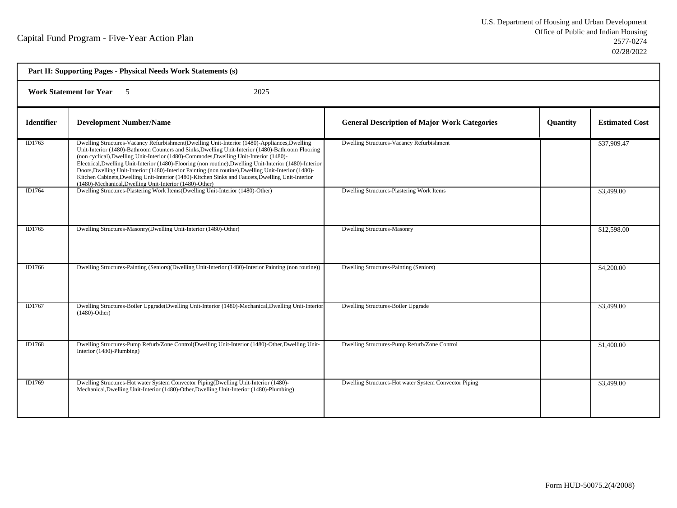| Part II: Supporting Pages - Physical Needs Work Statements (s) |                                                                                                                                                                                                                                                                                                                                                                                                                                                                                                                                                                                                                                                                                 |                                                       |          |                       |  |
|----------------------------------------------------------------|---------------------------------------------------------------------------------------------------------------------------------------------------------------------------------------------------------------------------------------------------------------------------------------------------------------------------------------------------------------------------------------------------------------------------------------------------------------------------------------------------------------------------------------------------------------------------------------------------------------------------------------------------------------------------------|-------------------------------------------------------|----------|-----------------------|--|
| <b>Work Statement for Year</b> 5<br>2025                       |                                                                                                                                                                                                                                                                                                                                                                                                                                                                                                                                                                                                                                                                                 |                                                       |          |                       |  |
| <b>Identifier</b>                                              | <b>Development Number/Name</b>                                                                                                                                                                                                                                                                                                                                                                                                                                                                                                                                                                                                                                                  | <b>General Description of Major Work Categories</b>   | Quantity | <b>Estimated Cost</b> |  |
| ID1763                                                         | Dwelling Structures-Vacancy Refurbishment(Dwelling Unit-Interior (1480)-Appliances, Dwelling<br>Unit-Interior (1480)-Bathroom Counters and Sinks, Dwelling Unit-Interior (1480)-Bathroom Flooring<br>(non cyclical), Dwelling Unit-Interior (1480)-Commodes, Dwelling Unit-Interior (1480)-<br>Electrical, Dwelling Unit-Interior (1480)-Flooring (non routine), Dwelling Unit-Interior (1480)-Interior<br>Doors, Dwelling Unit-Interior (1480)-Interior Painting (non routine), Dwelling Unit-Interior (1480)-<br>Kitchen Cabinets, Dwelling Unit-Interior (1480)-Kitchen Sinks and Faucets, Dwelling Unit-Interior<br>(1480)-Mechanical, Dwelling Unit-Interior (1480)-Other) | Dwelling Structures-Vacancy Refurbishment             |          | \$37,909.47           |  |
| ID1764                                                         | Dwelling Structures-Plastering Work Items(Dwelling Unit-Interior (1480)-Other)                                                                                                                                                                                                                                                                                                                                                                                                                                                                                                                                                                                                  | Dwelling Structures-Plastering Work Items             |          | \$3,499.00            |  |
| ID1765                                                         | Dwelling Structures-Masonry(Dwelling Unit-Interior (1480)-Other)                                                                                                                                                                                                                                                                                                                                                                                                                                                                                                                                                                                                                | <b>Dwelling Structures-Masonry</b>                    |          | \$12,598.00           |  |
| ID1766                                                         | Dwelling Structures-Painting (Seniors) (Dwelling Unit-Interior (1480)-Interior Painting (non routine))                                                                                                                                                                                                                                                                                                                                                                                                                                                                                                                                                                          | Dwelling Structures-Painting (Seniors)                |          | \$4,200.00            |  |
| ID1767                                                         | Dwelling Structures-Boiler Upgrade(Dwelling Unit-Interior (1480)-Mechanical, Dwelling Unit-Interior<br>$(1480)$ -Other)                                                                                                                                                                                                                                                                                                                                                                                                                                                                                                                                                         | Dwelling Structures-Boiler Upgrade                    |          | \$3,499.00            |  |
| ID1768                                                         | Dwelling Structures-Pump Refurb/Zone Control(Dwelling Unit-Interior (1480)-Other, Dwelling Unit-<br>Interior (1480)-Plumbing)                                                                                                                                                                                                                                                                                                                                                                                                                                                                                                                                                   | Dwelling Structures-Pump Refurb/Zone Control          |          | \$1,400.00            |  |
| ID1769                                                         | Dwelling Structures-Hot water System Convector Piping(Dwelling Unit-Interior (1480)-<br>Mechanical, Dwelling Unit-Interior (1480)-Other, Dwelling Unit-Interior (1480)-Plumbing)                                                                                                                                                                                                                                                                                                                                                                                                                                                                                                | Dwelling Structures-Hot water System Convector Piping |          | \$3,499.00            |  |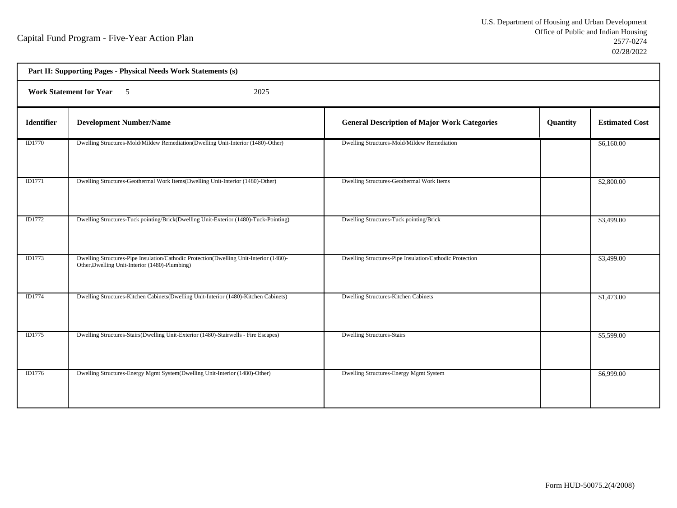| Part II: Supporting Pages - Physical Needs Work Statements (s) |                                                                                                                                          |                                                         |          |                       |  |
|----------------------------------------------------------------|------------------------------------------------------------------------------------------------------------------------------------------|---------------------------------------------------------|----------|-----------------------|--|
| Work Statement for Year 5<br>2025                              |                                                                                                                                          |                                                         |          |                       |  |
| Identifier                                                     | <b>Development Number/Name</b>                                                                                                           | <b>General Description of Major Work Categories</b>     | Quantity | <b>Estimated Cost</b> |  |
| ID1770                                                         | Dwelling Structures-Mold/Mildew Remediation(Dwelling Unit-Interior (1480)-Other)                                                         | Dwelling Structures-Mold/Mildew Remediation             |          | \$6,160.00            |  |
| ID1771                                                         | Dwelling Structures-Geothermal Work Items(Dwelling Unit-Interior (1480)-Other)                                                           | Dwelling Structures-Geothermal Work Items               |          | \$2,800.00            |  |
| ID1772                                                         | Dwelling Structures-Tuck pointing/Brick(Dwelling Unit-Exterior (1480)-Tuck-Pointing)                                                     | Dwelling Structures-Tuck pointing/Brick                 |          | \$3,499.00            |  |
| ID1773                                                         | Dwelling Structures-Pipe Insulation/Cathodic Protection(Dwelling Unit-Interior (1480)-<br>Other, Dwelling Unit-Interior (1480)-Plumbing) | Dwelling Structures-Pipe Insulation/Cathodic Protection |          | \$3,499.00            |  |
| ID1774                                                         | Dwelling Structures-Kitchen Cabinets(Dwelling Unit-Interior (1480)-Kitchen Cabinets)                                                     | Dwelling Structures-Kitchen Cabinets                    |          | \$1,473.00            |  |
| ID1775                                                         | Dwelling Structures-Stairs(Dwelling Unit-Exterior (1480)-Stairwells - Fire Escapes)                                                      | <b>Dwelling Structures-Stairs</b>                       |          | \$5,599.00            |  |
| ID1776                                                         | Dwelling Structures-Energy Mgmt System(Dwelling Unit-Interior (1480)-Other)                                                              | Dwelling Structures-Energy Mgmt System                  |          | \$6,999.00            |  |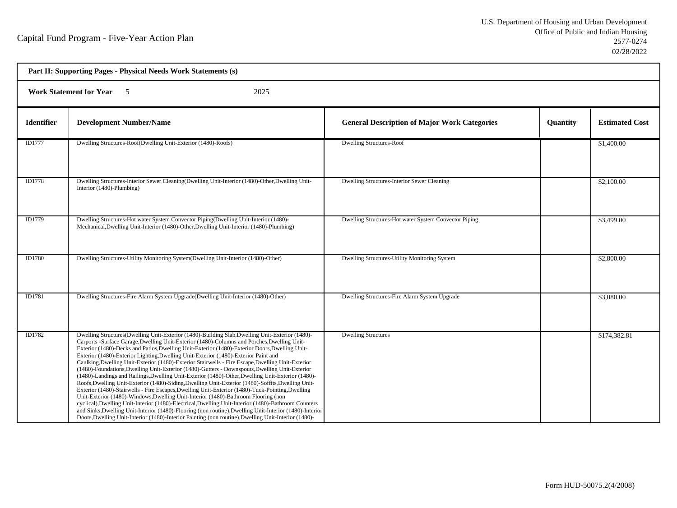| Part II: Supporting Pages - Physical Needs Work Statements (s) |                                                                                                                                                                                                                                                                                                                                                                                                                                                                                                                                                                                                                                                                                                                                                                                                                                                                                                                                                                                                                                                                                                                                                                                                                                                                                                                                 |                                                       |                 |                       |  |  |
|----------------------------------------------------------------|---------------------------------------------------------------------------------------------------------------------------------------------------------------------------------------------------------------------------------------------------------------------------------------------------------------------------------------------------------------------------------------------------------------------------------------------------------------------------------------------------------------------------------------------------------------------------------------------------------------------------------------------------------------------------------------------------------------------------------------------------------------------------------------------------------------------------------------------------------------------------------------------------------------------------------------------------------------------------------------------------------------------------------------------------------------------------------------------------------------------------------------------------------------------------------------------------------------------------------------------------------------------------------------------------------------------------------|-------------------------------------------------------|-----------------|-----------------------|--|--|
|                                                                | <b>Work Statement for Year 5</b><br>2025                                                                                                                                                                                                                                                                                                                                                                                                                                                                                                                                                                                                                                                                                                                                                                                                                                                                                                                                                                                                                                                                                                                                                                                                                                                                                        |                                                       |                 |                       |  |  |
| <b>Identifier</b>                                              | <b>Development Number/Name</b>                                                                                                                                                                                                                                                                                                                                                                                                                                                                                                                                                                                                                                                                                                                                                                                                                                                                                                                                                                                                                                                                                                                                                                                                                                                                                                  | <b>General Description of Major Work Categories</b>   | <b>Quantity</b> | <b>Estimated Cost</b> |  |  |
| <b>ID1777</b>                                                  | Dwelling Structures-Roof(Dwelling Unit-Exterior (1480)-Roofs)                                                                                                                                                                                                                                                                                                                                                                                                                                                                                                                                                                                                                                                                                                                                                                                                                                                                                                                                                                                                                                                                                                                                                                                                                                                                   | <b>Dwelling Structures-Roof</b>                       |                 | \$1,400.00            |  |  |
| <b>ID1778</b>                                                  | Dwelling Structures-Interior Sewer Cleaning (Dwelling Unit-Interior (1480)-Other, Dwelling Unit-<br>Interior (1480)-Plumbing)                                                                                                                                                                                                                                                                                                                                                                                                                                                                                                                                                                                                                                                                                                                                                                                                                                                                                                                                                                                                                                                                                                                                                                                                   | Dwelling Structures-Interior Sewer Cleaning           |                 | \$2,100.00            |  |  |
| ID1779                                                         | Dwelling Structures-Hot water System Convector Piping(Dwelling Unit-Interior (1480)-<br>Mechanical, Dwelling Unit-Interior (1480)-Other, Dwelling Unit-Interior (1480)-Plumbing)                                                                                                                                                                                                                                                                                                                                                                                                                                                                                                                                                                                                                                                                                                                                                                                                                                                                                                                                                                                                                                                                                                                                                | Dwelling Structures-Hot water System Convector Piping |                 | \$3,499.00            |  |  |
| <b>ID1780</b>                                                  | Dwelling Structures-Utility Monitoring System(Dwelling Unit-Interior (1480)-Other)                                                                                                                                                                                                                                                                                                                                                                                                                                                                                                                                                                                                                                                                                                                                                                                                                                                                                                                                                                                                                                                                                                                                                                                                                                              | Dwelling Structures-Utility Monitoring System         |                 | \$2,800.00            |  |  |
| ID1781                                                         | Dwelling Structures-Fire Alarm System Upgrade(Dwelling Unit-Interior (1480)-Other)                                                                                                                                                                                                                                                                                                                                                                                                                                                                                                                                                                                                                                                                                                                                                                                                                                                                                                                                                                                                                                                                                                                                                                                                                                              | Dwelling Structures-Fire Alarm System Upgrade         |                 | \$3,080.00            |  |  |
| ID1782                                                         | Dwelling Structures (Dwelling Unit-Exterior (1480)-Building Slab, Dwelling Unit-Exterior (1480)-<br>Carports -Surface Garage, Dwelling Unit-Exterior (1480)-Columns and Porches, Dwelling Unit-<br>Exterior (1480)-Decks and Patios, Dwelling Unit-Exterior (1480)-Exterior Doors, Dwelling Unit-<br>Exterior (1480)-Exterior Lighting, Dwelling Unit-Exterior (1480)-Exterior Paint and<br>Caulking, Dwelling Unit-Exterior (1480)-Exterior Stairwells - Fire Escape, Dwelling Unit-Exterior<br>(1480)-Foundations, Dwelling Unit-Exterior (1480)-Gutters - Downspouts, Dwelling Unit-Exterior<br>(1480)-Landings and Railings, Dwelling Unit-Exterior (1480)-Other, Dwelling Unit-Exterior (1480)-<br>Roofs, Dwelling Unit-Exterior (1480)-Siding, Dwelling Unit-Exterior (1480)-Soffits, Dwelling Unit-<br>Exterior (1480)-Stairwells - Fire Escapes, Dwelling Unit-Exterior (1480)-Tuck-Pointing, Dwelling<br>Unit-Exterior (1480)-Windows, Dwelling Unit-Interior (1480)-Bathroom Flooring (non<br>cyclical), Dwelling Unit-Interior (1480)-Electrical, Dwelling Unit-Interior (1480)-Bathroom Counters<br>and Sinks, Dwelling Unit-Interior (1480)-Flooring (non routine), Dwelling Unit-Interior (1480)-Interior<br>Doors, Dwelling Unit-Interior (1480)-Interior Painting (non routine), Dwelling Unit-Interior (1480)- | <b>Dwelling Structures</b>                            |                 | \$174,382.81          |  |  |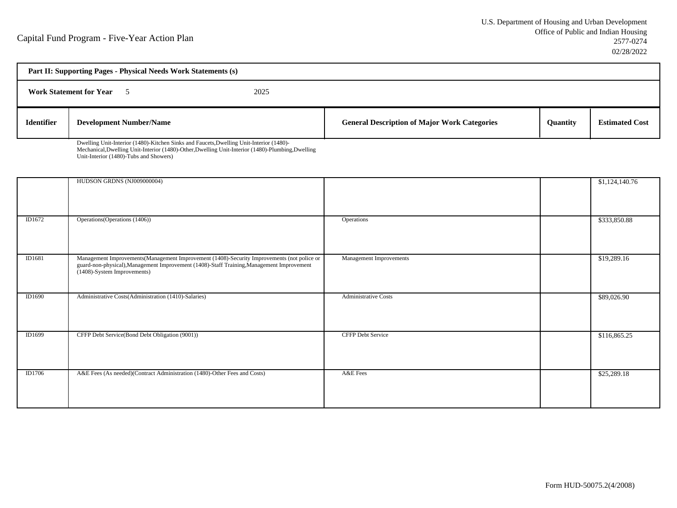| Part II: Supporting Pages - Physical Needs Work Statements (s) |                                                                                         |      |                                                     |                 |                       |
|----------------------------------------------------------------|-----------------------------------------------------------------------------------------|------|-----------------------------------------------------|-----------------|-----------------------|
|                                                                | <b>Work Statement for Year</b>                                                          | 2025 |                                                     |                 |                       |
| <b>Identifier</b>                                              | <b>Development Number/Name</b>                                                          |      | <b>General Description of Major Work Categories</b> | <b>Ouantity</b> | <b>Estimated Cost</b> |
|                                                                | Dwelling Unit-Interior (1480)-Kitchen Sinks and Faucets, Dwelling Unit-Interior (1480)- |      |                                                     |                 |                       |

Dwelling Unit-Interior (1480)-Kitchen Sinks and Faucets,Dwelling Unit-Interior (1480)- Mechanical,Dwelling Unit-Interior (1480)-Other,Dwelling Unit-Interior (1480)-Plumbing,DwellingUnit-Interior (1480)-Tubs and Showers)

|        | HUDSON GRDNS (NJ009000004)                                                                                                                                                                                             |                             | \$1,124,140.76 |
|--------|------------------------------------------------------------------------------------------------------------------------------------------------------------------------------------------------------------------------|-----------------------------|----------------|
| ID1672 | Operations (Operations (1406))                                                                                                                                                                                         | Operations                  | \$333,850.88   |
| ID1681 | Management Improvements(Management Improvement (1408)-Security Improvements (not police or<br>guard-non-physical), Management Improvement (1408)-Staff Training, Management Improvement<br>(1408)-System Improvements) | Management Improvements     | \$19,289.16    |
| ID1690 | Administrative Costs(Administration (1410)-Salaries)                                                                                                                                                                   | <b>Administrative Costs</b> | \$89,026.90    |
| ID1699 | CFFP Debt Service(Bond Debt Obligation (9001))                                                                                                                                                                         | <b>CFFP Debt Service</b>    | \$116,865.25   |
| ID1706 | A&E Fees (As needed)(Contract Administration (1480)-Other Fees and Costs)                                                                                                                                              | A&E Fees                    | \$25,289.18    |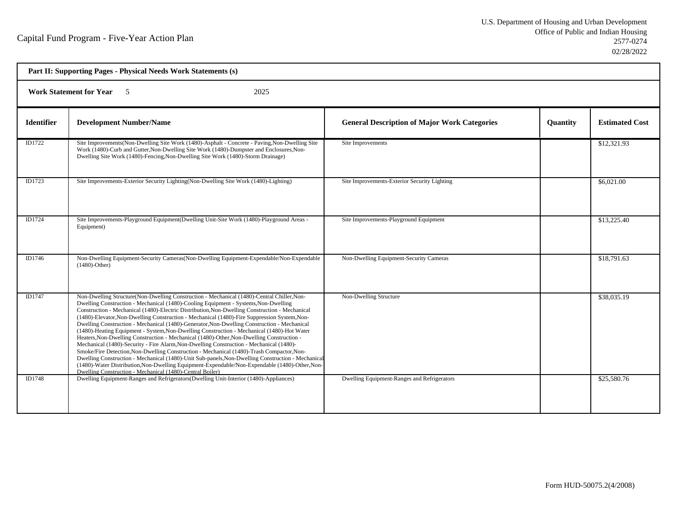| Part II: Supporting Pages - Physical Needs Work Statements (s) |                                                                                                                                                                                                                                                                                                                                                                                                                                                                                                                                                                                                                                                                                                                                                                                                                                                                                                                                                                                                                                                                                                                                           |                                                     |                 |                       |
|----------------------------------------------------------------|-------------------------------------------------------------------------------------------------------------------------------------------------------------------------------------------------------------------------------------------------------------------------------------------------------------------------------------------------------------------------------------------------------------------------------------------------------------------------------------------------------------------------------------------------------------------------------------------------------------------------------------------------------------------------------------------------------------------------------------------------------------------------------------------------------------------------------------------------------------------------------------------------------------------------------------------------------------------------------------------------------------------------------------------------------------------------------------------------------------------------------------------|-----------------------------------------------------|-----------------|-----------------------|
| <b>Work Statement for Year</b><br>2025<br>$\sim$ 5             |                                                                                                                                                                                                                                                                                                                                                                                                                                                                                                                                                                                                                                                                                                                                                                                                                                                                                                                                                                                                                                                                                                                                           |                                                     |                 |                       |
| <b>Identifier</b>                                              | <b>Development Number/Name</b>                                                                                                                                                                                                                                                                                                                                                                                                                                                                                                                                                                                                                                                                                                                                                                                                                                                                                                                                                                                                                                                                                                            | <b>General Description of Major Work Categories</b> | <b>Quantity</b> | <b>Estimated Cost</b> |
| ID1722                                                         | Site Improvements (Non-Dwelling Site Work (1480)-Asphalt - Concrete - Paving, Non-Dwelling Site<br>Work (1480)-Curb and Gutter, Non-Dwelling Site Work (1480)-Dumpster and Enclosures, Non-<br>Dwelling Site Work (1480)-Fencing, Non-Dwelling Site Work (1480)-Storm Drainage)                                                                                                                                                                                                                                                                                                                                                                                                                                                                                                                                                                                                                                                                                                                                                                                                                                                           | Site Improvements                                   |                 | \$12,321.93           |
| ID1723                                                         | Site Improvements-Exterior Security Lighting(Non-Dwelling Site Work (1480)-Lighting)                                                                                                                                                                                                                                                                                                                                                                                                                                                                                                                                                                                                                                                                                                                                                                                                                                                                                                                                                                                                                                                      | Site Improvements-Exterior Security Lighting        |                 | \$6,021.00            |
| ID1724                                                         | Site Improvements-Playground Equipment (Dwelling Unit-Site Work (1480)-Playground Areas -<br>Equipment)                                                                                                                                                                                                                                                                                                                                                                                                                                                                                                                                                                                                                                                                                                                                                                                                                                                                                                                                                                                                                                   | Site Improvements-Playground Equipment              |                 | \$13,225.40           |
| ID1746                                                         | Non-Dwelling Equipment-Security Cameras (Non-Dwelling Equipment-Expendable/Non-Expendable<br>$(1480)$ -Other)                                                                                                                                                                                                                                                                                                                                                                                                                                                                                                                                                                                                                                                                                                                                                                                                                                                                                                                                                                                                                             | Non-Dwelling Equipment-Security Cameras             |                 | \$18,791.63           |
| ID1747                                                         | Non-Dwelling Structure(Non-Dwelling Construction - Mechanical (1480)-Central Chiller, Non-<br>Dwelling Construction - Mechanical (1480)-Cooling Equipment - Systems, Non-Dwelling<br>Construction - Mechanical (1480)-Electric Distribution, Non-Dwelling Construction - Mechanical<br>(1480)-Elevator, Non-Dwelling Construction - Mechanical (1480)-Fire Suppression System, Non-<br>Dwelling Construction - Mechanical (1480)-Generator, Non-Dwelling Construction - Mechanical<br>(1480)-Heating Equipment - System, Non-Dwelling Construction - Mechanical (1480)-Hot Water<br>Heaters, Non-Dwelling Construction - Mechanical (1480)-Other, Non-Dwelling Construction -<br>Mechanical (1480)-Security - Fire Alarm, Non-Dwelling Construction - Mechanical (1480)-<br>Smoke/Fire Detection, Non-Dwelling Construction - Mechanical (1480)-Trash Compactor, Non-<br>Dwelling Construction - Mechanical (1480)-Unit Sub-panels, Non-Dwelling Construction - Mechanical<br>(1480)-Water Distribution, Non-Dwelling Equipment-Expendable/Non-Expendable (1480)-Other, Non-<br>Dwelling Construction - Mechanical (1480)-Central Boiler) | Non-Dwelling Structure                              |                 | \$38,035.19           |
| ID1748                                                         | Dwelling Equipment-Ranges and Refrigerators (Dwelling Unit-Interior (1480)-Appliances)                                                                                                                                                                                                                                                                                                                                                                                                                                                                                                                                                                                                                                                                                                                                                                                                                                                                                                                                                                                                                                                    | Dwelling Equipment-Ranges and Refrigerators         |                 | \$25,580.76           |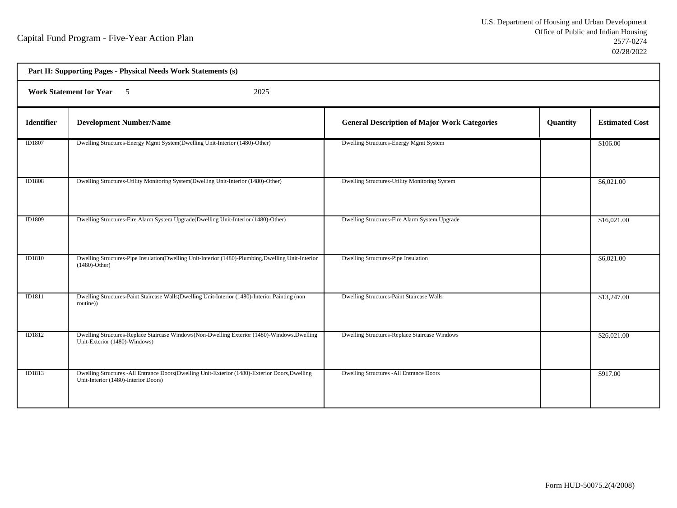| Part II: Supporting Pages - Physical Needs Work Statements (s) |                                                                                                                                        |                                                     |          |                       |  |
|----------------------------------------------------------------|----------------------------------------------------------------------------------------------------------------------------------------|-----------------------------------------------------|----------|-----------------------|--|
|                                                                | <b>Work Statement for Year</b> 5<br>2025                                                                                               |                                                     |          |                       |  |
| <b>Identifier</b>                                              | <b>Development Number/Name</b>                                                                                                         | <b>General Description of Major Work Categories</b> | Quantity | <b>Estimated Cost</b> |  |
| ID1807                                                         | Dwelling Structures-Energy Mgmt System(Dwelling Unit-Interior (1480)-Other)                                                            | Dwelling Structures-Energy Mgmt System              |          | \$106.00              |  |
| ID1808                                                         | Dwelling Structures-Utility Monitoring System(Dwelling Unit-Interior (1480)-Other)                                                     | Dwelling Structures-Utility Monitoring System       |          | \$6,021.00            |  |
| ID1809                                                         | Dwelling Structures-Fire Alarm System Upgrade(Dwelling Unit-Interior (1480)-Other)                                                     | Dwelling Structures-Fire Alarm System Upgrade       |          | \$16,021.00           |  |
| <b>ID1810</b>                                                  | Dwelling Structures-Pipe Insulation(Dwelling Unit-Interior (1480)-Plumbing, Dwelling Unit-Interior<br>$(1480)$ -Other)                 | Dwelling Structures-Pipe Insulation                 |          | \$6,021.00            |  |
| ID1811                                                         | Dwelling Structures-Paint Staircase Walls(Dwelling Unit-Interior (1480)-Interior Painting (non<br>routine))                            | Dwelling Structures-Paint Staircase Walls           |          | \$13,247.00           |  |
| ID1812                                                         | Dwelling Structures-Replace Staircase Windows(Non-Dwelling Exterior (1480)-Windows, Dwelling<br>Unit-Exterior (1480)-Windows)          | Dwelling Structures-Replace Staircase Windows       |          | \$26,021.00           |  |
| ID1813                                                         | Dwelling Structures -All Entrance Doors(Dwelling Unit-Exterior (1480)-Exterior Doors, Dwelling<br>Unit-Interior (1480)-Interior Doors) | Dwelling Structures -All Entrance Doors             |          | \$917.00              |  |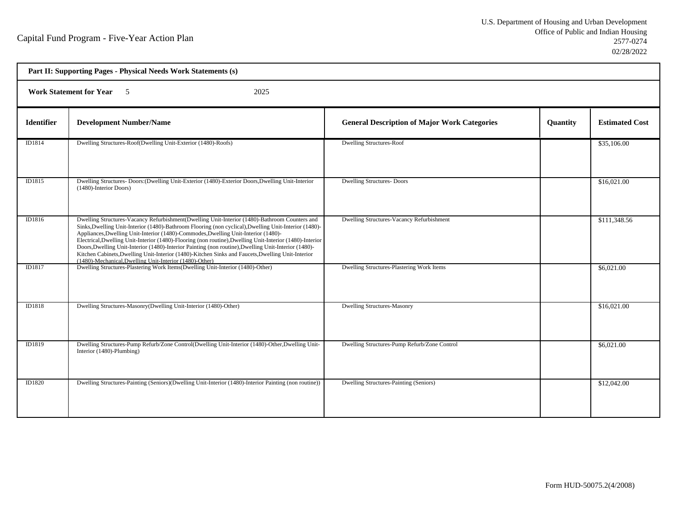| Part II: Supporting Pages - Physical Needs Work Statements (s) |                                                                                                                                                                                                                                                                                                                                                                                                                                                                                                                                                                                                                                                                                  |                                                     |          |                       |  |
|----------------------------------------------------------------|----------------------------------------------------------------------------------------------------------------------------------------------------------------------------------------------------------------------------------------------------------------------------------------------------------------------------------------------------------------------------------------------------------------------------------------------------------------------------------------------------------------------------------------------------------------------------------------------------------------------------------------------------------------------------------|-----------------------------------------------------|----------|-----------------------|--|
|                                                                | <b>Work Statement for Year</b> 5<br>2025                                                                                                                                                                                                                                                                                                                                                                                                                                                                                                                                                                                                                                         |                                                     |          |                       |  |
| <b>Identifier</b>                                              | <b>Development Number/Name</b>                                                                                                                                                                                                                                                                                                                                                                                                                                                                                                                                                                                                                                                   | <b>General Description of Major Work Categories</b> | Quantity | <b>Estimated Cost</b> |  |
| ID1814                                                         | Dwelling Structures-Roof(Dwelling Unit-Exterior (1480)-Roofs)                                                                                                                                                                                                                                                                                                                                                                                                                                                                                                                                                                                                                    | <b>Dwelling Structures-Roof</b>                     |          | \$35,106.00           |  |
| ID1815                                                         | Dwelling Structures- Doors: (Dwelling Unit-Exterior (1480)-Exterior Doors, Dwelling Unit-Interior<br>(1480)-Interior Doors)                                                                                                                                                                                                                                                                                                                                                                                                                                                                                                                                                      | <b>Dwelling Structures-Doors</b>                    |          | \$16,021.00           |  |
| ID1816                                                         | Dwelling Structures-Vacancy Refurbishment(Dwelling Unit-Interior (1480)-Bathroom Counters and<br>Sinks, Dwelling Unit-Interior (1480)-Bathroom Flooring (non cyclical), Dwelling Unit-Interior (1480)-<br>Appliances, Dwelling Unit-Interior (1480)-Commodes, Dwelling Unit-Interior (1480)-<br>Electrical, Dwelling Unit-Interior (1480)-Flooring (non routine), Dwelling Unit-Interior (1480)-Interior<br>Doors, Dwelling Unit-Interior (1480)-Interior Painting (non routine), Dwelling Unit-Interior (1480)-<br>Kitchen Cabinets, Dwelling Unit-Interior (1480)-Kitchen Sinks and Faucets, Dwelling Unit-Interior<br>(1480)-Mechanical, Dwelling Unit-Interior (1480)-Other) | Dwelling Structures-Vacancy Refurbishment           |          | \$111,348.56          |  |
| ID1817                                                         | Dwelling Structures-Plastering Work Items(Dwelling Unit-Interior (1480)-Other)                                                                                                                                                                                                                                                                                                                                                                                                                                                                                                                                                                                                   | Dwelling Structures-Plastering Work Items           |          | \$6,021.00            |  |
| ID1818                                                         | Dwelling Structures-Masonry(Dwelling Unit-Interior (1480)-Other)                                                                                                                                                                                                                                                                                                                                                                                                                                                                                                                                                                                                                 | <b>Dwelling Structures-Masonry</b>                  |          | \$16,021.00           |  |
| ID1819                                                         | Dwelling Structures-Pump Refurb/Zone Control(Dwelling Unit-Interior (1480)-Other, Dwelling Unit-<br>Interior (1480)-Plumbing)                                                                                                                                                                                                                                                                                                                                                                                                                                                                                                                                                    | Dwelling Structures-Pump Refurb/Zone Control        |          | \$6,021.00            |  |
| ID1820                                                         | Dwelling Structures-Painting (Seniors)(Dwelling Unit-Interior (1480)-Interior Painting (non routine))                                                                                                                                                                                                                                                                                                                                                                                                                                                                                                                                                                            | Dwelling Structures-Painting (Seniors)              |          | \$12,042.00           |  |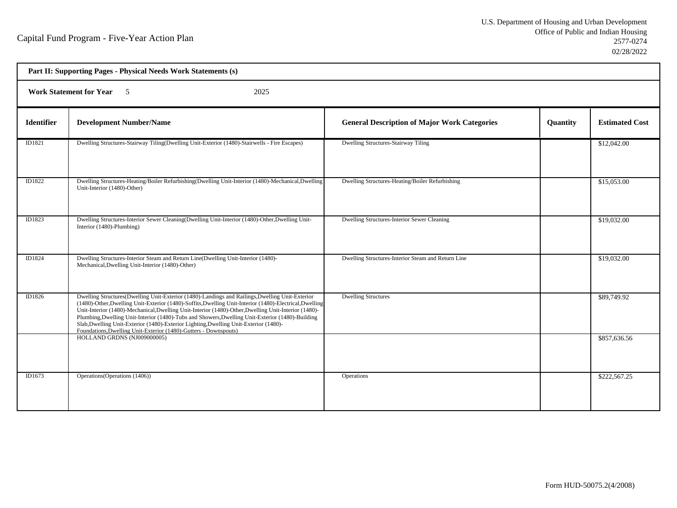| Part II: Supporting Pages - Physical Needs Work Statements (s) |                                                                                                                                                                                                                                                                                                                                                                                                                                                                                                                                                                                     |                                                     |                 |                       |
|----------------------------------------------------------------|-------------------------------------------------------------------------------------------------------------------------------------------------------------------------------------------------------------------------------------------------------------------------------------------------------------------------------------------------------------------------------------------------------------------------------------------------------------------------------------------------------------------------------------------------------------------------------------|-----------------------------------------------------|-----------------|-----------------------|
| <b>Work Statement for Year</b> 5<br>2025                       |                                                                                                                                                                                                                                                                                                                                                                                                                                                                                                                                                                                     |                                                     |                 |                       |
| <b>Identifier</b>                                              | <b>Development Number/Name</b>                                                                                                                                                                                                                                                                                                                                                                                                                                                                                                                                                      | <b>General Description of Major Work Categories</b> | <b>Quantity</b> | <b>Estimated Cost</b> |
| ID1821                                                         | Dwelling Structures-Stairway Tiling(Dwelling Unit-Exterior (1480)-Stairwells - Fire Escapes)                                                                                                                                                                                                                                                                                                                                                                                                                                                                                        | <b>Dwelling Structures-Stairway Tiling</b>          |                 | \$12,042.00           |
| ID1822                                                         | Dwelling Structures-Heating/Boiler Refurbishing(Dwelling Unit-Interior (1480)-Mechanical,Dwelling<br>Unit-Interior (1480)-Other)                                                                                                                                                                                                                                                                                                                                                                                                                                                    | Dwelling Structures-Heating/Boiler Refurbishing     |                 | \$15,053.00           |
| ID1823                                                         | Dwelling Structures-Interior Sewer Cleaning (Dwelling Unit-Interior (1480)-Other, Dwelling Unit-<br>Interior (1480)-Plumbing)                                                                                                                                                                                                                                                                                                                                                                                                                                                       | Dwelling Structures-Interior Sewer Cleaning         |                 | \$19,032.00           |
| ID1824                                                         | Dwelling Structures-Interior Steam and Return Line(Dwelling Unit-Interior (1480)-<br>Mechanical, Dwelling Unit-Interior (1480)-Other)                                                                                                                                                                                                                                                                                                                                                                                                                                               | Dwelling Structures-Interior Steam and Return Line  |                 | \$19,032.00           |
| ID1826                                                         | Dwelling Structures(Dwelling Unit-Exterior (1480)-Landings and Railings, Dwelling Unit-Exterior<br>(1480)-Other, Dwelling Unit-Exterior (1480)-Soffits, Dwelling Unit-Interior (1480)-Electrical, Dwelling<br>Unit-Interior (1480)-Mechanical, Dwelling Unit-Interior (1480)-Other, Dwelling Unit-Interior (1480)-<br>Plumbing, Dwelling Unit-Interior (1480)-Tubs and Showers, Dwelling Unit-Exterior (1480)-Building<br>Slab, Dwelling Unit-Exterior (1480)-Exterior Lighting, Dwelling Unit-Exterior (1480)-<br>Foundations, Dwelling Unit-Exterior (1480)-Gutters - Downspouts) | <b>Dwelling Structures</b>                          |                 | \$89,749.92           |
|                                                                | HOLLAND GRDNS (NJ009000005)                                                                                                                                                                                                                                                                                                                                                                                                                                                                                                                                                         |                                                     |                 | \$857,636.56          |
| ID1673                                                         | Operations (Operations (1406))                                                                                                                                                                                                                                                                                                                                                                                                                                                                                                                                                      | Operations                                          |                 | \$222,567.25          |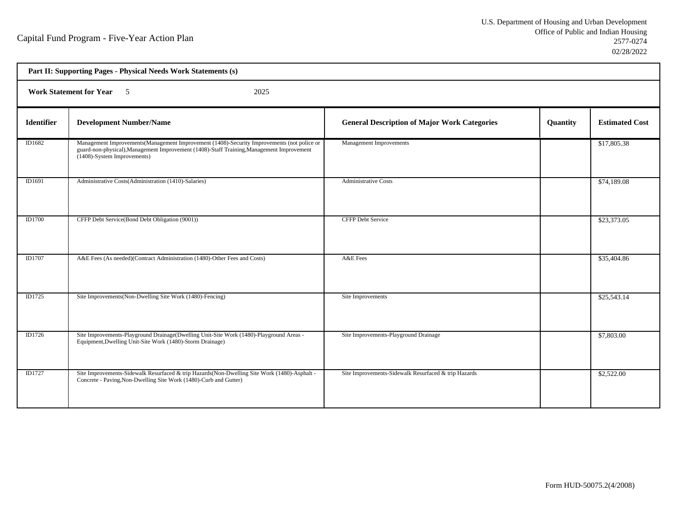| Part II: Supporting Pages - Physical Needs Work Statements (s) |                                                                                                                                                                                                                         |                                                      |          |                       |
|----------------------------------------------------------------|-------------------------------------------------------------------------------------------------------------------------------------------------------------------------------------------------------------------------|------------------------------------------------------|----------|-----------------------|
| <b>Work Statement for Year</b> 5<br>2025                       |                                                                                                                                                                                                                         |                                                      |          |                       |
| <b>Identifier</b>                                              | <b>Development Number/Name</b>                                                                                                                                                                                          | <b>General Description of Major Work Categories</b>  | Quantity | <b>Estimated Cost</b> |
| ID1682                                                         | Management Improvements (Management Improvement (1408)-Security Improvements (not police or<br>guard-non-physical), Management Improvement (1408)-Staff Training, Management Improvement<br>(1408)-System Improvements) | Management Improvements                              |          | \$17,805.38           |
| ID1691                                                         | Administrative Costs(Administration (1410)-Salaries)                                                                                                                                                                    | <b>Administrative Costs</b>                          |          | \$74,189.08           |
| ID1700                                                         | CFFP Debt Service(Bond Debt Obligation (9001))                                                                                                                                                                          | <b>CFFP Debt Service</b>                             |          | \$23,373.05           |
| ID1707                                                         | A&E Fees (As needed)(Contract Administration (1480)-Other Fees and Costs)                                                                                                                                               | A&E Fees                                             |          | \$35,404.86           |
| ID1725                                                         | Site Improvements(Non-Dwelling Site Work (1480)-Fencing)                                                                                                                                                                | Site Improvements                                    |          | \$25,543.14           |
| ID1726                                                         | Site Improvements-Playground Drainage(Dwelling Unit-Site Work (1480)-Playground Areas -<br>Equipment, Dwelling Unit-Site Work (1480)-Storm Drainage)                                                                    | Site Improvements-Playground Drainage                |          | \$7,803.00            |
| ID1727                                                         | Site Improvements-Sidewalk Resurfaced & trip Hazards (Non-Dwelling Site Work (1480)-Asphalt -<br>Concrete - Paving, Non-Dwelling Site Work (1480)-Curb and Gutter)                                                      | Site Improvements-Sidewalk Resurfaced & trip Hazards |          | \$2,522.00            |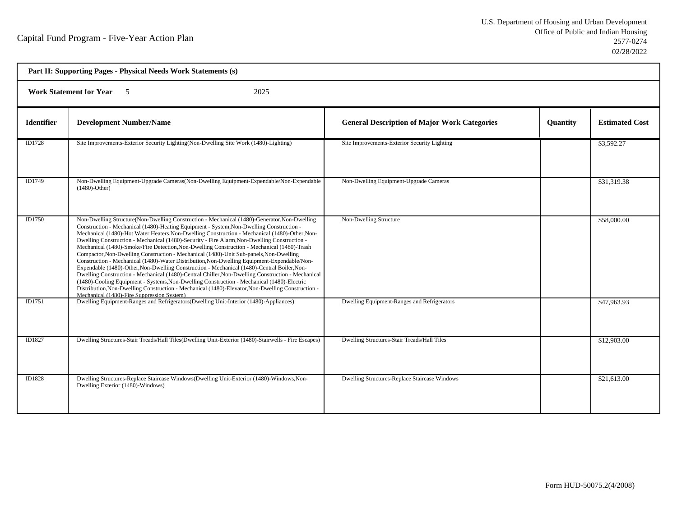| Part II: Supporting Pages - Physical Needs Work Statements (s) |                                                                                                                                                                                                                                                                                                                                                                                                                                                                                                                                                                                                                                                                                                                                                                                                                                                                                                                                                                                                                                                                                                                                         |                                                     |                 |                       |  |
|----------------------------------------------------------------|-----------------------------------------------------------------------------------------------------------------------------------------------------------------------------------------------------------------------------------------------------------------------------------------------------------------------------------------------------------------------------------------------------------------------------------------------------------------------------------------------------------------------------------------------------------------------------------------------------------------------------------------------------------------------------------------------------------------------------------------------------------------------------------------------------------------------------------------------------------------------------------------------------------------------------------------------------------------------------------------------------------------------------------------------------------------------------------------------------------------------------------------|-----------------------------------------------------|-----------------|-----------------------|--|
|                                                                | <b>Work Statement for Year</b> 5<br>2025                                                                                                                                                                                                                                                                                                                                                                                                                                                                                                                                                                                                                                                                                                                                                                                                                                                                                                                                                                                                                                                                                                |                                                     |                 |                       |  |
| <b>Identifier</b>                                              | <b>Development Number/Name</b>                                                                                                                                                                                                                                                                                                                                                                                                                                                                                                                                                                                                                                                                                                                                                                                                                                                                                                                                                                                                                                                                                                          | <b>General Description of Major Work Categories</b> | <b>Quantity</b> | <b>Estimated Cost</b> |  |
| ID1728                                                         | Site Improvements-Exterior Security Lighting(Non-Dwelling Site Work (1480)-Lighting)                                                                                                                                                                                                                                                                                                                                                                                                                                                                                                                                                                                                                                                                                                                                                                                                                                                                                                                                                                                                                                                    | Site Improvements-Exterior Security Lighting        |                 | \$3,592.27            |  |
| ID1749                                                         | Non-Dwelling Equipment-Upgrade Cameras(Non-Dwelling Equipment-Expendable/Non-Expendable<br>$(1480)$ -Other)                                                                                                                                                                                                                                                                                                                                                                                                                                                                                                                                                                                                                                                                                                                                                                                                                                                                                                                                                                                                                             | Non-Dwelling Equipment-Upgrade Cameras              |                 | \$31,319.38           |  |
| ID1750                                                         | Non-Dwelling Structure(Non-Dwelling Construction - Mechanical (1480)-Generator, Non-Dwelling<br>Construction - Mechanical (1480)-Heating Equipment - System, Non-Dwelling Construction -<br>Mechanical (1480)-Hot Water Heaters, Non-Dwelling Construction - Mechanical (1480)-Other, Non-<br>Dwelling Construction - Mechanical (1480)-Security - Fire Alarm, Non-Dwelling Construction -<br>Mechanical (1480)-Smoke/Fire Detection, Non-Dwelling Construction - Mechanical (1480)-Trash<br>Compactor, Non-Dwelling Construction - Mechanical (1480)-Unit Sub-panels, Non-Dwelling<br>Construction - Mechanical (1480)-Water Distribution, Non-Dwelling Equipment-Expendable/Non-<br>Expendable (1480)-Other, Non-Dwelling Construction - Mechanical (1480)-Central Boiler, Non-<br>Dwelling Construction - Mechanical (1480)-Central Chiller, Non-Dwelling Construction - Mechanical<br>(1480)-Cooling Equipment - Systems, Non-Dwelling Construction - Mechanical (1480)-Electric<br>Distribution, Non-Dwelling Construction - Mechanical (1480)-Elevator, Non-Dwelling Construction -<br>Mechanical (1480)-Fire Suppression System) | Non-Dwelling Structure                              |                 | \$58,000.00           |  |
| ID1751                                                         | Dwelling Equipment-Ranges and Refrigerators (Dwelling Unit-Interior (1480)-Appliances)                                                                                                                                                                                                                                                                                                                                                                                                                                                                                                                                                                                                                                                                                                                                                                                                                                                                                                                                                                                                                                                  | Dwelling Equipment-Ranges and Refrigerators         |                 | \$47,963.93           |  |
| ID1827                                                         | Dwelling Structures-Stair Treads/Hall Tiles(Dwelling Unit-Exterior (1480)-Stairwells - Fire Escapes)                                                                                                                                                                                                                                                                                                                                                                                                                                                                                                                                                                                                                                                                                                                                                                                                                                                                                                                                                                                                                                    | Dwelling Structures-Stair Treads/Hall Tiles         |                 | \$12,903.00           |  |
| ID1828                                                         | Dwelling Structures-Replace Staircase Windows(Dwelling Unit-Exterior (1480)-Windows, Non-<br>Dwelling Exterior (1480)-Windows)                                                                                                                                                                                                                                                                                                                                                                                                                                                                                                                                                                                                                                                                                                                                                                                                                                                                                                                                                                                                          | Dwelling Structures-Replace Staircase Windows       |                 | \$21,613.00           |  |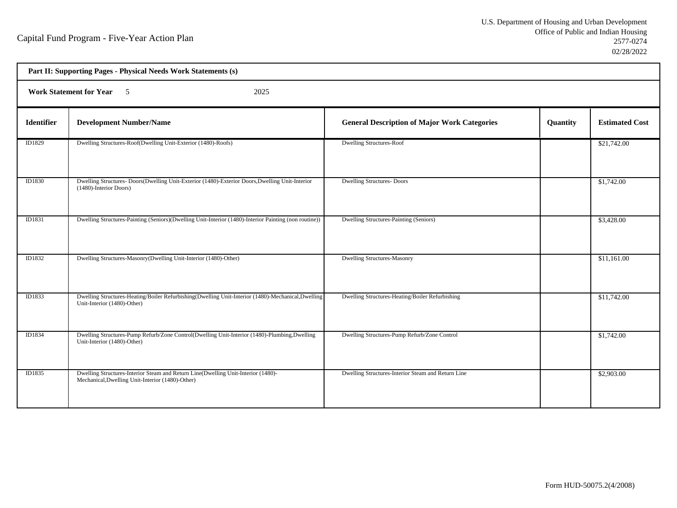| Part II: Supporting Pages - Physical Needs Work Statements (s) |                                                                                                                                       |                                                     |          |                       |
|----------------------------------------------------------------|---------------------------------------------------------------------------------------------------------------------------------------|-----------------------------------------------------|----------|-----------------------|
| <b>Work Statement for Year</b> 5<br>2025                       |                                                                                                                                       |                                                     |          |                       |
| <b>Identifier</b>                                              | <b>Development Number/Name</b>                                                                                                        | <b>General Description of Major Work Categories</b> | Quantity | <b>Estimated Cost</b> |
| ID1829                                                         | Dwelling Structures-Roof(Dwelling Unit-Exterior (1480)-Roofs)                                                                         | Dwelling Structures-Roof                            |          | \$21,742.00           |
| ID1830                                                         | Dwelling Structures- Doors(Dwelling Unit-Exterior (1480)-Exterior Doors, Dwelling Unit-Interior<br>(1480)-Interior Doors)             | <b>Dwelling Structures-Doors</b>                    |          | \$1,742.00            |
| ID1831                                                         | Dwelling Structures-Painting (Seniors)(Dwelling Unit-Interior (1480)-Interior Painting (non routine))                                 | Dwelling Structures-Painting (Seniors)              |          | \$3,428.00            |
| ID1832                                                         | Dwelling Structures-Masonry(Dwelling Unit-Interior (1480)-Other)                                                                      | <b>Dwelling Structures-Masonry</b>                  |          | \$11,161.00           |
| ID1833                                                         | Dwelling Structures-Heating/Boiler Refurbishing(Dwelling Unit-Interior (1480)-Mechanical,Dwelling<br>Unit-Interior (1480)-Other)      | Dwelling Structures-Heating/Boiler Refurbishing     |          | \$11,742.00           |
| ID1834                                                         | Dwelling Structures-Pump Refurb/Zone Control(Dwelling Unit-Interior (1480)-Plumbing,Dwelling<br>Unit-Interior (1480)-Other)           | Dwelling Structures-Pump Refurb/Zone Control        |          | \$1,742.00            |
| ID1835                                                         | Dwelling Structures-Interior Steam and Return Line(Dwelling Unit-Interior (1480)-<br>Mechanical, Dwelling Unit-Interior (1480)-Other) | Dwelling Structures-Interior Steam and Return Line  |          | \$2,903.00            |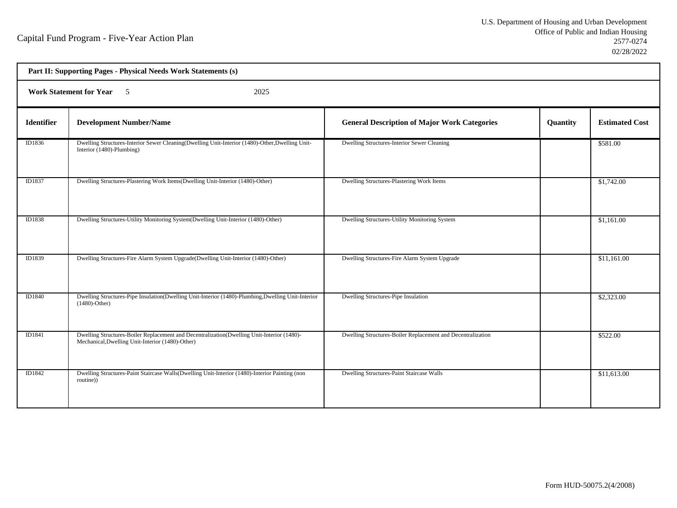| Part II: Supporting Pages - Physical Needs Work Statements (s) |                                                                                                                                                |                                                             |          |                       |  |
|----------------------------------------------------------------|------------------------------------------------------------------------------------------------------------------------------------------------|-------------------------------------------------------------|----------|-----------------------|--|
|                                                                | <b>Work Statement for Year 5</b><br>2025                                                                                                       |                                                             |          |                       |  |
| <b>Identifier</b>                                              | <b>Development Number/Name</b>                                                                                                                 | <b>General Description of Major Work Categories</b>         | Quantity | <b>Estimated Cost</b> |  |
| ID1836                                                         | Dwelling Structures-Interior Sewer Cleaning(Dwelling Unit-Interior (1480)-Other, Dwelling Unit-<br>Interior (1480)-Plumbing)                   | Dwelling Structures-Interior Sewer Cleaning                 |          | \$581.00              |  |
| ID1837                                                         | Dwelling Structures-Plastering Work Items(Dwelling Unit-Interior (1480)-Other)                                                                 | Dwelling Structures-Plastering Work Items                   |          | \$1,742.00            |  |
| ID1838                                                         | Dwelling Structures-Utility Monitoring System(Dwelling Unit-Interior (1480)-Other)                                                             | Dwelling Structures-Utility Monitoring System               |          | \$1,161.00            |  |
| ID1839                                                         | Dwelling Structures-Fire Alarm System Upgrade(Dwelling Unit-Interior (1480)-Other)                                                             | Dwelling Structures-Fire Alarm System Upgrade               |          | \$11,161.00           |  |
| ID1840                                                         | Dwelling Structures-Pipe Insulation(Dwelling Unit-Interior (1480)-Plumbing,Dwelling Unit-Interior<br>$(1480)$ -Other)                          | Dwelling Structures-Pipe Insulation                         |          | \$2,323.00            |  |
| ID1841                                                         | Dwelling Structures-Boiler Replacement and Decentralization(Dwelling Unit-Interior (1480)-<br>Mechanical, Dwelling Unit-Interior (1480)-Other) | Dwelling Structures-Boiler Replacement and Decentralization |          | \$522.00              |  |
| ID1842                                                         | Dwelling Structures-Paint Staircase Walls(Dwelling Unit-Interior (1480)-Interior Painting (non<br>routine))                                    | Dwelling Structures-Paint Staircase Walls                   |          | \$11,613.00           |  |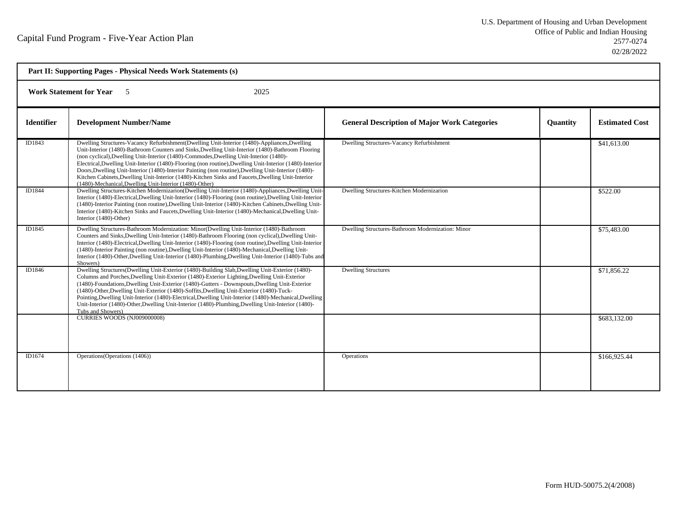| Part II: Supporting Pages - Physical Needs Work Statements (s) |                                                                                                                                                                                                                                                                                                                                                                                                                                                                                                                                                                                                                                                                                  |                                                     |                 |                       |
|----------------------------------------------------------------|----------------------------------------------------------------------------------------------------------------------------------------------------------------------------------------------------------------------------------------------------------------------------------------------------------------------------------------------------------------------------------------------------------------------------------------------------------------------------------------------------------------------------------------------------------------------------------------------------------------------------------------------------------------------------------|-----------------------------------------------------|-----------------|-----------------------|
| <b>Work Statement for Year</b><br>2025<br>$\sim$ 5             |                                                                                                                                                                                                                                                                                                                                                                                                                                                                                                                                                                                                                                                                                  |                                                     |                 |                       |
| <b>Identifier</b>                                              | <b>Development Number/Name</b>                                                                                                                                                                                                                                                                                                                                                                                                                                                                                                                                                                                                                                                   | <b>General Description of Major Work Categories</b> | <b>Quantity</b> | <b>Estimated Cost</b> |
| ID1843                                                         | Dwelling Structures-Vacancy Refurbishment (Dwelling Unit-Interior (1480)-Appliances, Dwelling<br>Unit-Interior (1480)-Bathroom Counters and Sinks, Dwelling Unit-Interior (1480)-Bathroom Flooring<br>(non cyclical), Dwelling Unit-Interior (1480)-Commodes, Dwelling Unit-Interior (1480)-<br>Electrical, Dwelling Unit-Interior (1480)-Flooring (non routine), Dwelling Unit-Interior (1480)-Interior<br>Doors, Dwelling Unit-Interior (1480)-Interior Painting (non routine), Dwelling Unit-Interior (1480)-<br>Kitchen Cabinets, Dwelling Unit-Interior (1480)-Kitchen Sinks and Faucets, Dwelling Unit-Interior<br>(1480)-Mechanical, Dwelling Unit-Interior (1480)-Other) | Dwelling Structures-Vacancy Refurbishment           |                 | \$41,613.00           |
| ID1844                                                         | Dwelling Structures-Kitchen Modernizarion(Dwelling Unit-Interior (1480)-Appliances, Dwelling Unit-<br>Interior (1480)-Electrical, Dwelling Unit-Interior (1480)-Flooring (non routine), Dwelling Unit-Interior<br>(1480)-Interior Painting (non routine), Dwelling Unit-Interior (1480)-Kitchen Cabinets, Dwelling Unit-<br>Interior (1480)-Kitchen Sinks and Faucets, Dwelling Unit-Interior (1480)-Mechanical, Dwelling Unit-<br>Interior (1480)-Other)                                                                                                                                                                                                                        | Dwelling Structures-Kitchen Modernizarion           |                 | \$522.00              |
| ID1845                                                         | Dwelling Structures-Bathroom Modernization: Minor(Dwelling Unit-Interior (1480)-Bathroom<br>Counters and Sinks, Dwelling Unit-Interior (1480)-Bathroom Flooring (non cyclical), Dwelling Unit-<br>Interior (1480)-Electrical, Dwelling Unit-Interior (1480)-Flooring (non routine), Dwelling Unit-Interior<br>(1480)-Interior Painting (non routine), Dwelling Unit-Interior (1480)-Mechanical, Dwelling Unit-<br>Interior (1480)-Other, Dwelling Unit-Interior (1480)-Plumbing, Dwelling Unit-Interior (1480)-Tubs and<br>Showers)                                                                                                                                              | Dwelling Structures-Bathroom Modernization: Minor   |                 | \$75,483.00           |
| ID1846                                                         | Dwelling Structures(Dwelling Unit-Exterior (1480)-Building Slab, Dwelling Unit-Exterior (1480)-<br>Columns and Porches, Dwelling Unit-Exterior (1480)-Exterior Lighting, Dwelling Unit-Exterior<br>(1480)-Foundations, Dwelling Unit-Exterior (1480)-Gutters - Downspouts, Dwelling Unit-Exterior<br>(1480)-Other, Dwelling Unit-Exterior (1480)-Soffits, Dwelling Unit-Exterior (1480)-Tuck-<br>Pointing, Dwelling Unit-Interior (1480)-Electrical, Dwelling Unit-Interior (1480)-Mechanical, Dwelling<br>Unit-Interior (1480)-Other, Dwelling Unit-Interior (1480)-Plumbing, Dwelling Unit-Interior (1480)-<br>Tubs and Showers)                                               | <b>Dwelling Structures</b>                          |                 | \$71,856.22           |
|                                                                | <b>CURRIES WOODS (NJ009000008)</b>                                                                                                                                                                                                                                                                                                                                                                                                                                                                                                                                                                                                                                               |                                                     |                 | \$683,132.00          |
| ID1674                                                         | Operations (Operations (1406))                                                                                                                                                                                                                                                                                                                                                                                                                                                                                                                                                                                                                                                   | <b>Operations</b>                                   |                 | \$166,925.44          |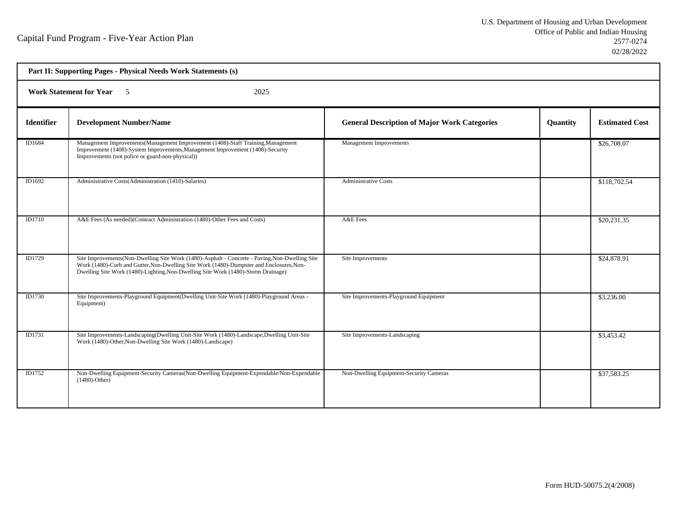| Part II: Supporting Pages - Physical Needs Work Statements (s) |                                                                                                                                                                                                                                                                                  |                                                     |          |                       |  |
|----------------------------------------------------------------|----------------------------------------------------------------------------------------------------------------------------------------------------------------------------------------------------------------------------------------------------------------------------------|-----------------------------------------------------|----------|-----------------------|--|
|                                                                | <b>Work Statement for Year</b> 5<br>2025                                                                                                                                                                                                                                         |                                                     |          |                       |  |
| <b>Identifier</b>                                              | <b>Development Number/Name</b>                                                                                                                                                                                                                                                   | <b>General Description of Major Work Categories</b> | Quantity | <b>Estimated Cost</b> |  |
| ID1684                                                         | Management Improvements (Management Improvement (1408)-Staff Training, Management<br>Improvement (1408)-System Improvements, Management Improvement (1408)-Security<br>Improvements (not police or guard-non-physical))                                                          | Management Improvements                             |          | \$26,708.07           |  |
| ID1692                                                         | Administrative Costs(Administration (1410)-Salaries)                                                                                                                                                                                                                             | <b>Administrative Costs</b>                         |          | \$118,702.54          |  |
| <b>ID1710</b>                                                  | A&E Fees (As needed)(Contract Administration (1480)-Other Fees and Costs)                                                                                                                                                                                                        | A&E Fees                                            |          | \$20,231.35           |  |
| ID1729                                                         | Site Improvements (Non-Dwelling Site Work (1480)-Asphalt - Concrete - Paving, Non-Dwelling Site<br>Work (1480)-Curb and Gutter, Non-Dwelling Site Work (1480)-Dumpster and Enclosures, Non-<br>Dwelling Site Work (1480)-Lighting, Non-Dwelling Site Work (1480)-Storm Drainage) | Site Improvements                                   |          | \$24,878.91           |  |
| ID1730                                                         | Site Improvements-Playground Equipment (Dwelling Unit-Site Work (1480)-Playground Areas -<br>Equipment)                                                                                                                                                                          | Site Improvements-Playground Equipment              |          | \$3,236.00            |  |
| ID1731                                                         | Site Improvements-Landscaping (Dwelling Unit-Site Work (1480)-Landscape, Dwelling Unit-Site<br>Work (1480)-Other, Non-Dwelling Site Work (1480)-Landscape)                                                                                                                       | Site Improvements-Landscaping                       |          | \$3,453.42            |  |
| <b>ID1752</b>                                                  | Non-Dwelling Equipment-Security Cameras(Non-Dwelling Equipment-Expendable/Non-Expendable<br>$(1480)$ -Other)                                                                                                                                                                     | Non-Dwelling Equipment-Security Cameras             |          | \$37,583.25           |  |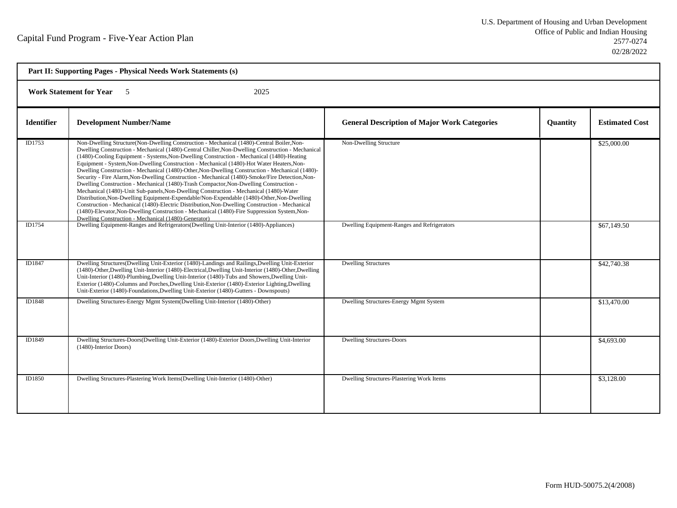| Part II: Supporting Pages - Physical Needs Work Statements (s) |                                                                                                                                                                                                                                                                                                                                                                                                                                                                                                                                                                                                                                                                                                                                                                                                                                                                                                                                                                                                                                                                                                                                           |                                                     |                 |                       |  |
|----------------------------------------------------------------|-------------------------------------------------------------------------------------------------------------------------------------------------------------------------------------------------------------------------------------------------------------------------------------------------------------------------------------------------------------------------------------------------------------------------------------------------------------------------------------------------------------------------------------------------------------------------------------------------------------------------------------------------------------------------------------------------------------------------------------------------------------------------------------------------------------------------------------------------------------------------------------------------------------------------------------------------------------------------------------------------------------------------------------------------------------------------------------------------------------------------------------------|-----------------------------------------------------|-----------------|-----------------------|--|
|                                                                | <b>Work Statement for Year</b><br>2025<br>- 5                                                                                                                                                                                                                                                                                                                                                                                                                                                                                                                                                                                                                                                                                                                                                                                                                                                                                                                                                                                                                                                                                             |                                                     |                 |                       |  |
| <b>Identifier</b>                                              | <b>Development Number/Name</b>                                                                                                                                                                                                                                                                                                                                                                                                                                                                                                                                                                                                                                                                                                                                                                                                                                                                                                                                                                                                                                                                                                            | <b>General Description of Major Work Categories</b> | <b>Quantity</b> | <b>Estimated Cost</b> |  |
| ID1753                                                         | Non-Dwelling Structure(Non-Dwelling Construction - Mechanical (1480)-Central Boiler, Non-<br>Dwelling Construction - Mechanical (1480)-Central Chiller, Non-Dwelling Construction - Mechanical<br>(1480)-Cooling Equipment - Systems, Non-Dwelling Construction - Mechanical (1480)-Heating<br>Equipment - System, Non-Dwelling Construction - Mechanical (1480)-Hot Water Heaters, Non-<br>Dwelling Construction - Mechanical (1480)-Other, Non-Dwelling Construction - Mechanical (1480)-<br>Security - Fire Alarm, Non-Dwelling Construction - Mechanical (1480)-Smoke/Fire Detection, Non-<br>Dwelling Construction - Mechanical (1480)-Trash Compactor, Non-Dwelling Construction -<br>Mechanical (1480)-Unit Sub-panels, Non-Dwelling Construction - Mechanical (1480)-Water<br>Distribution, Non-Dwelling Equipment-Expendable/Non-Expendable (1480)-Other, Non-Dwelling<br>Construction - Mechanical (1480)-Electric Distribution, Non-Dwelling Construction - Mechanical<br>(1480)-Elevator, Non-Dwelling Construction - Mechanical (1480)-Fire Suppression System, Non-<br>Dwelling Construction - Mechanical (1480)-Generator) | Non-Dwelling Structure                              |                 | \$25,000.00           |  |
| ID1754                                                         | Dwelling Equipment-Ranges and Refrigerators(Dwelling Unit-Interior (1480)-Appliances)                                                                                                                                                                                                                                                                                                                                                                                                                                                                                                                                                                                                                                                                                                                                                                                                                                                                                                                                                                                                                                                     | Dwelling Equipment-Ranges and Refrigerators         |                 | \$67,149.50           |  |
| ID1847                                                         | Dwelling Structures(Dwelling Unit-Exterior (1480)-Landings and Railings, Dwelling Unit-Exterior<br>(1480)-Other, Dwelling Unit-Interior (1480)-Electrical, Dwelling Unit-Interior (1480)-Other, Dwelling<br>Unit-Interior (1480)-Plumbing, Dwelling Unit-Interior (1480)-Tubs and Showers, Dwelling Unit-<br>Exterior (1480)-Columns and Porches, Dwelling Unit-Exterior (1480)-Exterior Lighting, Dwelling<br>Unit-Exterior (1480)-Foundations, Dwelling Unit-Exterior (1480)-Gutters - Downspouts)                                                                                                                                                                                                                                                                                                                                                                                                                                                                                                                                                                                                                                      | <b>Dwelling Structures</b>                          |                 | \$42,740.38           |  |
| ID1848                                                         | Dwelling Structures-Energy Mgmt System (Dwelling Unit-Interior (1480)-Other)                                                                                                                                                                                                                                                                                                                                                                                                                                                                                                                                                                                                                                                                                                                                                                                                                                                                                                                                                                                                                                                              | Dwelling Structures-Energy Mgmt System              |                 | \$13,470.00           |  |
| ID1849                                                         | Dwelling Structures-Doors(Dwelling Unit-Exterior (1480)-Exterior Doors, Dwelling Unit-Interior<br>(1480)-Interior Doors)                                                                                                                                                                                                                                                                                                                                                                                                                                                                                                                                                                                                                                                                                                                                                                                                                                                                                                                                                                                                                  | <b>Dwelling Structures-Doors</b>                    |                 | \$4,693.00            |  |
| ID1850                                                         | Dwelling Structures-Plastering Work Items(Dwelling Unit-Interior (1480)-Other)                                                                                                                                                                                                                                                                                                                                                                                                                                                                                                                                                                                                                                                                                                                                                                                                                                                                                                                                                                                                                                                            | Dwelling Structures-Plastering Work Items           |                 | \$3,128.00            |  |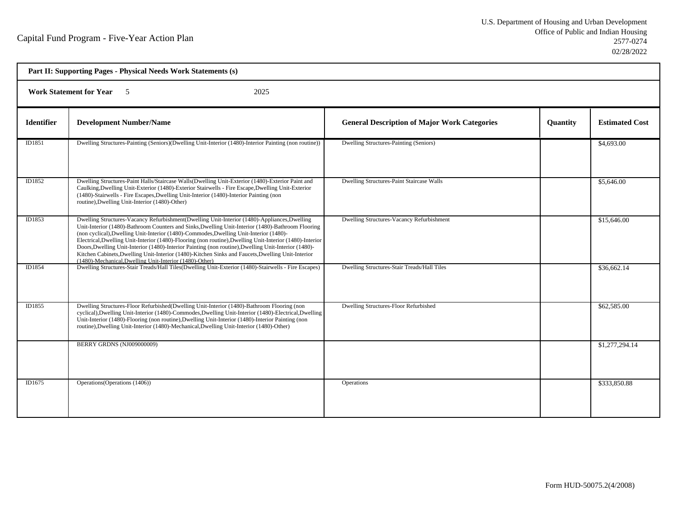| Part II: Supporting Pages - Physical Needs Work Statements (s) |                                                                                                                                                                                                                                                                                                                                                                                                                                                                                                                                                                                                                                                                                 |                                                     |          |                       |  |
|----------------------------------------------------------------|---------------------------------------------------------------------------------------------------------------------------------------------------------------------------------------------------------------------------------------------------------------------------------------------------------------------------------------------------------------------------------------------------------------------------------------------------------------------------------------------------------------------------------------------------------------------------------------------------------------------------------------------------------------------------------|-----------------------------------------------------|----------|-----------------------|--|
|                                                                | <b>Work Statement for Year</b> 5<br>2025                                                                                                                                                                                                                                                                                                                                                                                                                                                                                                                                                                                                                                        |                                                     |          |                       |  |
| <b>Identifier</b>                                              | <b>Development Number/Name</b>                                                                                                                                                                                                                                                                                                                                                                                                                                                                                                                                                                                                                                                  | <b>General Description of Major Work Categories</b> | Quantity | <b>Estimated Cost</b> |  |
| ID1851                                                         | Dwelling Structures-Painting (Seniors)(Dwelling Unit-Interior (1480)-Interior Painting (non routine))                                                                                                                                                                                                                                                                                                                                                                                                                                                                                                                                                                           | Dwelling Structures-Painting (Seniors)              |          | \$4,693.00            |  |
| ID1852                                                         | Dwelling Structures-Paint Halls/Staircase Walls(Dwelling Unit-Exterior (1480)-Exterior Paint and<br>Caulking, Dwelling Unit-Exterior (1480)-Exterior Stairwells - Fire Escape, Dwelling Unit-Exterior<br>(1480)-Stairwells - Fire Escapes, Dwelling Unit-Interior (1480)-Interior Painting (non<br>routine), Dwelling Unit-Interior (1480)-Other)                                                                                                                                                                                                                                                                                                                               | Dwelling Structures-Paint Staircase Walls           |          | \$5,646.00            |  |
| ID1853                                                         | Dwelling Structures-Vacancy Refurbishment(Dwelling Unit-Interior (1480)-Appliances, Dwelling<br>Unit-Interior (1480)-Bathroom Counters and Sinks, Dwelling Unit-Interior (1480)-Bathroom Flooring<br>(non cyclical), Dwelling Unit-Interior (1480)-Commodes, Dwelling Unit-Interior (1480)-<br>Electrical, Dwelling Unit-Interior (1480)-Flooring (non routine), Dwelling Unit-Interior (1480)-Interior<br>Doors, Dwelling Unit-Interior (1480)-Interior Painting (non routine), Dwelling Unit-Interior (1480)-<br>Kitchen Cabinets, Dwelling Unit-Interior (1480)-Kitchen Sinks and Faucets, Dwelling Unit-Interior<br>(1480)-Mechanical, Dwelling Unit-Interior (1480)-Other) | Dwelling Structures-Vacancy Refurbishment           |          | \$15,646.00           |  |
| ID1854                                                         | Dwelling Structures-Stair Treads/Hall Tiles(Dwelling Unit-Exterior (1480)-Stairwells - Fire Escapes)                                                                                                                                                                                                                                                                                                                                                                                                                                                                                                                                                                            | Dwelling Structures-Stair Treads/Hall Tiles         |          | \$36,662.14           |  |
| ID1855                                                         | Dwelling Structures-Floor Refurbished (Dwelling Unit-Interior (1480)-Bathroom Flooring (non<br>cyclical), Dwelling Unit-Interior (1480)-Commodes, Dwelling Unit-Interior (1480)-Electrical, Dwelling<br>Unit-Interior (1480)-Flooring (non routine), Dwelling Unit-Interior (1480)-Interior Painting (non<br>routine), Dwelling Unit-Interior (1480)-Mechanical, Dwelling Unit-Interior (1480)-Other)                                                                                                                                                                                                                                                                           | Dwelling Structures-Floor Refurbished               |          | \$62,585.00           |  |
|                                                                | BERRY GRDNS (NJ009000009)                                                                                                                                                                                                                                                                                                                                                                                                                                                                                                                                                                                                                                                       |                                                     |          | \$1,277,294.14        |  |
| ID1675                                                         | Operations (Operations (1406))                                                                                                                                                                                                                                                                                                                                                                                                                                                                                                                                                                                                                                                  | Operations                                          |          | \$333,850.88          |  |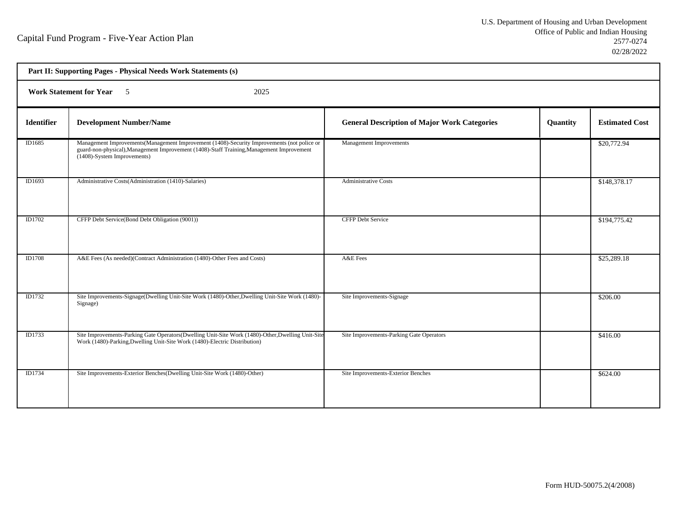| Part II: Supporting Pages - Physical Needs Work Statements (s) |                                                                                                                                                                                                                         |                                                     |          |                       |  |
|----------------------------------------------------------------|-------------------------------------------------------------------------------------------------------------------------------------------------------------------------------------------------------------------------|-----------------------------------------------------|----------|-----------------------|--|
|                                                                | <b>Work Statement for Year</b> 5<br>2025                                                                                                                                                                                |                                                     |          |                       |  |
| <b>Identifier</b>                                              | <b>Development Number/Name</b>                                                                                                                                                                                          | <b>General Description of Major Work Categories</b> | Quantity | <b>Estimated Cost</b> |  |
| ID1685                                                         | Management Improvements (Management Improvement (1408)-Security Improvements (not police or<br>guard-non-physical), Management Improvement (1408)-Staff Training, Management Improvement<br>(1408)-System Improvements) | Management Improvements                             |          | \$20,772.94           |  |
| ID1693                                                         | Administrative Costs(Administration (1410)-Salaries)                                                                                                                                                                    | <b>Administrative Costs</b>                         |          | \$148,378.17          |  |
| ID1702                                                         | CFFP Debt Service(Bond Debt Obligation (9001))                                                                                                                                                                          | <b>CFFP Debt Service</b>                            |          | \$194,775.42          |  |
| <b>ID1708</b>                                                  | A&E Fees (As needed)(Contract Administration (1480)-Other Fees and Costs)                                                                                                                                               | A&E Fees                                            |          | \$25,289.18           |  |
| ID1732                                                         | Site Improvements-Signage(Dwelling Unit-Site Work (1480)-Other, Dwelling Unit-Site Work (1480)-<br>Signage)                                                                                                             | Site Improvements-Signage                           |          | \$206.00              |  |
| <b>ID1733</b>                                                  | Site Improvements-Parking Gate Operators(Dwelling Unit-Site Work (1480)-Other, Dwelling Unit-Site<br>Work (1480)-Parking, Dwelling Unit-Site Work (1480)-Electric Distribution)                                         | Site Improvements-Parking Gate Operators            |          | \$416.00              |  |
| ID1734                                                         | Site Improvements-Exterior Benches (Dwelling Unit-Site Work (1480)-Other)                                                                                                                                               | Site Improvements-Exterior Benches                  |          | \$624.00              |  |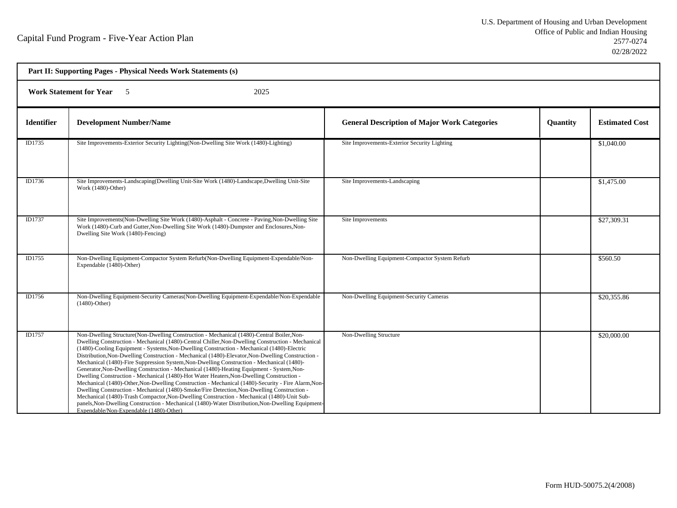h

| Part II: Supporting Pages - Physical Needs Work Statements (s) |                                                                                                                                                                                                                                                                                                                                                                                                                                                                                                                                                                                                                                                                                                                                                                                                                                                                                                                                                                                                                                                                                                                                            |                                                     |          |                       |
|----------------------------------------------------------------|--------------------------------------------------------------------------------------------------------------------------------------------------------------------------------------------------------------------------------------------------------------------------------------------------------------------------------------------------------------------------------------------------------------------------------------------------------------------------------------------------------------------------------------------------------------------------------------------------------------------------------------------------------------------------------------------------------------------------------------------------------------------------------------------------------------------------------------------------------------------------------------------------------------------------------------------------------------------------------------------------------------------------------------------------------------------------------------------------------------------------------------------|-----------------------------------------------------|----------|-----------------------|
| <b>Work Statement for Year</b><br>2025<br>- 5                  |                                                                                                                                                                                                                                                                                                                                                                                                                                                                                                                                                                                                                                                                                                                                                                                                                                                                                                                                                                                                                                                                                                                                            |                                                     |          |                       |
| <b>Identifier</b>                                              | <b>Development Number/Name</b>                                                                                                                                                                                                                                                                                                                                                                                                                                                                                                                                                                                                                                                                                                                                                                                                                                                                                                                                                                                                                                                                                                             | <b>General Description of Major Work Categories</b> | Quantity | <b>Estimated Cost</b> |
| ID1735                                                         | Site Improvements-Exterior Security Lighting(Non-Dwelling Site Work (1480)-Lighting)                                                                                                                                                                                                                                                                                                                                                                                                                                                                                                                                                                                                                                                                                                                                                                                                                                                                                                                                                                                                                                                       | Site Improvements-Exterior Security Lighting        |          | \$1,040.00            |
| ID1736                                                         | Site Improvements-Landscaping(Dwelling Unit-Site Work (1480)-Landscape, Dwelling Unit-Site<br>Work (1480)-Other)                                                                                                                                                                                                                                                                                                                                                                                                                                                                                                                                                                                                                                                                                                                                                                                                                                                                                                                                                                                                                           | Site Improvements-Landscaping                       |          | \$1,475.00            |
| ID1737                                                         | Site Improvements(Non-Dwelling Site Work (1480)-Asphalt - Concrete - Paving, Non-Dwelling Site<br>Work (1480)-Curb and Gutter, Non-Dwelling Site Work (1480)-Dumpster and Enclosures, Non-<br>Dwelling Site Work (1480)-Fencing)                                                                                                                                                                                                                                                                                                                                                                                                                                                                                                                                                                                                                                                                                                                                                                                                                                                                                                           | Site Improvements                                   |          | \$27,309.31           |
| ID1755                                                         | Non-Dwelling Equipment-Compactor System Refurb(Non-Dwelling Equipment-Expendable/Non-<br>Expendable (1480)-Other)                                                                                                                                                                                                                                                                                                                                                                                                                                                                                                                                                                                                                                                                                                                                                                                                                                                                                                                                                                                                                          | Non-Dwelling Equipment-Compactor System Refurb      |          | \$560.50              |
| ID1756                                                         | Non-Dwelling Equipment-Security Cameras(Non-Dwelling Equipment-Expendable/Non-Expendable<br>$(1480)$ -Other)                                                                                                                                                                                                                                                                                                                                                                                                                                                                                                                                                                                                                                                                                                                                                                                                                                                                                                                                                                                                                               | Non-Dwelling Equipment-Security Cameras             |          | \$20,355.86           |
| <b>ID1757</b>                                                  | Non-Dwelling Structure(Non-Dwelling Construction - Mechanical (1480)-Central Boiler, Non-<br>Dwelling Construction - Mechanical (1480)-Central Chiller, Non-Dwelling Construction - Mechanical<br>(1480)-Cooling Equipment - Systems, Non-Dwelling Construction - Mechanical (1480)-Electric<br>Distribution, Non-Dwelling Construction - Mechanical (1480)-Elevator, Non-Dwelling Construction -<br>Mechanical (1480)-Fire Suppression System, Non-Dwelling Construction - Mechanical (1480)-<br>Generator, Non-Dwelling Construction - Mechanical (1480)-Heating Equipment - System, Non-<br>Dwelling Construction - Mechanical (1480)-Hot Water Heaters, Non-Dwelling Construction -<br>Mechanical (1480)-Other, Non-Dwelling Construction - Mechanical (1480)-Security - Fire Alarm, Non-<br>Dwelling Construction - Mechanical (1480)-Smoke/Fire Detection, Non-Dwelling Construction -<br>Mechanical (1480)-Trash Compactor, Non-Dwelling Construction - Mechanical (1480)-Unit Sub-<br>panels, Non-Dwelling Construction - Mechanical (1480)-Water Distribution, Non-Dwelling Equipment-<br>Expendable/Non-Expendable (1480)-Other) | Non-Dwelling Structure                              |          | \$20,000.00           |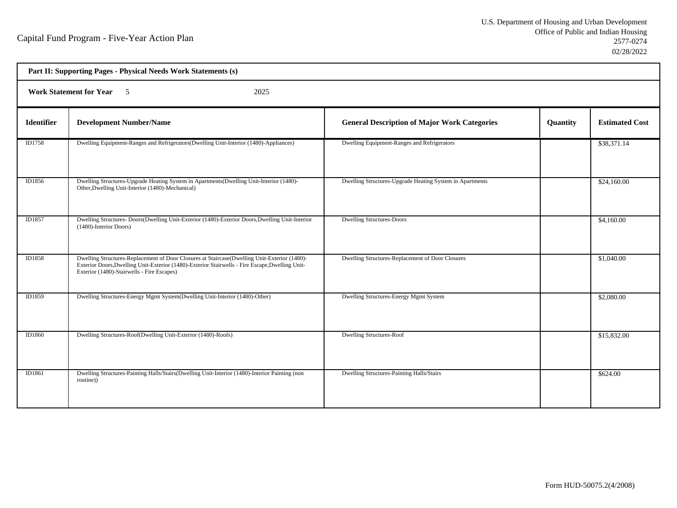| Part II: Supporting Pages - Physical Needs Work Statements (s) |                                                                                                                                                                                                                                               |                                                          |          |                       |  |  |
|----------------------------------------------------------------|-----------------------------------------------------------------------------------------------------------------------------------------------------------------------------------------------------------------------------------------------|----------------------------------------------------------|----------|-----------------------|--|--|
|                                                                | <b>Work Statement for Year</b> 5<br>2025                                                                                                                                                                                                      |                                                          |          |                       |  |  |
| <b>Identifier</b>                                              | <b>Development Number/Name</b>                                                                                                                                                                                                                | <b>General Description of Major Work Categories</b>      | Quantity | <b>Estimated Cost</b> |  |  |
| ID1758                                                         | Dwelling Equipment-Ranges and Refrigerators (Dwelling Unit-Interior (1480)-Appliances)                                                                                                                                                        | Dwelling Equipment-Ranges and Refrigerators              |          | \$38,371.14           |  |  |
| ID1856                                                         | Dwelling Structures-Upgrade Heating System in Apartments (Dwelling Unit-Interior (1480)-<br>Other, Dwelling Unit-Interior (1480)-Mechanical)                                                                                                  | Dwelling Structures-Upgrade Heating System in Apartments |          | \$24,160.00           |  |  |
| ID1857                                                         | Dwelling Structures-Doors(Dwelling Unit-Exterior (1480)-Exterior Doors, Dwelling Unit-Interior<br>(1480)-Interior Doors)                                                                                                                      | <b>Dwelling Structures-Doors</b>                         |          | \$4,160.00            |  |  |
| ID1858                                                         | Dwelling Structures-Replacement of Door Closures at Staircase(Dwelling Unit-Exterior (1480)-<br>Exterior Doors, Dwelling Unit-Exterior (1480)-Exterior Stairwells - Fire Escape, Dwelling Unit-<br>Exterior (1480)-Stairwells - Fire Escapes) | Dwelling Structures-Replacement of Door Closures         |          | \$1,040.00            |  |  |
| ID1859                                                         | Dwelling Structures-Energy Mgmt System(Dwelling Unit-Interior (1480)-Other)                                                                                                                                                                   | Dwelling Structures-Energy Mgmt System                   |          | \$2,080.00            |  |  |
| ID1860                                                         | Dwelling Structures-Roof(Dwelling Unit-Exterior (1480)-Roofs)                                                                                                                                                                                 | <b>Dwelling Structures-Roof</b>                          |          | \$15,832.00           |  |  |
| ID1861                                                         | Dwelling Structures-Painting Halls/Stairs(Dwelling Unit-Interior (1480)-Interior Painting (non<br>routine))                                                                                                                                   | Dwelling Structures-Painting Halls/Stairs                |          | \$624.00              |  |  |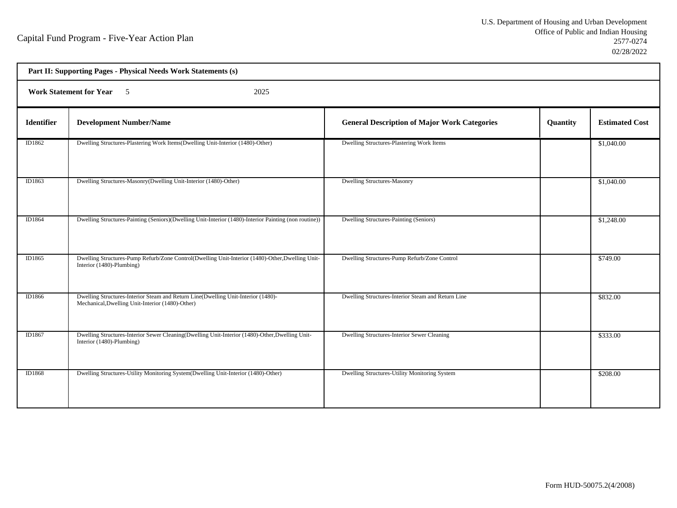| Part II: Supporting Pages - Physical Needs Work Statements (s) |                                                                                                                                       |                                                     |          |                       |  |  |
|----------------------------------------------------------------|---------------------------------------------------------------------------------------------------------------------------------------|-----------------------------------------------------|----------|-----------------------|--|--|
|                                                                | <b>Work Statement for Year 5</b><br>2025                                                                                              |                                                     |          |                       |  |  |
| Identifier                                                     | <b>Development Number/Name</b>                                                                                                        | <b>General Description of Major Work Categories</b> | Quantity | <b>Estimated Cost</b> |  |  |
| ID1862                                                         | Dwelling Structures-Plastering Work Items(Dwelling Unit-Interior (1480)-Other)                                                        | Dwelling Structures-Plastering Work Items           |          | \$1,040.00            |  |  |
| ID1863                                                         | Dwelling Structures-Masonry(Dwelling Unit-Interior (1480)-Other)                                                                      | <b>Dwelling Structures-Masonry</b>                  |          | \$1,040.00            |  |  |
| ID1864                                                         | Dwelling Structures-Painting (Seniors)(Dwelling Unit-Interior (1480)-Interior Painting (non routine))                                 | Dwelling Structures-Painting (Seniors)              |          | \$1,248.00            |  |  |
| ID1865                                                         | Dwelling Structures-Pump Refurb/Zone Control(Dwelling Unit-Interior (1480)-Other, Dwelling Unit-<br>Interior (1480)-Plumbing)         | Dwelling Structures-Pump Refurb/Zone Control        |          | \$749.00              |  |  |
| ID1866                                                         | Dwelling Structures-Interior Steam and Return Line(Dwelling Unit-Interior (1480)-<br>Mechanical, Dwelling Unit-Interior (1480)-Other) | Dwelling Structures-Interior Steam and Return Line  |          | \$832.00              |  |  |
| ID1867                                                         | Dwelling Structures-Interior Sewer Cleaning(Dwelling Unit-Interior (1480)-Other, Dwelling Unit-<br>Interior (1480)-Plumbing)          | Dwelling Structures-Interior Sewer Cleaning         |          | \$333.00              |  |  |
| ID1868                                                         | Dwelling Structures-Utility Monitoring System(Dwelling Unit-Interior (1480)-Other)                                                    | Dwelling Structures-Utility Monitoring System       |          | \$208.00              |  |  |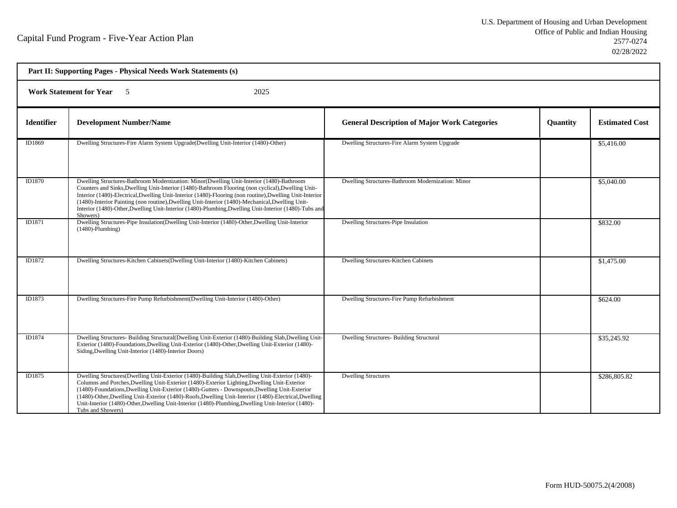| Part II: Supporting Pages - Physical Needs Work Statements (s) |                                                                                                                                                                                                                                                                                                                                                                                                                                                                                                                                       |                                                     |                 |                       |  |
|----------------------------------------------------------------|---------------------------------------------------------------------------------------------------------------------------------------------------------------------------------------------------------------------------------------------------------------------------------------------------------------------------------------------------------------------------------------------------------------------------------------------------------------------------------------------------------------------------------------|-----------------------------------------------------|-----------------|-----------------------|--|
| <b>Work Statement for Year</b> 5<br>2025                       |                                                                                                                                                                                                                                                                                                                                                                                                                                                                                                                                       |                                                     |                 |                       |  |
| <b>Identifier</b>                                              | <b>Development Number/Name</b>                                                                                                                                                                                                                                                                                                                                                                                                                                                                                                        | <b>General Description of Major Work Categories</b> | <b>Quantity</b> | <b>Estimated Cost</b> |  |
| ID1869                                                         | Dwelling Structures-Fire Alarm System Upgrade(Dwelling Unit-Interior (1480)-Other)                                                                                                                                                                                                                                                                                                                                                                                                                                                    | Dwelling Structures-Fire Alarm System Upgrade       |                 | \$5,416.00            |  |
| ID1870                                                         | Dwelling Structures-Bathroom Modernization: Minor(Dwelling Unit-Interior (1480)-Bathroom<br>Counters and Sinks, Dwelling Unit-Interior (1480)-Bathroom Flooring (non cyclical), Dwelling Unit-<br>Interior (1480)-Electrical, Dwelling Unit-Interior (1480)-Flooring (non routine), Dwelling Unit-Interior<br>(1480)-Interior Painting (non routine), Dwelling Unit-Interior (1480)-Mechanical, Dwelling Unit-<br>Interior (1480)-Other, Dwelling Unit-Interior (1480)-Plumbing, Dwelling Unit-Interior (1480)-Tubs and<br>Showers)   | Dwelling Structures-Bathroom Modernization: Minor   |                 | \$5,040.00            |  |
| ID1871                                                         | Dwelling Structures-Pipe Insulation(Dwelling Unit-Interior (1480)-Other, Dwelling Unit-Interior<br>$(1480)$ -Plumbing)                                                                                                                                                                                                                                                                                                                                                                                                                | Dwelling Structures-Pipe Insulation                 |                 | \$832.00              |  |
| ID1872                                                         | Dwelling Structures-Kitchen Cabinets (Dwelling Unit-Interior (1480)-Kitchen Cabinets)                                                                                                                                                                                                                                                                                                                                                                                                                                                 | Dwelling Structures-Kitchen Cabinets                |                 | \$1,475.00            |  |
| ID1873                                                         | Dwelling Structures-Fire Pump Refurbishment(Dwelling Unit-Interior (1480)-Other)                                                                                                                                                                                                                                                                                                                                                                                                                                                      | Dwelling Structures-Fire Pump Refurbishment         |                 | \$624.00              |  |
| ID1874                                                         | Dwelling Structures- Building Structural (Dwelling Unit-Exterior (1480)-Building Slab, Dwelling Unit-<br>Exterior (1480)-Foundations, Dwelling Unit-Exterior (1480)-Other, Dwelling Unit-Exterior (1480)-<br>Siding, Dwelling Unit-Interior (1480)-Interior Doors)                                                                                                                                                                                                                                                                    | Dwelling Structures- Building Structural            |                 | \$35,245.92           |  |
| ID1875                                                         | Dwelling Structures(Dwelling Unit-Exterior (1480)-Building Slab, Dwelling Unit-Exterior (1480)-<br>Columns and Porches, Dwelling Unit-Exterior (1480)-Exterior Lighting, Dwelling Unit-Exterior<br>(1480)-Foundations, Dwelling Unit-Exterior (1480)-Gutters - Downspouts, Dwelling Unit-Exterior<br>(1480)-Other, Dwelling Unit-Exterior (1480)-Roofs, Dwelling Unit-Interior (1480)-Electrical, Dwelling<br>Unit-Interior (1480)-Other, Dwelling Unit-Interior (1480)-Plumbing, Dwelling Unit-Interior (1480)-<br>Tubs and Showers) | <b>Dwelling Structures</b>                          |                 | \$286,805.82          |  |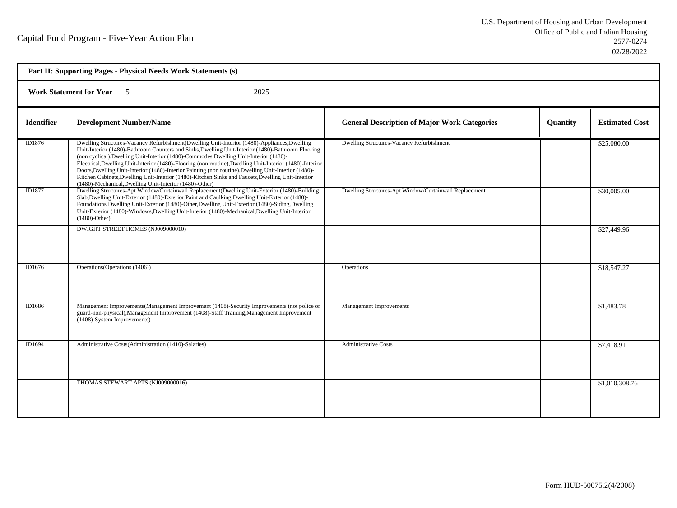| Part II: Supporting Pages - Physical Needs Work Statements (s) |                                                                                                                                                                                                                                                                                                                                                                                                                                                                                                                                                                                                                                                                                 |                                                        |          |                       |
|----------------------------------------------------------------|---------------------------------------------------------------------------------------------------------------------------------------------------------------------------------------------------------------------------------------------------------------------------------------------------------------------------------------------------------------------------------------------------------------------------------------------------------------------------------------------------------------------------------------------------------------------------------------------------------------------------------------------------------------------------------|--------------------------------------------------------|----------|-----------------------|
| <b>Work Statement for Year</b> 5<br>2025                       |                                                                                                                                                                                                                                                                                                                                                                                                                                                                                                                                                                                                                                                                                 |                                                        |          |                       |
| <b>Identifier</b>                                              | <b>Development Number/Name</b>                                                                                                                                                                                                                                                                                                                                                                                                                                                                                                                                                                                                                                                  | <b>General Description of Major Work Categories</b>    | Quantity | <b>Estimated Cost</b> |
| ID1876                                                         | Dwelling Structures-Vacancy Refurbishment(Dwelling Unit-Interior (1480)-Appliances, Dwelling<br>Unit-Interior (1480)-Bathroom Counters and Sinks, Dwelling Unit-Interior (1480)-Bathroom Flooring<br>(non cyclical), Dwelling Unit-Interior (1480)-Commodes, Dwelling Unit-Interior (1480)-<br>Electrical, Dwelling Unit-Interior (1480)-Flooring (non routine), Dwelling Unit-Interior (1480)-Interior<br>Doors, Dwelling Unit-Interior (1480)-Interior Painting (non routine), Dwelling Unit-Interior (1480)-<br>Kitchen Cabinets, Dwelling Unit-Interior (1480)-Kitchen Sinks and Faucets, Dwelling Unit-Interior<br>(1480)-Mechanical, Dwelling Unit-Interior (1480)-Other) | Dwelling Structures-Vacancy Refurbishment              |          | \$25,080.00           |
| ID1877                                                         | Dwelling Structures-Apt Window/Curtainwall Replacement(Dwelling Unit-Exterior (1480)-Building<br>Slab, Dwelling Unit-Exterior (1480)-Exterior Paint and Caulking, Dwelling Unit-Exterior (1480)-<br>Foundations, Dwelling Unit-Exterior (1480)-Other, Dwelling Unit-Exterior (1480)-Siding, Dwelling<br>Unit-Exterior (1480)-Windows, Dwelling Unit-Interior (1480)-Mechanical, Dwelling Unit-Interior<br>$(1480)$ -Other)                                                                                                                                                                                                                                                      | Dwelling Structures-Apt Window/Curtainwall Replacement |          | \$30,005.00           |
|                                                                | DWIGHT STREET HOMES (NJ009000010)                                                                                                                                                                                                                                                                                                                                                                                                                                                                                                                                                                                                                                               |                                                        |          | \$27,449.96           |
| ID1676                                                         | Operations (Operations (1406))                                                                                                                                                                                                                                                                                                                                                                                                                                                                                                                                                                                                                                                  | Operations                                             |          | \$18,547.27           |
| ID1686                                                         | Management Improvements (Management Improvement (1408)-Security Improvements (not police or<br>guard-non-physical), Management Improvement (1408)-Staff Training, Management Improvement<br>(1408)-System Improvements)                                                                                                                                                                                                                                                                                                                                                                                                                                                         | <b>Management Improvements</b>                         |          | \$1,483.78            |
| ID1694                                                         | Administrative Costs(Administration (1410)-Salaries)                                                                                                                                                                                                                                                                                                                                                                                                                                                                                                                                                                                                                            | <b>Administrative Costs</b>                            |          | \$7,418.91            |
|                                                                | THOMAS STEWART APTS (NJ009000016)                                                                                                                                                                                                                                                                                                                                                                                                                                                                                                                                                                                                                                               |                                                        |          | \$1,010,308.76        |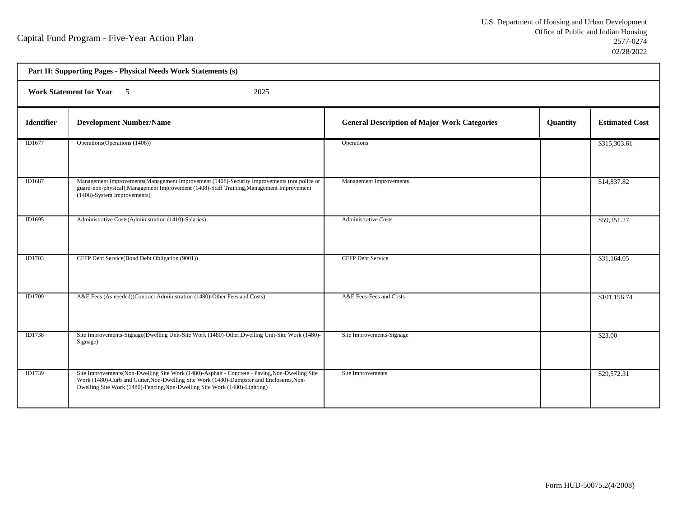| Part II: Supporting Pages - Physical Needs Work Statements (s) |                                                                                                                                                                                                                                                                          |                                                     |          |                       |  |  |
|----------------------------------------------------------------|--------------------------------------------------------------------------------------------------------------------------------------------------------------------------------------------------------------------------------------------------------------------------|-----------------------------------------------------|----------|-----------------------|--|--|
|                                                                | Work Statement for Year 5<br>2025                                                                                                                                                                                                                                        |                                                     |          |                       |  |  |
| Identifier                                                     | <b>Development Number/Name</b>                                                                                                                                                                                                                                           | <b>General Description of Major Work Categories</b> | Quantity | <b>Estimated Cost</b> |  |  |
| ID1677                                                         | Operations (Operations (1406))                                                                                                                                                                                                                                           | Operations                                          |          | \$315,303.61          |  |  |
| ID1687                                                         | Management Improvements (Management Improvement (1408)-Security Improvements (not police or<br>guard-non-physical), Management Improvement (1408)-Staff Training, Management Improvement<br>(1408)-System Improvements)                                                  | Management Improvements                             |          | \$14,837.82           |  |  |
| ID1695                                                         | Administrative Costs(Administration (1410)-Salaries)                                                                                                                                                                                                                     | <b>Administrative Costs</b>                         |          | \$59,351.27           |  |  |
| ID1703                                                         | CFFP Debt Service(Bond Debt Obligation (9001))                                                                                                                                                                                                                           | <b>CFFP Debt Service</b>                            |          | \$31,164.05           |  |  |
| ID1709                                                         | A&E Fees (As needed)(Contract Administration (1480)-Other Fees and Costs)                                                                                                                                                                                                | A&E Fees-Fees and Costs                             |          | \$101,156.74          |  |  |
| ID1738                                                         | Site Improvements-Signage(Dwelling Unit-Site Work (1480)-Other, Dwelling Unit-Site Work (1480)-<br>Signage)                                                                                                                                                              | Site Improvements-Signage                           |          | \$23.00               |  |  |
| ID1739                                                         | Site Improvements(Non-Dwelling Site Work (1480)-Asphalt - Concrete - Paving, Non-Dwelling Site<br>Work (1480)-Curb and Gutter, Non-Dwelling Site Work (1480)-Dumpster and Enclosures, Non-<br>Dwelling Site Work (1480)-Fencing, Non-Dwelling Site Work (1480)-Lighting) | Site Improvements                                   |          | \$29,572.31           |  |  |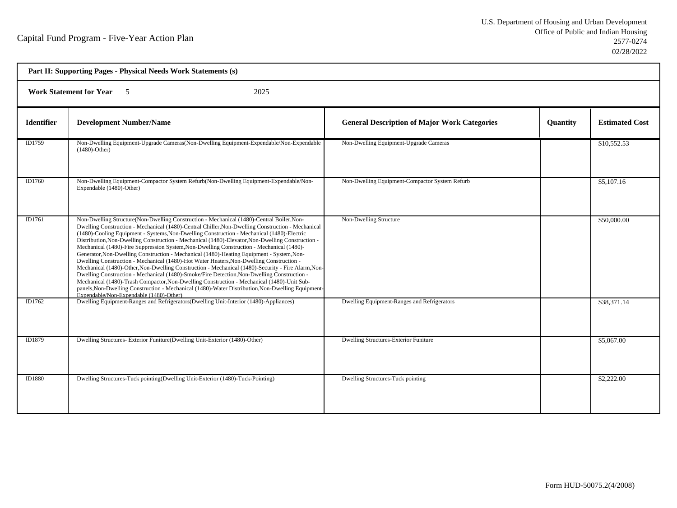| Part II: Supporting Pages - Physical Needs Work Statements (s) |                                                                                                                                                                                                                                                                                                                                                                                                                                                                                                                                                                                                                                                                                                                                                                                                                                                                                                                                                                                                                                                                                                                                            |                                                     |          |                       |  |  |
|----------------------------------------------------------------|--------------------------------------------------------------------------------------------------------------------------------------------------------------------------------------------------------------------------------------------------------------------------------------------------------------------------------------------------------------------------------------------------------------------------------------------------------------------------------------------------------------------------------------------------------------------------------------------------------------------------------------------------------------------------------------------------------------------------------------------------------------------------------------------------------------------------------------------------------------------------------------------------------------------------------------------------------------------------------------------------------------------------------------------------------------------------------------------------------------------------------------------|-----------------------------------------------------|----------|-----------------------|--|--|
|                                                                | <b>Work Statement for Year</b> 5<br>2025                                                                                                                                                                                                                                                                                                                                                                                                                                                                                                                                                                                                                                                                                                                                                                                                                                                                                                                                                                                                                                                                                                   |                                                     |          |                       |  |  |
| <b>Identifier</b>                                              | <b>Development Number/Name</b>                                                                                                                                                                                                                                                                                                                                                                                                                                                                                                                                                                                                                                                                                                                                                                                                                                                                                                                                                                                                                                                                                                             | <b>General Description of Major Work Categories</b> | Quantity | <b>Estimated Cost</b> |  |  |
| ID1759                                                         | Non-Dwelling Equipment-Upgrade Cameras(Non-Dwelling Equipment-Expendable/Non-Expendable<br>$(1480)$ -Other)                                                                                                                                                                                                                                                                                                                                                                                                                                                                                                                                                                                                                                                                                                                                                                                                                                                                                                                                                                                                                                | Non-Dwelling Equipment-Upgrade Cameras              |          | \$10,552.53           |  |  |
| ID1760                                                         | Non-Dwelling Equipment-Compactor System Refurb(Non-Dwelling Equipment-Expendable/Non-<br>Expendable (1480)-Other)                                                                                                                                                                                                                                                                                                                                                                                                                                                                                                                                                                                                                                                                                                                                                                                                                                                                                                                                                                                                                          | Non-Dwelling Equipment-Compactor System Refurb      |          | \$5,107.16            |  |  |
| ID1761                                                         | Non-Dwelling Structure(Non-Dwelling Construction - Mechanical (1480)-Central Boiler, Non-<br>Dwelling Construction - Mechanical (1480)-Central Chiller, Non-Dwelling Construction - Mechanical<br>(1480)-Cooling Equipment - Systems, Non-Dwelling Construction - Mechanical (1480)-Electric<br>Distribution, Non-Dwelling Construction - Mechanical (1480)-Elevator, Non-Dwelling Construction -<br>Mechanical (1480)-Fire Suppression System, Non-Dwelling Construction - Mechanical (1480)-<br>Generator, Non-Dwelling Construction - Mechanical (1480)-Heating Equipment - System, Non-<br>Dwelling Construction - Mechanical (1480)-Hot Water Heaters, Non-Dwelling Construction -<br>Mechanical (1480)-Other, Non-Dwelling Construction - Mechanical (1480)-Security - Fire Alarm, Non-<br>Dwelling Construction - Mechanical (1480)-Smoke/Fire Detection, Non-Dwelling Construction -<br>Mechanical (1480)-Trash Compactor, Non-Dwelling Construction - Mechanical (1480)-Unit Sub-<br>panels, Non-Dwelling Construction - Mechanical (1480)-Water Distribution, Non-Dwelling Equipment-<br>Expendable/Non-Expendable (1480)-Other) | Non-Dwelling Structure                              |          | \$50,000.00           |  |  |
| ID1762                                                         | Dwelling Equipment-Ranges and Refrigerators (Dwelling Unit-Interior (1480)-Appliances)                                                                                                                                                                                                                                                                                                                                                                                                                                                                                                                                                                                                                                                                                                                                                                                                                                                                                                                                                                                                                                                     | Dwelling Equipment-Ranges and Refrigerators         |          | \$38,371.14           |  |  |
| ID1879                                                         | Dwelling Structures- Exterior Funiture(Dwelling Unit-Exterior (1480)-Other)                                                                                                                                                                                                                                                                                                                                                                                                                                                                                                                                                                                                                                                                                                                                                                                                                                                                                                                                                                                                                                                                | <b>Dwelling Structures-Exterior Funiture</b>        |          | \$5,067.00            |  |  |
| ID1880                                                         | Dwelling Structures-Tuck pointing(Dwelling Unit-Exterior (1480)-Tuck-Pointing)                                                                                                                                                                                                                                                                                                                                                                                                                                                                                                                                                                                                                                                                                                                                                                                                                                                                                                                                                                                                                                                             | Dwelling Structures-Tuck pointing                   |          | \$2,222.00            |  |  |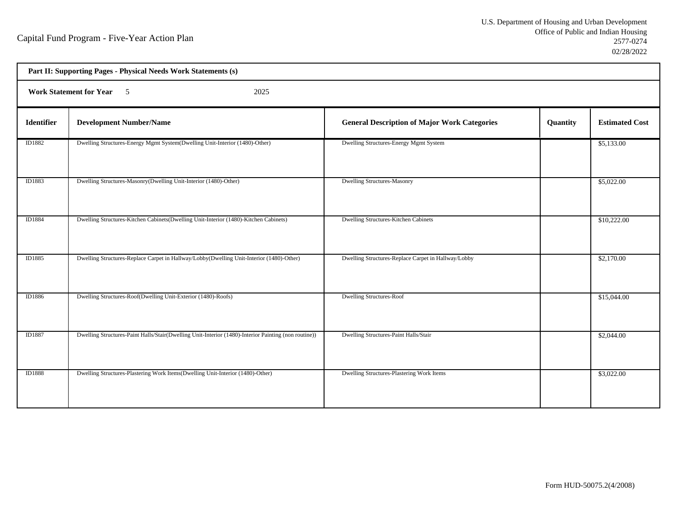| Part II: Supporting Pages - Physical Needs Work Statements (s) |                                                                                                      |                                                     |          |                       |  |  |
|----------------------------------------------------------------|------------------------------------------------------------------------------------------------------|-----------------------------------------------------|----------|-----------------------|--|--|
|                                                                | Work Statement for Year 5<br>2025                                                                    |                                                     |          |                       |  |  |
| <b>Identifier</b>                                              | <b>Development Number/Name</b>                                                                       | <b>General Description of Major Work Categories</b> | Quantity | <b>Estimated Cost</b> |  |  |
| ID1882                                                         | Dwelling Structures-Energy Mgmt System(Dwelling Unit-Interior (1480)-Other)                          | Dwelling Structures-Energy Mgmt System              |          | \$5,133.00            |  |  |
| ID1883                                                         | Dwelling Structures-Masonry(Dwelling Unit-Interior (1480)-Other)                                     | <b>Dwelling Structures-Masonry</b>                  |          | \$5,022.00            |  |  |
| ID1884                                                         | Dwelling Structures-Kitchen Cabinets(Dwelling Unit-Interior (1480)-Kitchen Cabinets)                 | Dwelling Structures-Kitchen Cabinets                |          | \$10,222.00           |  |  |
| ID1885                                                         | Dwelling Structures-Replace Carpet in Hallway/Lobby(Dwelling Unit-Interior (1480)-Other)             | Dwelling Structures-Replace Carpet in Hallway/Lobby |          | \$2,170.00            |  |  |
| ID1886                                                         | Dwelling Structures-Roof(Dwelling Unit-Exterior (1480)-Roofs)                                        | <b>Dwelling Structures-Roof</b>                     |          | \$15,044.00           |  |  |
| ID1887                                                         | Dwelling Structures-Paint Halls/Stair(Dwelling Unit-Interior (1480)-Interior Painting (non routine)) | Dwelling Structures-Paint Halls/Stair               |          | \$2,044.00            |  |  |
| <b>ID1888</b>                                                  | Dwelling Structures-Plastering Work Items(Dwelling Unit-Interior (1480)-Other)                       | Dwelling Structures-Plastering Work Items           |          | \$3,022.00            |  |  |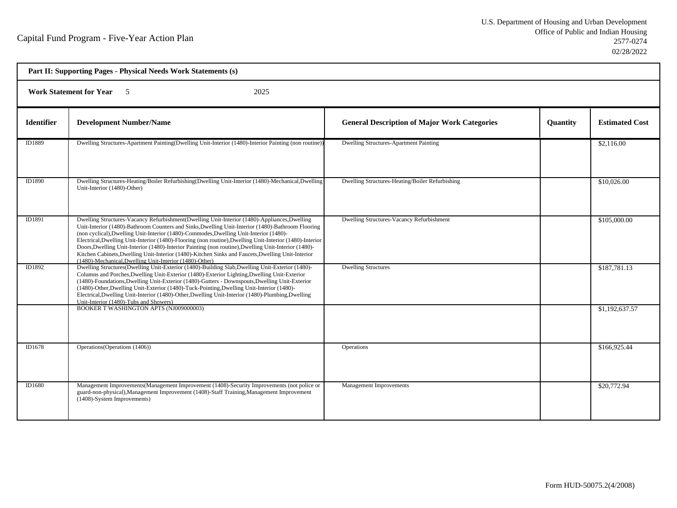| Part II: Supporting Pages - Physical Needs Work Statements (s) |                                                                                                                                                                                                                                                                                                                                                                                                                                                                                                                                                                                                                                                                                 |                                                     |                 |                       |  |  |
|----------------------------------------------------------------|---------------------------------------------------------------------------------------------------------------------------------------------------------------------------------------------------------------------------------------------------------------------------------------------------------------------------------------------------------------------------------------------------------------------------------------------------------------------------------------------------------------------------------------------------------------------------------------------------------------------------------------------------------------------------------|-----------------------------------------------------|-----------------|-----------------------|--|--|
|                                                                | <b>Work Statement for Year 5</b><br>2025                                                                                                                                                                                                                                                                                                                                                                                                                                                                                                                                                                                                                                        |                                                     |                 |                       |  |  |
| <b>Identifier</b>                                              | <b>Development Number/Name</b>                                                                                                                                                                                                                                                                                                                                                                                                                                                                                                                                                                                                                                                  | <b>General Description of Major Work Categories</b> | <b>Quantity</b> | <b>Estimated Cost</b> |  |  |
| ID1889                                                         | Dwelling Structures-Apartment Painting (Dwelling Unit-Interior (1480)-Interior Painting (non routine))                                                                                                                                                                                                                                                                                                                                                                                                                                                                                                                                                                          | Dwelling Structures-Apartment Painting              |                 | \$2,116.00            |  |  |
| ID1890                                                         | Dwelling Structures-Heating/Boiler Refurbishing(Dwelling Unit-Interior (1480)-Mechanical,Dwelling<br>Unit-Interior (1480)-Other)                                                                                                                                                                                                                                                                                                                                                                                                                                                                                                                                                | Dwelling Structures-Heating/Boiler Refurbishing     |                 | \$10,026.00           |  |  |
| ID1891                                                         | Dwelling Structures-Vacancy Refurbishment(Dwelling Unit-Interior (1480)-Appliances, Dwelling<br>Unit-Interior (1480)-Bathroom Counters and Sinks, Dwelling Unit-Interior (1480)-Bathroom Flooring<br>(non cyclical), Dwelling Unit-Interior (1480)-Commodes, Dwelling Unit-Interior (1480)-<br>Electrical, Dwelling Unit-Interior (1480)-Flooring (non routine), Dwelling Unit-Interior (1480)-Interior<br>Doors, Dwelling Unit-Interior (1480)-Interior Painting (non routine), Dwelling Unit-Interior (1480)-<br>Kitchen Cabinets, Dwelling Unit-Interior (1480)-Kitchen Sinks and Faucets, Dwelling Unit-Interior<br>(1480)-Mechanical, Dwelling Unit-Interior (1480)-Other) | Dwelling Structures-Vacancy Refurbishment           |                 | \$105,000.00          |  |  |
| ID1892                                                         | Dwelling Structures(Dwelling Unit-Exterior (1480)-Building Slab, Dwelling Unit-Exterior (1480)-<br>Columns and Porches, Dwelling Unit-Exterior (1480)-Exterior Lighting, Dwelling Unit-Exterior<br>(1480)-Foundations, Dwelling Unit-Exterior (1480)-Gutters - Downspouts, Dwelling Unit-Exterior<br>(1480)-Other, Dwelling Unit-Exterior (1480)-Tuck-Pointing, Dwelling Unit-Interior (1480)-<br>Electrical, Dwelling Unit-Interior (1480)-Other, Dwelling Unit-Interior (1480)-Plumbing, Dwelling<br>Unit-Interior (1480)-Tubs and Showers)                                                                                                                                   | <b>Dwelling Structures</b>                          |                 | \$187,781.13          |  |  |
|                                                                | <b>BOOKER T WASHINGTON APTS (NJ009000003)</b>                                                                                                                                                                                                                                                                                                                                                                                                                                                                                                                                                                                                                                   |                                                     |                 | \$1,192,637.57        |  |  |
| ID1678                                                         | Operations (Operations (1406))                                                                                                                                                                                                                                                                                                                                                                                                                                                                                                                                                                                                                                                  | Operations                                          |                 | \$166,925.44          |  |  |
| ID1680                                                         | Management Improvements (Management Improvement (1408)-Security Improvements (not police or<br>guard-non-physical), Management Improvement (1408)-Staff Training, Management Improvement<br>(1408)-System Improvements)                                                                                                                                                                                                                                                                                                                                                                                                                                                         | <b>Management Improvements</b>                      |                 | \$20,772.94           |  |  |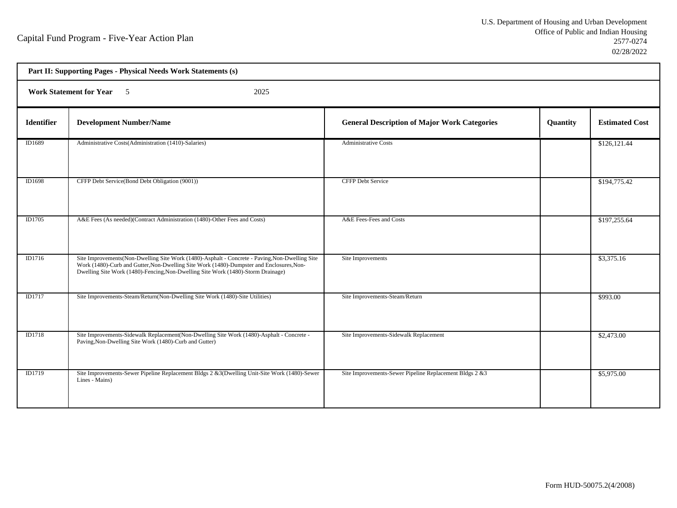| Part II: Supporting Pages - Physical Needs Work Statements (s) |                                                                                                                                                                                                                                                                                |                                                         |          |                       |  |  |
|----------------------------------------------------------------|--------------------------------------------------------------------------------------------------------------------------------------------------------------------------------------------------------------------------------------------------------------------------------|---------------------------------------------------------|----------|-----------------------|--|--|
|                                                                | Work Statement for Year 5<br>2025                                                                                                                                                                                                                                              |                                                         |          |                       |  |  |
| <b>Identifier</b>                                              | <b>Development Number/Name</b>                                                                                                                                                                                                                                                 | <b>General Description of Major Work Categories</b>     | Quantity | <b>Estimated Cost</b> |  |  |
| ID1689                                                         | Administrative Costs(Administration (1410)-Salaries)                                                                                                                                                                                                                           | <b>Administrative Costs</b>                             |          | \$126,121.44          |  |  |
| ID1698                                                         | CFFP Debt Service(Bond Debt Obligation (9001))                                                                                                                                                                                                                                 | <b>CFFP Debt Service</b>                                |          | \$194,775.42          |  |  |
| ID1705                                                         | A&E Fees (As needed)(Contract Administration (1480)-Other Fees and Costs)                                                                                                                                                                                                      | A&E Fees-Fees and Costs                                 |          | \$197,255.64          |  |  |
| ID1716                                                         | Site Improvements(Non-Dwelling Site Work (1480)-Asphalt - Concrete - Paving, Non-Dwelling Site<br>Work (1480)-Curb and Gutter, Non-Dwelling Site Work (1480)-Dumpster and Enclosures, Non-<br>Dwelling Site Work (1480)-Fencing, Non-Dwelling Site Work (1480)-Storm Drainage) | Site Improvements                                       |          | \$3,375.16            |  |  |
| ID1717                                                         | Site Improvements-Steam/Return(Non-Dwelling Site Work (1480)-Site Utilities)                                                                                                                                                                                                   | Site Improvements-Steam/Return                          |          | \$993.00              |  |  |
| ID1718                                                         | Site Improvements-Sidewalk Replacement(Non-Dwelling Site Work (1480)-Asphalt - Concrete -<br>Paving, Non-Dwelling Site Work (1480)-Curb and Gutter)                                                                                                                            | Site Improvements-Sidewalk Replacement                  |          | \$2,473.00            |  |  |
| ID1719                                                         | Site Improvements-Sewer Pipeline Replacement Bldgs 2 &3(Dwelling Unit-Site Work (1480)-Sewer<br>Lines - Mains)                                                                                                                                                                 | Site Improvements-Sewer Pipeline Replacement Bldgs 2 &3 |          | \$5,975.00            |  |  |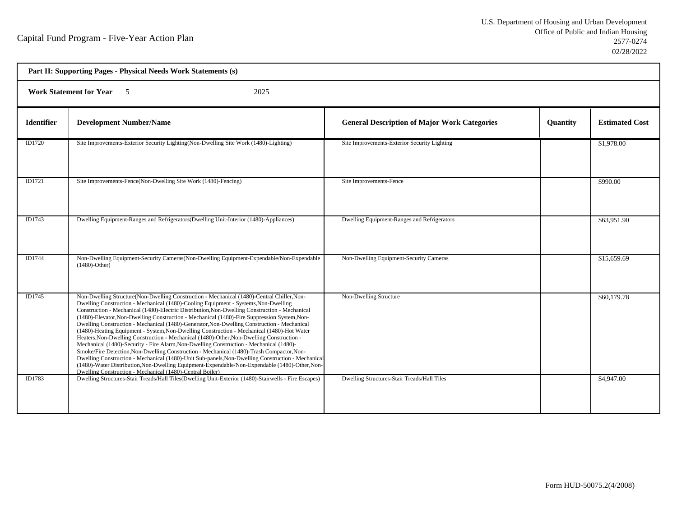| Part II: Supporting Pages - Physical Needs Work Statements (s) |                                                                                                                                                                                                                                                                                                                                                                                                                                                                                                                                                                                                                                                                                                                                                                                                                                                                                                                                                                                                                                                                                                                                           |                                                     |          |                       |
|----------------------------------------------------------------|-------------------------------------------------------------------------------------------------------------------------------------------------------------------------------------------------------------------------------------------------------------------------------------------------------------------------------------------------------------------------------------------------------------------------------------------------------------------------------------------------------------------------------------------------------------------------------------------------------------------------------------------------------------------------------------------------------------------------------------------------------------------------------------------------------------------------------------------------------------------------------------------------------------------------------------------------------------------------------------------------------------------------------------------------------------------------------------------------------------------------------------------|-----------------------------------------------------|----------|-----------------------|
| <b>Work Statement for Year</b> 5<br>2025                       |                                                                                                                                                                                                                                                                                                                                                                                                                                                                                                                                                                                                                                                                                                                                                                                                                                                                                                                                                                                                                                                                                                                                           |                                                     |          |                       |
| <b>Identifier</b>                                              | <b>Development Number/Name</b>                                                                                                                                                                                                                                                                                                                                                                                                                                                                                                                                                                                                                                                                                                                                                                                                                                                                                                                                                                                                                                                                                                            | <b>General Description of Major Work Categories</b> | Quantity | <b>Estimated Cost</b> |
| ID1720                                                         | Site Improvements-Exterior Security Lighting(Non-Dwelling Site Work (1480)-Lighting)                                                                                                                                                                                                                                                                                                                                                                                                                                                                                                                                                                                                                                                                                                                                                                                                                                                                                                                                                                                                                                                      | Site Improvements-Exterior Security Lighting        |          | \$1,978.00            |
| ID1721                                                         | Site Improvements-Fence(Non-Dwelling Site Work (1480)-Fencing)                                                                                                                                                                                                                                                                                                                                                                                                                                                                                                                                                                                                                                                                                                                                                                                                                                                                                                                                                                                                                                                                            | Site Improvements-Fence                             |          | \$990.00              |
| ID1743                                                         | Dwelling Equipment-Ranges and Refrigerators (Dwelling Unit-Interior (1480)-Appliances)                                                                                                                                                                                                                                                                                                                                                                                                                                                                                                                                                                                                                                                                                                                                                                                                                                                                                                                                                                                                                                                    | Dwelling Equipment-Ranges and Refrigerators         |          | \$63,951.90           |
| ID1744                                                         | Non-Dwelling Equipment-Security Cameras (Non-Dwelling Equipment-Expendable/Non-Expendable<br>$(1480)$ -Other)                                                                                                                                                                                                                                                                                                                                                                                                                                                                                                                                                                                                                                                                                                                                                                                                                                                                                                                                                                                                                             | Non-Dwelling Equipment-Security Cameras             |          | \$15,659.69           |
| ID1745                                                         | Non-Dwelling Structure(Non-Dwelling Construction - Mechanical (1480)-Central Chiller, Non-<br>Dwelling Construction - Mechanical (1480)-Cooling Equipment - Systems, Non-Dwelling<br>Construction - Mechanical (1480)-Electric Distribution, Non-Dwelling Construction - Mechanical<br>(1480)-Elevator, Non-Dwelling Construction - Mechanical (1480)-Fire Suppression System, Non-<br>Dwelling Construction - Mechanical (1480)-Generator, Non-Dwelling Construction - Mechanical<br>(1480)-Heating Equipment - System, Non-Dwelling Construction - Mechanical (1480)-Hot Water<br>Heaters, Non-Dwelling Construction - Mechanical (1480)-Other, Non-Dwelling Construction -<br>Mechanical (1480)-Security - Fire Alarm, Non-Dwelling Construction - Mechanical (1480)-<br>Smoke/Fire Detection, Non-Dwelling Construction - Mechanical (1480)-Trash Compactor, Non-<br>Dwelling Construction - Mechanical (1480)-Unit Sub-panels, Non-Dwelling Construction - Mechanical<br>(1480)-Water Distribution, Non-Dwelling Equipment-Expendable/Non-Expendable (1480)-Other, Non-<br>Dwelling Construction - Mechanical (1480)-Central Boiler) | Non-Dwelling Structure                              |          | \$60,179.78           |
| ID1783                                                         | Dwelling Structures-Stair Treads/Hall Tiles(Dwelling Unit-Exterior (1480)-Stairwells - Fire Escapes)                                                                                                                                                                                                                                                                                                                                                                                                                                                                                                                                                                                                                                                                                                                                                                                                                                                                                                                                                                                                                                      | Dwelling Structures-Stair Treads/Hall Tiles         |          | \$4,947.00            |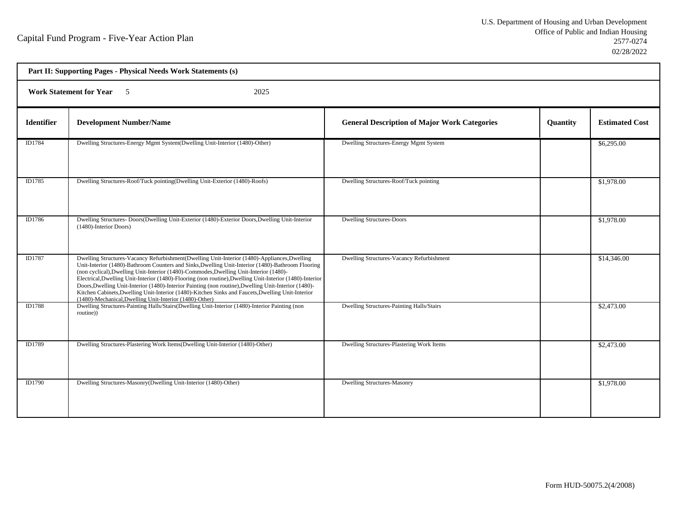| Part II: Supporting Pages - Physical Needs Work Statements (s) |                                                                                                                                                                                                                                                                                                                                                                                                                                                                                                                                                                                                                                                                                 |                                                     |                 |                       |  |
|----------------------------------------------------------------|---------------------------------------------------------------------------------------------------------------------------------------------------------------------------------------------------------------------------------------------------------------------------------------------------------------------------------------------------------------------------------------------------------------------------------------------------------------------------------------------------------------------------------------------------------------------------------------------------------------------------------------------------------------------------------|-----------------------------------------------------|-----------------|-----------------------|--|
|                                                                | <b>Work Statement for Year</b> 5<br>2025                                                                                                                                                                                                                                                                                                                                                                                                                                                                                                                                                                                                                                        |                                                     |                 |                       |  |
| <b>Identifier</b>                                              | <b>Development Number/Name</b>                                                                                                                                                                                                                                                                                                                                                                                                                                                                                                                                                                                                                                                  | <b>General Description of Major Work Categories</b> | <b>Quantity</b> | <b>Estimated Cost</b> |  |
| ID1784                                                         | Dwelling Structures-Energy Mgmt System(Dwelling Unit-Interior (1480)-Other)                                                                                                                                                                                                                                                                                                                                                                                                                                                                                                                                                                                                     | Dwelling Structures-Energy Mgmt System              |                 | \$6,295.00            |  |
| ID1785                                                         | Dwelling Structures-Roof/Tuck pointing(Dwelling Unit-Exterior (1480)-Roofs)                                                                                                                                                                                                                                                                                                                                                                                                                                                                                                                                                                                                     | Dwelling Structures-Roof/Tuck pointing              |                 | \$1,978.00            |  |
| ID1786                                                         | Dwelling Structures-Doors(Dwelling Unit-Exterior (1480)-Exterior Doors, Dwelling Unit-Interior<br>(1480)-Interior Doors)                                                                                                                                                                                                                                                                                                                                                                                                                                                                                                                                                        | <b>Dwelling Structures-Doors</b>                    |                 | \$1,978.00            |  |
| ID1787                                                         | Dwelling Structures-Vacancy Refurbishment(Dwelling Unit-Interior (1480)-Appliances, Dwelling<br>Unit-Interior (1480)-Bathroom Counters and Sinks, Dwelling Unit-Interior (1480)-Bathroom Flooring<br>(non cyclical), Dwelling Unit-Interior (1480)-Commodes, Dwelling Unit-Interior (1480)-<br>Electrical, Dwelling Unit-Interior (1480)-Flooring (non routine), Dwelling Unit-Interior (1480)-Interior<br>Doors, Dwelling Unit-Interior (1480)-Interior Painting (non routine), Dwelling Unit-Interior (1480)-<br>Kitchen Cabinets, Dwelling Unit-Interior (1480)-Kitchen Sinks and Faucets, Dwelling Unit-Interior<br>(1480)-Mechanical, Dwelling Unit-Interior (1480)-Other) | Dwelling Structures-Vacancy Refurbishment           |                 | \$14,346.00           |  |
| ID1788                                                         | Dwelling Structures-Painting Halls/Stairs(Dwelling Unit-Interior (1480)-Interior Painting (non<br>routine))                                                                                                                                                                                                                                                                                                                                                                                                                                                                                                                                                                     | <b>Dwelling Structures-Painting Halls/Stairs</b>    |                 | \$2,473.00            |  |
| ID1789                                                         | Dwelling Structures-Plastering Work Items(Dwelling Unit-Interior (1480)-Other)                                                                                                                                                                                                                                                                                                                                                                                                                                                                                                                                                                                                  | Dwelling Structures-Plastering Work Items           |                 | \$2,473.00            |  |
| ID1790                                                         | Dwelling Structures-Masonry(Dwelling Unit-Interior (1480)-Other)                                                                                                                                                                                                                                                                                                                                                                                                                                                                                                                                                                                                                | <b>Dwelling Structures-Masonry</b>                  |                 | \$1,978.00            |  |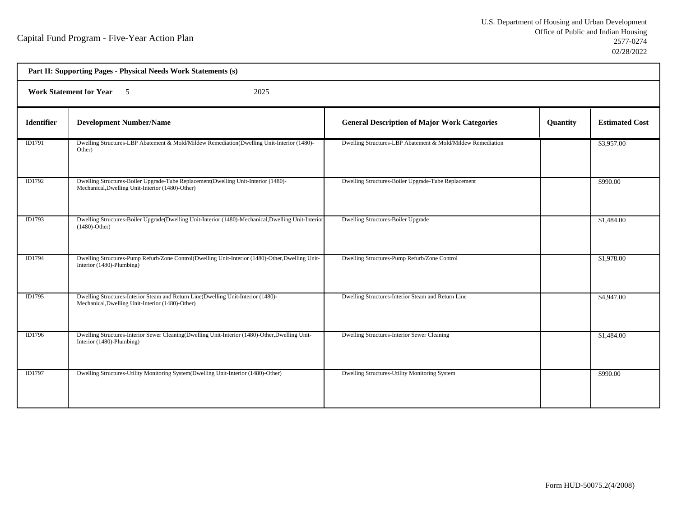| Part II: Supporting Pages - Physical Needs Work Statements (s) |                                                                                                                                        |                                                             |          |                       |  |  |  |
|----------------------------------------------------------------|----------------------------------------------------------------------------------------------------------------------------------------|-------------------------------------------------------------|----------|-----------------------|--|--|--|
| Work Statement for Year 5<br>2025                              |                                                                                                                                        |                                                             |          |                       |  |  |  |
| <b>Identifier</b>                                              | <b>Development Number/Name</b>                                                                                                         | <b>General Description of Major Work Categories</b>         | Quantity | <b>Estimated Cost</b> |  |  |  |
| ID1791                                                         | Dwelling Structures-LBP Abatement & Mold/Mildew Remediation(Dwelling Unit-Interior (1480)-<br>Other)                                   | Dwelling Structures-LBP Abatement & Mold/Mildew Remediation |          | \$3,957.00            |  |  |  |
| ID1792                                                         | Dwelling Structures-Boiler Upgrade-Tube Replacement(Dwelling Unit-Interior (1480)-<br>Mechanical, Dwelling Unit-Interior (1480)-Other) | Dwelling Structures-Boiler Upgrade-Tube Replacement         |          | \$990.00              |  |  |  |
| ID1793                                                         | Dwelling Structures-Boiler Upgrade(Dwelling Unit-Interior (1480)-Mechanical, Dwelling Unit-Interior<br>$(1480)$ -Other)                | Dwelling Structures-Boiler Upgrade                          |          | \$1,484.00            |  |  |  |
| ID1794                                                         | Dwelling Structures-Pump Refurb/Zone Control(Dwelling Unit-Interior (1480)-Other, Dwelling Unit-<br>Interior (1480)-Plumbing)          | Dwelling Structures-Pump Refurb/Zone Control                |          | \$1,978.00            |  |  |  |
| ID1795                                                         | Dwelling Structures-Interior Steam and Return Line(Dwelling Unit-Interior (1480)-<br>Mechanical, Dwelling Unit-Interior (1480)-Other)  | Dwelling Structures-Interior Steam and Return Line          |          | \$4,947.00            |  |  |  |
| ID1796                                                         | Dwelling Structures-Interior Sewer Cleaning(Dwelling Unit-Interior (1480)-Other, Dwelling Unit-<br>Interior (1480)-Plumbing)           | Dwelling Structures-Interior Sewer Cleaning                 |          | \$1,484.00            |  |  |  |
| ID1797                                                         | Dwelling Structures-Utility Monitoring System(Dwelling Unit-Interior (1480)-Other)                                                     | Dwelling Structures-Utility Monitoring System               |          | \$990.00              |  |  |  |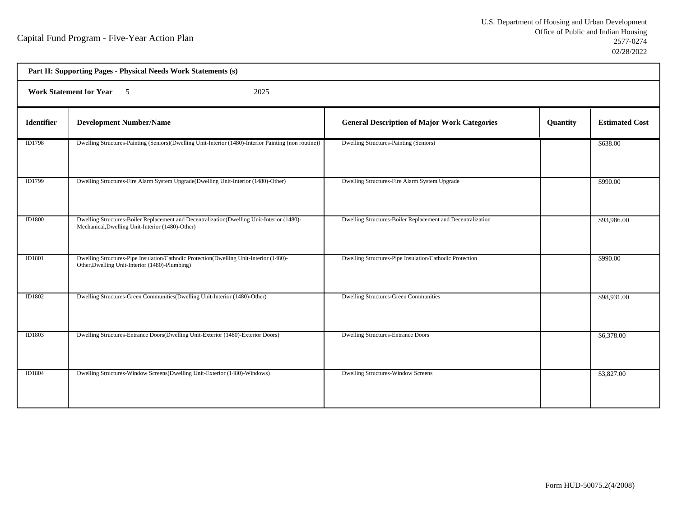| Part II: Supporting Pages - Physical Needs Work Statements (s) |                                                                                                                                                |                                                             |          |                       |  |  |  |
|----------------------------------------------------------------|------------------------------------------------------------------------------------------------------------------------------------------------|-------------------------------------------------------------|----------|-----------------------|--|--|--|
| <b>Work Statement for Year</b> 5<br>2025                       |                                                                                                                                                |                                                             |          |                       |  |  |  |
| <b>Identifier</b>                                              | <b>Development Number/Name</b>                                                                                                                 | <b>General Description of Major Work Categories</b>         | Quantity | <b>Estimated Cost</b> |  |  |  |
| ID1798                                                         | Dwelling Structures-Painting (Seniors)(Dwelling Unit-Interior (1480)-Interior Painting (non routine))                                          | Dwelling Structures-Painting (Seniors)                      |          | \$638.00              |  |  |  |
| ID1799                                                         | Dwelling Structures-Fire Alarm System Upgrade(Dwelling Unit-Interior (1480)-Other)                                                             | Dwelling Structures-Fire Alarm System Upgrade               |          | \$990.00              |  |  |  |
| <b>ID1800</b>                                                  | Dwelling Structures-Boiler Replacement and Decentralization(Dwelling Unit-Interior (1480)-<br>Mechanical, Dwelling Unit-Interior (1480)-Other) | Dwelling Structures-Boiler Replacement and Decentralization |          | \$93,986.00           |  |  |  |
| ID1801                                                         | Dwelling Structures-Pipe Insulation/Cathodic Protection(Dwelling Unit-Interior (1480)-<br>Other, Dwelling Unit-Interior (1480)-Plumbing)       | Dwelling Structures-Pipe Insulation/Cathodic Protection     |          | \$990.00              |  |  |  |
| ID1802                                                         | Dwelling Structures-Green Communities (Dwelling Unit-Interior (1480)-Other)                                                                    | <b>Dwelling Structures-Green Communities</b>                |          | \$98,931.00           |  |  |  |
| ID1803                                                         | Dwelling Structures-Entrance Doors(Dwelling Unit-Exterior (1480)-Exterior Doors)                                                               | <b>Dwelling Structures-Entrance Doors</b>                   |          | \$6,378.00            |  |  |  |
| <b>ID1804</b>                                                  | Dwelling Structures-Window Screens(Dwelling Unit-Exterior (1480)-Windows)                                                                      | Dwelling Structures-Window Screens                          |          | \$3,827.00            |  |  |  |